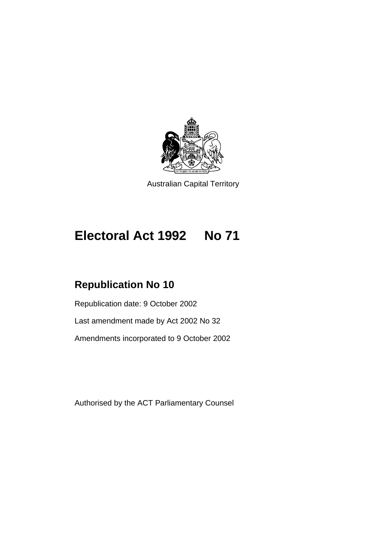

Australian Capital Territory

# **Electoral Act 1992 No 71**

## **Republication No 10**

Republication date: 9 October 2002 Last amendment made by Act 2002 No 32 Amendments incorporated to 9 October 2002

Authorised by the ACT Parliamentary Counsel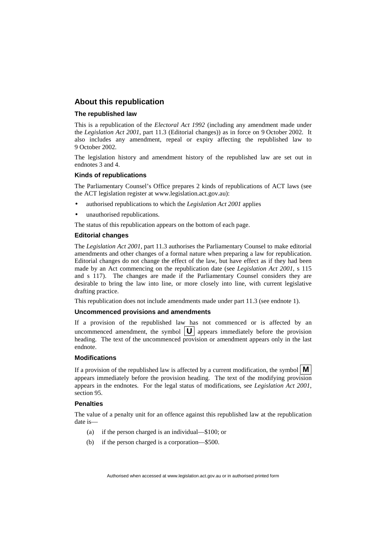#### **About this republication**

#### **The republished law**

This is a republication of the *Electoral Act 1992* (including any amendment made under the *Legislation Act 2001*, part 11.3 (Editorial changes)) as in force on 9 October 2002*.* It also includes any amendment, repeal or expiry affecting the republished law to 9 October 2002.

The legislation history and amendment history of the republished law are set out in endnotes 3 and 4.

#### **Kinds of republications**

The Parliamentary Counsel's Office prepares 2 kinds of republications of ACT laws (see the ACT legislation register at www.legislation.act.gov.au):

- authorised republications to which the *Legislation Act 2001* applies
- unauthorised republications.

The status of this republication appears on the bottom of each page.

#### **Editorial changes**

The *Legislation Act 2001*, part 11.3 authorises the Parliamentary Counsel to make editorial amendments and other changes of a formal nature when preparing a law for republication. Editorial changes do not change the effect of the law, but have effect as if they had been made by an Act commencing on the republication date (see *Legislation Act 2001*, s 115 and s 117). The changes are made if the Parliamentary Counsel considers they are desirable to bring the law into line, or more closely into line, with current legislative drafting practice.

This republication does not include amendments made under part 11.3 (see endnote 1).

#### **Uncommenced provisions and amendments**

If a provision of the republished law has not commenced or is affected by an uncommenced amendment, the symbol  $|\mathbf{U}|$  appears immediately before the provision heading. The text of the uncommenced provision or amendment appears only in the last endnote.

#### **Modifications**

If a provision of the republished law is affected by a current modification, the symbol  $\mathbf{M}$ appears immediately before the provision heading. The text of the modifying provision appears in the endnotes. For the legal status of modifications, see *Legislation Act 2001*, section 95.

#### **Penalties**

The value of a penalty unit for an offence against this republished law at the republication date is—

- (a) if the person charged is an individual—\$100; or
- (b) if the person charged is a corporation—\$500.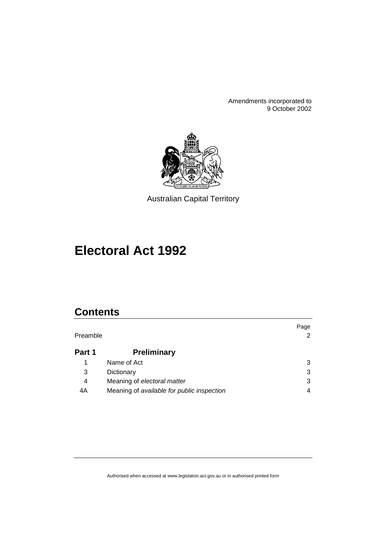Amendments incorporated to 9 October 2002



Australian Capital Territory

# **Electoral Act 1992**

## **Contents**

| Preamble |                                            | Page<br>2 |
|----------|--------------------------------------------|-----------|
| Part 1   | <b>Preliminary</b>                         |           |
|          | Name of Act                                | 3         |
| 3        | Dictionary                                 | 3         |
| 4        | Meaning of electoral matter                | 3         |
| 4A       | Meaning of available for public inspection | 4         |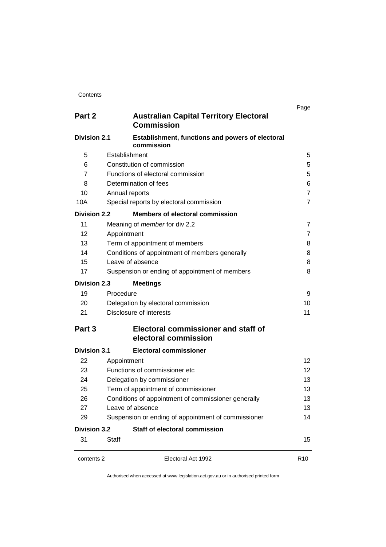| Part 2              | <b>Australian Capital Territory Electoral</b><br><b>Commission</b>    | Page            |
|---------------------|-----------------------------------------------------------------------|-----------------|
| <b>Division 2.1</b> | <b>Establishment, functions and powers of electoral</b><br>commission |                 |
| 5                   | Establishment                                                         | 5               |
| 6                   | Constitution of commission                                            | 5               |
| $\overline{7}$      | Functions of electoral commission                                     | 5               |
| 8                   | Determination of fees                                                 | 6               |
| 10                  | Annual reports                                                        | 7               |
| 10A                 | Special reports by electoral commission                               | 7               |
| <b>Division 2.2</b> | <b>Members of electoral commission</b>                                |                 |
| 11                  | Meaning of <i>member</i> for div 2.2                                  | 7               |
| 12                  | Appointment                                                           | 7               |
| 13                  | Term of appointment of members                                        | 8               |
| 14                  | Conditions of appointment of members generally                        | 8               |
| 15                  | Leave of absence                                                      | 8               |
| 17                  | Suspension or ending of appointment of members                        | 8               |
| <b>Division 2.3</b> | <b>Meetings</b>                                                       |                 |
| 19                  | Procedure                                                             | 9               |
| 20                  | Delegation by electoral commission                                    | 10              |
| 21                  | Disclosure of interests                                               | 11              |
| Part 3              | <b>Electoral commissioner and staff of</b><br>electoral commission    |                 |
| <b>Division 3.1</b> | <b>Electoral commissioner</b>                                         |                 |
| 22                  | Appointment                                                           | 12 <sup>2</sup> |
| 23                  | Functions of commissioner etc                                         | 12 <sup>2</sup> |
| 24                  | Delegation by commissioner                                            | 13              |
| 25                  | Term of appointment of commissioner                                   | 13              |
| 26                  | Conditions of appointment of commissioner generally                   | 13              |
| 27                  | Leave of absence                                                      | 13              |
| 29                  | Suspension or ending of appointment of commissioner                   | 14              |
| <b>Division 3.2</b> | <b>Staff of electoral commission</b>                                  |                 |
| 31                  | <b>Staff</b>                                                          | 15              |
| contents 2          | Electoral Act 1992                                                    | R <sub>10</sub> |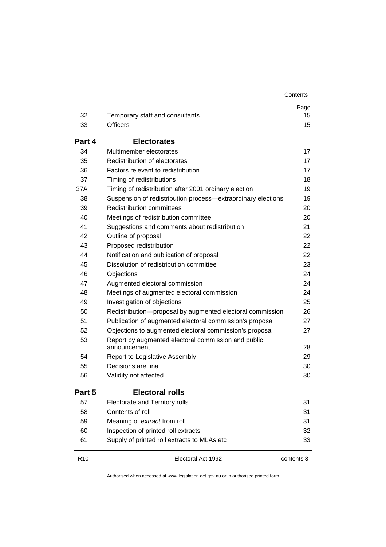|--|

| 32              | Temporary staff and consultants                              | Page<br>15 |
|-----------------|--------------------------------------------------------------|------------|
| 33              | <b>Officers</b>                                              | 15         |
|                 |                                                              |            |
| Part 4          | <b>Electorates</b>                                           |            |
| 34              | Multimember electorates                                      | 17         |
| 35              | Redistribution of electorates                                | 17         |
| 36              | Factors relevant to redistribution                           | 17         |
| 37              | Timing of redistributions                                    | 18         |
| 37A             | Timing of redistribution after 2001 ordinary election        | 19         |
| 38              | Suspension of redistribution process-extraordinary elections | 19         |
| 39              | <b>Redistribution committees</b>                             | 20         |
| 40              | Meetings of redistribution committee                         | 20         |
| 41              | Suggestions and comments about redistribution                | 21         |
| 42              | Outline of proposal                                          | 22         |
| 43              | Proposed redistribution                                      | 22         |
| 44              | Notification and publication of proposal                     | 22         |
| 45              | Dissolution of redistribution committee                      | 23         |
| 46              | Objections                                                   | 24         |
| 47              | Augmented electoral commission                               | 24         |
| 48              | Meetings of augmented electoral commission                   | 24         |
| 49              | Investigation of objections                                  | 25         |
| 50              | Redistribution-proposal by augmented electoral commission    | 26         |
| 51              | Publication of augmented electoral commission's proposal     | 27         |
| 52              | Objections to augmented electoral commission's proposal      | 27         |
| 53              | Report by augmented electoral commission and public          |            |
|                 | announcement                                                 | 28         |
| 54              | <b>Report to Legislative Assembly</b>                        | 29         |
| 55              | Decisions are final                                          | 30         |
| 56              | Validity not affected                                        | 30         |
| Part 5          | <b>Electoral rolls</b>                                       |            |
| 57              | Electorate and Territory rolls                               | 31         |
| 58              | Contents of roll                                             | 31         |
| 59              | Meaning of extract from roll                                 | 31         |
| 60              | Inspection of printed roll extracts                          | 32         |
| 61              | Supply of printed roll extracts to MLAs etc                  | 33         |
| R <sub>10</sub> | Electoral Act 1992                                           | contents 3 |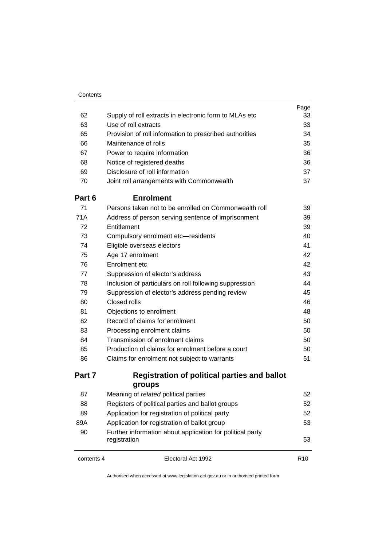| 62         | Supply of roll extracts in electronic form to MLAs etc                    | Page<br>33      |
|------------|---------------------------------------------------------------------------|-----------------|
| 63         | Use of roll extracts                                                      | 33              |
| 65         | Provision of roll information to prescribed authorities                   | 34              |
| 66         | Maintenance of rolls                                                      | 35              |
| 67         | Power to require information                                              | 36              |
| 68         | Notice of registered deaths                                               | 36              |
| 69         | Disclosure of roll information                                            | 37              |
| 70         | Joint roll arrangements with Commonwealth                                 | 37              |
| Part 6     | <b>Enrolment</b>                                                          |                 |
| 71         | Persons taken not to be enrolled on Commonwealth roll                     | 39              |
| 71A        | Address of person serving sentence of imprisonment                        | 39              |
| 72         | Entitlement                                                               | 39              |
| 73         | Compulsory enrolment etc-residents                                        | 40              |
| 74         | Eligible overseas electors                                                | 41              |
| 75         | Age 17 enrolment                                                          | 42              |
| 76         | Enrolment etc                                                             | 42              |
| 77         | Suppression of elector's address                                          | 43              |
| 78         | Inclusion of particulars on roll following suppression                    | 44              |
| 79         | Suppression of elector's address pending review                           | 45              |
| 80         | Closed rolls                                                              | 46              |
| 81         | Objections to enrolment                                                   | 48              |
| 82         | Record of claims for enrolment                                            | 50              |
| 83         | Processing enrolment claims                                               | 50              |
| 84         | Transmission of enrolment claims                                          | 50              |
| 85         | Production of claims for enrolment before a court                         | 50              |
| 86         | Claims for enrolment not subject to warrants                              | 51              |
| Part 7     | <b>Registration of political parties and ballot</b>                       |                 |
|            | groups                                                                    |                 |
| 87         | Meaning of related political parties                                      | 52              |
| 88         | Registers of political parties and ballot groups                          | 52              |
| 89         | Application for registration of political party                           | 52              |
| 89A        | Application for registration of ballot group                              | 53              |
| 90         | Further information about application for political party<br>registration | 53              |
| contents 4 | Electoral Act 1992                                                        | R <sub>10</sub> |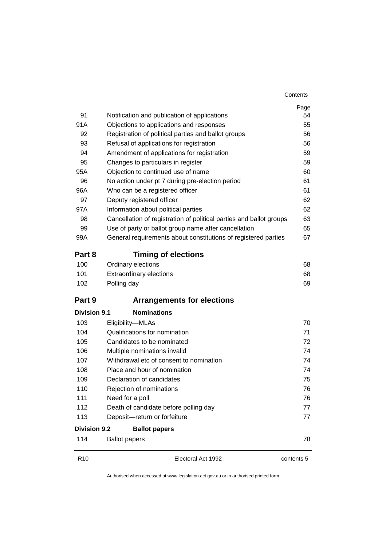|                     |                                                                     | Page       |
|---------------------|---------------------------------------------------------------------|------------|
| 91                  | Notification and publication of applications                        | 54         |
| 91A                 | Objections to applications and responses                            | 55         |
| 92                  | Registration of political parties and ballot groups                 | 56         |
| 93                  | Refusal of applications for registration                            | 56         |
| 94                  | Amendment of applications for registration                          | 59         |
| 95                  | Changes to particulars in register                                  | 59         |
| 95A                 | Objection to continued use of name                                  | 60         |
| 96                  | No action under pt 7 during pre-election period                     | 61         |
| 96A                 | Who can be a registered officer                                     | 61         |
| 97                  | Deputy registered officer                                           | 62         |
| 97A                 | Information about political parties                                 | 62         |
| 98                  | Cancellation of registration of political parties and ballot groups | 63         |
| 99                  | Use of party or ballot group name after cancellation                | 65         |
| 99A                 | General requirements about constitutions of registered parties      | 67         |
| Part 8              | <b>Timing of elections</b>                                          |            |
| 100                 | Ordinary elections                                                  | 68         |
| 101                 | <b>Extraordinary elections</b>                                      | 68         |
| 102                 | Polling day                                                         | 69         |
| Part 9              | <b>Arrangements for elections</b>                                   |            |
| <b>Division 9.1</b> | <b>Nominations</b>                                                  |            |
| 103                 | Eligibility-MLAs                                                    | 70         |
| 104                 | Qualifications for nomination                                       | 71         |
| 105                 | Candidates to be nominated                                          | 72         |
| 106                 | Multiple nominations invalid                                        | 74         |
| 107                 | Withdrawal etc of consent to nomination                             | 74         |
| 108                 | Place and hour of nomination                                        | 74         |
| 109                 | Declaration of candidates                                           | 75         |
| 110                 | Rejection of nominations                                            | 76         |
| 111                 | Need for a poll                                                     | 76         |
| 112                 | Death of candidate before polling day                               | 77         |
| 113                 | Deposit-return or forfeiture                                        | 77         |
| <b>Division 9.2</b> | <b>Ballot papers</b>                                                |            |
| 114                 | <b>Ballot papers</b>                                                | 78         |
| R <sub>10</sub>     | Electoral Act 1992                                                  | contents 5 |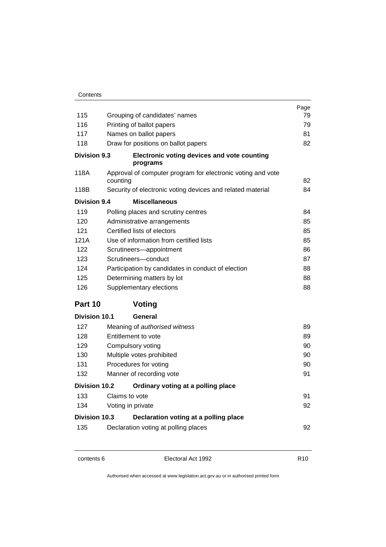| Contents             |                                                                         |      |
|----------------------|-------------------------------------------------------------------------|------|
|                      |                                                                         | Page |
| 115                  | Grouping of candidates' names                                           | 79   |
| 116                  | Printing of ballot papers                                               | 79   |
| 117                  | Names on ballot papers                                                  | 81   |
| 118                  | Draw for positions on ballot papers                                     | 82   |
| <b>Division 9.3</b>  | <b>Electronic voting devices and vote counting</b><br>programs          |      |
| 118A                 | Approval of computer program for electronic voting and vote<br>counting | 82   |
| 118B                 | Security of electronic voting devices and related material              | 84   |
| <b>Division 9.4</b>  | <b>Miscellaneous</b>                                                    |      |
| 119                  | Polling places and scrutiny centres                                     | 84   |
| 120                  | Administrative arrangements                                             | 85   |
| 121                  | Certified lists of electors                                             | 85   |
| 121A                 | Use of information from certified lists                                 | 85   |
| 122                  | Scrutineers-appointment                                                 | 86   |
| 123                  | Scrutineers-conduct                                                     | 87   |
| 124                  | Participation by candidates in conduct of election                      | 88   |
| 125                  | Determining matters by lot                                              | 88   |
| 126                  | Supplementary elections                                                 | 88   |
| Part 10              | <b>Voting</b>                                                           |      |
| Division 10.1        | General                                                                 |      |
| 127                  | Meaning of authorised witness                                           | 89   |
| 128                  | Entitlement to vote                                                     | 89   |
| 129                  | Compulsory voting                                                       | 90   |
| 130                  | Multiple votes prohibited                                               | 90   |
| 131                  | Procedures for voting                                                   | 90   |
| 132                  | Manner of recording vote                                                | 91   |
| <b>Division 10.2</b> | Ordinary voting at a polling place                                      |      |
| 133                  | Claims to vote                                                          | 91   |
| 134                  | Voting in private                                                       | 92   |
| Division 10.3        | Declaration voting at a polling place                                   |      |

135 Declaration voting at polling places **135** Declaration voting at polling places

contents 6 Electoral Act 1992 R10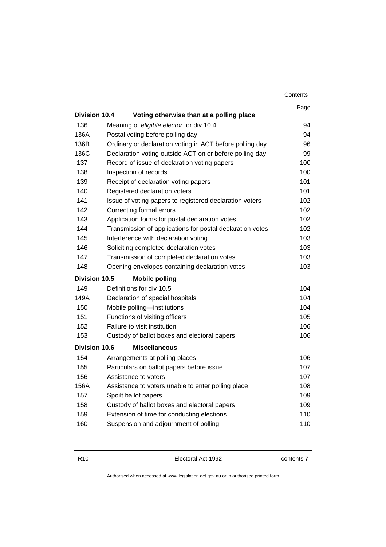|                      |                                                           | Contents |
|----------------------|-----------------------------------------------------------|----------|
|                      |                                                           | Page     |
| <b>Division 10.4</b> | Voting otherwise than at a polling place                  |          |
| 136                  | Meaning of eligible elector for div 10.4                  | 94       |
| 136A                 | Postal voting before polling day                          | 94       |
| 136B                 | Ordinary or declaration voting in ACT before polling day  | 96       |
| 136C                 | Declaration voting outside ACT on or before polling day   | 99       |
| 137                  | Record of issue of declaration voting papers              | 100      |
| 138                  | Inspection of records                                     | 100      |
| 139                  | Receipt of declaration voting papers                      | 101      |
| 140                  | Registered declaration voters                             | 101      |
| 141                  | Issue of voting papers to registered declaration voters   | 102      |
| 142                  | Correcting formal errors                                  | 102      |
| 143                  | Application forms for postal declaration votes            | 102      |
| 144                  | Transmission of applications for postal declaration votes | 102      |
| 145                  | Interference with declaration voting                      | 103      |
| 146                  | Soliciting completed declaration votes                    | 103      |
| 147                  | Transmission of completed declaration votes               | 103      |
| 148                  | Opening envelopes containing declaration votes            | 103      |
| <b>Division 10.5</b> | <b>Mobile polling</b>                                     |          |
| 149                  | Definitions for div 10.5                                  | 104      |
| 149A                 | Declaration of special hospitals                          | 104      |
| 150                  | Mobile polling-institutions                               | 104      |
| 151                  | Functions of visiting officers                            | 105      |
| 152                  | Failure to visit institution                              | 106      |
| 153                  | Custody of ballot boxes and electoral papers              | 106      |
| Division 10.6        | <b>Miscellaneous</b>                                      |          |
| 154                  | Arrangements at polling places                            | 106      |
| 155                  | Particulars on ballot papers before issue                 | 107      |
| 156                  | Assistance to voters                                      | 107      |
| 156A                 | Assistance to voters unable to enter polling place        | 108      |
| 157                  | Spoilt ballot papers                                      | 109      |
| 158                  | Custody of ballot boxes and electoral papers              | 109      |
| 159                  | Extension of time for conducting elections                | 110      |
| 160                  | Suspension and adjournment of polling                     | 110      |

R10 Electoral Act 1992 contents 7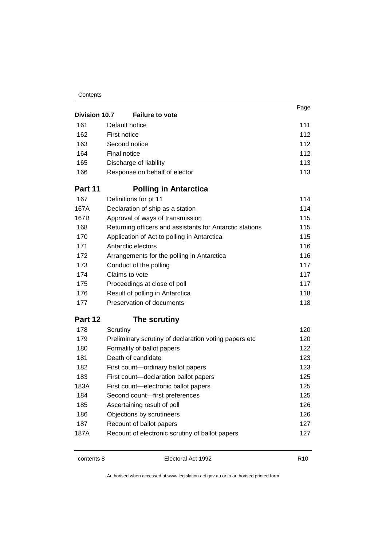#### **Contents**

|               |                                                          | Page |
|---------------|----------------------------------------------------------|------|
| Division 10.7 | <b>Failure to vote</b>                                   |      |
| 161           | Default notice                                           | 111  |
| 162           | First notice                                             | 112  |
| 163           | Second notice                                            | 112  |
| 164           | Final notice                                             | 112  |
| 165           | Discharge of liability                                   | 113  |
| 166           | Response on behalf of elector                            | 113  |
| Part 11       | <b>Polling in Antarctica</b>                             |      |
| 167           | Definitions for pt 11                                    | 114  |
| 167A          | Declaration of ship as a station                         | 114  |
| 167B          | Approval of ways of transmission                         | 115  |
| 168           | Returning officers and assistants for Antarctic stations | 115  |
| 170           | Application of Act to polling in Antarctica              | 115  |
| 171           | Antarctic electors                                       | 116  |
| 172           | Arrangements for the polling in Antarctica               | 116  |
| 173           | Conduct of the polling                                   | 117  |
| 174           | Claims to vote                                           | 117  |
| 175           | Proceedings at close of poll                             | 117  |
| 176           | Result of polling in Antarctica                          | 118  |
| 177           | Preservation of documents                                | 118  |
| Part 12       | The scrutiny                                             |      |
| 178           | Scrutiny                                                 | 120  |
| 179           | Preliminary scrutiny of declaration voting papers etc    | 120  |
| 180           | Formality of ballot papers                               | 122  |
| 181           | Death of candidate                                       | 123  |
| 182           | First count-ordinary ballot papers                       | 123  |
| 183           | First count-declaration ballot papers                    | 125  |
| 183A          | First count-electronic ballot papers                     | 125  |
| 184           | Second count-first preferences                           | 125  |
| 185           | Ascertaining result of poll                              | 126  |
| 186           | Objections by scrutineers                                | 126  |
| 187           | Recount of ballot papers                                 | 127  |
| 187A          | Recount of electronic scrutiny of ballot papers          | 127  |

contents 8 Electoral Act 1992 R10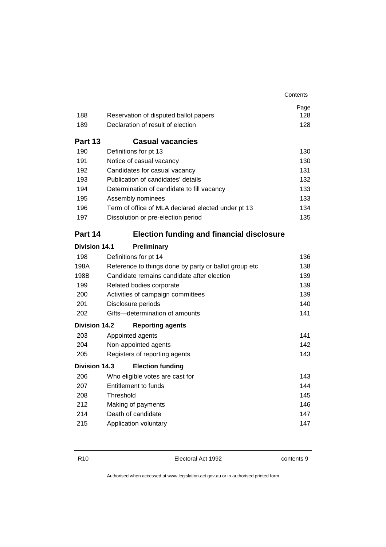|                      |                                                                            | Contents |
|----------------------|----------------------------------------------------------------------------|----------|
|                      |                                                                            | Page     |
| 188                  | Reservation of disputed ballot papers<br>Declaration of result of election | 128      |
| 189                  |                                                                            | 128      |
| Part 13              | <b>Casual vacancies</b>                                                    |          |
| 190                  | Definitions for pt 13                                                      | 130      |
| 191                  | Notice of casual vacancy                                                   | 130      |
| 192                  | Candidates for casual vacancy                                              | 131      |
| 193                  | Publication of candidates' details                                         | 132      |
| 194                  | Determination of candidate to fill vacancy                                 | 133      |
| 195                  | Assembly nominees                                                          | 133      |
| 196                  | Term of office of MLA declared elected under pt 13                         | 134      |
| 197                  | Dissolution or pre-election period                                         | 135      |
| Part 14              | <b>Election funding and financial disclosure</b>                           |          |
| <b>Division 14.1</b> | <b>Preliminary</b>                                                         |          |
| 198                  | Definitions for pt 14                                                      | 136      |
| 198A                 | Reference to things done by party or ballot group etc                      | 138      |
| 198B                 | Candidate remains candidate after election                                 | 139      |
| 199                  | Related bodies corporate                                                   | 139      |
| 200                  | Activities of campaign committees                                          | 139      |
| 201                  | Disclosure periods                                                         | 140      |
| 202                  | Gifts-determination of amounts                                             | 141      |
| <b>Division 14.2</b> | <b>Reporting agents</b>                                                    |          |
| 203                  | Appointed agents                                                           | 141      |
| 204                  | Non-appointed agents                                                       | 142      |
| 205                  | Registers of reporting agents                                              | 143      |
| <b>Division 14.3</b> | <b>Election funding</b>                                                    |          |
| 206                  | Who eligible votes are cast for                                            | 143      |
| 207                  | Entitlement to funds                                                       | 144      |
| 208                  | Threshold                                                                  | 145      |
| 212                  | Making of payments                                                         | 146      |
| 214                  | Death of candidate                                                         | 147      |
| 215                  | Application voluntary                                                      | 147      |

R10 Electoral Act 1992 contents 9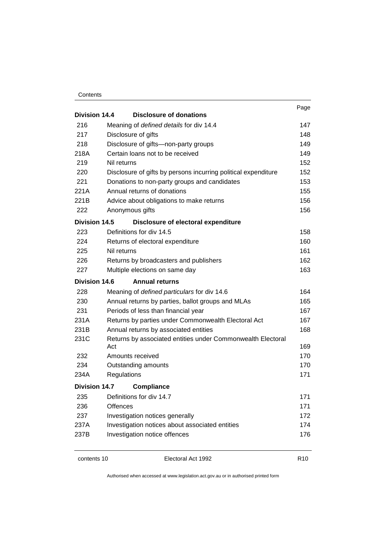#### **Contents**

|                      |                                                                | Page |
|----------------------|----------------------------------------------------------------|------|
| <b>Division 14.4</b> | <b>Disclosure of donations</b>                                 |      |
| 216                  | Meaning of defined details for div 14.4                        | 147  |
| 217                  | Disclosure of gifts                                            | 148  |
| 218                  | Disclosure of gifts-non-party groups                           | 149  |
| 218A                 | Certain loans not to be received                               | 149  |
| 219                  | Nil returns                                                    | 152  |
| 220                  | Disclosure of gifts by persons incurring political expenditure | 152  |
| 221                  | Donations to non-party groups and candidates                   | 153  |
| 221A                 | Annual returns of donations                                    | 155  |
| 221B                 | Advice about obligations to make returns                       | 156  |
| 222                  | Anonymous gifts                                                | 156  |
| Division 14.5        | Disclosure of electoral expenditure                            |      |
| 223                  | Definitions for div 14.5                                       | 158  |
| 224                  | Returns of electoral expenditure                               | 160  |
| 225                  | Nil returns                                                    | 161  |
| 226                  | Returns by broadcasters and publishers                         | 162  |
| 227                  | Multiple elections on same day                                 | 163  |
| Division 14.6        | <b>Annual returns</b>                                          |      |
| 228                  | Meaning of defined particulars for div 14.6                    | 164  |
| 230                  | Annual returns by parties, ballot groups and MLAs              | 165  |
| 231                  | Periods of less than financial year                            | 167  |
| 231A                 | Returns by parties under Commonwealth Electoral Act            | 167  |
| 231B                 | Annual returns by associated entities                          | 168  |
| 231C                 | Returns by associated entities under Commonwealth Electoral    |      |
|                      | Act                                                            | 169  |
| 232                  | Amounts received                                               | 170  |
| 234                  | Outstanding amounts                                            | 170  |
| 234A                 | Regulations                                                    | 171  |
| Division 14.7        | <b>Compliance</b>                                              |      |
| 235                  | Definitions for div 14.7                                       | 171  |
| 236                  | Offences                                                       | 171  |
| 237                  | Investigation notices generally                                | 172  |
| 237A                 | Investigation notices about associated entities                | 174  |
| 237B                 | Investigation notice offences                                  | 176  |
|                      |                                                                |      |

contents 10 Electoral Act 1992 R10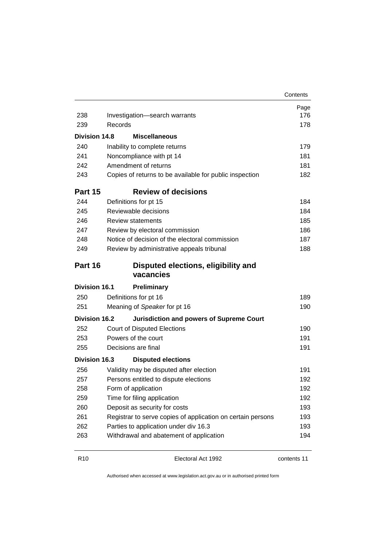|                      |                                                             | Contents |
|----------------------|-------------------------------------------------------------|----------|
|                      |                                                             | Page     |
| 238                  | Investigation-search warrants                               | 176      |
| 239                  | Records                                                     | 178      |
| <b>Division 14.8</b> | <b>Miscellaneous</b>                                        |          |
| 240                  | Inability to complete returns                               | 179      |
| 241                  | Noncompliance with pt 14                                    | 181      |
| 242                  | Amendment of returns                                        | 181      |
| 243                  | Copies of returns to be available for public inspection     | 182      |
| Part 15              | <b>Review of decisions</b>                                  |          |
| 244                  | Definitions for pt 15                                       | 184      |
| 245                  | Reviewable decisions                                        | 184      |
| 246                  | Review statements                                           | 185      |
| 247                  | Review by electoral commission                              | 186      |
| 248                  | Notice of decision of the electoral commission              | 187      |
| 249                  | Review by administrative appeals tribunal                   | 188      |
| Part 16              | Disputed elections, eligibility and<br>vacancies            |          |
| <b>Division 16.1</b> | <b>Preliminary</b>                                          |          |
| 250                  | Definitions for pt 16                                       | 189      |
| 251                  | Meaning of Speaker for pt 16                                | 190      |
| <b>Division 16.2</b> | <b>Jurisdiction and powers of Supreme Court</b>             |          |
| 252                  | <b>Court of Disputed Elections</b>                          | 190      |
| 253                  | Powers of the court                                         | 191      |
| 255                  | Decisions are final                                         | 191      |
| <b>Division 16.3</b> | <b>Disputed elections</b>                                   |          |
| 256                  | Validity may be disputed after election                     | 191      |
| 257                  | Persons entitled to dispute elections                       | 192      |
| 258                  | Form of application                                         | 192      |
| 259                  | Time for filing application                                 | 192      |
| 260                  | Deposit as security for costs                               | 193      |
| 261                  | Registrar to serve copies of application on certain persons | 193      |
| 262                  | Parties to application under div 16.3                       | 193      |
| 263                  | Withdrawal and abatement of application                     | 194      |

R10 Electoral Act 1992 contents 11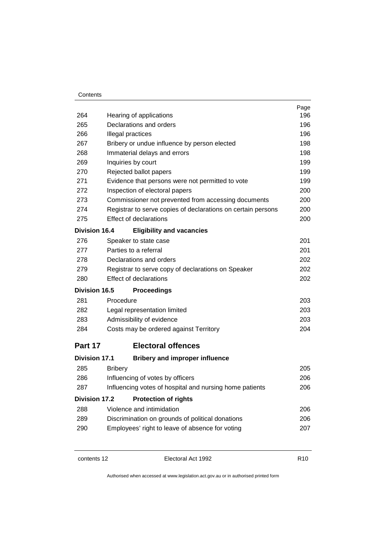| 264                  | Hearing of applications                                      | Page<br>196 |
|----------------------|--------------------------------------------------------------|-------------|
| 265                  | Declarations and orders                                      | 196         |
| 266                  | Illegal practices                                            |             |
| 267                  | Bribery or undue influence by person elected                 | 198         |
| 268                  | Immaterial delays and errors                                 | 198         |
| 269                  | Inquiries by court                                           | 199         |
| 270                  | Rejected ballot papers                                       | 199         |
| 271                  | Evidence that persons were not permitted to vote             | 199         |
| 272                  | Inspection of electoral papers                               | 200         |
| 273                  | Commissioner not prevented from accessing documents          | 200         |
| 274                  | Registrar to serve copies of declarations on certain persons | 200         |
| 275                  | <b>Effect of declarations</b>                                | 200         |
| <b>Division 16.4</b> | <b>Eligibility and vacancies</b>                             |             |
| 276                  | Speaker to state case                                        | 201         |
| 277                  | Parties to a referral                                        | 201         |
| 278                  | Declarations and orders                                      | 202         |
| 279                  | Registrar to serve copy of declarations on Speaker           | 202         |
| 280                  | <b>Effect of declarations</b>                                | 202         |
| Division 16.5        | <b>Proceedings</b>                                           |             |
| 281                  | Procedure                                                    | 203         |
| 282                  | Legal representation limited                                 | 203         |
| 283                  | Admissibility of evidence                                    |             |
| 284                  | Costs may be ordered against Territory                       | 204         |
| Part 17              | <b>Electoral offences</b>                                    |             |
| <b>Division 17.1</b> | <b>Bribery and improper influence</b>                        |             |
| 285                  | <b>Bribery</b>                                               | 205         |
| 286                  | Influencing of votes by officers                             | 206         |
| 287                  | Influencing votes of hospital and nursing home patients      | 206         |
| <b>Division 17.2</b> | <b>Protection of rights</b>                                  |             |
| 288                  | Violence and intimidation                                    | 206         |
| 289                  | Discrimination on grounds of political donations<br>206      |             |
| 290                  | Employees' right to leave of absence for voting              | 207         |
|                      |                                                              |             |

contents 12 Electoral Act 1992 R10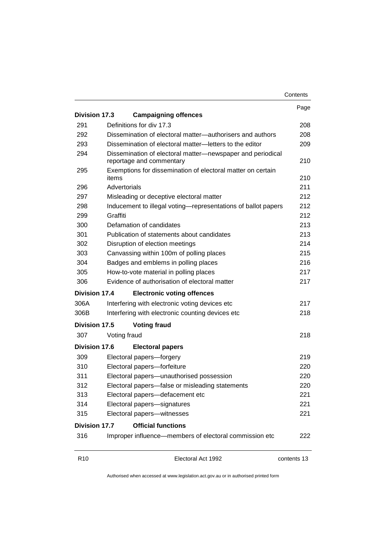|                                             |                                        |                                                                                        | Contents    |
|---------------------------------------------|----------------------------------------|----------------------------------------------------------------------------------------|-------------|
|                                             |                                        |                                                                                        | Page        |
| Division 17.3                               |                                        | <b>Campaigning offences</b>                                                            |             |
| 291                                         |                                        | Definitions for div 17.3                                                               | 208         |
| 292                                         |                                        | Dissemination of electoral matter—authorisers and authors                              | 208         |
| 293                                         |                                        | Dissemination of electoral matter-letters to the editor                                | 209         |
| 294                                         |                                        | Dissemination of electoral matter-newspaper and periodical<br>reportage and commentary | 210         |
| 295                                         | items                                  | Exemptions for dissemination of electoral matter on certain                            | 210         |
| 296                                         | Advertorials                           |                                                                                        | 211         |
| 297                                         |                                        | Misleading or deceptive electoral matter                                               | 212         |
| 298                                         |                                        | Inducement to illegal voting-representations of ballot papers                          | 212         |
| 299                                         | Graffiti                               |                                                                                        | 212         |
| 300                                         |                                        | Defamation of candidates                                                               | 213         |
| 301                                         |                                        | Publication of statements about candidates                                             | 213         |
| 302                                         | Disruption of election meetings        |                                                                                        |             |
| 303                                         |                                        | Canvassing within 100m of polling places                                               | 215         |
| 304<br>Badges and emblems in polling places |                                        |                                                                                        | 216         |
| 305                                         | How-to-vote material in polling places |                                                                                        | 217         |
| 306                                         |                                        | Evidence of authorisation of electoral matter                                          | 217         |
| <b>Division 17.4</b>                        |                                        | <b>Electronic voting offences</b>                                                      |             |
| 306A                                        |                                        | Interfering with electronic voting devices etc                                         | 217         |
| 306B                                        |                                        | Interfering with electronic counting devices etc                                       | 218         |
| Division 17.5                               |                                        | <b>Voting fraud</b>                                                                    |             |
| 307                                         | Voting fraud                           |                                                                                        | 218         |
| Division 17.6                               |                                        | <b>Electoral papers</b>                                                                |             |
| 309                                         |                                        | Electoral papers-forgery                                                               | 219         |
| 310                                         | Electoral papers-forfeiture            |                                                                                        |             |
| 311                                         |                                        | Electoral papers-unauthorised possession                                               | 220         |
| 312                                         |                                        | Electoral papers-false or misleading statements                                        | 220         |
| 313                                         |                                        | Electoral papers-defacement etc                                                        | 221         |
| 314                                         |                                        | Electoral papers-signatures                                                            | 221         |
| 315                                         |                                        | Electoral papers-witnesses                                                             | 221         |
| <b>Division 17.7</b>                        |                                        | <b>Official functions</b>                                                              |             |
| 316                                         |                                        | Improper influence-members of electoral commission etc                                 | 222         |
| R <sub>10</sub>                             |                                        | Electoral Act 1992                                                                     | contents 13 |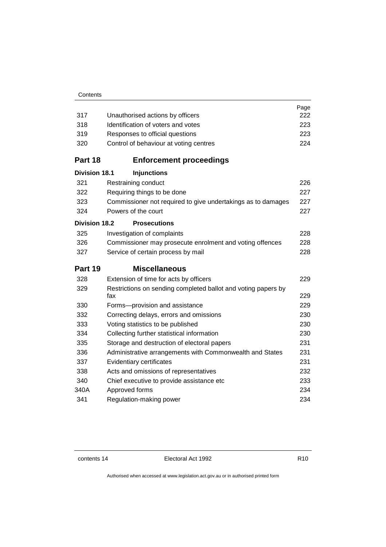|                      |                                                                      | Page |
|----------------------|----------------------------------------------------------------------|------|
| 317                  | Unauthorised actions by officers                                     | 222  |
| 318                  | Identification of voters and votes                                   | 223  |
| 319                  | Responses to official questions                                      | 223  |
| 320                  | Control of behaviour at voting centres                               | 224  |
| Part 18              | <b>Enforcement proceedings</b>                                       |      |
| <b>Division 18.1</b> | <b>Injunctions</b>                                                   |      |
| 321                  | Restraining conduct                                                  | 226  |
| 322                  | Requiring things to be done                                          | 227  |
| 323                  | Commissioner not required to give undertakings as to damages         | 227  |
| 324                  | Powers of the court                                                  | 227  |
| <b>Division 18.2</b> | <b>Prosecutions</b>                                                  |      |
| 325                  | Investigation of complaints                                          | 228  |
| 326                  | Commissioner may prosecute enrolment and voting offences             | 228  |
| 327                  | Service of certain process by mail                                   | 228  |
| Part 19              | <b>Miscellaneous</b>                                                 |      |
| 328                  | Extension of time for acts by officers                               | 229  |
| 329                  | Restrictions on sending completed ballot and voting papers by<br>fax | 229  |
| 330                  | Forms-provision and assistance                                       | 229  |
| 332                  | Correcting delays, errors and omissions                              | 230  |
| 333                  | Voting statistics to be published                                    | 230  |
| 334                  | Collecting further statistical information                           | 230  |
| 335                  | Storage and destruction of electoral papers                          | 231  |
| 336                  | Administrative arrangements with Commonwealth and States             | 231  |
| 337                  | Evidentiary certificates                                             | 231  |
| 338                  | Acts and omissions of representatives                                | 232  |
| 340                  | Chief executive to provide assistance etc                            | 233  |
| 340A                 | Approved forms                                                       | 234  |
| 341                  | Regulation-making power                                              | 234  |
|                      |                                                                      |      |

**Contents**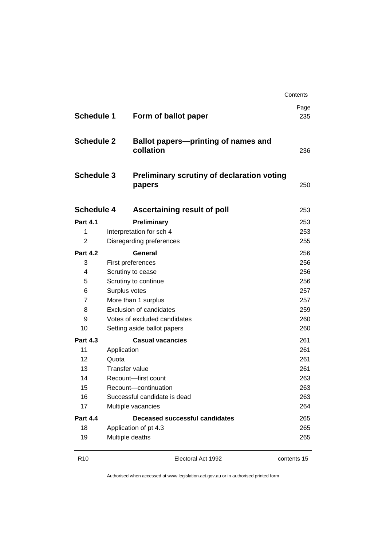|                                                             |                                |                                                                                                                        | Contents    |                   |
|-------------------------------------------------------------|--------------------------------|------------------------------------------------------------------------------------------------------------------------|-------------|-------------------|
| <b>Schedule 1</b><br><b>Schedule 2</b><br><b>Schedule 3</b> |                                | Form of ballot paper                                                                                                   | Page<br>235 |                   |
|                                                             |                                | <b>Ballot papers-printing of names and</b><br>collation<br><b>Preliminary scrutiny of declaration voting</b><br>papers |             |                   |
|                                                             |                                |                                                                                                                        |             | <b>Schedule 4</b> |
| <b>Part 4.1</b>                                             |                                | Preliminary                                                                                                            | 253         |                   |
| 1                                                           |                                | Interpretation for sch 4                                                                                               | 253         |                   |
| $\overline{2}$                                              |                                | Disregarding preferences                                                                                               | 255         |                   |
| <b>Part 4.2</b>                                             |                                | General                                                                                                                | 256         |                   |
| 3                                                           |                                | First preferences                                                                                                      | 256         |                   |
| 4                                                           |                                | Scrutiny to cease                                                                                                      | 256         |                   |
| 5                                                           |                                | Scrutiny to continue                                                                                                   | 256         |                   |
| 6                                                           | Surplus votes                  |                                                                                                                        | 257         |                   |
| $\overline{7}$                                              |                                | More than 1 surplus                                                                                                    | 257         |                   |
| 8                                                           | <b>Exclusion of candidates</b> |                                                                                                                        | 259         |                   |
| 9                                                           | Votes of excluded candidates   |                                                                                                                        | 260         |                   |
| 10                                                          |                                | Setting aside ballot papers                                                                                            | 260         |                   |
| <b>Part 4.3</b>                                             |                                | <b>Casual vacancies</b>                                                                                                | 261         |                   |
| 11                                                          | Application                    |                                                                                                                        | 261         |                   |
| 12                                                          | Quota                          |                                                                                                                        | 261         |                   |
| 13                                                          |                                | <b>Transfer value</b>                                                                                                  | 261         |                   |
| 14<br>15                                                    |                                | Recount-first count<br>Recount-continuation                                                                            | 263<br>263  |                   |
| 16                                                          |                                | Successful candidate is dead                                                                                           | 263         |                   |
| 17                                                          |                                | Multiple vacancies                                                                                                     | 264         |                   |
|                                                             |                                |                                                                                                                        |             |                   |
| <b>Part 4.4</b><br>18                                       |                                | Deceased successful candidates                                                                                         | 265<br>265  |                   |
| 19                                                          |                                | Application of pt 4.3<br>Multiple deaths                                                                               | 265         |                   |
|                                                             |                                |                                                                                                                        |             |                   |

R10 **Electoral Act 1992 contents 15**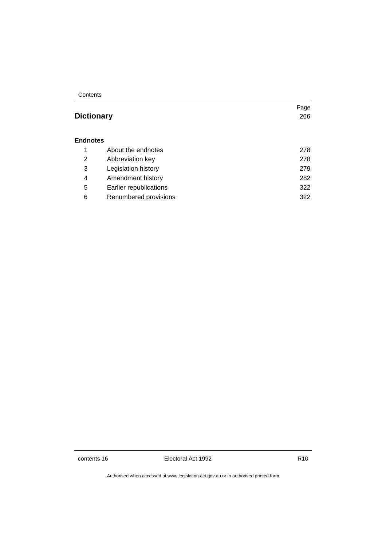**Contents** 

## Page **Dictionary** 266 **Endnotes** 1 About the endnotes 278 2 Abbreviation key 278 3 Legislation history 279 4 Amendment history 282 5 Earlier republications 322 6 Renumbered provisions 322

contents 16 **Electoral Act 1992** R10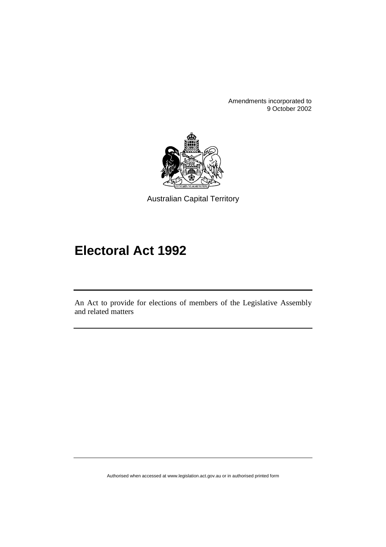Amendments incorporated to 9 October 2002



Australian Capital Territory

# **Electoral Act 1992**

An Act to provide for elections of members of the Legislative Assembly and related matters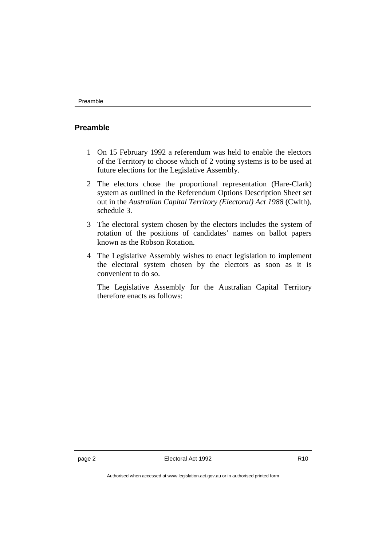#### **Preamble**

- 1 On 15 February 1992 a referendum was held to enable the electors of the Territory to choose which of 2 voting systems is to be used at future elections for the Legislative Assembly.
- 2 The electors chose the proportional representation (Hare-Clark) system as outlined in the Referendum Options Description Sheet set out in the *Australian Capital Territory (Electoral) Act 1988* (Cwlth), schedule 3.
- 3 The electoral system chosen by the electors includes the system of rotation of the positions of candidates' names on ballot papers known as the Robson Rotation.
- 4 The Legislative Assembly wishes to enact legislation to implement the electoral system chosen by the electors as soon as it is convenient to do so.

The Legislative Assembly for the Australian Capital Territory therefore enacts as follows: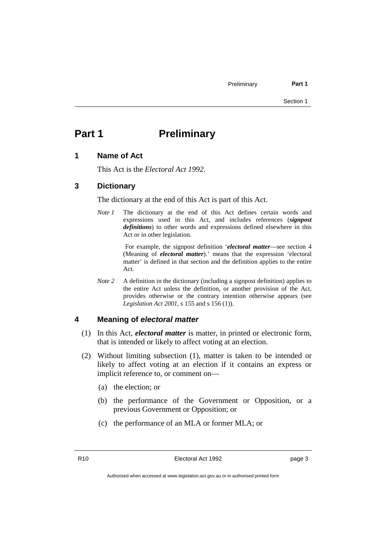Preliminary **Part 1** 

Section 1

## Part 1 **Preliminary**

#### **1 Name of Act**

This Act is the *Electoral Act 1992*.

#### **3 Dictionary**

The dictionary at the end of this Act is part of this Act.

*Note 1* The dictionary at the end of this Act defines certain words and expressions used in this Act, and includes references (*signpost definitions*) to other words and expressions defined elsewhere in this Act or in other legislation.

> For example, the signpost definition '*electoral matter*—see section 4 (Meaning of *electoral matter*).' means that the expression 'electoral matter' is defined in that section and the definition applies to the entire Act.

*Note 2* A definition in the dictionary (including a signpost definition) applies to the entire Act unless the definition, or another provision of the Act, provides otherwise or the contrary intention otherwise appears (see *Legislation Act 2001*, s 155 and s 156 (1)).

#### **4 Meaning of** *electoral matter*

- (1) In this Act, *electoral matter* is matter, in printed or electronic form, that is intended or likely to affect voting at an election.
- (2) Without limiting subsection (1), matter is taken to be intended or likely to affect voting at an election if it contains an express or implicit reference to, or comment on—
	- (a) the election; or
	- (b) the performance of the Government or Opposition, or a previous Government or Opposition; or
	- (c) the performance of an MLA or former MLA; or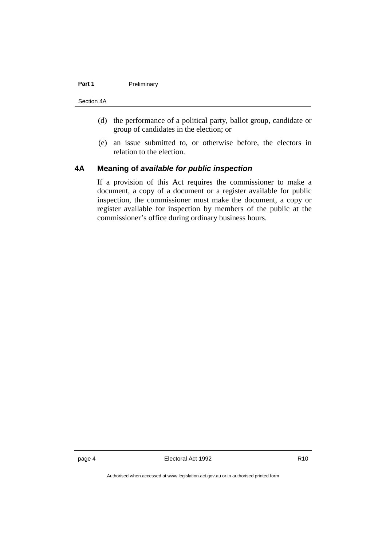#### Part 1 **Preliminary**

#### Section 4A

- (d) the performance of a political party, ballot group, candidate or group of candidates in the election; or
- (e) an issue submitted to, or otherwise before, the electors in relation to the election.

#### **4A Meaning of** *available for public inspection*

If a provision of this Act requires the commissioner to make a document, a copy of a document or a register available for public inspection, the commissioner must make the document, a copy or register available for inspection by members of the public at the commissioner's office during ordinary business hours.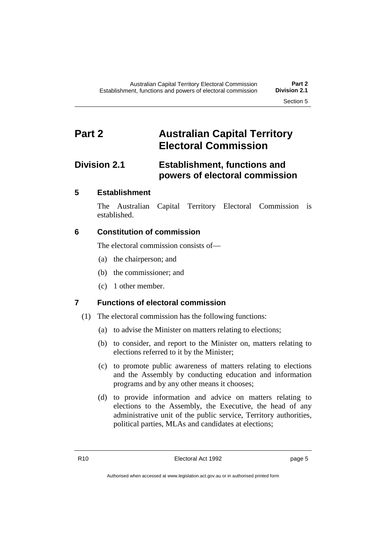## **Part 2 Australian Capital Territory Electoral Commission**

## **Division 2.1 Establishment, functions and powers of electoral commission**

## **5 Establishment**

The Australian Capital Territory Electoral Commission is established.

### **6 Constitution of commission**

The electoral commission consists of—

- (a) the chairperson; and
- (b) the commissioner; and
- (c) 1 other member.

## **7 Functions of electoral commission**

- (1) The electoral commission has the following functions:
	- (a) to advise the Minister on matters relating to elections;
	- (b) to consider, and report to the Minister on, matters relating to elections referred to it by the Minister;
	- (c) to promote public awareness of matters relating to elections and the Assembly by conducting education and information programs and by any other means it chooses;
	- (d) to provide information and advice on matters relating to elections to the Assembly, the Executive, the head of any administrative unit of the public service, Territory authorities, political parties, MLAs and candidates at elections;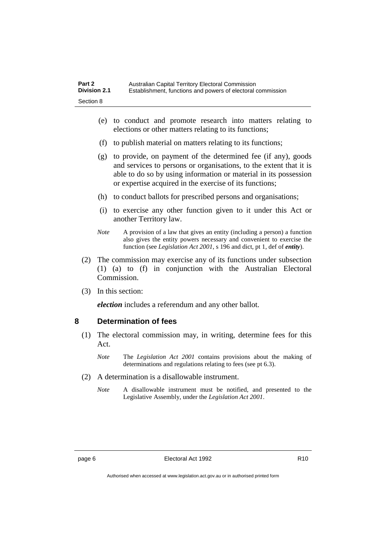- (e) to conduct and promote research into matters relating to elections or other matters relating to its functions;
- (f) to publish material on matters relating to its functions;
- (g) to provide, on payment of the determined fee (if any), goods and services to persons or organisations, to the extent that it is able to do so by using information or material in its possession or expertise acquired in the exercise of its functions;
- (h) to conduct ballots for prescribed persons and organisations;
- (i) to exercise any other function given to it under this Act or another Territory law.
- *Note* A provision of a law that gives an entity (including a person) a function also gives the entity powers necessary and convenient to exercise the function (see *Legislation Act 2001*, s 196 and dict, pt 1, def of *entity*).
- (2) The commission may exercise any of its functions under subsection (1) (a) to (f) in conjunction with the Australian Electoral Commission.
- (3) In this section:

*election* includes a referendum and any other ballot.

#### **8 Determination of fees**

- (1) The electoral commission may, in writing, determine fees for this Act.
	- *Note* The *Legislation Act 2001* contains provisions about the making of determinations and regulations relating to fees (see pt 6.3).
- (2) A determination is a disallowable instrument.
	- *Note* A disallowable instrument must be notified, and presented to the Legislative Assembly, under the *Legislation Act 2001*.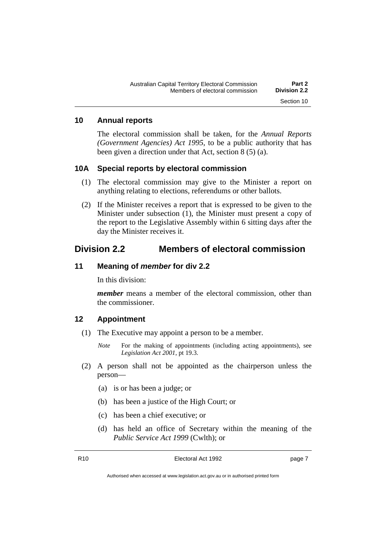#### **10 Annual reports**

The electoral commission shall be taken, for the *Annual Reports (Government Agencies) Act 1995*, to be a public authority that has been given a direction under that Act, section 8 (5) (a).

#### **10A Special reports by electoral commission**

- (1) The electoral commission may give to the Minister a report on anything relating to elections, referendums or other ballots.
- (2) If the Minister receives a report that is expressed to be given to the Minister under subsection (1), the Minister must present a copy of the report to the Legislative Assembly within 6 sitting days after the day the Minister receives it.

## **Division 2.2 Members of electoral commission**

#### **11 Meaning of** *member* **for div 2.2**

In this division:

*member* means a member of the electoral commission, other than the commissioner.

#### **12 Appointment**

- (1) The Executive may appoint a person to be a member.
	- *Note* For the making of appointments (including acting appointments), see *Legislation Act 2001*, pt 19.3.
- (2) A person shall not be appointed as the chairperson unless the person—
	- (a) is or has been a judge; or
	- (b) has been a justice of the High Court; or
	- (c) has been a chief executive; or
	- (d) has held an office of Secretary within the meaning of the *Public Service Act 1999* (Cwlth); or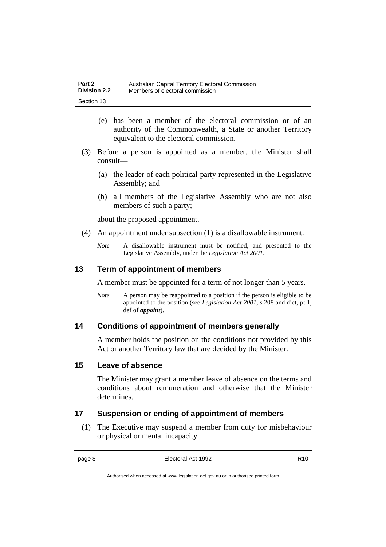- (e) has been a member of the electoral commission or of an authority of the Commonwealth, a State or another Territory equivalent to the electoral commission.
- (3) Before a person is appointed as a member, the Minister shall consult—
	- (a) the leader of each political party represented in the Legislative Assembly; and
	- (b) all members of the Legislative Assembly who are not also members of such a party;

about the proposed appointment.

- (4) An appointment under subsection (1) is a disallowable instrument.
	- *Note* A disallowable instrument must be notified, and presented to the Legislative Assembly, under the *Legislation Act 2001*.

#### **13 Term of appointment of members**

A member must be appointed for a term of not longer than 5 years.

*Note* A person may be reappointed to a position if the person is eligible to be appointed to the position (see *Legislation Act 2001*, s 208 and dict, pt 1, def of *appoint*).

#### **14 Conditions of appointment of members generally**

A member holds the position on the conditions not provided by this Act or another Territory law that are decided by the Minister.

#### **15 Leave of absence**

The Minister may grant a member leave of absence on the terms and conditions about remuneration and otherwise that the Minister determines.

### **17 Suspension or ending of appointment of members**

(1) The Executive may suspend a member from duty for misbehaviour or physical or mental incapacity.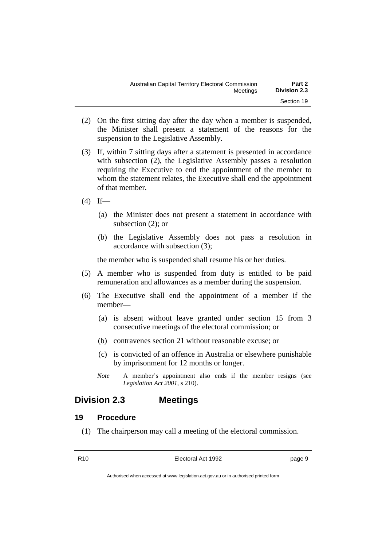| Australian Capital Territory Electoral Commission |  | Part 2              |
|---------------------------------------------------|--|---------------------|
| Meetinas                                          |  | <b>Division 2.3</b> |
|                                                   |  | Section 19          |

- (2) On the first sitting day after the day when a member is suspended, the Minister shall present a statement of the reasons for the suspension to the Legislative Assembly.
- (3) If, within 7 sitting days after a statement is presented in accordance with subsection (2), the Legislative Assembly passes a resolution requiring the Executive to end the appointment of the member to whom the statement relates, the Executive shall end the appointment of that member.
- $(4)$  If—
	- (a) the Minister does not present a statement in accordance with subsection (2); or
	- (b) the Legislative Assembly does not pass a resolution in accordance with subsection (3);

the member who is suspended shall resume his or her duties.

- (5) A member who is suspended from duty is entitled to be paid remuneration and allowances as a member during the suspension.
- (6) The Executive shall end the appointment of a member if the member—
	- (a) is absent without leave granted under section 15 from 3 consecutive meetings of the electoral commission; or
	- (b) contravenes section 21 without reasonable excuse; or
	- (c) is convicted of an offence in Australia or elsewhere punishable by imprisonment for 12 months or longer.
	- *Note* A member's appointment also ends if the member resigns (see *Legislation Act 2001*, s 210).

## **Division 2.3 Meetings**

#### **19 Procedure**

(1) The chairperson may call a meeting of the electoral commission.

R10 **Electoral Act 1992 page 9**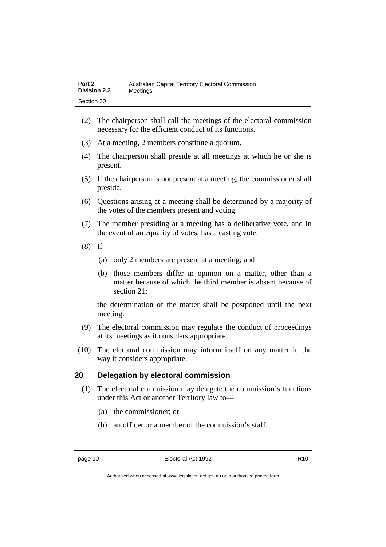- (2) The chairperson shall call the meetings of the electoral commission necessary for the efficient conduct of its functions.
- (3) At a meeting, 2 members constitute a quorum.
- (4) The chairperson shall preside at all meetings at which he or she is present.
- (5) If the chairperson is not present at a meeting, the commissioner shall preside.
- (6) Questions arising at a meeting shall be determined by a majority of the votes of the members present and voting.
- (7) The member presiding at a meeting has a deliberative vote, and in the event of an equality of votes, has a casting vote.
- $(8)$  If—
	- (a) only 2 members are present at a meeting; and
	- (b) those members differ in opinion on a matter, other than a matter because of which the third member is absent because of section 21;

the determination of the matter shall be postponed until the next meeting.

- (9) The electoral commission may regulate the conduct of proceedings at its meetings as it considers appropriate.
- (10) The electoral commission may inform itself on any matter in the way it considers appropriate.

#### **20 Delegation by electoral commission**

- (1) The electoral commission may delegate the commission's functions under this Act or another Territory law to—
	- (a) the commissioner; or
	- (b) an officer or a member of the commission's staff.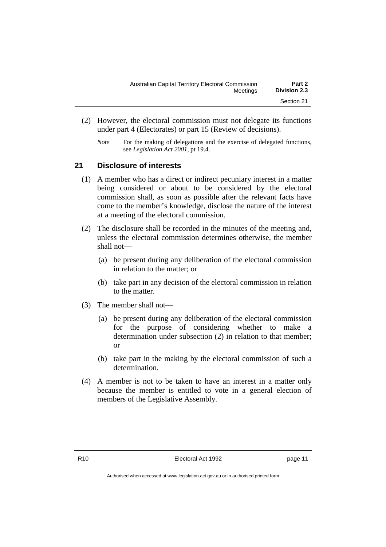- (2) However, the electoral commission must not delegate its functions under part 4 (Electorates) or part 15 (Review of decisions).
	- *Note* For the making of delegations and the exercise of delegated functions, see *Legislation Act 2001*, pt 19.4.

### **21 Disclosure of interests**

- (1) A member who has a direct or indirect pecuniary interest in a matter being considered or about to be considered by the electoral commission shall, as soon as possible after the relevant facts have come to the member's knowledge, disclose the nature of the interest at a meeting of the electoral commission.
- (2) The disclosure shall be recorded in the minutes of the meeting and, unless the electoral commission determines otherwise, the member shall not—
	- (a) be present during any deliberation of the electoral commission in relation to the matter; or
	- (b) take part in any decision of the electoral commission in relation to the matter.
- (3) The member shall not—
	- (a) be present during any deliberation of the electoral commission for the purpose of considering whether to make a determination under subsection (2) in relation to that member; or
	- (b) take part in the making by the electoral commission of such a determination.
- (4) A member is not to be taken to have an interest in a matter only because the member is entitled to vote in a general election of members of the Legislative Assembly.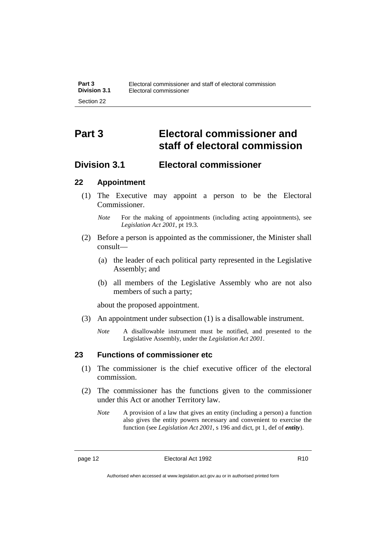## **Part 3 Electoral commissioner and staff of electoral commission**

## **Division 3.1 Electoral commissioner**

### **22 Appointment**

(1) The Executive may appoint a person to be the Electoral Commissioner.

- (2) Before a person is appointed as the commissioner, the Minister shall consult—
	- (a) the leader of each political party represented in the Legislative Assembly; and
	- (b) all members of the Legislative Assembly who are not also members of such a party;

about the proposed appointment.

- (3) An appointment under subsection (1) is a disallowable instrument.
	- *Note* A disallowable instrument must be notified, and presented to the Legislative Assembly, under the *Legislation Act 2001*.

### **23 Functions of commissioner etc**

- (1) The commissioner is the chief executive officer of the electoral commission.
- (2) The commissioner has the functions given to the commissioner under this Act or another Territory law.
	- *Note* A provision of a law that gives an entity (including a person) a function also gives the entity powers necessary and convenient to exercise the function (see *Legislation Act 2001*, s 196 and dict, pt 1, def of *entity*).

*Note* For the making of appointments (including acting appointments), see *Legislation Act 2001*, pt 19.3.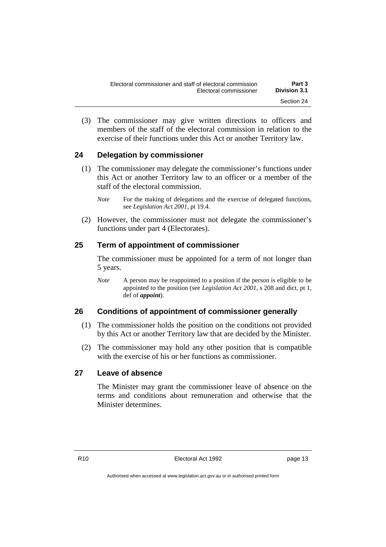(3) The commissioner may give written directions to officers and members of the staff of the electoral commission in relation to the exercise of their functions under this Act or another Territory law.

### **24 Delegation by commissioner**

- (1) The commissioner may delegate the commissioner's functions under this Act or another Territory law to an officer or a member of the staff of the electoral commission.
	- *Note* For the making of delegations and the exercise of delegated functions, see *Legislation Act 2001*, pt 19.4.
- (2) However, the commissioner must not delegate the commissioner's functions under part 4 (Electorates).

### **25 Term of appointment of commissioner**

The commissioner must be appointed for a term of not longer than 5 years.

*Note* A person may be reappointed to a position if the person is eligible to be appointed to the position (see *Legislation Act 2001*, s 208 and dict, pt 1, def of *appoint*).

### **26 Conditions of appointment of commissioner generally**

- (1) The commissioner holds the position on the conditions not provided by this Act or another Territory law that are decided by the Minister.
- (2) The commissioner may hold any other position that is compatible with the exercise of his or her functions as commissioner.

### **27 Leave of absence**

The Minister may grant the commissioner leave of absence on the terms and conditions about remuneration and otherwise that the Minister determines.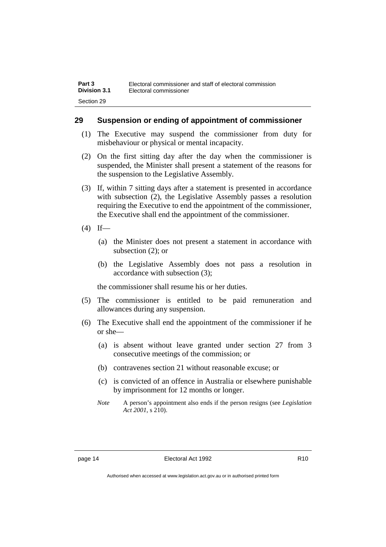#### **29 Suspension or ending of appointment of commissioner**

- (1) The Executive may suspend the commissioner from duty for misbehaviour or physical or mental incapacity.
- (2) On the first sitting day after the day when the commissioner is suspended, the Minister shall present a statement of the reasons for the suspension to the Legislative Assembly.
- (3) If, within 7 sitting days after a statement is presented in accordance with subsection (2), the Legislative Assembly passes a resolution requiring the Executive to end the appointment of the commissioner, the Executive shall end the appointment of the commissioner.
- $(4)$  If—
	- (a) the Minister does not present a statement in accordance with subsection (2); or
	- (b) the Legislative Assembly does not pass a resolution in accordance with subsection (3);

the commissioner shall resume his or her duties.

- (5) The commissioner is entitled to be paid remuneration and allowances during any suspension.
- (6) The Executive shall end the appointment of the commissioner if he or she—
	- (a) is absent without leave granted under section 27 from 3 consecutive meetings of the commission; or
	- (b) contravenes section 21 without reasonable excuse; or
	- (c) is convicted of an offence in Australia or elsewhere punishable by imprisonment for 12 months or longer.
	- *Note* A person's appointment also ends if the person resigns (see *Legislation Act 2001*, s 210).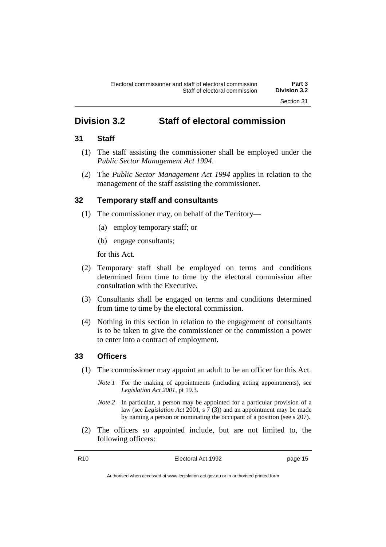## **Division 3.2 Staff of electoral commission**

### **31 Staff**

- (1) The staff assisting the commissioner shall be employed under the *Public Sector Management Act 1994*.
- (2) The *Public Sector Management Act 1994* applies in relation to the management of the staff assisting the commissioner.

### **32 Temporary staff and consultants**

- (1) The commissioner may, on behalf of the Territory—
	- (a) employ temporary staff; or
	- (b) engage consultants;

for this Act.

- (2) Temporary staff shall be employed on terms and conditions determined from time to time by the electoral commission after consultation with the Executive.
- (3) Consultants shall be engaged on terms and conditions determined from time to time by the electoral commission.
- (4) Nothing in this section in relation to the engagement of consultants is to be taken to give the commissioner or the commission a power to enter into a contract of employment.

### **33 Officers**

- (1) The commissioner may appoint an adult to be an officer for this Act.
	- *Note 1* For the making of appointments (including acting appointments), see *Legislation Act 2001*, pt 19.3.
	- *Note 2* In particular, a person may be appointed for a particular provision of a law (see *Legislation Act* 2001, s 7 (3)) and an appointment may be made by naming a person or nominating the occupant of a position (see s 207).
- (2) The officers so appointed include, but are not limited to, the following officers: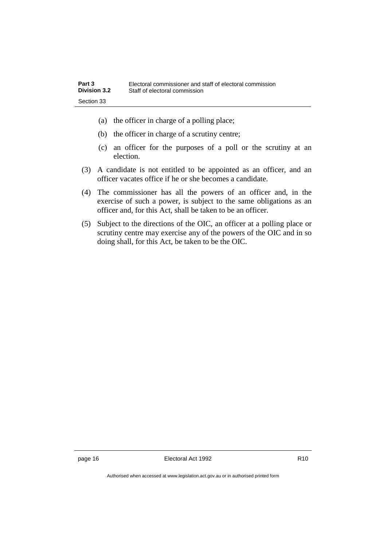- (a) the officer in charge of a polling place;
- (b) the officer in charge of a scrutiny centre;
- (c) an officer for the purposes of a poll or the scrutiny at an election.
- (3) A candidate is not entitled to be appointed as an officer, and an officer vacates office if he or she becomes a candidate.
- (4) The commissioner has all the powers of an officer and, in the exercise of such a power, is subject to the same obligations as an officer and, for this Act, shall be taken to be an officer.
- (5) Subject to the directions of the OIC, an officer at a polling place or scrutiny centre may exercise any of the powers of the OIC and in so doing shall, for this Act, be taken to be the OIC.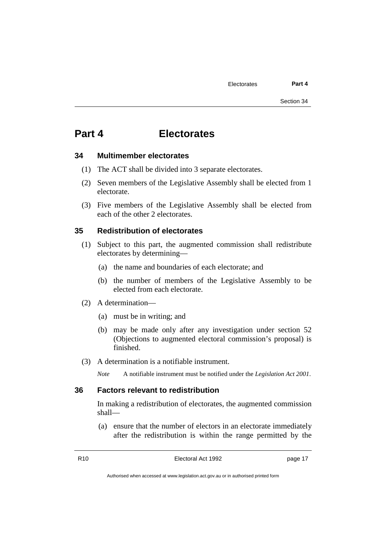## **Part 4 Electorates**

#### **34 Multimember electorates**

- (1) The ACT shall be divided into 3 separate electorates.
- (2) Seven members of the Legislative Assembly shall be elected from 1 electorate.
- (3) Five members of the Legislative Assembly shall be elected from each of the other 2 electorates.

#### **35 Redistribution of electorates**

- (1) Subject to this part, the augmented commission shall redistribute electorates by determining—
	- (a) the name and boundaries of each electorate; and
	- (b) the number of members of the Legislative Assembly to be elected from each electorate.
- (2) A determination—
	- (a) must be in writing; and
	- (b) may be made only after any investigation under section 52 (Objections to augmented electoral commission's proposal) is finished.
- (3) A determination is a notifiable instrument.
	- *Note* A notifiable instrument must be notified under the *Legislation Act 2001*.

#### **36 Factors relevant to redistribution**

In making a redistribution of electorates, the augmented commission shall—

(a) ensure that the number of electors in an electorate immediately after the redistribution is within the range permitted by the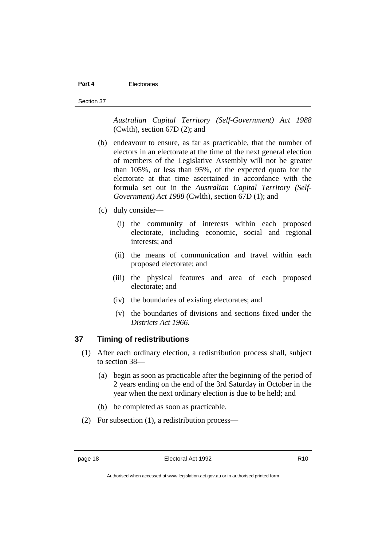#### **Part 4** Electorates

*Australian Capital Territory (Self-Government) Act 1988* (Cwlth), section 67D (2); and

- (b) endeavour to ensure, as far as practicable, that the number of electors in an electorate at the time of the next general election of members of the Legislative Assembly will not be greater than 105%, or less than 95%, of the expected quota for the electorate at that time ascertained in accordance with the formula set out in the *Australian Capital Territory (Self-Government) Act 1988* (Cwlth), section 67D (1); and
- (c) duly consider—
	- (i) the community of interests within each proposed electorate, including economic, social and regional interests; and
	- (ii) the means of communication and travel within each proposed electorate; and
	- (iii) the physical features and area of each proposed electorate; and
	- (iv) the boundaries of existing electorates; and
	- (v) the boundaries of divisions and sections fixed under the *Districts Act 1966*.

#### **37 Timing of redistributions**

- (1) After each ordinary election, a redistribution process shall, subject to section 38—
	- (a) begin as soon as practicable after the beginning of the period of 2 years ending on the end of the 3rd Saturday in October in the year when the next ordinary election is due to be held; and
	- (b) be completed as soon as practicable.
- (2) For subsection (1), a redistribution process—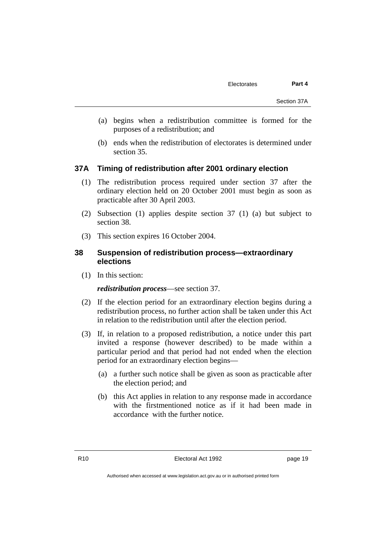- (a) begins when a redistribution committee is formed for the purposes of a redistribution; and
- (b) ends when the redistribution of electorates is determined under section 35.

## **37A Timing of redistribution after 2001 ordinary election**

- (1) The redistribution process required under section 37 after the ordinary election held on 20 October 2001 must begin as soon as practicable after 30 April 2003.
- (2) Subsection (1) applies despite section 37 (1) (a) but subject to section 38.
- (3) This section expires 16 October 2004.

# **38 Suspension of redistribution process—extraordinary elections**

(1) In this section:

*redistribution process*—see section 37.

- (2) If the election period for an extraordinary election begins during a redistribution process, no further action shall be taken under this Act in relation to the redistribution until after the election period.
- (3) If, in relation to a proposed redistribution, a notice under this part invited a response (however described) to be made within a particular period and that period had not ended when the election period for an extraordinary election begins—
	- (a) a further such notice shall be given as soon as practicable after the election period; and
	- (b) this Act applies in relation to any response made in accordance with the firstmentioned notice as if it had been made in accordance with the further notice.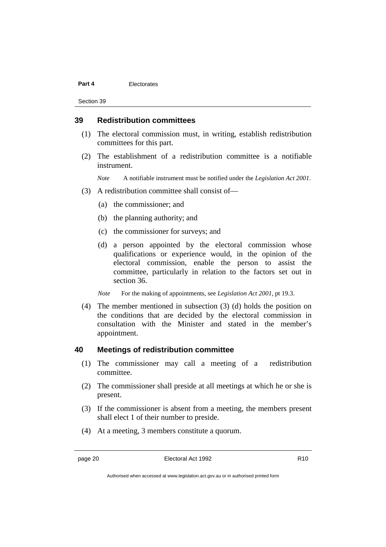#### **Part 4** Electorates

Section 39

### **39 Redistribution committees**

- (1) The electoral commission must, in writing, establish redistribution committees for this part.
- (2) The establishment of a redistribution committee is a notifiable instrument.

*Note* A notifiable instrument must be notified under the *Legislation Act 2001*.

- (3) A redistribution committee shall consist of—
	- (a) the commissioner; and
	- (b) the planning authority; and
	- (c) the commissioner for surveys; and
	- (d) a person appointed by the electoral commission whose qualifications or experience would, in the opinion of the electoral commission, enable the person to assist the committee, particularly in relation to the factors set out in section 36.
	- *Note* For the making of appointments, see *Legislation Act 2001*, pt 19.3.
- (4) The member mentioned in subsection (3) (d) holds the position on the conditions that are decided by the electoral commission in consultation with the Minister and stated in the member's appointment.

#### **40 Meetings of redistribution committee**

- (1) The commissioner may call a meeting of a redistribution committee.
- (2) The commissioner shall preside at all meetings at which he or she is present.
- (3) If the commissioner is absent from a meeting, the members present shall elect 1 of their number to preside.
- (4) At a meeting, 3 members constitute a quorum.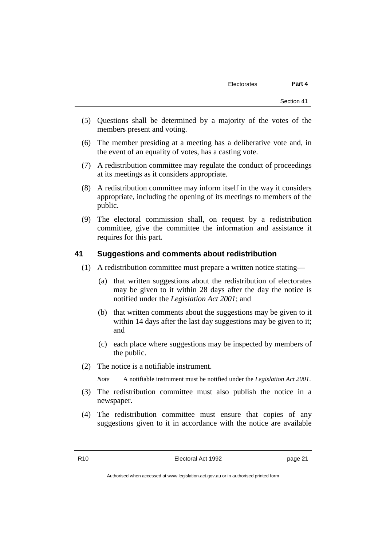- (5) Questions shall be determined by a majority of the votes of the members present and voting.
- (6) The member presiding at a meeting has a deliberative vote and, in the event of an equality of votes, has a casting vote.
- (7) A redistribution committee may regulate the conduct of proceedings at its meetings as it considers appropriate.
- (8) A redistribution committee may inform itself in the way it considers appropriate, including the opening of its meetings to members of the public.
- (9) The electoral commission shall, on request by a redistribution committee, give the committee the information and assistance it requires for this part.

#### **41 Suggestions and comments about redistribution**

- (1) A redistribution committee must prepare a written notice stating—
	- (a) that written suggestions about the redistribution of electorates may be given to it within 28 days after the day the notice is notified under the *Legislation Act 2001*; and
	- (b) that written comments about the suggestions may be given to it within 14 days after the last day suggestions may be given to it; and
	- (c) each place where suggestions may be inspected by members of the public.
- (2) The notice is a notifiable instrument.

*Note* A notifiable instrument must be notified under the *Legislation Act 2001*.

- (3) The redistribution committee must also publish the notice in a newspaper.
- (4) The redistribution committee must ensure that copies of any suggestions given to it in accordance with the notice are available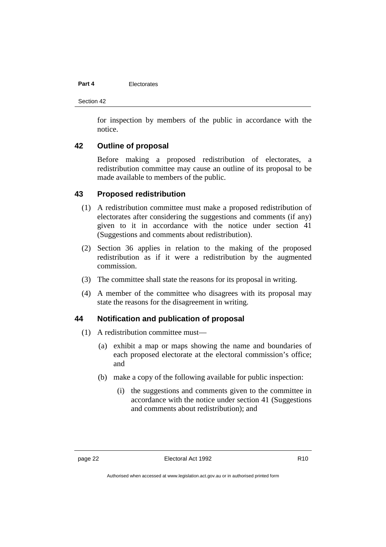#### **Part 4** Electorates

Section 42

for inspection by members of the public in accordance with the notice.

# **42 Outline of proposal**

Before making a proposed redistribution of electorates, a redistribution committee may cause an outline of its proposal to be made available to members of the public.

### **43 Proposed redistribution**

- (1) A redistribution committee must make a proposed redistribution of electorates after considering the suggestions and comments (if any) given to it in accordance with the notice under section 41 (Suggestions and comments about redistribution).
- (2) Section 36 applies in relation to the making of the proposed redistribution as if it were a redistribution by the augmented commission.
- (3) The committee shall state the reasons for its proposal in writing.
- (4) A member of the committee who disagrees with its proposal may state the reasons for the disagreement in writing.

### **44 Notification and publication of proposal**

- (1) A redistribution committee must—
	- (a) exhibit a map or maps showing the name and boundaries of each proposed electorate at the electoral commission's office; and
	- (b) make a copy of the following available for public inspection:
		- (i) the suggestions and comments given to the committee in accordance with the notice under section 41 (Suggestions and comments about redistribution); and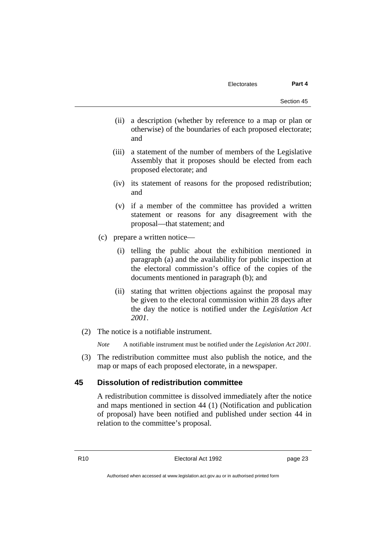- (ii) a description (whether by reference to a map or plan or otherwise) of the boundaries of each proposed electorate; and
- (iii) a statement of the number of members of the Legislative Assembly that it proposes should be elected from each proposed electorate; and
- (iv) its statement of reasons for the proposed redistribution; and
- (v) if a member of the committee has provided a written statement or reasons for any disagreement with the proposal—that statement; and
- (c) prepare a written notice—
	- (i) telling the public about the exhibition mentioned in paragraph (a) and the availability for public inspection at the electoral commission's office of the copies of the documents mentioned in paragraph (b); and
	- (ii) stating that written objections against the proposal may be given to the electoral commission within 28 days after the day the notice is notified under the *Legislation Act 2001*.
- (2) The notice is a notifiable instrument.

*Note* A notifiable instrument must be notified under the *Legislation Act 2001*.

(3) The redistribution committee must also publish the notice, and the map or maps of each proposed electorate, in a newspaper.

# **45 Dissolution of redistribution committee**

A redistribution committee is dissolved immediately after the notice and maps mentioned in section 44 (1) (Notification and publication of proposal) have been notified and published under section 44 in relation to the committee's proposal.

R10 Electoral Act 1992 page 23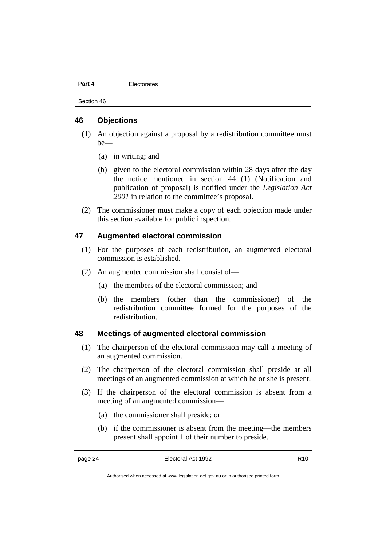#### **Part 4** Electorates

Section 46

### **46 Objections**

- (1) An objection against a proposal by a redistribution committee must  $he$ —
	- (a) in writing; and
	- (b) given to the electoral commission within 28 days after the day the notice mentioned in section 44 (1) (Notification and publication of proposal) is notified under the *Legislation Act 2001* in relation to the committee's proposal.
- (2) The commissioner must make a copy of each objection made under this section available for public inspection.

## **47 Augmented electoral commission**

- (1) For the purposes of each redistribution, an augmented electoral commission is established.
- (2) An augmented commission shall consist of—
	- (a) the members of the electoral commission; and
	- (b) the members (other than the commissioner) of the redistribution committee formed for the purposes of the redistribution.

#### **48 Meetings of augmented electoral commission**

- (1) The chairperson of the electoral commission may call a meeting of an augmented commission.
- (2) The chairperson of the electoral commission shall preside at all meetings of an augmented commission at which he or she is present.
- (3) If the chairperson of the electoral commission is absent from a meeting of an augmented commission—
	- (a) the commissioner shall preside; or
	- (b) if the commissioner is absent from the meeting—the members present shall appoint 1 of their number to preside.

Authorised when accessed at www.legislation.act.gov.au or in authorised printed form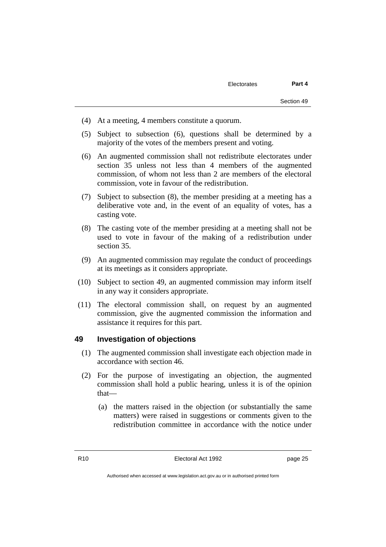- (4) At a meeting, 4 members constitute a quorum.
- (5) Subject to subsection (6), questions shall be determined by a majority of the votes of the members present and voting.
- (6) An augmented commission shall not redistribute electorates under section 35 unless not less than 4 members of the augmented commission, of whom not less than 2 are members of the electoral commission, vote in favour of the redistribution.
- (7) Subject to subsection (8), the member presiding at a meeting has a deliberative vote and, in the event of an equality of votes, has a casting vote.
- (8) The casting vote of the member presiding at a meeting shall not be used to vote in favour of the making of a redistribution under section 35.
- (9) An augmented commission may regulate the conduct of proceedings at its meetings as it considers appropriate.
- (10) Subject to section 49, an augmented commission may inform itself in any way it considers appropriate.
- (11) The electoral commission shall, on request by an augmented commission, give the augmented commission the information and assistance it requires for this part.

### **49 Investigation of objections**

- (1) The augmented commission shall investigate each objection made in accordance with section 46.
- (2) For the purpose of investigating an objection, the augmented commission shall hold a public hearing, unless it is of the opinion that—
	- (a) the matters raised in the objection (or substantially the same matters) were raised in suggestions or comments given to the redistribution committee in accordance with the notice under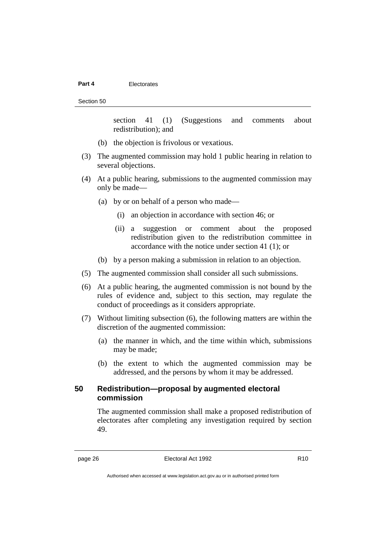#### **Part 4** Electorates

#### Section 50

section 41 (1) (Suggestions and comments about redistribution); and

- (b) the objection is frivolous or vexatious.
- (3) The augmented commission may hold 1 public hearing in relation to several objections.
- (4) At a public hearing, submissions to the augmented commission may only be made—
	- (a) by or on behalf of a person who made—
		- (i) an objection in accordance with section 46; or
		- (ii) a suggestion or comment about the proposed redistribution given to the redistribution committee in accordance with the notice under section 41 (1); or
	- (b) by a person making a submission in relation to an objection.
- (5) The augmented commission shall consider all such submissions.
- (6) At a public hearing, the augmented commission is not bound by the rules of evidence and, subject to this section, may regulate the conduct of proceedings as it considers appropriate.
- (7) Without limiting subsection (6), the following matters are within the discretion of the augmented commission:
	- (a) the manner in which, and the time within which, submissions may be made;
	- (b) the extent to which the augmented commission may be addressed, and the persons by whom it may be addressed.

# **50 Redistribution—proposal by augmented electoral commission**

The augmented commission shall make a proposed redistribution of electorates after completing any investigation required by section 49.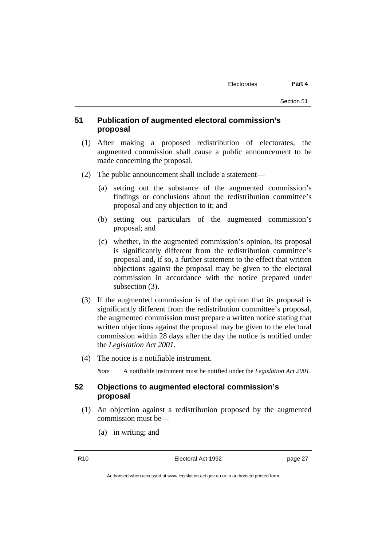# **51 Publication of augmented electoral commission's proposal**

- (1) After making a proposed redistribution of electorates, the augmented commission shall cause a public announcement to be made concerning the proposal.
- (2) The public announcement shall include a statement—
	- (a) setting out the substance of the augmented commission's findings or conclusions about the redistribution committee's proposal and any objection to it; and
	- (b) setting out particulars of the augmented commission's proposal; and
	- (c) whether, in the augmented commission's opinion, its proposal is significantly different from the redistribution committee's proposal and, if so, a further statement to the effect that written objections against the proposal may be given to the electoral commission in accordance with the notice prepared under subsection (3).
- (3) If the augmented commission is of the opinion that its proposal is significantly different from the redistribution committee's proposal, the augmented commission must prepare a written notice stating that written objections against the proposal may be given to the electoral commission within 28 days after the day the notice is notified under the *Legislation Act 2001*.
- (4) The notice is a notifiable instrument.

*Note* A notifiable instrument must be notified under the *Legislation Act 2001*.

## **52 Objections to augmented electoral commission's proposal**

- (1) An objection against a redistribution proposed by the augmented commission must be—
	- (a) in writing; and

R10 Electoral Act 1992 page 27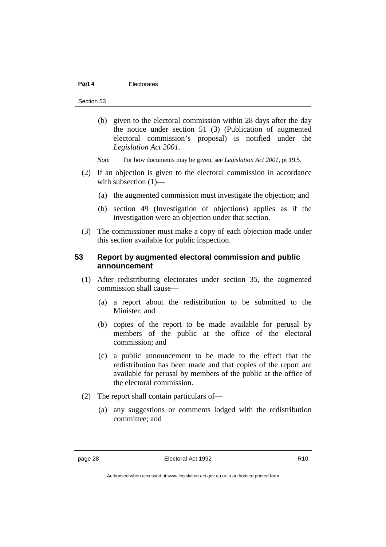#### **Part 4** Electorates

Section 53

- (b) given to the electoral commission within 28 days after the day the notice under section 51 (3) (Publication of augmented electoral commission's proposal) is notified under the *Legislation Act 2001*.
- *Note* For how documents may be given, see *Legislation Act 2001*, pt 19.5.
- (2) If an objection is given to the electoral commission in accordance with subsection  $(1)$ —
	- (a) the augmented commission must investigate the objection; and
	- (b) section 49 (Investigation of objections) applies as if the investigation were an objection under that section.
- (3) The commissioner must make a copy of each objection made under this section available for public inspection.

# **53 Report by augmented electoral commission and public announcement**

- (1) After redistributing electorates under section 35, the augmented commission shall cause—
	- (a) a report about the redistribution to be submitted to the Minister; and
	- (b) copies of the report to be made available for perusal by members of the public at the office of the electoral commission; and
	- (c) a public announcement to be made to the effect that the redistribution has been made and that copies of the report are available for perusal by members of the public at the office of the electoral commission.
- (2) The report shall contain particulars of—
	- (a) any suggestions or comments lodged with the redistribution committee; and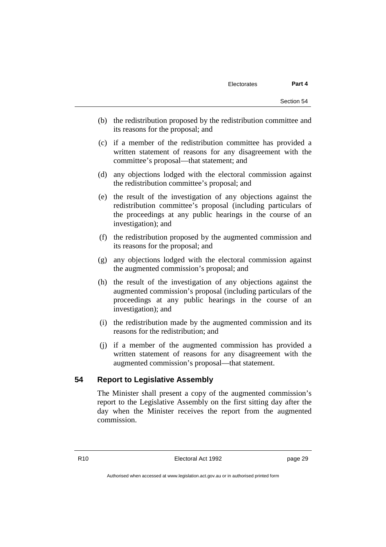- (b) the redistribution proposed by the redistribution committee and its reasons for the proposal; and
- (c) if a member of the redistribution committee has provided a written statement of reasons for any disagreement with the committee's proposal—that statement; and
- (d) any objections lodged with the electoral commission against the redistribution committee's proposal; and
- (e) the result of the investigation of any objections against the redistribution committee's proposal (including particulars of the proceedings at any public hearings in the course of an investigation); and
- (f) the redistribution proposed by the augmented commission and its reasons for the proposal; and
- (g) any objections lodged with the electoral commission against the augmented commission's proposal; and
- (h) the result of the investigation of any objections against the augmented commission's proposal (including particulars of the proceedings at any public hearings in the course of an investigation); and
- (i) the redistribution made by the augmented commission and its reasons for the redistribution; and
- (j) if a member of the augmented commission has provided a written statement of reasons for any disagreement with the augmented commission's proposal—that statement.

# **54 Report to Legislative Assembly**

The Minister shall present a copy of the augmented commission's report to the Legislative Assembly on the first sitting day after the day when the Minister receives the report from the augmented commission.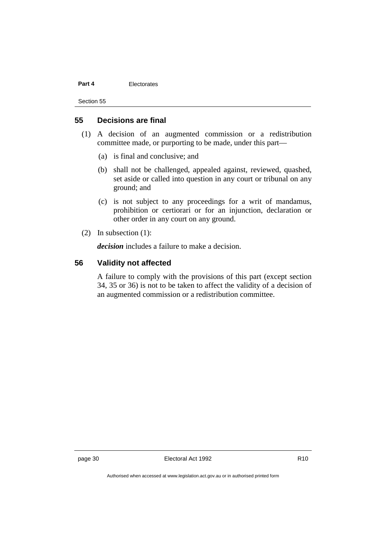#### **Part 4** Electorates

Section 55

# **55 Decisions are final**

- (1) A decision of an augmented commission or a redistribution committee made, or purporting to be made, under this part—
	- (a) is final and conclusive; and
	- (b) shall not be challenged, appealed against, reviewed, quashed, set aside or called into question in any court or tribunal on any ground; and
	- (c) is not subject to any proceedings for a writ of mandamus, prohibition or certiorari or for an injunction, declaration or other order in any court on any ground.
- (2) In subsection (1):

*decision* includes a failure to make a decision.

## **56 Validity not affected**

A failure to comply with the provisions of this part (except section 34, 35 or 36) is not to be taken to affect the validity of a decision of an augmented commission or a redistribution committee.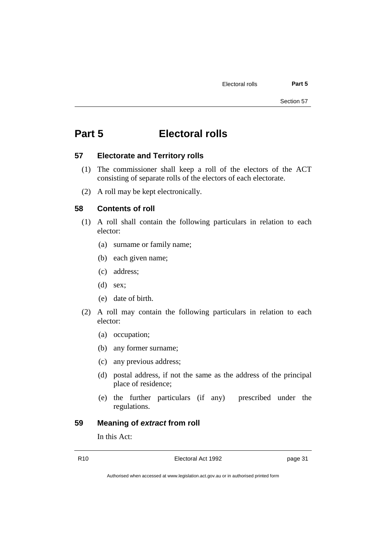# **Part 5 Electoral rolls**

#### **57 Electorate and Territory rolls**

- (1) The commissioner shall keep a roll of the electors of the ACT consisting of separate rolls of the electors of each electorate.
- (2) A roll may be kept electronically.

### **58 Contents of roll**

- (1) A roll shall contain the following particulars in relation to each elector:
	- (a) surname or family name;
	- (b) each given name;
	- (c) address;
	- $(d)$  sex:
	- (e) date of birth.
- (2) A roll may contain the following particulars in relation to each elector:
	- (a) occupation;
	- (b) any former surname;
	- (c) any previous address;
	- (d) postal address, if not the same as the address of the principal place of residence;
	- (e) the further particulars (if any) prescribed under the regulations.

# **59 Meaning of** *extract* **from roll**

In this Act:

R10 Electoral Act 1992 page 31

Authorised when accessed at www.legislation.act.gov.au or in authorised printed form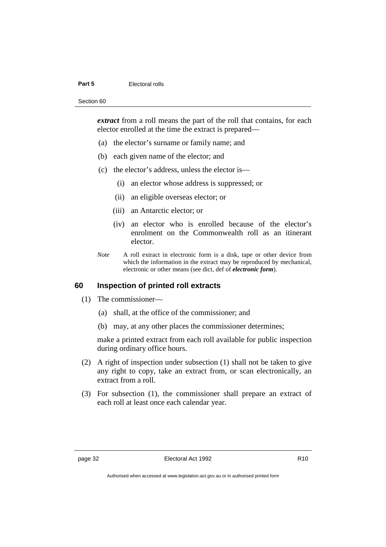#### **Part 5** Electoral rolls

#### Section 60

*extract* from a roll means the part of the roll that contains, for each elector enrolled at the time the extract is prepared—

- (a) the elector's surname or family name; and
- (b) each given name of the elector; and
- (c) the elector's address, unless the elector is—
	- (i) an elector whose address is suppressed; or
	- (ii) an eligible overseas elector; or
	- (iii) an Antarctic elector; or
	- (iv) an elector who is enrolled because of the elector's enrolment on the Commonwealth roll as an itinerant elector.
- *Note* A roll extract in electronic form is a disk, tape or other device from which the information in the extract may be reproduced by mechanical, electronic or other means (see dict, def of *electronic form*).

### **60 Inspection of printed roll extracts**

- (1) The commissioner—
	- (a) shall, at the office of the commissioner; and
	- (b) may, at any other places the commissioner determines;

make a printed extract from each roll available for public inspection during ordinary office hours.

- (2) A right of inspection under subsection (1) shall not be taken to give any right to copy, take an extract from, or scan electronically, an extract from a roll.
- (3) For subsection (1), the commissioner shall prepare an extract of each roll at least once each calendar year.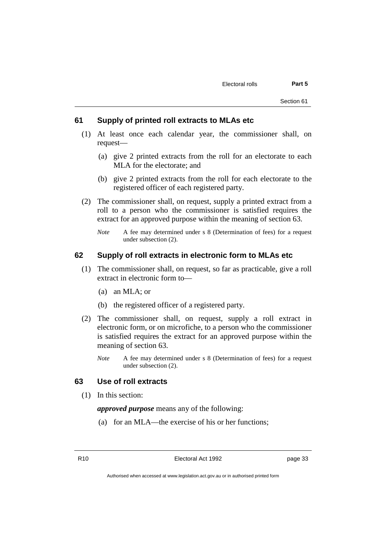#### **61 Supply of printed roll extracts to MLAs etc**

- (1) At least once each calendar year, the commissioner shall, on request—
	- (a) give 2 printed extracts from the roll for an electorate to each MLA for the electorate; and
	- (b) give 2 printed extracts from the roll for each electorate to the registered officer of each registered party.
- (2) The commissioner shall, on request, supply a printed extract from a roll to a person who the commissioner is satisfied requires the extract for an approved purpose within the meaning of section 63.
	- *Note* A fee may determined under s 8 (Determination of fees) for a request under subsection (2).

# **62 Supply of roll extracts in electronic form to MLAs etc**

- (1) The commissioner shall, on request, so far as practicable, give a roll extract in electronic form to—
	- (a) an MLA; or
	- (b) the registered officer of a registered party.
- (2) The commissioner shall, on request, supply a roll extract in electronic form, or on microfiche, to a person who the commissioner is satisfied requires the extract for an approved purpose within the meaning of section 63.
	- *Note* A fee may determined under s 8 (Determination of fees) for a request under subsection (2).

# **63 Use of roll extracts**

(1) In this section:

*approved purpose* means any of the following:

(a) for an MLA—the exercise of his or her functions;

R10 Electoral Act 1992 page 33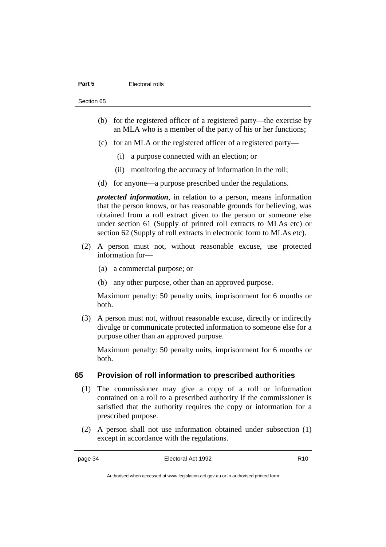#### **Part 5** Electoral rolls

Section 65

- (b) for the registered officer of a registered party—the exercise by an MLA who is a member of the party of his or her functions;
- (c) for an MLA or the registered officer of a registered party—
	- (i) a purpose connected with an election; or
	- (ii) monitoring the accuracy of information in the roll;
- (d) for anyone—a purpose prescribed under the regulations.

*protected information*, in relation to a person, means information that the person knows, or has reasonable grounds for believing, was obtained from a roll extract given to the person or someone else under section 61 (Supply of printed roll extracts to MLAs etc) or section 62 (Supply of roll extracts in electronic form to MLAs etc).

- (2) A person must not, without reasonable excuse, use protected information for—
	- (a) a commercial purpose; or
	- (b) any other purpose, other than an approved purpose.

Maximum penalty: 50 penalty units, imprisonment for 6 months or both.

(3) A person must not, without reasonable excuse, directly or indirectly divulge or communicate protected information to someone else for a purpose other than an approved purpose.

Maximum penalty: 50 penalty units, imprisonment for 6 months or both.

# **65 Provision of roll information to prescribed authorities**

- (1) The commissioner may give a copy of a roll or information contained on a roll to a prescribed authority if the commissioner is satisfied that the authority requires the copy or information for a prescribed purpose.
- (2) A person shall not use information obtained under subsection (1) except in accordance with the regulations.

Authorised when accessed at www.legislation.act.gov.au or in authorised printed form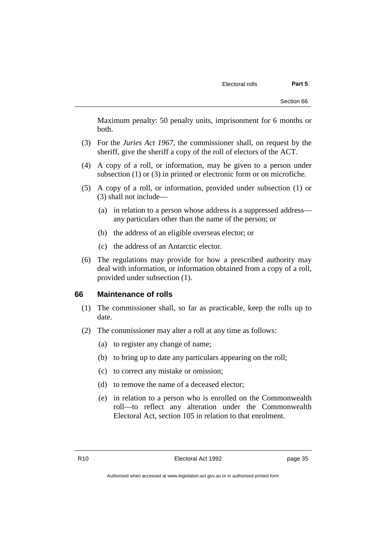Maximum penalty: 50 penalty units, imprisonment for 6 months or both.

- (3) For the *Juries Act 1967*, the commissioner shall, on request by the sheriff, give the sheriff a copy of the roll of electors of the ACT.
- (4) A copy of a roll, or information, may be given to a person under subsection (1) or (3) in printed or electronic form or on microfiche.
- (5) A copy of a roll, or information, provided under subsection (1) or (3) shall not include—
	- (a) in relation to a person whose address is a suppressed address any particulars other than the name of the person; or
	- (b) the address of an eligible overseas elector; or
	- (c) the address of an Antarctic elector.
- (6) The regulations may provide for how a prescribed authority may deal with information, or information obtained from a copy of a roll, provided under subsection (1).

### **66 Maintenance of rolls**

- (1) The commissioner shall, so far as practicable, keep the rolls up to date.
- (2) The commissioner may alter a roll at any time as follows:
	- (a) to register any change of name;
	- (b) to bring up to date any particulars appearing on the roll;
	- (c) to correct any mistake or omission;
	- (d) to remove the name of a deceased elector;
	- (e) in relation to a person who is enrolled on the Commonwealth roll—to reflect any alteration under the Commonwealth Electoral Act, section 105 in relation to that enrolment.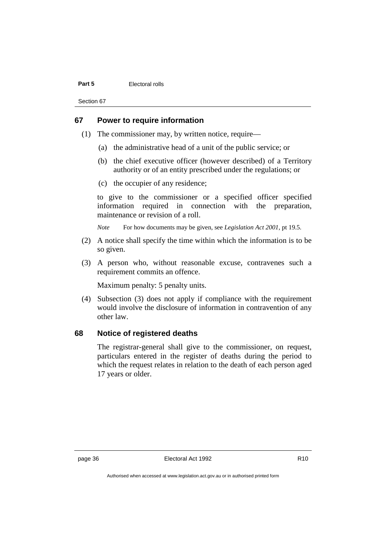#### **Part 5** Electoral rolls

Section 67

# **67 Power to require information**

- (1) The commissioner may, by written notice, require—
	- (a) the administrative head of a unit of the public service; or
	- (b) the chief executive officer (however described) of a Territory authority or of an entity prescribed under the regulations; or
	- (c) the occupier of any residence;

to give to the commissioner or a specified officer specified information required in connection with the preparation, maintenance or revision of a roll.

*Note* For how documents may be given, see *Legislation Act 2001*, pt 19.5.

- (2) A notice shall specify the time within which the information is to be so given.
- (3) A person who, without reasonable excuse, contravenes such a requirement commits an offence.

Maximum penalty: 5 penalty units.

(4) Subsection (3) does not apply if compliance with the requirement would involve the disclosure of information in contravention of any other law.

# **68 Notice of registered deaths**

The registrar-general shall give to the commissioner, on request, particulars entered in the register of deaths during the period to which the request relates in relation to the death of each person aged 17 years or older.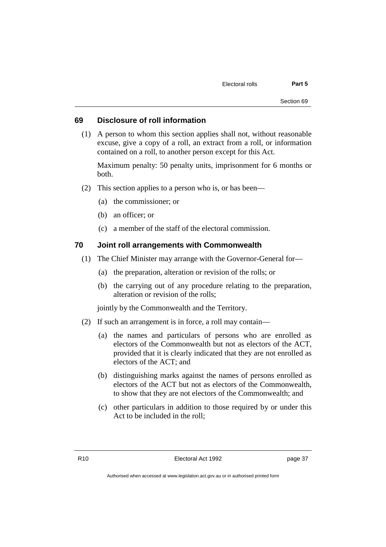#### **69 Disclosure of roll information**

(1) A person to whom this section applies shall not, without reasonable excuse, give a copy of a roll, an extract from a roll, or information contained on a roll, to another person except for this Act.

Maximum penalty: 50 penalty units, imprisonment for 6 months or both.

- (2) This section applies to a person who is, or has been—
	- (a) the commissioner; or
	- (b) an officer; or
	- (c) a member of the staff of the electoral commission.

### **70 Joint roll arrangements with Commonwealth**

- (1) The Chief Minister may arrange with the Governor-General for—
	- (a) the preparation, alteration or revision of the rolls; or
	- (b) the carrying out of any procedure relating to the preparation, alteration or revision of the rolls;

jointly by the Commonwealth and the Territory.

- (2) If such an arrangement is in force, a roll may contain—
	- (a) the names and particulars of persons who are enrolled as electors of the Commonwealth but not as electors of the ACT, provided that it is clearly indicated that they are not enrolled as electors of the ACT; and
	- (b) distinguishing marks against the names of persons enrolled as electors of the ACT but not as electors of the Commonwealth, to show that they are not electors of the Commonwealth; and
	- (c) other particulars in addition to those required by or under this Act to be included in the roll;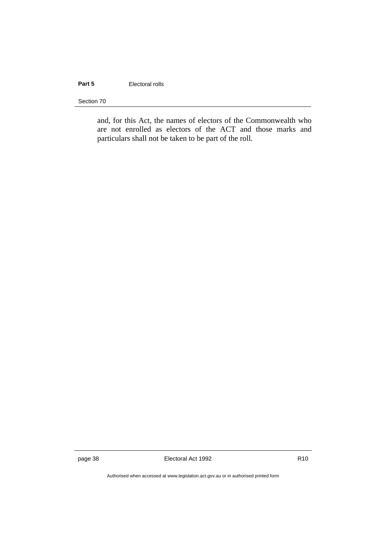# Part 5 **Electoral rolls**

Section 70

and, for this Act, the names of electors of the Commonwealth who are not enrolled as electors of the ACT and those marks and particulars shall not be taken to be part of the roll.

page 38 **Electoral Act 1992** R10

Authorised when accessed at www.legislation.act.gov.au or in authorised printed form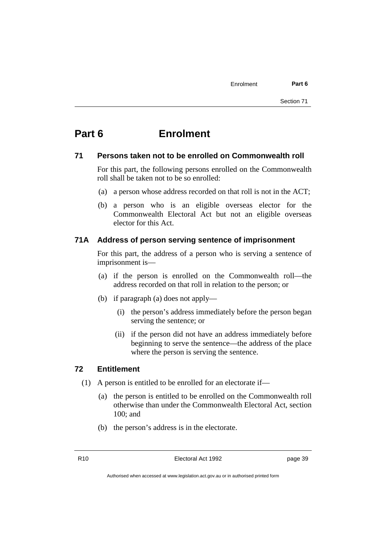# **Part 6 Enrolment**

## **71 Persons taken not to be enrolled on Commonwealth roll**

For this part, the following persons enrolled on the Commonwealth roll shall be taken not to be so enrolled:

- (a) a person whose address recorded on that roll is not in the ACT;
- (b) a person who is an eligible overseas elector for the Commonwealth Electoral Act but not an eligible overseas elector for this Act.

### **71A Address of person serving sentence of imprisonment**

For this part, the address of a person who is serving a sentence of imprisonment is—

- (a) if the person is enrolled on the Commonwealth roll—the address recorded on that roll in relation to the person; or
- (b) if paragraph (a) does not apply—
	- (i) the person's address immediately before the person began serving the sentence; or
	- (ii) if the person did not have an address immediately before beginning to serve the sentence—the address of the place where the person is serving the sentence.

## **72 Entitlement**

- (1) A person is entitled to be enrolled for an electorate if—
	- (a) the person is entitled to be enrolled on the Commonwealth roll otherwise than under the Commonwealth Electoral Act, section 100; and
	- (b) the person's address is in the electorate.

R10 Electoral Act 1992 page 39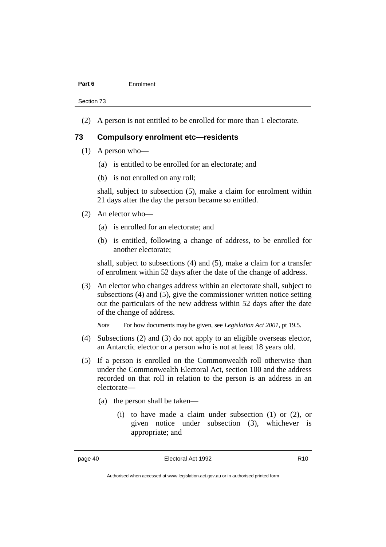#### **Part 6** Enrolment

Section 73

(2) A person is not entitled to be enrolled for more than 1 electorate.

### **73 Compulsory enrolment etc—residents**

- (1) A person who—
	- (a) is entitled to be enrolled for an electorate; and
	- (b) is not enrolled on any roll;

shall, subject to subsection (5), make a claim for enrolment within 21 days after the day the person became so entitled.

- (2) An elector who—
	- (a) is enrolled for an electorate; and
	- (b) is entitled, following a change of address, to be enrolled for another electorate;

shall, subject to subsections (4) and (5), make a claim for a transfer of enrolment within 52 days after the date of the change of address.

(3) An elector who changes address within an electorate shall, subject to subsections (4) and (5), give the commissioner written notice setting out the particulars of the new address within 52 days after the date of the change of address.

*Note* For how documents may be given, see *Legislation Act 2001*, pt 19.5.

- (4) Subsections (2) and (3) do not apply to an eligible overseas elector, an Antarctic elector or a person who is not at least 18 years old.
- (5) If a person is enrolled on the Commonwealth roll otherwise than under the Commonwealth Electoral Act, section 100 and the address recorded on that roll in relation to the person is an address in an electorate—
	- (a) the person shall be taken—
		- (i) to have made a claim under subsection (1) or (2), or given notice under subsection (3), whichever is appropriate; and

Authorised when accessed at www.legislation.act.gov.au or in authorised printed form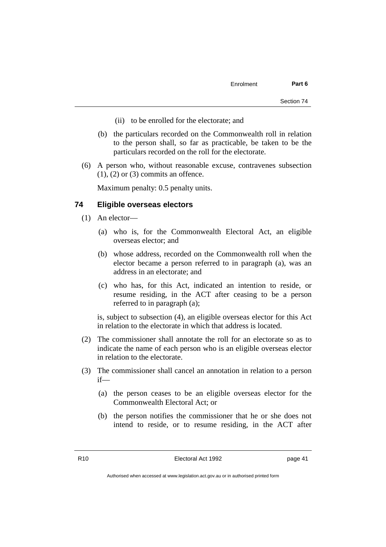- (ii) to be enrolled for the electorate; and
- (b) the particulars recorded on the Commonwealth roll in relation to the person shall, so far as practicable, be taken to be the particulars recorded on the roll for the electorate.
- (6) A person who, without reasonable excuse, contravenes subsection  $(1)$ ,  $(2)$  or  $(3)$  commits an offence.

Maximum penalty: 0.5 penalty units.

### **74 Eligible overseas electors**

- (1) An elector—
	- (a) who is, for the Commonwealth Electoral Act, an eligible overseas elector; and
	- (b) whose address, recorded on the Commonwealth roll when the elector became a person referred to in paragraph (a), was an address in an electorate; and
	- (c) who has, for this Act, indicated an intention to reside, or resume residing, in the ACT after ceasing to be a person referred to in paragraph (a);

is, subject to subsection (4), an eligible overseas elector for this Act in relation to the electorate in which that address is located.

- (2) The commissioner shall annotate the roll for an electorate so as to indicate the name of each person who is an eligible overseas elector in relation to the electorate.
- (3) The commissioner shall cancel an annotation in relation to a person if—
	- (a) the person ceases to be an eligible overseas elector for the Commonwealth Electoral Act; or
	- (b) the person notifies the commissioner that he or she does not intend to reside, or to resume residing, in the ACT after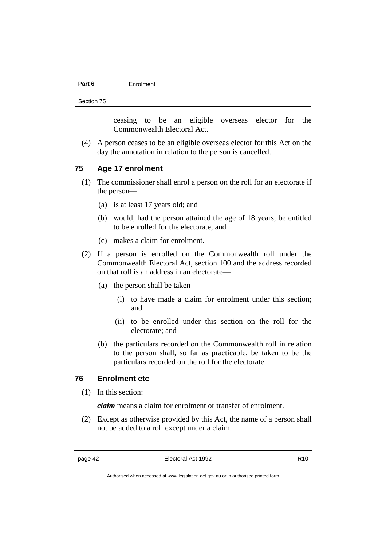#### **Part 6** Enrolment

Section 75

ceasing to be an eligible overseas elector for the Commonwealth Electoral Act.

(4) A person ceases to be an eligible overseas elector for this Act on the day the annotation in relation to the person is cancelled.

### **75 Age 17 enrolment**

- (1) The commissioner shall enrol a person on the roll for an electorate if the person—
	- (a) is at least 17 years old; and
	- (b) would, had the person attained the age of 18 years, be entitled to be enrolled for the electorate; and
	- (c) makes a claim for enrolment.
- (2) If a person is enrolled on the Commonwealth roll under the Commonwealth Electoral Act, section 100 and the address recorded on that roll is an address in an electorate—
	- (a) the person shall be taken—
		- (i) to have made a claim for enrolment under this section; and
		- (ii) to be enrolled under this section on the roll for the electorate; and
	- (b) the particulars recorded on the Commonwealth roll in relation to the person shall, so far as practicable, be taken to be the particulars recorded on the roll for the electorate.

### **76 Enrolment etc**

(1) In this section:

*claim* means a claim for enrolment or transfer of enrolment.

(2) Except as otherwise provided by this Act, the name of a person shall not be added to a roll except under a claim.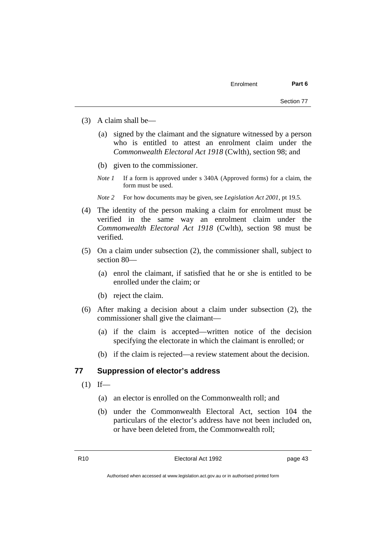- (3) A claim shall be—
	- (a) signed by the claimant and the signature witnessed by a person who is entitled to attest an enrolment claim under the *Commonwealth Electoral Act 1918* (Cwlth), section 98; and
	- (b) given to the commissioner.
	- *Note 1* If a form is approved under s 340A (Approved forms) for a claim, the form must be used.
	- *Note 2* For how documents may be given, see *Legislation Act 2001*, pt 19.5.
- (4) The identity of the person making a claim for enrolment must be verified in the same way an enrolment claim under the *Commonwealth Electoral Act 1918* (Cwlth), section 98 must be verified.
- (5) On a claim under subsection (2), the commissioner shall, subject to section 80—
	- (a) enrol the claimant, if satisfied that he or she is entitled to be enrolled under the claim; or
	- (b) reject the claim.
- (6) After making a decision about a claim under subsection (2), the commissioner shall give the claimant—
	- (a) if the claim is accepted—written notice of the decision specifying the electorate in which the claimant is enrolled; or
	- (b) if the claim is rejected—a review statement about the decision.

#### **77 Suppression of elector's address**

- $(1)$  If—
	- (a) an elector is enrolled on the Commonwealth roll; and
	- (b) under the Commonwealth Electoral Act, section 104 the particulars of the elector's address have not been included on, or have been deleted from, the Commonwealth roll;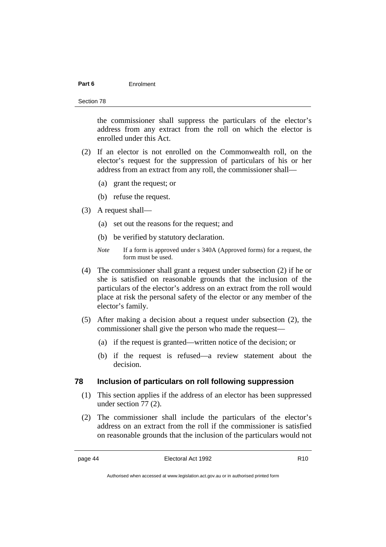#### **Part 6** Enrolment

Section 78

the commissioner shall suppress the particulars of the elector's address from any extract from the roll on which the elector is enrolled under this Act.

- (2) If an elector is not enrolled on the Commonwealth roll, on the elector's request for the suppression of particulars of his or her address from an extract from any roll, the commissioner shall—
	- (a) grant the request; or
	- (b) refuse the request.
- (3) A request shall—
	- (a) set out the reasons for the request; and
	- (b) be verified by statutory declaration.
	- *Note* If a form is approved under s 340A (Approved forms) for a request, the form must be used.
- (4) The commissioner shall grant a request under subsection (2) if he or she is satisfied on reasonable grounds that the inclusion of the particulars of the elector's address on an extract from the roll would place at risk the personal safety of the elector or any member of the elector's family.
- (5) After making a decision about a request under subsection (2), the commissioner shall give the person who made the request—
	- (a) if the request is granted—written notice of the decision; or
	- (b) if the request is refused—a review statement about the decision.

### **78 Inclusion of particulars on roll following suppression**

- (1) This section applies if the address of an elector has been suppressed under section 77 (2).
- (2) The commissioner shall include the particulars of the elector's address on an extract from the roll if the commissioner is satisfied on reasonable grounds that the inclusion of the particulars would not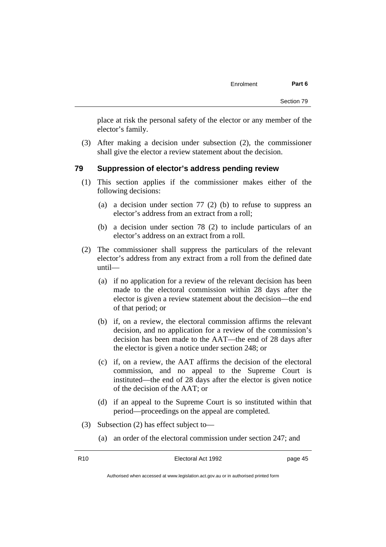place at risk the personal safety of the elector or any member of the elector's family.

(3) After making a decision under subsection (2), the commissioner shall give the elector a review statement about the decision.

#### **79 Suppression of elector's address pending review**

- (1) This section applies if the commissioner makes either of the following decisions:
	- (a) a decision under section 77 (2) (b) to refuse to suppress an elector's address from an extract from a roll;
	- (b) a decision under section 78 (2) to include particulars of an elector's address on an extract from a roll.
- (2) The commissioner shall suppress the particulars of the relevant elector's address from any extract from a roll from the defined date until—
	- (a) if no application for a review of the relevant decision has been made to the electoral commission within 28 days after the elector is given a review statement about the decision—the end of that period; or
	- (b) if, on a review, the electoral commission affirms the relevant decision, and no application for a review of the commission's decision has been made to the AAT—the end of 28 days after the elector is given a notice under section 248; or
	- (c) if, on a review, the AAT affirms the decision of the electoral commission, and no appeal to the Supreme Court is instituted—the end of 28 days after the elector is given notice of the decision of the AAT; or
	- (d) if an appeal to the Supreme Court is so instituted within that period—proceedings on the appeal are completed.
- (3) Subsection (2) has effect subject to—
	- (a) an order of the electoral commission under section 247; and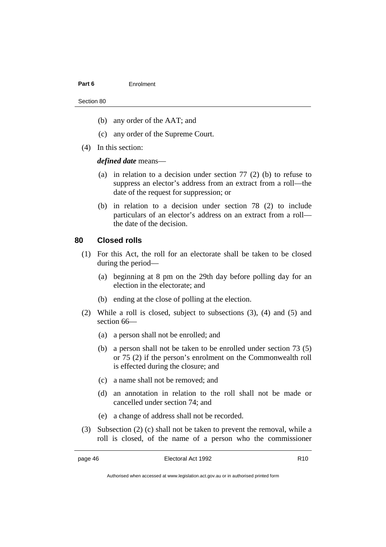#### Part 6 **Enrolment**

#### Section 80

- (b) any order of the AAT; and
- (c) any order of the Supreme Court.
- (4) In this section:

*defined date* means—

- (a) in relation to a decision under section 77 (2) (b) to refuse to suppress an elector's address from an extract from a roll—the date of the request for suppression; or
- (b) in relation to a decision under section 78 (2) to include particulars of an elector's address on an extract from a roll the date of the decision.

# **80 Closed rolls**

- (1) For this Act, the roll for an electorate shall be taken to be closed during the period—
	- (a) beginning at 8 pm on the 29th day before polling day for an election in the electorate; and
	- (b) ending at the close of polling at the election.
- (2) While a roll is closed, subject to subsections (3), (4) and (5) and section 66—
	- (a) a person shall not be enrolled; and
	- (b) a person shall not be taken to be enrolled under section 73 (5) or 75 (2) if the person's enrolment on the Commonwealth roll is effected during the closure; and
	- (c) a name shall not be removed; and
	- (d) an annotation in relation to the roll shall not be made or cancelled under section 74; and
	- (e) a change of address shall not be recorded.
- (3) Subsection (2) (c) shall not be taken to prevent the removal, while a roll is closed, of the name of a person who the commissioner

Authorised when accessed at www.legislation.act.gov.au or in authorised printed form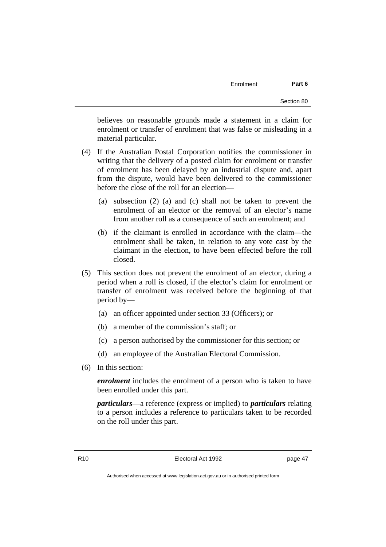believes on reasonable grounds made a statement in a claim for enrolment or transfer of enrolment that was false or misleading in a material particular.

- (4) If the Australian Postal Corporation notifies the commissioner in writing that the delivery of a posted claim for enrolment or transfer of enrolment has been delayed by an industrial dispute and, apart from the dispute, would have been delivered to the commissioner before the close of the roll for an election—
	- (a) subsection (2) (a) and (c) shall not be taken to prevent the enrolment of an elector or the removal of an elector's name from another roll as a consequence of such an enrolment; and
	- (b) if the claimant is enrolled in accordance with the claim—the enrolment shall be taken, in relation to any vote cast by the claimant in the election, to have been effected before the roll closed.
- (5) This section does not prevent the enrolment of an elector, during a period when a roll is closed, if the elector's claim for enrolment or transfer of enrolment was received before the beginning of that period by—
	- (a) an officer appointed under section 33 (Officers); or
	- (b) a member of the commission's staff; or
	- (c) a person authorised by the commissioner for this section; or
	- (d) an employee of the Australian Electoral Commission.
- (6) In this section:

*enrolment* includes the enrolment of a person who is taken to have been enrolled under this part.

*particulars*—a reference (express or implied) to *particulars* relating to a person includes a reference to particulars taken to be recorded on the roll under this part.

R10 **Electoral Act 1992 page 47**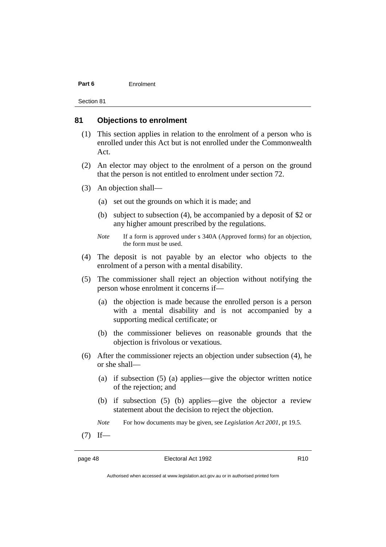#### **Part 6** Enrolment

Section 81

#### **81 Objections to enrolment**

- (1) This section applies in relation to the enrolment of a person who is enrolled under this Act but is not enrolled under the Commonwealth Act.
- (2) An elector may object to the enrolment of a person on the ground that the person is not entitled to enrolment under section 72.
- (3) An objection shall—
	- (a) set out the grounds on which it is made; and
	- (b) subject to subsection (4), be accompanied by a deposit of \$2 or any higher amount prescribed by the regulations.
	- *Note* If a form is approved under s 340A (Approved forms) for an objection, the form must be used.
- (4) The deposit is not payable by an elector who objects to the enrolment of a person with a mental disability.
- (5) The commissioner shall reject an objection without notifying the person whose enrolment it concerns if—
	- (a) the objection is made because the enrolled person is a person with a mental disability and is not accompanied by a supporting medical certificate; or
	- (b) the commissioner believes on reasonable grounds that the objection is frivolous or vexatious.
- (6) After the commissioner rejects an objection under subsection (4), he or she shall—
	- (a) if subsection (5) (a) applies—give the objector written notice of the rejection; and
	- (b) if subsection (5) (b) applies—give the objector a review statement about the decision to reject the objection.
	- *Note* For how documents may be given, see *Legislation Act 2001*, pt 19.5.
- $(7)$  If—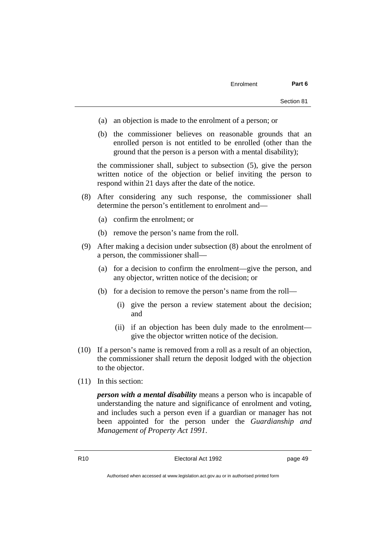- (a) an objection is made to the enrolment of a person; or
- (b) the commissioner believes on reasonable grounds that an enrolled person is not entitled to be enrolled (other than the ground that the person is a person with a mental disability);

the commissioner shall, subject to subsection (5), give the person written notice of the objection or belief inviting the person to respond within 21 days after the date of the notice.

- (8) After considering any such response, the commissioner shall determine the person's entitlement to enrolment and—
	- (a) confirm the enrolment; or
	- (b) remove the person's name from the roll.
- (9) After making a decision under subsection (8) about the enrolment of a person, the commissioner shall—
	- (a) for a decision to confirm the enrolment—give the person, and any objector, written notice of the decision; or
	- (b) for a decision to remove the person's name from the roll—
		- (i) give the person a review statement about the decision; and
		- (ii) if an objection has been duly made to the enrolment give the objector written notice of the decision.
- (10) If a person's name is removed from a roll as a result of an objection, the commissioner shall return the deposit lodged with the objection to the objector.
- (11) In this section:

*person with a mental disability* means a person who is incapable of understanding the nature and significance of enrolment and voting, and includes such a person even if a guardian or manager has not been appointed for the person under the *Guardianship and Management of Property Act 1991*.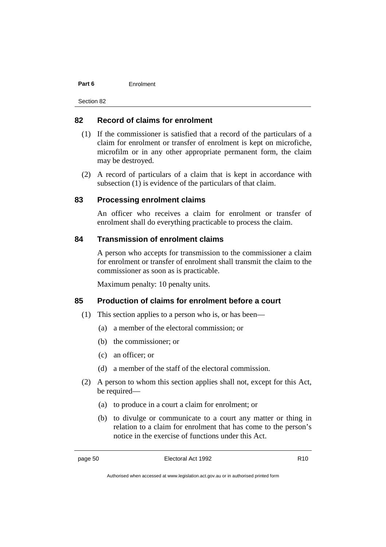#### **Part 6** Enrolment

Section 82

### **82 Record of claims for enrolment**

- (1) If the commissioner is satisfied that a record of the particulars of a claim for enrolment or transfer of enrolment is kept on microfiche, microfilm or in any other appropriate permanent form, the claim may be destroyed.
- (2) A record of particulars of a claim that is kept in accordance with subsection (1) is evidence of the particulars of that claim.

# **83 Processing enrolment claims**

An officer who receives a claim for enrolment or transfer of enrolment shall do everything practicable to process the claim.

### **84 Transmission of enrolment claims**

A person who accepts for transmission to the commissioner a claim for enrolment or transfer of enrolment shall transmit the claim to the commissioner as soon as is practicable.

Maximum penalty: 10 penalty units.

### **85 Production of claims for enrolment before a court**

- (1) This section applies to a person who is, or has been—
	- (a) a member of the electoral commission; or
	- (b) the commissioner; or
	- (c) an officer; or
	- (d) a member of the staff of the electoral commission.
- (2) A person to whom this section applies shall not, except for this Act, be required—
	- (a) to produce in a court a claim for enrolment; or
	- (b) to divulge or communicate to a court any matter or thing in relation to a claim for enrolment that has come to the person's notice in the exercise of functions under this Act.

Authorised when accessed at www.legislation.act.gov.au or in authorised printed form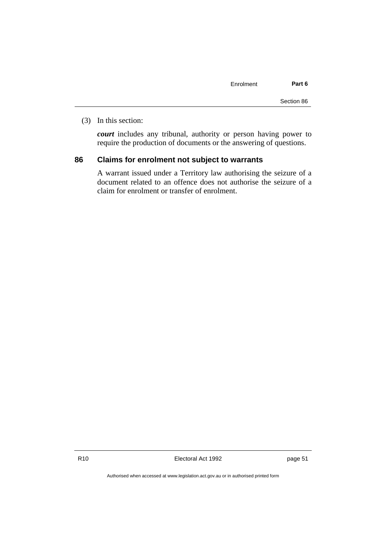| Enrolment | Part 6 |
|-----------|--------|
|           |        |
|           |        |

(3) In this section:

*court* includes any tribunal, authority or person having power to require the production of documents or the answering of questions.

## **86 Claims for enrolment not subject to warrants**

A warrant issued under a Territory law authorising the seizure of a document related to an offence does not authorise the seizure of a claim for enrolment or transfer of enrolment.

R10 Electoral Act 1992 page 51

Section 86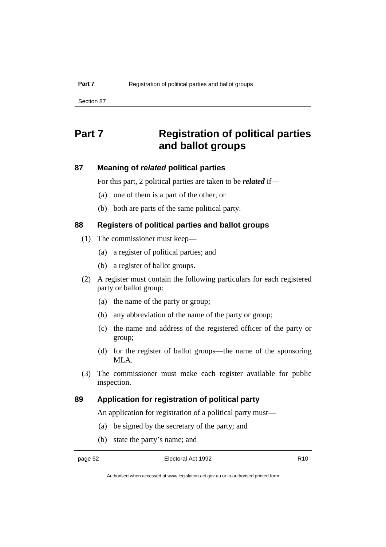# **Part 7 Registration of political parties and ballot groups**

# **87 Meaning of** *related* **political parties**

For this part, 2 political parties are taken to be *related* if—

- (a) one of them is a part of the other; or
- (b) both are parts of the same political party.

# **88 Registers of political parties and ballot groups**

- (1) The commissioner must keep—
	- (a) a register of political parties; and
	- (b) a register of ballot groups.
- (2) A register must contain the following particulars for each registered party or ballot group:
	- (a) the name of the party or group;
	- (b) any abbreviation of the name of the party or group;
	- (c) the name and address of the registered officer of the party or group;
	- (d) for the register of ballot groups—the name of the sponsoring MLA.
- (3) The commissioner must make each register available for public inspection.

# **89 Application for registration of political party**

An application for registration of a political party must—

- (a) be signed by the secretary of the party; and
- (b) state the party's name; and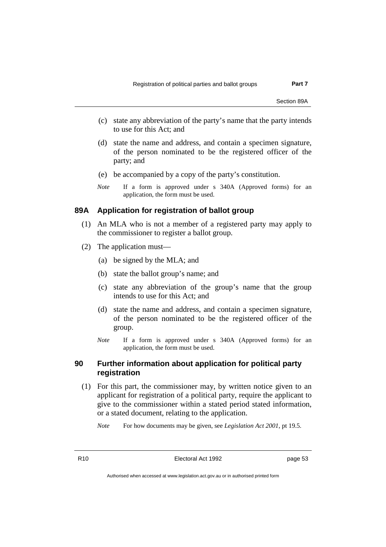- (c) state any abbreviation of the party's name that the party intends to use for this Act; and
- (d) state the name and address, and contain a specimen signature, of the person nominated to be the registered officer of the party; and
- (e) be accompanied by a copy of the party's constitution.
- *Note* If a form is approved under s 340A (Approved forms) for an application, the form must be used.

# **89A Application for registration of ballot group**

- (1) An MLA who is not a member of a registered party may apply to the commissioner to register a ballot group.
- (2) The application must—
	- (a) be signed by the MLA; and
	- (b) state the ballot group's name; and
	- (c) state any abbreviation of the group's name that the group intends to use for this Act; and
	- (d) state the name and address, and contain a specimen signature, of the person nominated to be the registered officer of the group.
	- *Note* If a form is approved under s 340A (Approved forms) for an application, the form must be used.

## **90 Further information about application for political party registration**

(1) For this part, the commissioner may, by written notice given to an applicant for registration of a political party, require the applicant to give to the commissioner within a stated period stated information, or a stated document, relating to the application.

*Note* For how documents may be given, see *Legislation Act 2001*, pt 19.5.

R10 Electoral Act 1992 page 53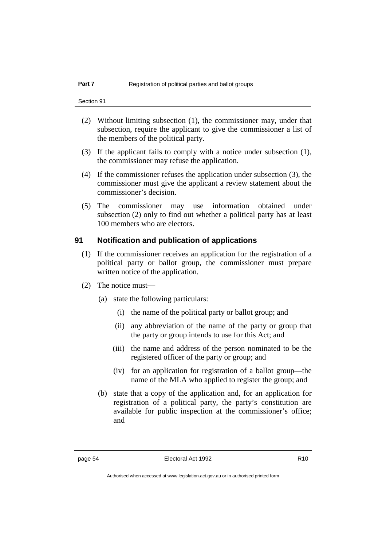- (2) Without limiting subsection (1), the commissioner may, under that subsection, require the applicant to give the commissioner a list of the members of the political party.
- (3) If the applicant fails to comply with a notice under subsection (1), the commissioner may refuse the application.
- (4) If the commissioner refuses the application under subsection (3), the commissioner must give the applicant a review statement about the commissioner's decision.
- (5) The commissioner may use information obtained under subsection (2) only to find out whether a political party has at least 100 members who are electors.

### **91 Notification and publication of applications**

- (1) If the commissioner receives an application for the registration of a political party or ballot group, the commissioner must prepare written notice of the application.
- (2) The notice must—
	- (a) state the following particulars:
		- (i) the name of the political party or ballot group; and
		- (ii) any abbreviation of the name of the party or group that the party or group intends to use for this Act; and
		- (iii) the name and address of the person nominated to be the registered officer of the party or group; and
		- (iv) for an application for registration of a ballot group—the name of the MLA who applied to register the group; and
	- (b) state that a copy of the application and, for an application for registration of a political party, the party's constitution are available for public inspection at the commissioner's office; and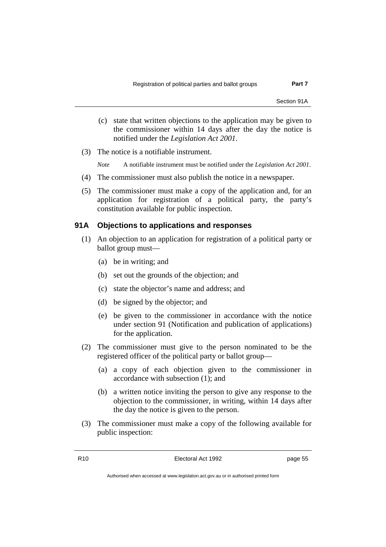Section 91A

- (c) state that written objections to the application may be given to the commissioner within 14 days after the day the notice is notified under the *Legislation Act 2001*.
- (3) The notice is a notifiable instrument.

*Note* A notifiable instrument must be notified under the *Legislation Act 2001*.

- (4) The commissioner must also publish the notice in a newspaper.
- (5) The commissioner must make a copy of the application and, for an application for registration of a political party, the party's constitution available for public inspection.

### **91A Objections to applications and responses**

- (1) An objection to an application for registration of a political party or ballot group must—
	- (a) be in writing; and
	- (b) set out the grounds of the objection; and
	- (c) state the objector's name and address; and
	- (d) be signed by the objector; and
	- (e) be given to the commissioner in accordance with the notice under section 91 (Notification and publication of applications) for the application.
- (2) The commissioner must give to the person nominated to be the registered officer of the political party or ballot group—
	- (a) a copy of each objection given to the commissioner in accordance with subsection (1); and
	- (b) a written notice inviting the person to give any response to the objection to the commissioner, in writing, within 14 days after the day the notice is given to the person.
- (3) The commissioner must make a copy of the following available for public inspection: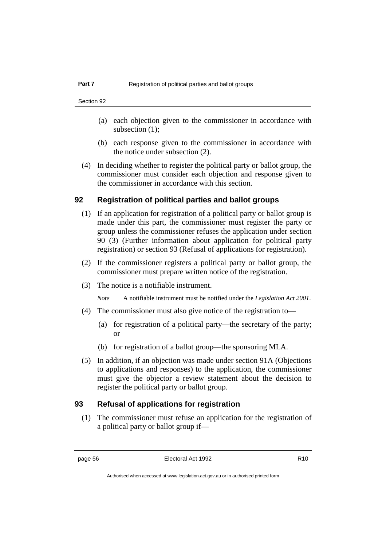- (a) each objection given to the commissioner in accordance with subsection (1);
- (b) each response given to the commissioner in accordance with the notice under subsection (2).
- (4) In deciding whether to register the political party or ballot group, the commissioner must consider each objection and response given to the commissioner in accordance with this section.

### **92 Registration of political parties and ballot groups**

- (1) If an application for registration of a political party or ballot group is made under this part, the commissioner must register the party or group unless the commissioner refuses the application under section 90 (3) (Further information about application for political party registration) or section 93 (Refusal of applications for registration).
- (2) If the commissioner registers a political party or ballot group, the commissioner must prepare written notice of the registration.
- (3) The notice is a notifiable instrument.

*Note* A notifiable instrument must be notified under the *Legislation Act 2001*.

- (4) The commissioner must also give notice of the registration to—
	- (a) for registration of a political party—the secretary of the party; or
	- (b) for registration of a ballot group—the sponsoring MLA.
- (5) In addition, if an objection was made under section 91A (Objections to applications and responses) to the application, the commissioner must give the objector a review statement about the decision to register the political party or ballot group.

## **93 Refusal of applications for registration**

(1) The commissioner must refuse an application for the registration of a political party or ballot group if—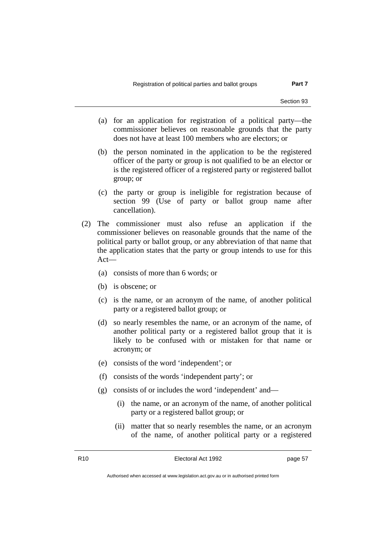- (a) for an application for registration of a political party—the commissioner believes on reasonable grounds that the party does not have at least 100 members who are electors; or
- (b) the person nominated in the application to be the registered officer of the party or group is not qualified to be an elector or is the registered officer of a registered party or registered ballot group; or
- (c) the party or group is ineligible for registration because of section 99 (Use of party or ballot group name after cancellation).
- (2) The commissioner must also refuse an application if the commissioner believes on reasonable grounds that the name of the political party or ballot group, or any abbreviation of that name that the application states that the party or group intends to use for this Act—
	- (a) consists of more than 6 words; or
	- (b) is obscene; or
	- (c) is the name, or an acronym of the name, of another political party or a registered ballot group; or
	- (d) so nearly resembles the name, or an acronym of the name, of another political party or a registered ballot group that it is likely to be confused with or mistaken for that name or acronym; or
	- (e) consists of the word 'independent'; or
	- (f) consists of the words 'independent party'; or
	- (g) consists of or includes the word 'independent' and—
		- (i) the name, or an acronym of the name, of another political party or a registered ballot group; or
		- (ii) matter that so nearly resembles the name, or an acronym of the name, of another political party or a registered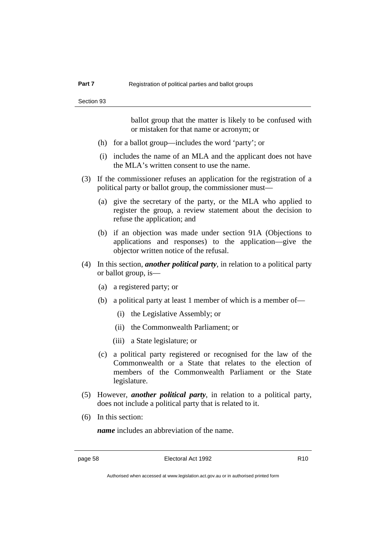ballot group that the matter is likely to be confused with or mistaken for that name or acronym; or

- (h) for a ballot group—includes the word 'party'; or
- (i) includes the name of an MLA and the applicant does not have the MLA's written consent to use the name.
- (3) If the commissioner refuses an application for the registration of a political party or ballot group, the commissioner must—
	- (a) give the secretary of the party, or the MLA who applied to register the group, a review statement about the decision to refuse the application; and
	- (b) if an objection was made under section 91A (Objections to applications and responses) to the application—give the objector written notice of the refusal.
- (4) In this section, *another political party*, in relation to a political party or ballot group, is—
	- (a) a registered party; or
	- (b) a political party at least 1 member of which is a member of—
		- (i) the Legislative Assembly; or
		- (ii) the Commonwealth Parliament; or
		- (iii) a State legislature; or
	- (c) a political party registered or recognised for the law of the Commonwealth or a State that relates to the election of members of the Commonwealth Parliament or the State legislature.
- (5) However, *another political party*, in relation to a political party, does not include a political party that is related to it.
- (6) In this section:

*name* includes an abbreviation of the name.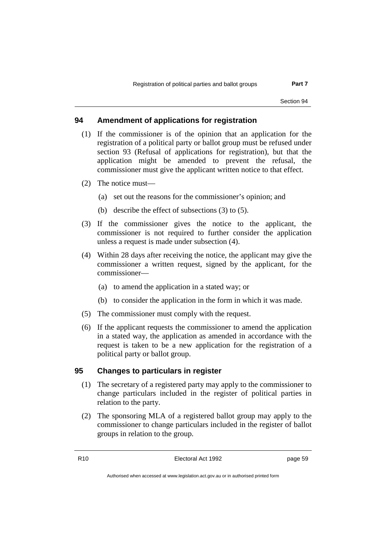### **94 Amendment of applications for registration**

- (1) If the commissioner is of the opinion that an application for the registration of a political party or ballot group must be refused under section 93 (Refusal of applications for registration), but that the application might be amended to prevent the refusal, the commissioner must give the applicant written notice to that effect.
- (2) The notice must—
	- (a) set out the reasons for the commissioner's opinion; and
	- (b) describe the effect of subsections (3) to (5).
- (3) If the commissioner gives the notice to the applicant, the commissioner is not required to further consider the application unless a request is made under subsection (4).
- (4) Within 28 days after receiving the notice, the applicant may give the commissioner a written request, signed by the applicant, for the commissioner—
	- (a) to amend the application in a stated way; or
	- (b) to consider the application in the form in which it was made.
- (5) The commissioner must comply with the request.
- (6) If the applicant requests the commissioner to amend the application in a stated way, the application as amended in accordance with the request is taken to be a new application for the registration of a political party or ballot group.

#### **95 Changes to particulars in register**

- (1) The secretary of a registered party may apply to the commissioner to change particulars included in the register of political parties in relation to the party.
- (2) The sponsoring MLA of a registered ballot group may apply to the commissioner to change particulars included in the register of ballot groups in relation to the group.

R10 **Electoral Act 1992 page 59**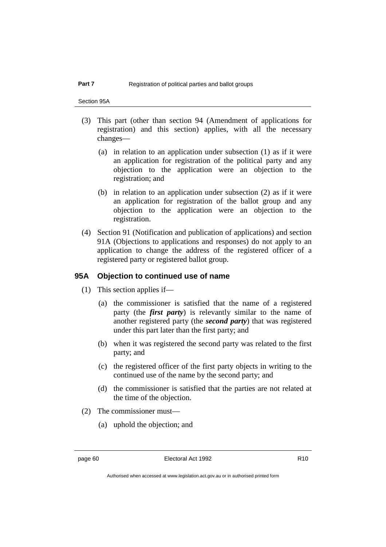Section 95A

- (3) This part (other than section 94 (Amendment of applications for registration) and this section) applies, with all the necessary changes—
	- (a) in relation to an application under subsection (1) as if it were an application for registration of the political party and any objection to the application were an objection to the registration; and
	- (b) in relation to an application under subsection (2) as if it were an application for registration of the ballot group and any objection to the application were an objection to the registration.
- (4) Section 91 (Notification and publication of applications) and section 91A (Objections to applications and responses) do not apply to an application to change the address of the registered officer of a registered party or registered ballot group.

### **95A Objection to continued use of name**

- (1) This section applies if—
	- (a) the commissioner is satisfied that the name of a registered party (the *first party*) is relevantly similar to the name of another registered party (the *second party*) that was registered under this part later than the first party; and
	- (b) when it was registered the second party was related to the first party; and
	- (c) the registered officer of the first party objects in writing to the continued use of the name by the second party; and
	- (d) the commissioner is satisfied that the parties are not related at the time of the objection.
- (2) The commissioner must—
	- (a) uphold the objection; and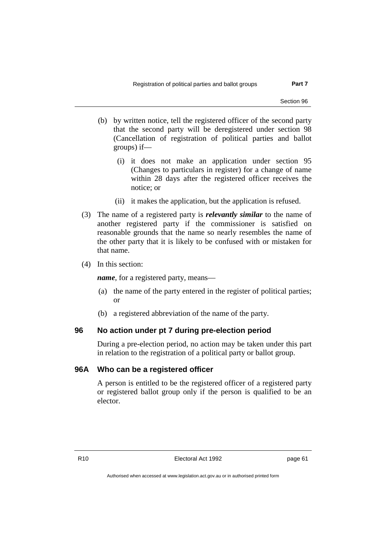- (b) by written notice, tell the registered officer of the second party that the second party will be deregistered under section 98 (Cancellation of registration of political parties and ballot groups) if—
	- (i) it does not make an application under section 95 (Changes to particulars in register) for a change of name within 28 days after the registered officer receives the notice; or
	- (ii) it makes the application, but the application is refused.
- (3) The name of a registered party is *relevantly similar* to the name of another registered party if the commissioner is satisfied on reasonable grounds that the name so nearly resembles the name of the other party that it is likely to be confused with or mistaken for that name.
- (4) In this section:

*name*, for a registered party, means—

- (a) the name of the party entered in the register of political parties; or
- (b) a registered abbreviation of the name of the party.

### **96 No action under pt 7 during pre-election period**

During a pre-election period, no action may be taken under this part in relation to the registration of a political party or ballot group.

### **96A Who can be a registered officer**

A person is entitled to be the registered officer of a registered party or registered ballot group only if the person is qualified to be an elector.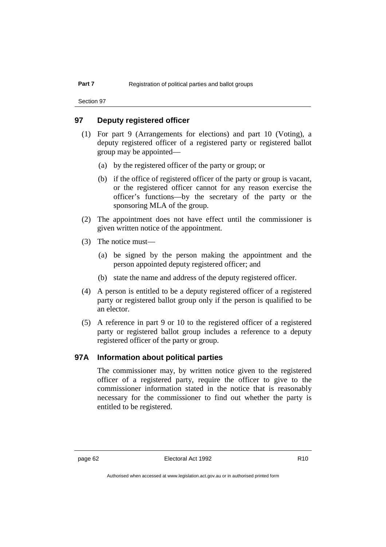### **97 Deputy registered officer**

- (1) For part 9 (Arrangements for elections) and part 10 (Voting), a deputy registered officer of a registered party or registered ballot group may be appointed—
	- (a) by the registered officer of the party or group; or
	- (b) if the office of registered officer of the party or group is vacant, or the registered officer cannot for any reason exercise the officer's functions—by the secretary of the party or the sponsoring MLA of the group.
- (2) The appointment does not have effect until the commissioner is given written notice of the appointment.
- (3) The notice must—
	- (a) be signed by the person making the appointment and the person appointed deputy registered officer; and
	- (b) state the name and address of the deputy registered officer.
- (4) A person is entitled to be a deputy registered officer of a registered party or registered ballot group only if the person is qualified to be an elector.
- (5) A reference in part 9 or 10 to the registered officer of a registered party or registered ballot group includes a reference to a deputy registered officer of the party or group.

### **97A Information about political parties**

The commissioner may, by written notice given to the registered officer of a registered party, require the officer to give to the commissioner information stated in the notice that is reasonably necessary for the commissioner to find out whether the party is entitled to be registered.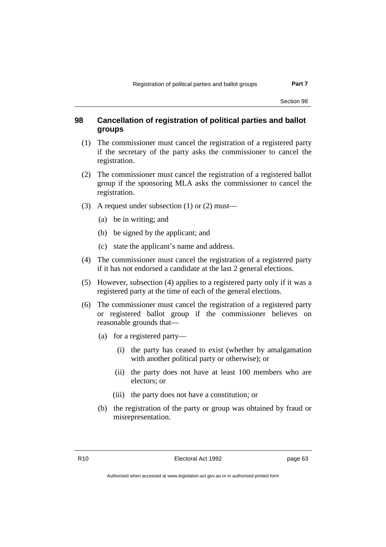### **98 Cancellation of registration of political parties and ballot groups**

- (1) The commissioner must cancel the registration of a registered party if the secretary of the party asks the commissioner to cancel the registration.
- (2) The commissioner must cancel the registration of a registered ballot group if the sponsoring MLA asks the commissioner to cancel the registration.
- (3) A request under subsection (1) or (2) must—
	- (a) be in writing; and
	- (b) be signed by the applicant; and
	- (c) state the applicant's name and address.
- (4) The commissioner must cancel the registration of a registered party if it has not endorsed a candidate at the last 2 general elections.
- (5) However, subsection (4) applies to a registered party only if it was a registered party at the time of each of the general elections.
- (6) The commissioner must cancel the registration of a registered party or registered ballot group if the commissioner believes on reasonable grounds that—
	- (a) for a registered party—
		- (i) the party has ceased to exist (whether by amalgamation with another political party or otherwise); or
		- (ii) the party does not have at least 100 members who are electors; or
		- (iii) the party does not have a constitution; or
	- (b) the registration of the party or group was obtained by fraud or misrepresentation.

R10 Electoral Act 1992 page 63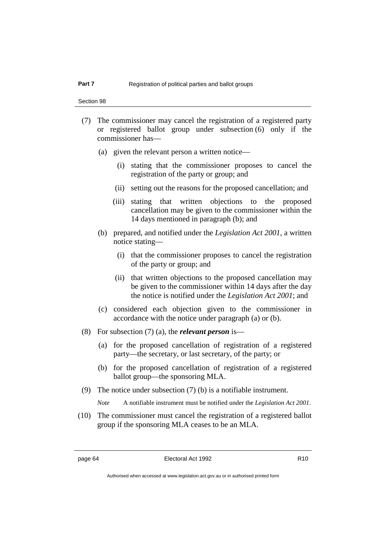- (7) The commissioner may cancel the registration of a registered party or registered ballot group under subsection (6) only if the commissioner has—
	- (a) given the relevant person a written notice—
		- (i) stating that the commissioner proposes to cancel the registration of the party or group; and
		- (ii) setting out the reasons for the proposed cancellation; and
		- (iii) stating that written objections to the proposed cancellation may be given to the commissioner within the 14 days mentioned in paragraph (b); and
	- (b) prepared, and notified under the *Legislation Act 2001*, a written notice stating—
		- (i) that the commissioner proposes to cancel the registration of the party or group; and
		- (ii) that written objections to the proposed cancellation may be given to the commissioner within 14 days after the day the notice is notified under the *Legislation Act 2001*; and
	- (c) considered each objection given to the commissioner in accordance with the notice under paragraph (a) or (b).
- (8) For subsection (7) (a), the *relevant person* is—
	- (a) for the proposed cancellation of registration of a registered party—the secretary, or last secretary, of the party; or
	- (b) for the proposed cancellation of registration of a registered ballot group—the sponsoring MLA.
- (9) The notice under subsection (7) (b) is a notifiable instrument.

*Note* A notifiable instrument must be notified under the *Legislation Act 2001*.

(10) The commissioner must cancel the registration of a registered ballot group if the sponsoring MLA ceases to be an MLA.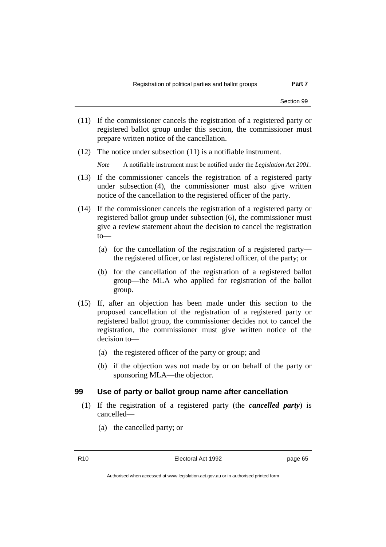- (11) If the commissioner cancels the registration of a registered party or registered ballot group under this section, the commissioner must prepare written notice of the cancellation.
- (12) The notice under subsection (11) is a notifiable instrument.

*Note* A notifiable instrument must be notified under the *Legislation Act 2001*.

- (13) If the commissioner cancels the registration of a registered party under subsection (4), the commissioner must also give written notice of the cancellation to the registered officer of the party.
- (14) If the commissioner cancels the registration of a registered party or registered ballot group under subsection (6), the commissioner must give a review statement about the decision to cancel the registration to—
	- (a) for the cancellation of the registration of a registered party the registered officer, or last registered officer, of the party; or
	- (b) for the cancellation of the registration of a registered ballot group—the MLA who applied for registration of the ballot group.
- (15) If, after an objection has been made under this section to the proposed cancellation of the registration of a registered party or registered ballot group, the commissioner decides not to cancel the registration, the commissioner must give written notice of the decision to—
	- (a) the registered officer of the party or group; and
	- (b) if the objection was not made by or on behalf of the party or sponsoring MLA—the objector.

### **99 Use of party or ballot group name after cancellation**

- (1) If the registration of a registered party (the *cancelled party*) is cancelled—
	- (a) the cancelled party; or

R10 **Electoral Act 1992 page 65**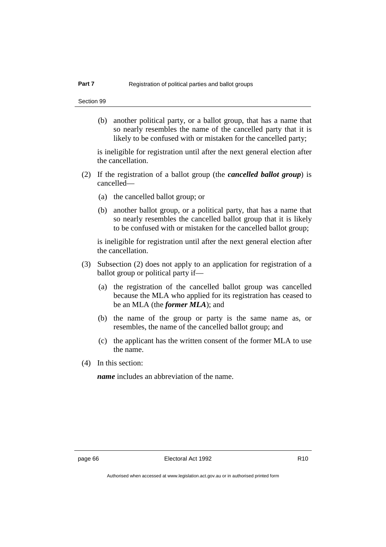(b) another political party, or a ballot group, that has a name that so nearly resembles the name of the cancelled party that it is likely to be confused with or mistaken for the cancelled party;

is ineligible for registration until after the next general election after the cancellation.

- (2) If the registration of a ballot group (the *cancelled ballot group*) is cancelled—
	- (a) the cancelled ballot group; or
	- (b) another ballot group, or a political party, that has a name that so nearly resembles the cancelled ballot group that it is likely to be confused with or mistaken for the cancelled ballot group;

is ineligible for registration until after the next general election after the cancellation.

- (3) Subsection (2) does not apply to an application for registration of a ballot group or political party if—
	- (a) the registration of the cancelled ballot group was cancelled because the MLA who applied for its registration has ceased to be an MLA (the *former MLA*); and
	- (b) the name of the group or party is the same name as, or resembles, the name of the cancelled ballot group; and
	- (c) the applicant has the written consent of the former MLA to use the name.
- (4) In this section:

*name* includes an abbreviation of the name.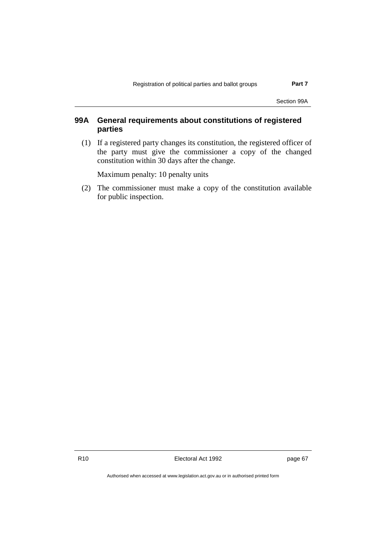Section 99A

## **99A General requirements about constitutions of registered parties**

(1) If a registered party changes its constitution, the registered officer of the party must give the commissioner a copy of the changed constitution within 30 days after the change.

Maximum penalty: 10 penalty units

(2) The commissioner must make a copy of the constitution available for public inspection.

R10 Electoral Act 1992 page 67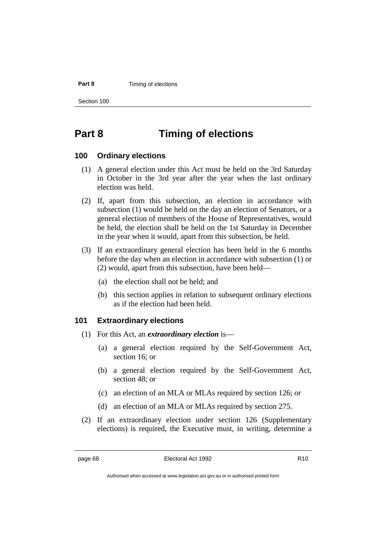#### **Part 8** Timing of elections

Section 100

## **Part 8 Timing of elections**

### **100 Ordinary elections**

- (1) A general election under this Act must be held on the 3rd Saturday in October in the 3rd year after the year when the last ordinary election was held.
- (2) If, apart from this subsection, an election in accordance with subsection (1) would be held on the day an election of Senators, or a general election of members of the House of Representatives, would be held, the election shall be held on the 1st Saturday in December in the year when it would, apart from this subsection, be held.
- (3) If an extraordinary general election has been held in the 6 months before the day when an election in accordance with subsection (1) or (2) would, apart from this subsection, have been held—
	- (a) the election shall not be held; and
	- (b) this section applies in relation to subsequent ordinary elections as if the election had been held.

### **101 Extraordinary elections**

- (1) For this Act, an *extraordinary election* is—
	- (a) a general election required by the Self-Government Act, section 16; or
	- (b) a general election required by the Self-Government Act, section 48; or
	- (c) an election of an MLA or MLAs required by section 126; or
	- (d) an election of an MLA or MLAs required by section 275.
- (2) If an extraordinary election under section 126 (Supplementary elections) is required, the Executive must, in writing, determine a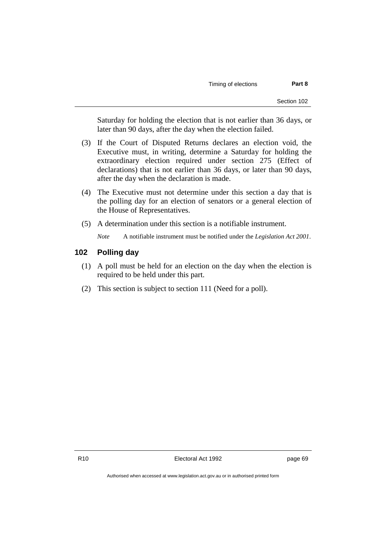Saturday for holding the election that is not earlier than 36 days, or later than 90 days, after the day when the election failed.

- (3) If the Court of Disputed Returns declares an election void, the Executive must, in writing, determine a Saturday for holding the extraordinary election required under section 275 (Effect of declarations) that is not earlier than 36 days, or later than 90 days, after the day when the declaration is made.
- (4) The Executive must not determine under this section a day that is the polling day for an election of senators or a general election of the House of Representatives.
- (5) A determination under this section is a notifiable instrument.
	- *Note* A notifiable instrument must be notified under the *Legislation Act 2001*.

### **102 Polling day**

- (1) A poll must be held for an election on the day when the election is required to be held under this part.
- (2) This section is subject to section 111 (Need for a poll).

R10 Electoral Act 1992 page 69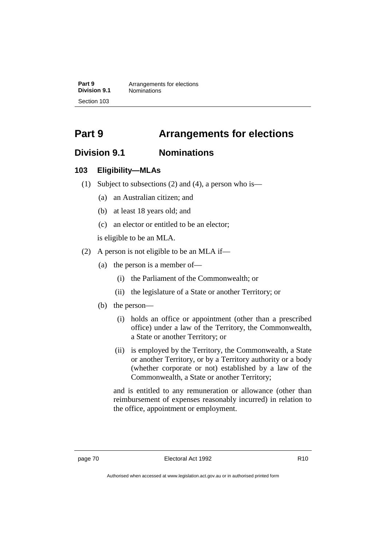**Part 9** Arrangements for elections<br>**Division 9.1** Nominations **Division 9.1** Nominations Section 103

# **Part 9 Arrangements for elections**

## **Division 9.1 Nominations**

## **103 Eligibility—MLAs**

- (1) Subject to subsections (2) and (4), a person who is—
	- (a) an Australian citizen; and
	- (b) at least 18 years old; and
	- (c) an elector or entitled to be an elector;

is eligible to be an MLA.

- (2) A person is not eligible to be an MLA if—
	- (a) the person is a member of—
		- (i) the Parliament of the Commonwealth; or
		- (ii) the legislature of a State or another Territory; or
	- (b) the person—
		- (i) holds an office or appointment (other than a prescribed office) under a law of the Territory, the Commonwealth, a State or another Territory; or
		- (ii) is employed by the Territory, the Commonwealth, a State or another Territory, or by a Territory authority or a body (whether corporate or not) established by a law of the Commonwealth, a State or another Territory;

and is entitled to any remuneration or allowance (other than reimbursement of expenses reasonably incurred) in relation to the office, appointment or employment.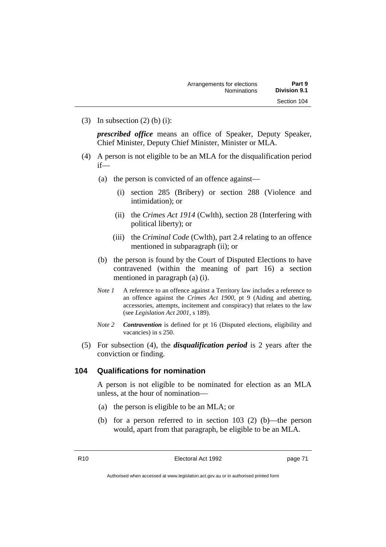(3) In subsection  $(2)$  (b) (i):

*prescribed office* means an office of Speaker, Deputy Speaker, Chief Minister, Deputy Chief Minister, Minister or MLA.

- (4) A person is not eligible to be an MLA for the disqualification period if—
	- (a) the person is convicted of an offence against—
		- (i) section 285 (Bribery) or section 288 (Violence and intimidation); or
		- (ii) the *Crimes Act 1914* (Cwlth), section 28 (Interfering with political liberty); or
		- (iii) the *Criminal Code* (Cwlth), part 2.4 relating to an offence mentioned in subparagraph (ii); or
	- (b) the person is found by the Court of Disputed Elections to have contravened (within the meaning of part 16) a section mentioned in paragraph (a) (i).
	- *Note 1* A reference to an offence against a Territory law includes a reference to an offence against the *Crimes Act 1900*, pt 9 (Aiding and abetting, accessories, attempts, incitement and conspiracy) that relates to the law (see *Legislation Act 2001*, s 189).
	- *Note 2 Contravention* is defined for pt 16 (Disputed elections, eligibility and vacancies) in s 250.
- (5) For subsection (4), the *disqualification period* is 2 years after the conviction or finding.

### **104 Qualifications for nomination**

A person is not eligible to be nominated for election as an MLA unless, at the hour of nomination—

- (a) the person is eligible to be an MLA; or
- (b) for a person referred to in section 103 (2) (b)—the person would, apart from that paragraph, be eligible to be an MLA.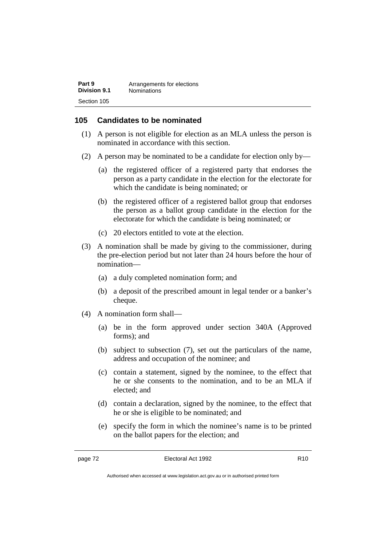| Part 9       | Arrangements for elections |
|--------------|----------------------------|
| Division 9.1 | <b>Nominations</b>         |
| Section 105  |                            |

### **105 Candidates to be nominated**

- (1) A person is not eligible for election as an MLA unless the person is nominated in accordance with this section.
- (2) A person may be nominated to be a candidate for election only by—
	- (a) the registered officer of a registered party that endorses the person as a party candidate in the election for the electorate for which the candidate is being nominated; or
	- (b) the registered officer of a registered ballot group that endorses the person as a ballot group candidate in the election for the electorate for which the candidate is being nominated; or
	- (c) 20 electors entitled to vote at the election.
- (3) A nomination shall be made by giving to the commissioner, during the pre-election period but not later than 24 hours before the hour of nomination—
	- (a) a duly completed nomination form; and
	- (b) a deposit of the prescribed amount in legal tender or a banker's cheque.
- (4) A nomination form shall—
	- (a) be in the form approved under section 340A (Approved forms); and
	- (b) subject to subsection (7), set out the particulars of the name, address and occupation of the nominee; and
	- (c) contain a statement, signed by the nominee, to the effect that he or she consents to the nomination, and to be an MLA if elected; and
	- (d) contain a declaration, signed by the nominee, to the effect that he or she is eligible to be nominated; and
	- (e) specify the form in which the nominee's name is to be printed on the ballot papers for the election; and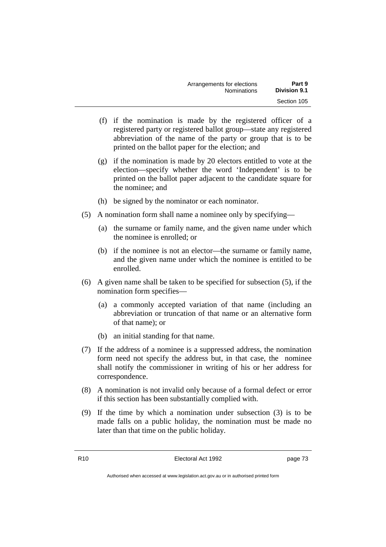| Arrangements for elections | Part 9              |
|----------------------------|---------------------|
| <b>Nominations</b>         | <b>Division 9.1</b> |
|                            | Section 105         |

- (f) if the nomination is made by the registered officer of a registered party or registered ballot group—state any registered abbreviation of the name of the party or group that is to be printed on the ballot paper for the election; and
- (g) if the nomination is made by 20 electors entitled to vote at the election—specify whether the word 'Independent' is to be printed on the ballot paper adjacent to the candidate square for the nominee; and
- (h) be signed by the nominator or each nominator.
- (5) A nomination form shall name a nominee only by specifying—
	- (a) the surname or family name, and the given name under which the nominee is enrolled; or
	- (b) if the nominee is not an elector—the surname or family name, and the given name under which the nominee is entitled to be enrolled.
- (6) A given name shall be taken to be specified for subsection (5), if the nomination form specifies—
	- (a) a commonly accepted variation of that name (including an abbreviation or truncation of that name or an alternative form of that name); or
	- (b) an initial standing for that name.
- (7) If the address of a nominee is a suppressed address, the nomination form need not specify the address but, in that case, the nominee shall notify the commissioner in writing of his or her address for correspondence.
- (8) A nomination is not invalid only because of a formal defect or error if this section has been substantially complied with.
- (9) If the time by which a nomination under subsection (3) is to be made falls on a public holiday, the nomination must be made no later than that time on the public holiday.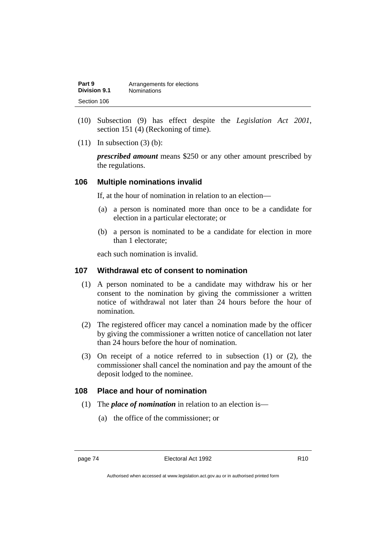| Part 9       | Arrangements for elections |
|--------------|----------------------------|
| Division 9.1 | <b>Nominations</b>         |
| Section 106  |                            |

- (10) Subsection (9) has effect despite the *Legislation Act 2001*, section 151 (4) (Reckoning of time).
- $(11)$  In subsection  $(3)$  (b):

*prescribed amount* means \$250 or any other amount prescribed by the regulations.

### **106 Multiple nominations invalid**

If, at the hour of nomination in relation to an election—

- (a) a person is nominated more than once to be a candidate for election in a particular electorate; or
- (b) a person is nominated to be a candidate for election in more than 1 electorate;

each such nomination is invalid.

### **107 Withdrawal etc of consent to nomination**

- (1) A person nominated to be a candidate may withdraw his or her consent to the nomination by giving the commissioner a written notice of withdrawal not later than 24 hours before the hour of nomination.
- (2) The registered officer may cancel a nomination made by the officer by giving the commissioner a written notice of cancellation not later than 24 hours before the hour of nomination.
- (3) On receipt of a notice referred to in subsection (1) or (2), the commissioner shall cancel the nomination and pay the amount of the deposit lodged to the nominee.

## **108 Place and hour of nomination**

- (1) The *place of nomination* in relation to an election is—
	- (a) the office of the commissioner; or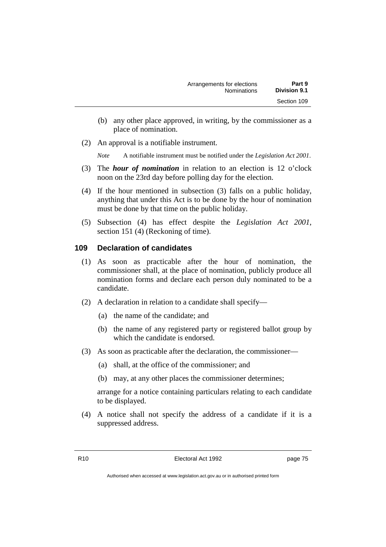- (b) any other place approved, in writing, by the commissioner as a place of nomination.
- (2) An approval is a notifiable instrument.

*Note* A notifiable instrument must be notified under the *Legislation Act 2001*.

- (3) The *hour of nomination* in relation to an election is 12 o'clock noon on the 23rd day before polling day for the election.
- (4) If the hour mentioned in subsection (3) falls on a public holiday, anything that under this Act is to be done by the hour of nomination must be done by that time on the public holiday.
- (5) Subsection (4) has effect despite the *Legislation Act 2001*, section 151 (4) (Reckoning of time).

### **109 Declaration of candidates**

- (1) As soon as practicable after the hour of nomination, the commissioner shall, at the place of nomination, publicly produce all nomination forms and declare each person duly nominated to be a candidate.
- (2) A declaration in relation to a candidate shall specify—
	- (a) the name of the candidate; and
	- (b) the name of any registered party or registered ballot group by which the candidate is endorsed.
- (3) As soon as practicable after the declaration, the commissioner—
	- (a) shall, at the office of the commissioner; and
	- (b) may, at any other places the commissioner determines;

arrange for a notice containing particulars relating to each candidate to be displayed.

(4) A notice shall not specify the address of a candidate if it is a suppressed address.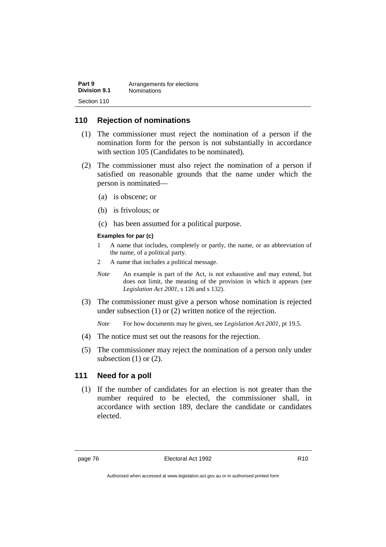| Part 9       | Arrangements for elections |
|--------------|----------------------------|
| Division 9.1 | <b>Nominations</b>         |
| Section 110  |                            |

### **110 Rejection of nominations**

- (1) The commissioner must reject the nomination of a person if the nomination form for the person is not substantially in accordance with section 105 (Candidates to be nominated).
- (2) The commissioner must also reject the nomination of a person if satisfied on reasonable grounds that the name under which the person is nominated—
	- (a) is obscene; or
	- (b) is frivolous; or
	- (c) has been assumed for a political purpose.

#### **Examples for par (c)**

- 1 A name that includes, completely or partly, the name, or an abbreviation of the name, of a political party.
- 2 A name that includes a political message.
- *Note* An example is part of the Act, is not exhaustive and may extend, but does not limit, the meaning of the provision in which it appears (see *Legislation Act 2001*, s 126 and s 132).
- (3) The commissioner must give a person whose nomination is rejected under subsection (1) or (2) written notice of the rejection.

*Note* For how documents may be given, see *Legislation Act 2001*, pt 19.5.

- (4) The notice must set out the reasons for the rejection.
- (5) The commissioner may reject the nomination of a person only under subsection  $(1)$  or  $(2)$ .

### **111 Need for a poll**

(1) If the number of candidates for an election is not greater than the number required to be elected, the commissioner shall, in accordance with section 189, declare the candidate or candidates elected.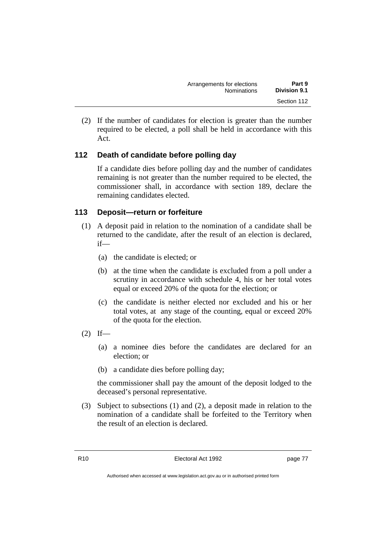| Arrangements for elections | Part 9              |
|----------------------------|---------------------|
| <b>Nominations</b>         | <b>Division 9.1</b> |
|                            | Section 112         |

(2) If the number of candidates for election is greater than the number required to be elected, a poll shall be held in accordance with this Act.

## **112 Death of candidate before polling day**

If a candidate dies before polling day and the number of candidates remaining is not greater than the number required to be elected, the commissioner shall, in accordance with section 189, declare the remaining candidates elected.

## **113 Deposit—return or forfeiture**

- (1) A deposit paid in relation to the nomination of a candidate shall be returned to the candidate, after the result of an election is declared, if—
	- (a) the candidate is elected; or
	- (b) at the time when the candidate is excluded from a poll under a scrutiny in accordance with schedule 4, his or her total votes equal or exceed 20% of the quota for the election; or
	- (c) the candidate is neither elected nor excluded and his or her total votes, at any stage of the counting, equal or exceed 20% of the quota for the election.
- $(2)$  If—
	- (a) a nominee dies before the candidates are declared for an election; or
	- (b) a candidate dies before polling day;

the commissioner shall pay the amount of the deposit lodged to the deceased's personal representative.

(3) Subject to subsections (1) and (2), a deposit made in relation to the nomination of a candidate shall be forfeited to the Territory when the result of an election is declared.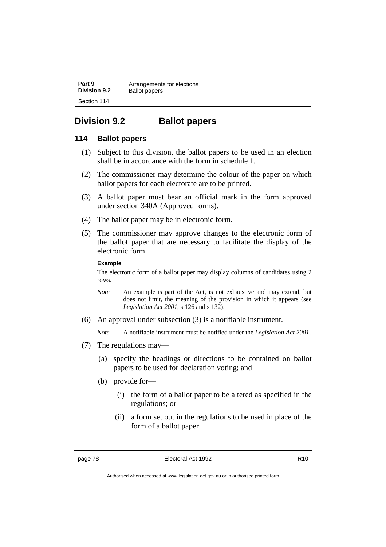**Part 9** Arrangements for elections<br>**Division 9.2** Ballot papers **Ballot** papers Section 114

## **Division 9.2 Ballot papers**

### **114 Ballot papers**

- (1) Subject to this division, the ballot papers to be used in an election shall be in accordance with the form in schedule 1.
- (2) The commissioner may determine the colour of the paper on which ballot papers for each electorate are to be printed.
- (3) A ballot paper must bear an official mark in the form approved under section 340A (Approved forms).
- (4) The ballot paper may be in electronic form.
- (5) The commissioner may approve changes to the electronic form of the ballot paper that are necessary to facilitate the display of the electronic form.

#### **Example**

The electronic form of a ballot paper may display columns of candidates using 2 rows.

- *Note* An example is part of the Act, is not exhaustive and may extend, but does not limit, the meaning of the provision in which it appears (see *Legislation Act 2001*, s 126 and s 132).
- (6) An approval under subsection (3) is a notifiable instrument.

*Note* A notifiable instrument must be notified under the *Legislation Act 2001*.

- (7) The regulations may—
	- (a) specify the headings or directions to be contained on ballot papers to be used for declaration voting; and
	- (b) provide for—
		- (i) the form of a ballot paper to be altered as specified in the regulations; or
		- (ii) a form set out in the regulations to be used in place of the form of a ballot paper.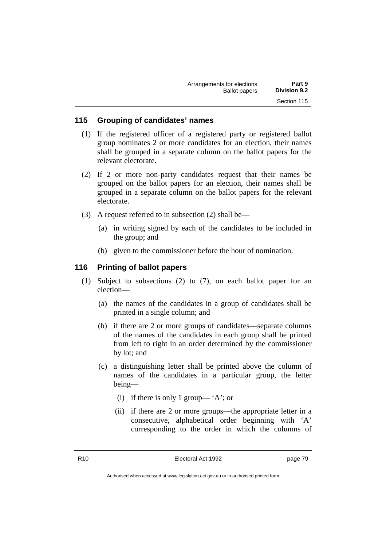| Arrangements for elections | Part 9              |
|----------------------------|---------------------|
| <b>Ballot papers</b>       | <b>Division 9.2</b> |
|                            | Section 115         |

### **115 Grouping of candidates' names**

- (1) If the registered officer of a registered party or registered ballot group nominates 2 or more candidates for an election, their names shall be grouped in a separate column on the ballot papers for the relevant electorate.
- (2) If 2 or more non-party candidates request that their names be grouped on the ballot papers for an election, their names shall be grouped in a separate column on the ballot papers for the relevant electorate.
- (3) A request referred to in subsection (2) shall be—
	- (a) in writing signed by each of the candidates to be included in the group; and
	- (b) given to the commissioner before the hour of nomination.

### **116 Printing of ballot papers**

- (1) Subject to subsections (2) to (7), on each ballot paper for an election—
	- (a) the names of the candidates in a group of candidates shall be printed in a single column; and
	- (b) if there are 2 or more groups of candidates—separate columns of the names of the candidates in each group shall be printed from left to right in an order determined by the commissioner by lot; and
	- (c) a distinguishing letter shall be printed above the column of names of the candidates in a particular group, the letter being—
		- (i) if there is only 1 group—  $A$ ; or
		- (ii) if there are 2 or more groups—the appropriate letter in a consecutive, alphabetical order beginning with 'A' corresponding to the order in which the columns of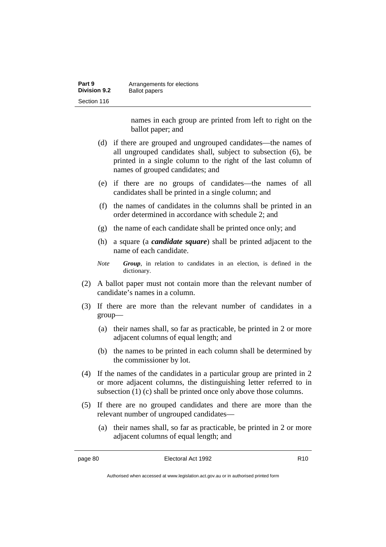| Part 9              | Arrangements for elections |
|---------------------|----------------------------|
| <b>Division 9.2</b> | <b>Ballot papers</b>       |
| Section 116         |                            |

names in each group are printed from left to right on the ballot paper; and

- (d) if there are grouped and ungrouped candidates—the names of all ungrouped candidates shall, subject to subsection (6), be printed in a single column to the right of the last column of names of grouped candidates; and
- (e) if there are no groups of candidates—the names of all candidates shall be printed in a single column; and
- (f) the names of candidates in the columns shall be printed in an order determined in accordance with schedule 2; and
- (g) the name of each candidate shall be printed once only; and
- (h) a square (a *candidate square*) shall be printed adjacent to the name of each candidate.
- *Note Group*, in relation to candidates in an election, is defined in the dictionary.
- (2) A ballot paper must not contain more than the relevant number of candidate's names in a column.
- (3) If there are more than the relevant number of candidates in a group—
	- (a) their names shall, so far as practicable, be printed in 2 or more adjacent columns of equal length; and
	- (b) the names to be printed in each column shall be determined by the commissioner by lot.
- (4) If the names of the candidates in a particular group are printed in 2 or more adjacent columns, the distinguishing letter referred to in subsection (1) (c) shall be printed once only above those columns.
- (5) If there are no grouped candidates and there are more than the relevant number of ungrouped candidates—
	- (a) their names shall, so far as practicable, be printed in 2 or more adjacent columns of equal length; and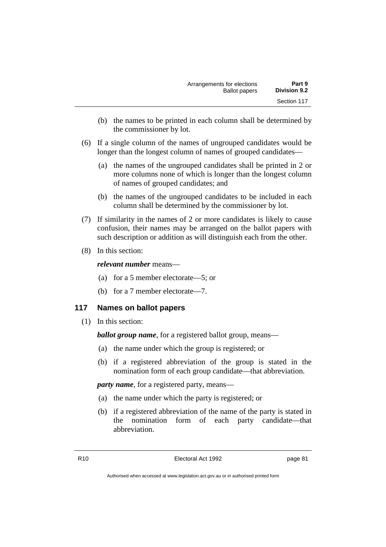- (b) the names to be printed in each column shall be determined by the commissioner by lot.
- (6) If a single column of the names of ungrouped candidates would be longer than the longest column of names of grouped candidates—
	- (a) the names of the ungrouped candidates shall be printed in 2 or more columns none of which is longer than the longest column of names of grouped candidates; and
	- (b) the names of the ungrouped candidates to be included in each column shall be determined by the commissioner by lot.
- (7) If similarity in the names of 2 or more candidates is likely to cause confusion, their names may be arranged on the ballot papers with such description or addition as will distinguish each from the other.
- (8) In this section:

*relevant number* means—

- (a) for a 5 member electorate—5; or
- (b) for a 7 member electorate—7.

## **117 Names on ballot papers**

(1) In this section:

*ballot group name*, for a registered ballot group, means—

- (a) the name under which the group is registered; or
- (b) if a registered abbreviation of the group is stated in the nomination form of each group candidate—that abbreviation.

*party name*, for a registered party, means—

- (a) the name under which the party is registered; or
- (b) if a registered abbreviation of the name of the party is stated in the nomination form of each party candidate—that abbreviation.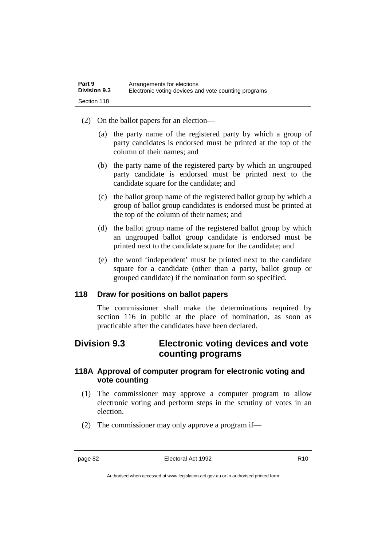- (2) On the ballot papers for an election—
	- (a) the party name of the registered party by which a group of party candidates is endorsed must be printed at the top of the column of their names; and
	- (b) the party name of the registered party by which an ungrouped party candidate is endorsed must be printed next to the candidate square for the candidate; and
	- (c) the ballot group name of the registered ballot group by which a group of ballot group candidates is endorsed must be printed at the top of the column of their names; and
	- (d) the ballot group name of the registered ballot group by which an ungrouped ballot group candidate is endorsed must be printed next to the candidate square for the candidate; and
	- (e) the word 'independent' must be printed next to the candidate square for a candidate (other than a party, ballot group or grouped candidate) if the nomination form so specified.

### **118 Draw for positions on ballot papers**

The commissioner shall make the determinations required by section 116 in public at the place of nomination, as soon as practicable after the candidates have been declared.

## **Division 9.3 Electronic voting devices and vote counting programs**

## **118A Approval of computer program for electronic voting and vote counting**

- (1) The commissioner may approve a computer program to allow electronic voting and perform steps in the scrutiny of votes in an election.
- (2) The commissioner may only approve a program if—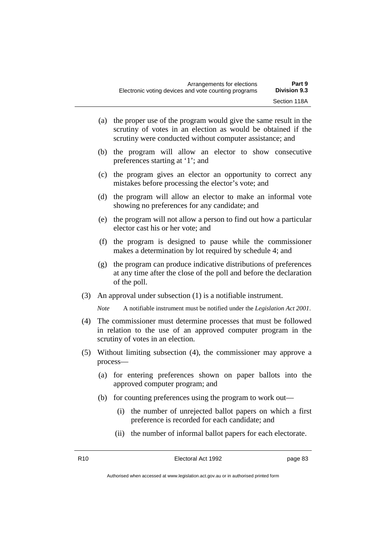- (a) the proper use of the program would give the same result in the scrutiny of votes in an election as would be obtained if the scrutiny were conducted without computer assistance; and
- (b) the program will allow an elector to show consecutive preferences starting at '1'; and
- (c) the program gives an elector an opportunity to correct any mistakes before processing the elector's vote; and
- (d) the program will allow an elector to make an informal vote showing no preferences for any candidate; and
- (e) the program will not allow a person to find out how a particular elector cast his or her vote; and
- (f) the program is designed to pause while the commissioner makes a determination by lot required by schedule 4; and
- (g) the program can produce indicative distributions of preferences at any time after the close of the poll and before the declaration of the poll.
- (3) An approval under subsection (1) is a notifiable instrument.

*Note* A notifiable instrument must be notified under the *Legislation Act 2001*.

- (4) The commissioner must determine processes that must be followed in relation to the use of an approved computer program in the scrutiny of votes in an election.
- (5) Without limiting subsection (4), the commissioner may approve a process—
	- (a) for entering preferences shown on paper ballots into the approved computer program; and
	- (b) for counting preferences using the program to work out—
		- (i) the number of unrejected ballot papers on which a first preference is recorded for each candidate; and
		- (ii) the number of informal ballot papers for each electorate.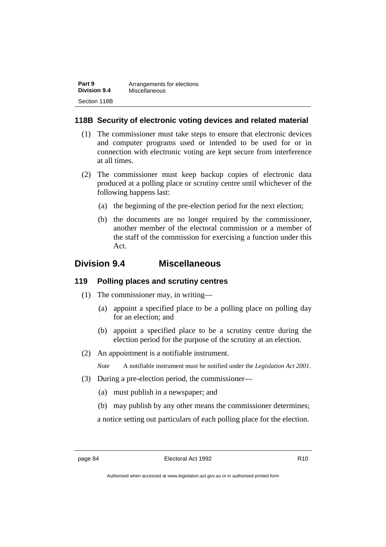| Part 9              | Arrangements for elections |
|---------------------|----------------------------|
| <b>Division 9.4</b> | Miscellaneous              |
| Section 118B        |                            |

## **118B Security of electronic voting devices and related material**

- (1) The commissioner must take steps to ensure that electronic devices and computer programs used or intended to be used for or in connection with electronic voting are kept secure from interference at all times.
- (2) The commissioner must keep backup copies of electronic data produced at a polling place or scrutiny centre until whichever of the following happens last:
	- (a) the beginning of the pre-election period for the next election;
	- (b) the documents are no longer required by the commissioner, another member of the electoral commission or a member of the staff of the commission for exercising a function under this Act.

## **Division 9.4 Miscellaneous**

### **119 Polling places and scrutiny centres**

- (1) The commissioner may, in writing—
	- (a) appoint a specified place to be a polling place on polling day for an election; and
	- (b) appoint a specified place to be a scrutiny centre during the election period for the purpose of the scrutiny at an election.
- (2) An appointment is a notifiable instrument.

*Note* A notifiable instrument must be notified under the *Legislation Act 2001*.

- (3) During a pre-election period, the commissioner—
	- (a) must publish in a newspaper; and
	- (b) may publish by any other means the commissioner determines;

a notice setting out particulars of each polling place for the election.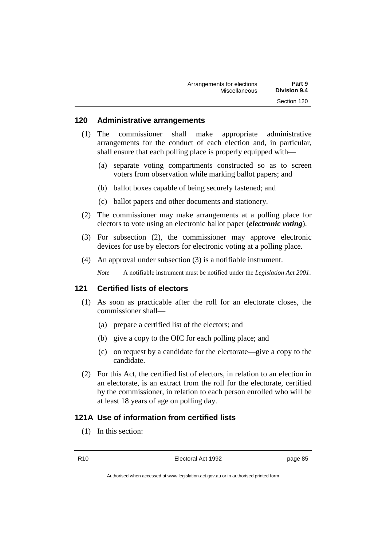| Arrangements for elections | Part 9              |
|----------------------------|---------------------|
| Miscellaneous              | <b>Division 9.4</b> |
|                            | Section 120         |

#### **120 Administrative arrangements**

- (1) The commissioner shall make appropriate administrative arrangements for the conduct of each election and, in particular, shall ensure that each polling place is properly equipped with—
	- (a) separate voting compartments constructed so as to screen voters from observation while marking ballot papers; and
	- (b) ballot boxes capable of being securely fastened; and
	- (c) ballot papers and other documents and stationery.
- (2) The commissioner may make arrangements at a polling place for electors to vote using an electronic ballot paper (*electronic voting*).
- (3) For subsection (2), the commissioner may approve electronic devices for use by electors for electronic voting at a polling place.
- (4) An approval under subsection (3) is a notifiable instrument.
	- *Note* A notifiable instrument must be notified under the *Legislation Act 2001*.

### **121 Certified lists of electors**

- (1) As soon as practicable after the roll for an electorate closes, the commissioner shall—
	- (a) prepare a certified list of the electors; and
	- (b) give a copy to the OIC for each polling place; and
	- (c) on request by a candidate for the electorate—give a copy to the candidate.
- (2) For this Act, the certified list of electors, in relation to an election in an electorate, is an extract from the roll for the electorate, certified by the commissioner, in relation to each person enrolled who will be at least 18 years of age on polling day.

## **121A Use of information from certified lists**

(1) In this section: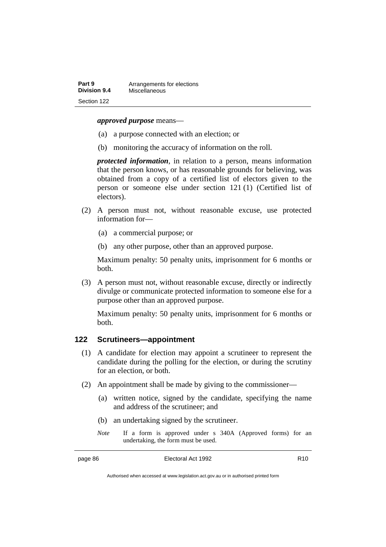#### *approved purpose* means—

- (a) a purpose connected with an election; or
- (b) monitoring the accuracy of information on the roll.

*protected information*, in relation to a person, means information that the person knows, or has reasonable grounds for believing, was obtained from a copy of a certified list of electors given to the person or someone else under section 121 (1) (Certified list of electors).

- (2) A person must not, without reasonable excuse, use protected information for—
	- (a) a commercial purpose; or
	- (b) any other purpose, other than an approved purpose.

Maximum penalty: 50 penalty units, imprisonment for 6 months or both.

(3) A person must not, without reasonable excuse, directly or indirectly divulge or communicate protected information to someone else for a purpose other than an approved purpose.

Maximum penalty: 50 penalty units, imprisonment for 6 months or both.

### **122 Scrutineers—appointment**

- (1) A candidate for election may appoint a scrutineer to represent the candidate during the polling for the election, or during the scrutiny for an election, or both.
- (2) An appointment shall be made by giving to the commissioner—
	- (a) written notice, signed by the candidate, specifying the name and address of the scrutineer; and
	- (b) an undertaking signed by the scrutineer.
	- *Note* If a form is approved under s 340A (Approved forms) for an undertaking, the form must be used.

Authorised when accessed at www.legislation.act.gov.au or in authorised printed form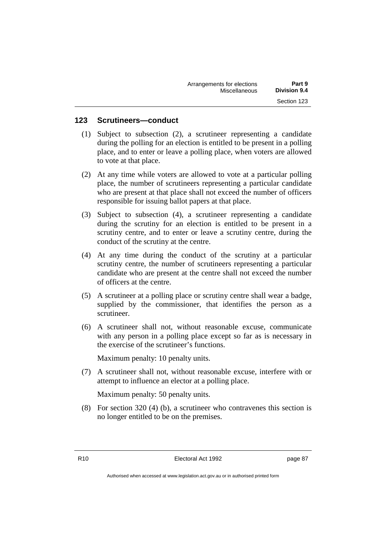| Arrangements for elections<br>Part 9 |  |
|--------------------------------------|--|
| <b>Division 9.4</b><br>Miscellaneous |  |
| Section 123                          |  |

### **123 Scrutineers—conduct**

- (1) Subject to subsection (2), a scrutineer representing a candidate during the polling for an election is entitled to be present in a polling place, and to enter or leave a polling place, when voters are allowed to vote at that place.
- (2) At any time while voters are allowed to vote at a particular polling place, the number of scrutineers representing a particular candidate who are present at that place shall not exceed the number of officers responsible for issuing ballot papers at that place.
- (3) Subject to subsection (4), a scrutineer representing a candidate during the scrutiny for an election is entitled to be present in a scrutiny centre, and to enter or leave a scrutiny centre, during the conduct of the scrutiny at the centre.
- (4) At any time during the conduct of the scrutiny at a particular scrutiny centre, the number of scrutineers representing a particular candidate who are present at the centre shall not exceed the number of officers at the centre.
- (5) A scrutineer at a polling place or scrutiny centre shall wear a badge, supplied by the commissioner, that identifies the person as a scrutineer.
- (6) A scrutineer shall not, without reasonable excuse, communicate with any person in a polling place except so far as is necessary in the exercise of the scrutineer's functions.

Maximum penalty: 10 penalty units.

(7) A scrutineer shall not, without reasonable excuse, interfere with or attempt to influence an elector at a polling place.

Maximum penalty: 50 penalty units.

(8) For section 320 (4) (b), a scrutineer who contravenes this section is no longer entitled to be on the premises.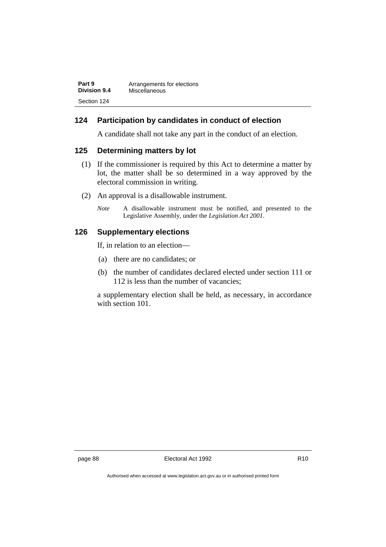| Part 9              | Arrangements for elections |
|---------------------|----------------------------|
| <b>Division 9.4</b> | Miscellaneous              |
| Section 124         |                            |

## **124 Participation by candidates in conduct of election**

A candidate shall not take any part in the conduct of an election.

### **125 Determining matters by lot**

- (1) If the commissioner is required by this Act to determine a matter by lot, the matter shall be so determined in a way approved by the electoral commission in writing.
- (2) An approval is a disallowable instrument.
	- *Note* A disallowable instrument must be notified, and presented to the Legislative Assembly, under the *Legislation Act 2001*.

### **126 Supplementary elections**

If, in relation to an election—

- (a) there are no candidates; or
- (b) the number of candidates declared elected under section 111 or 112 is less than the number of vacancies;

a supplementary election shall be held, as necessary, in accordance with section 101.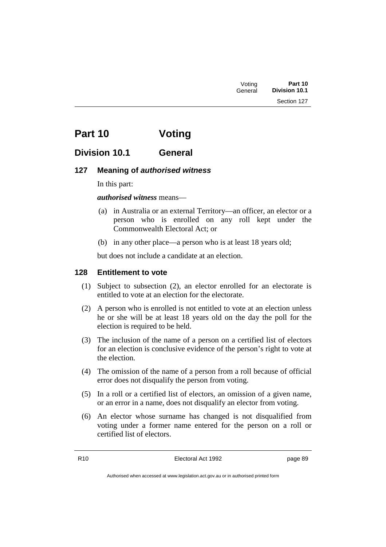# **Part 10 Voting**

## **Division 10.1 General**

## **127 Meaning of** *authorised witness*

In this part:

*authorised witness* means—

- (a) in Australia or an external Territory—an officer, an elector or a person who is enrolled on any roll kept under the Commonwealth Electoral Act; or
- (b) in any other place—a person who is at least 18 years old;

but does not include a candidate at an election.

## **128 Entitlement to vote**

- (1) Subject to subsection (2), an elector enrolled for an electorate is entitled to vote at an election for the electorate.
- (2) A person who is enrolled is not entitled to vote at an election unless he or she will be at least 18 years old on the day the poll for the election is required to be held.
- (3) The inclusion of the name of a person on a certified list of electors for an election is conclusive evidence of the person's right to vote at the election.
- (4) The omission of the name of a person from a roll because of official error does not disqualify the person from voting.
- (5) In a roll or a certified list of electors, an omission of a given name, or an error in a name, does not disqualify an elector from voting.
- (6) An elector whose surname has changed is not disqualified from voting under a former name entered for the person on a roll or certified list of electors.

R10 Electoral Act 1992 page 89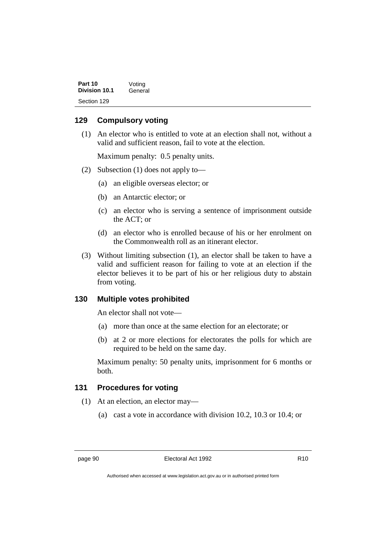| Part 10<br>Division 10.1 | Voting  |
|--------------------------|---------|
|                          | General |
| Section 129              |         |

### **129 Compulsory voting**

(1) An elector who is entitled to vote at an election shall not, without a valid and sufficient reason, fail to vote at the election.

Maximum penalty: 0.5 penalty units.

- (2) Subsection (1) does not apply to—
	- (a) an eligible overseas elector; or
	- (b) an Antarctic elector; or
	- (c) an elector who is serving a sentence of imprisonment outside the ACT; or
	- (d) an elector who is enrolled because of his or her enrolment on the Commonwealth roll as an itinerant elector.
- (3) Without limiting subsection (1), an elector shall be taken to have a valid and sufficient reason for failing to vote at an election if the elector believes it to be part of his or her religious duty to abstain from voting.

### **130 Multiple votes prohibited**

An elector shall not vote—

- (a) more than once at the same election for an electorate; or
- (b) at 2 or more elections for electorates the polls for which are required to be held on the same day.

Maximum penalty: 50 penalty units, imprisonment for 6 months or both.

## **131 Procedures for voting**

- (1) At an election, an elector may—
	- (a) cast a vote in accordance with division 10.2, 10.3 or 10.4; or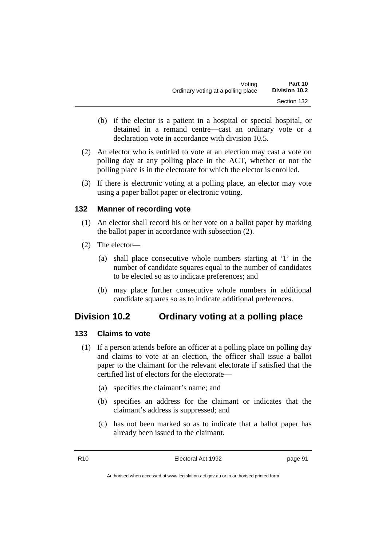- (b) if the elector is a patient in a hospital or special hospital, or detained in a remand centre—cast an ordinary vote or a declaration vote in accordance with division 10.5.
- (2) An elector who is entitled to vote at an election may cast a vote on polling day at any polling place in the ACT, whether or not the polling place is in the electorate for which the elector is enrolled.
- (3) If there is electronic voting at a polling place, an elector may vote using a paper ballot paper or electronic voting.

## **132 Manner of recording vote**

- (1) An elector shall record his or her vote on a ballot paper by marking the ballot paper in accordance with subsection (2).
- (2) The elector—
	- (a) shall place consecutive whole numbers starting at '1' in the number of candidate squares equal to the number of candidates to be elected so as to indicate preferences; and
	- (b) may place further consecutive whole numbers in additional candidate squares so as to indicate additional preferences.

# **Division 10.2 Ordinary voting at a polling place**

#### **133 Claims to vote**

- (1) If a person attends before an officer at a polling place on polling day and claims to vote at an election, the officer shall issue a ballot paper to the claimant for the relevant electorate if satisfied that the certified list of electors for the electorate—
	- (a) specifies the claimant's name; and
	- (b) specifies an address for the claimant or indicates that the claimant's address is suppressed; and
	- (c) has not been marked so as to indicate that a ballot paper has already been issued to the claimant.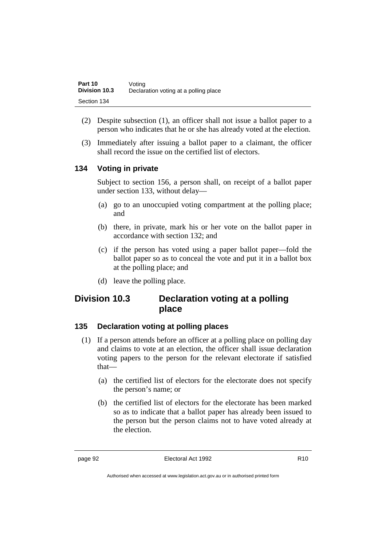| Part 10              | Voting                                |
|----------------------|---------------------------------------|
| <b>Division 10.3</b> | Declaration voting at a polling place |
| Section 134          |                                       |

- (2) Despite subsection (1), an officer shall not issue a ballot paper to a person who indicates that he or she has already voted at the election.
- (3) Immediately after issuing a ballot paper to a claimant, the officer shall record the issue on the certified list of electors.

## **134 Voting in private**

Subject to section 156, a person shall, on receipt of a ballot paper under section 133, without delay—

- (a) go to an unoccupied voting compartment at the polling place; and
- (b) there, in private, mark his or her vote on the ballot paper in accordance with section 132; and
- (c) if the person has voted using a paper ballot paper—fold the ballot paper so as to conceal the vote and put it in a ballot box at the polling place; and
- (d) leave the polling place.

# **Division 10.3 Declaration voting at a polling place**

## **135 Declaration voting at polling places**

- (1) If a person attends before an officer at a polling place on polling day and claims to vote at an election, the officer shall issue declaration voting papers to the person for the relevant electorate if satisfied that—
	- (a) the certified list of electors for the electorate does not specify the person's name; or
	- (b) the certified list of electors for the electorate has been marked so as to indicate that a ballot paper has already been issued to the person but the person claims not to have voted already at the election.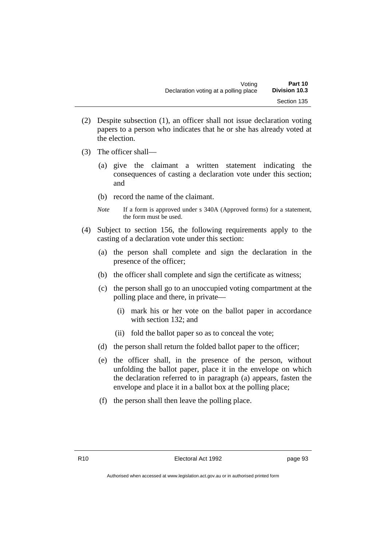- (2) Despite subsection (1), an officer shall not issue declaration voting papers to a person who indicates that he or she has already voted at the election.
- (3) The officer shall—
	- (a) give the claimant a written statement indicating the consequences of casting a declaration vote under this section; and
	- (b) record the name of the claimant.
	- *Note* If a form is approved under s 340A (Approved forms) for a statement, the form must be used.
- (4) Subject to section 156, the following requirements apply to the casting of a declaration vote under this section:
	- (a) the person shall complete and sign the declaration in the presence of the officer;
	- (b) the officer shall complete and sign the certificate as witness;
	- (c) the person shall go to an unoccupied voting compartment at the polling place and there, in private—
		- (i) mark his or her vote on the ballot paper in accordance with section 132; and
		- (ii) fold the ballot paper so as to conceal the vote;
	- (d) the person shall return the folded ballot paper to the officer;
	- (e) the officer shall, in the presence of the person, without unfolding the ballot paper, place it in the envelope on which the declaration referred to in paragraph (a) appears, fasten the envelope and place it in a ballot box at the polling place;
	- (f) the person shall then leave the polling place.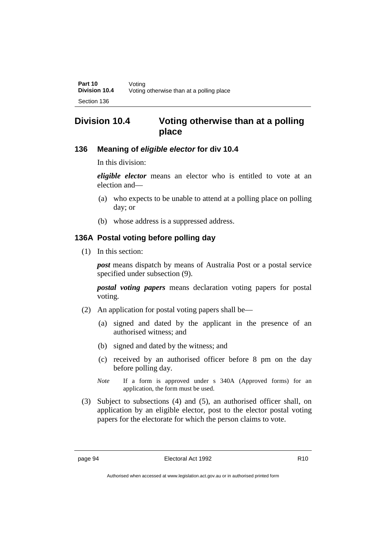# **Division 10.4 Voting otherwise than at a polling place**

## **136 Meaning of** *eligible elector* **for div 10.4**

In this division:

*eligible elector* means an elector who is entitled to vote at an election and—

- (a) who expects to be unable to attend at a polling place on polling day; or
- (b) whose address is a suppressed address.

## **136A Postal voting before polling day**

(1) In this section:

*post* means dispatch by means of Australia Post or a postal service specified under subsection (9).

*postal voting papers* means declaration voting papers for postal voting.

- (2) An application for postal voting papers shall be—
	- (a) signed and dated by the applicant in the presence of an authorised witness; and
	- (b) signed and dated by the witness; and
	- (c) received by an authorised officer before 8 pm on the day before polling day.
	- *Note* If a form is approved under s 340A (Approved forms) for an application, the form must be used.
- (3) Subject to subsections (4) and (5), an authorised officer shall, on application by an eligible elector, post to the elector postal voting papers for the electorate for which the person claims to vote.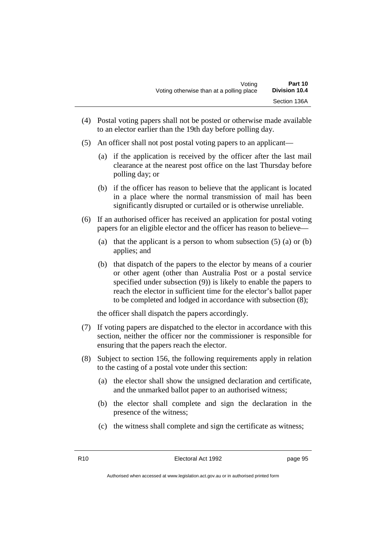- (4) Postal voting papers shall not be posted or otherwise made available to an elector earlier than the 19th day before polling day.
- (5) An officer shall not post postal voting papers to an applicant—
	- (a) if the application is received by the officer after the last mail clearance at the nearest post office on the last Thursday before polling day; or
	- (b) if the officer has reason to believe that the applicant is located in a place where the normal transmission of mail has been significantly disrupted or curtailed or is otherwise unreliable.
- (6) If an authorised officer has received an application for postal voting papers for an eligible elector and the officer has reason to believe—
	- (a) that the applicant is a person to whom subsection  $(5)$  (a) or  $(b)$ applies; and
	- (b) that dispatch of the papers to the elector by means of a courier or other agent (other than Australia Post or a postal service specified under subsection (9)) is likely to enable the papers to reach the elector in sufficient time for the elector's ballot paper to be completed and lodged in accordance with subsection (8);

the officer shall dispatch the papers accordingly.

- (7) If voting papers are dispatched to the elector in accordance with this section, neither the officer nor the commissioner is responsible for ensuring that the papers reach the elector.
- (8) Subject to section 156, the following requirements apply in relation to the casting of a postal vote under this section:
	- (a) the elector shall show the unsigned declaration and certificate, and the unmarked ballot paper to an authorised witness;
	- (b) the elector shall complete and sign the declaration in the presence of the witness;
	- (c) the witness shall complete and sign the certificate as witness;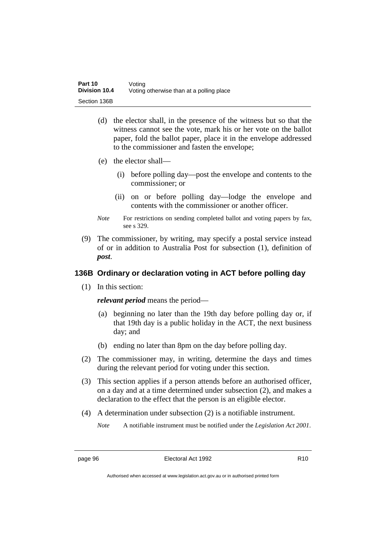- (d) the elector shall, in the presence of the witness but so that the witness cannot see the vote, mark his or her vote on the ballot paper, fold the ballot paper, place it in the envelope addressed to the commissioner and fasten the envelope;
- (e) the elector shall—
	- (i) before polling day—post the envelope and contents to the commissioner; or
	- (ii) on or before polling day—lodge the envelope and contents with the commissioner or another officer.
- *Note* For restrictions on sending completed ballot and voting papers by fax, see s 329.
- (9) The commissioner, by writing, may specify a postal service instead of or in addition to Australia Post for subsection (1), definition of *post*.

## **136B Ordinary or declaration voting in ACT before polling day**

(1) In this section:

*relevant period* means the period—

- (a) beginning no later than the 19th day before polling day or, if that 19th day is a public holiday in the ACT, the next business day; and
- (b) ending no later than 8pm on the day before polling day.
- (2) The commissioner may, in writing, determine the days and times during the relevant period for voting under this section.
- (3) This section applies if a person attends before an authorised officer, on a day and at a time determined under subsection (2), and makes a declaration to the effect that the person is an eligible elector.
- (4) A determination under subsection (2) is a notifiable instrument.

*Note* A notifiable instrument must be notified under the *Legislation Act 2001*.

Authorised when accessed at www.legislation.act.gov.au or in authorised printed form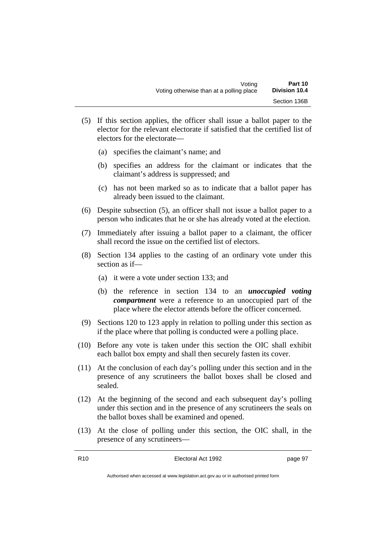- (5) If this section applies, the officer shall issue a ballot paper to the elector for the relevant electorate if satisfied that the certified list of electors for the electorate—
	- (a) specifies the claimant's name; and
	- (b) specifies an address for the claimant or indicates that the claimant's address is suppressed; and
	- (c) has not been marked so as to indicate that a ballot paper has already been issued to the claimant.
- (6) Despite subsection (5), an officer shall not issue a ballot paper to a person who indicates that he or she has already voted at the election.
- (7) Immediately after issuing a ballot paper to a claimant, the officer shall record the issue on the certified list of electors.
- (8) Section 134 applies to the casting of an ordinary vote under this section as if—
	- (a) it were a vote under section 133; and
	- (b) the reference in section 134 to an *unoccupied voting compartment* were a reference to an unoccupied part of the place where the elector attends before the officer concerned.
- (9) Sections 120 to 123 apply in relation to polling under this section as if the place where that polling is conducted were a polling place.
- (10) Before any vote is taken under this section the OIC shall exhibit each ballot box empty and shall then securely fasten its cover.
- (11) At the conclusion of each day's polling under this section and in the presence of any scrutineers the ballot boxes shall be closed and sealed.
- (12) At the beginning of the second and each subsequent day's polling under this section and in the presence of any scrutineers the seals on the ballot boxes shall be examined and opened.
- (13) At the close of polling under this section, the OIC shall, in the presence of any scrutineers—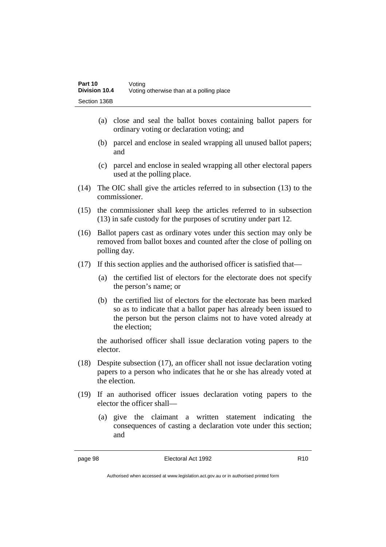- (a) close and seal the ballot boxes containing ballot papers for ordinary voting or declaration voting; and
- (b) parcel and enclose in sealed wrapping all unused ballot papers; and
- (c) parcel and enclose in sealed wrapping all other electoral papers used at the polling place.
- (14) The OIC shall give the articles referred to in subsection (13) to the commissioner.
- (15) the commissioner shall keep the articles referred to in subsection (13) in safe custody for the purposes of scrutiny under part 12.
- (16) Ballot papers cast as ordinary votes under this section may only be removed from ballot boxes and counted after the close of polling on polling day.
- (17) If this section applies and the authorised officer is satisfied that—
	- (a) the certified list of electors for the electorate does not specify the person's name; or
	- (b) the certified list of electors for the electorate has been marked so as to indicate that a ballot paper has already been issued to the person but the person claims not to have voted already at the election;

the authorised officer shall issue declaration voting papers to the elector.

- (18) Despite subsection (17), an officer shall not issue declaration voting papers to a person who indicates that he or she has already voted at the election.
- (19) If an authorised officer issues declaration voting papers to the elector the officer shall—
	- (a) give the claimant a written statement indicating the consequences of casting a declaration vote under this section; and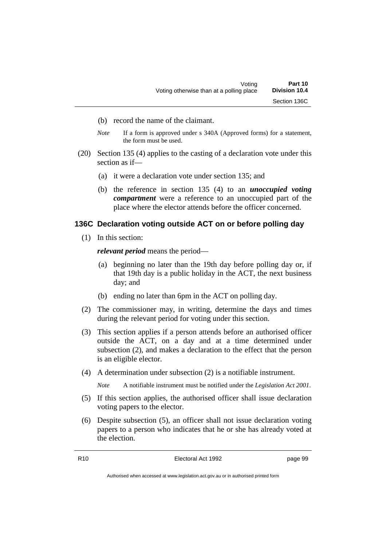- (b) record the name of the claimant.
- *Note* If a form is approved under s 340A (Approved forms) for a statement, the form must be used.
- (20) Section 135 (4) applies to the casting of a declaration vote under this section as if—
	- (a) it were a declaration vote under section 135; and
	- (b) the reference in section 135 (4) to an *unoccupied voting compartment* were a reference to an unoccupied part of the place where the elector attends before the officer concerned.

#### **136C Declaration voting outside ACT on or before polling day**

(1) In this section:

*relevant period* means the period—

- (a) beginning no later than the 19th day before polling day or, if that 19th day is a public holiday in the ACT, the next business day; and
- (b) ending no later than 6pm in the ACT on polling day.
- (2) The commissioner may, in writing, determine the days and times during the relevant period for voting under this section.
- (3) This section applies if a person attends before an authorised officer outside the ACT, on a day and at a time determined under subsection (2), and makes a declaration to the effect that the person is an eligible elector.
- (4) A determination under subsection (2) is a notifiable instrument.

*Note* A notifiable instrument must be notified under the *Legislation Act 2001*.

- (5) If this section applies, the authorised officer shall issue declaration voting papers to the elector.
- (6) Despite subsection (5), an officer shall not issue declaration voting papers to a person who indicates that he or she has already voted at the election.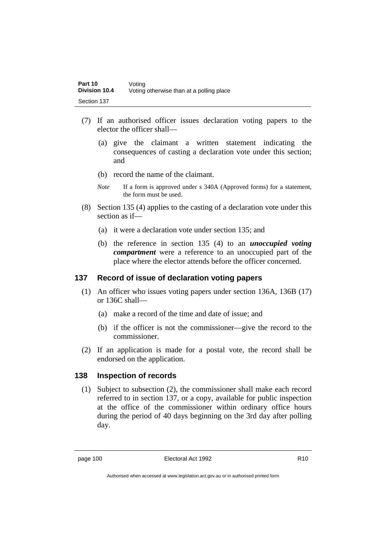- (7) If an authorised officer issues declaration voting papers to the elector the officer shall—
	- (a) give the claimant a written statement indicating the consequences of casting a declaration vote under this section; and
	- (b) record the name of the claimant.
	- *Note* If a form is approved under s 340A (Approved forms) for a statement, the form must be used.
- (8) Section 135 (4) applies to the casting of a declaration vote under this section as if—
	- (a) it were a declaration vote under section 135; and
	- (b) the reference in section 135 (4) to an *unoccupied voting compartment* were a reference to an unoccupied part of the place where the elector attends before the officer concerned.

### **137 Record of issue of declaration voting papers**

- (1) An officer who issues voting papers under section 136A, 136B (17) or 136C shall—
	- (a) make a record of the time and date of issue; and
	- (b) if the officer is not the commissioner—give the record to the commissioner.
- (2) If an application is made for a postal vote, the record shall be endorsed on the application.

#### **138 Inspection of records**

(1) Subject to subsection (2), the commissioner shall make each record referred to in section 137, or a copy, available for public inspection at the office of the commissioner within ordinary office hours during the period of 40 days beginning on the 3rd day after polling day.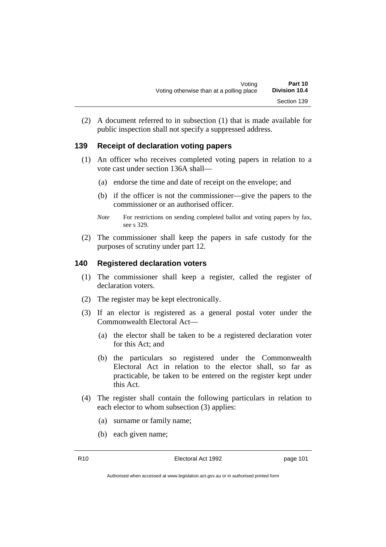(2) A document referred to in subsection (1) that is made available for public inspection shall not specify a suppressed address.

## **139 Receipt of declaration voting papers**

- (1) An officer who receives completed voting papers in relation to a vote cast under section 136A shall—
	- (a) endorse the time and date of receipt on the envelope; and
	- (b) if the officer is not the commissioner—give the papers to the commissioner or an authorised officer.
	- *Note* For restrictions on sending completed ballot and voting papers by fax, see s 329.
- (2) The commissioner shall keep the papers in safe custody for the purposes of scrutiny under part 12.

#### **140 Registered declaration voters**

- (1) The commissioner shall keep a register, called the register of declaration voters.
- (2) The register may be kept electronically.
- (3) If an elector is registered as a general postal voter under the Commonwealth Electoral Act—
	- (a) the elector shall be taken to be a registered declaration voter for this Act; and
	- (b) the particulars so registered under the Commonwealth Electoral Act in relation to the elector shall, so far as practicable, be taken to be entered on the register kept under this Act.
- (4) The register shall contain the following particulars in relation to each elector to whom subsection (3) applies:
	- (a) surname or family name;
	- (b) each given name;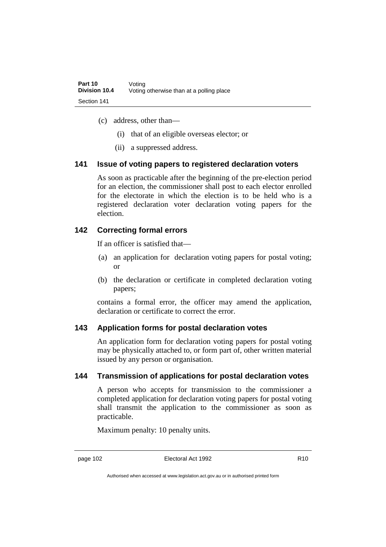- (c) address, other than—
	- (i) that of an eligible overseas elector; or
	- (ii) a suppressed address.

## **141 Issue of voting papers to registered declaration voters**

As soon as practicable after the beginning of the pre-election period for an election, the commissioner shall post to each elector enrolled for the electorate in which the election is to be held who is a registered declaration voter declaration voting papers for the election.

## **142 Correcting formal errors**

If an officer is satisfied that—

- (a) an application for declaration voting papers for postal voting; or
- (b) the declaration or certificate in completed declaration voting papers;

contains a formal error, the officer may amend the application, declaration or certificate to correct the error.

## **143 Application forms for postal declaration votes**

An application form for declaration voting papers for postal voting may be physically attached to, or form part of, other written material issued by any person or organisation.

## **144 Transmission of applications for postal declaration votes**

A person who accepts for transmission to the commissioner a completed application for declaration voting papers for postal voting shall transmit the application to the commissioner as soon as practicable.

Maximum penalty: 10 penalty units.

Authorised when accessed at www.legislation.act.gov.au or in authorised printed form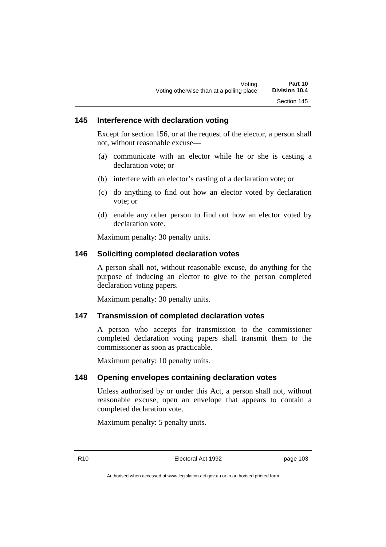### **145 Interference with declaration voting**

Except for section 156, or at the request of the elector, a person shall not, without reasonable excuse—

- (a) communicate with an elector while he or she is casting a declaration vote; or
- (b) interfere with an elector's casting of a declaration vote; or
- (c) do anything to find out how an elector voted by declaration vote; or
- (d) enable any other person to find out how an elector voted by declaration vote.

Maximum penalty: 30 penalty units.

#### **146 Soliciting completed declaration votes**

A person shall not, without reasonable excuse, do anything for the purpose of inducing an elector to give to the person completed declaration voting papers.

Maximum penalty: 30 penalty units.

#### **147 Transmission of completed declaration votes**

A person who accepts for transmission to the commissioner completed declaration voting papers shall transmit them to the commissioner as soon as practicable.

Maximum penalty: 10 penalty units.

#### **148 Opening envelopes containing declaration votes**

Unless authorised by or under this Act, a person shall not, without reasonable excuse, open an envelope that appears to contain a completed declaration vote.

Maximum penalty: 5 penalty units.

R10 Electoral Act 1992 page 103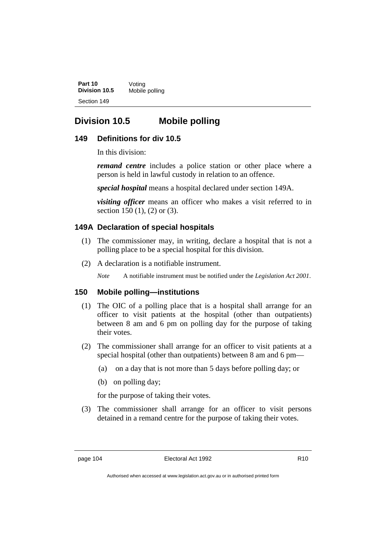**Part 10** Voting<br>**Division 10.5** Mobile **Mobile polling** Section 149

# **Division 10.5 Mobile polling**

#### **149 Definitions for div 10.5**

In this division:

*remand centre* includes a police station or other place where a person is held in lawful custody in relation to an offence.

*special hospital* means a hospital declared under section 149A.

*visiting officer* means an officer who makes a visit referred to in section 150 (1), (2) or (3).

## **149A Declaration of special hospitals**

- (1) The commissioner may, in writing, declare a hospital that is not a polling place to be a special hospital for this division.
- (2) A declaration is a notifiable instrument.

*Note* A notifiable instrument must be notified under the *Legislation Act 2001*.

#### **150 Mobile polling—institutions**

- (1) The OIC of a polling place that is a hospital shall arrange for an officer to visit patients at the hospital (other than outpatients) between 8 am and 6 pm on polling day for the purpose of taking their votes.
- (2) The commissioner shall arrange for an officer to visit patients at a special hospital (other than outpatients) between 8 am and 6 pm—
	- (a) on a day that is not more than 5 days before polling day; or
	- (b) on polling day;

for the purpose of taking their votes.

(3) The commissioner shall arrange for an officer to visit persons detained in a remand centre for the purpose of taking their votes.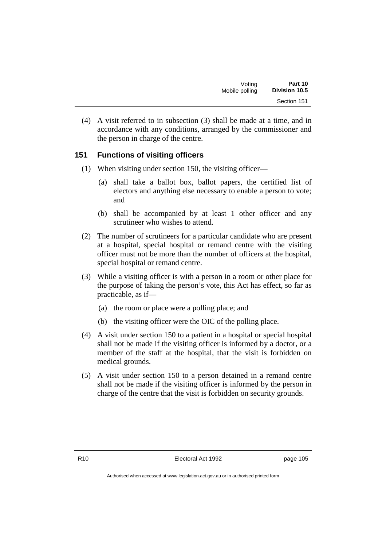| Voting         | Part 10              |
|----------------|----------------------|
| Mobile polling | <b>Division 10.5</b> |
|                | Section 151          |

(4) A visit referred to in subsection (3) shall be made at a time, and in accordance with any conditions, arranged by the commissioner and the person in charge of the centre.

## **151 Functions of visiting officers**

- (1) When visiting under section 150, the visiting officer—
	- (a) shall take a ballot box, ballot papers, the certified list of electors and anything else necessary to enable a person to vote; and
	- (b) shall be accompanied by at least 1 other officer and any scrutineer who wishes to attend.
- (2) The number of scrutineers for a particular candidate who are present at a hospital, special hospital or remand centre with the visiting officer must not be more than the number of officers at the hospital, special hospital or remand centre.
- (3) While a visiting officer is with a person in a room or other place for the purpose of taking the person's vote, this Act has effect, so far as practicable, as if—
	- (a) the room or place were a polling place; and
	- (b) the visiting officer were the OIC of the polling place.
- (4) A visit under section 150 to a patient in a hospital or special hospital shall not be made if the visiting officer is informed by a doctor, or a member of the staff at the hospital, that the visit is forbidden on medical grounds.
- (5) A visit under section 150 to a person detained in a remand centre shall not be made if the visiting officer is informed by the person in charge of the centre that the visit is forbidden on security grounds.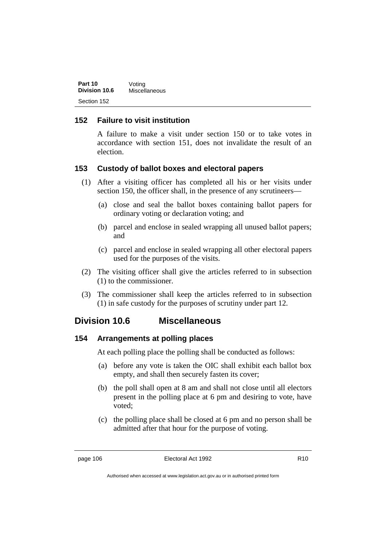| Part 10       | Voting        |
|---------------|---------------|
| Division 10.6 | Miscellaneous |
| Section 152   |               |

## **152 Failure to visit institution**

A failure to make a visit under section 150 or to take votes in accordance with section 151, does not invalidate the result of an election.

#### **153 Custody of ballot boxes and electoral papers**

- (1) After a visiting officer has completed all his or her visits under section 150, the officer shall, in the presence of any scrutineers—
	- (a) close and seal the ballot boxes containing ballot papers for ordinary voting or declaration voting; and
	- (b) parcel and enclose in sealed wrapping all unused ballot papers; and
	- (c) parcel and enclose in sealed wrapping all other electoral papers used for the purposes of the visits.
- (2) The visiting officer shall give the articles referred to in subsection (1) to the commissioner.
- (3) The commissioner shall keep the articles referred to in subsection (1) in safe custody for the purposes of scrutiny under part 12.

# **Division 10.6 Miscellaneous**

## **154 Arrangements at polling places**

At each polling place the polling shall be conducted as follows:

- (a) before any vote is taken the OIC shall exhibit each ballot box empty, and shall then securely fasten its cover;
- (b) the poll shall open at 8 am and shall not close until all electors present in the polling place at 6 pm and desiring to vote, have voted;
- (c) the polling place shall be closed at 6 pm and no person shall be admitted after that hour for the purpose of voting.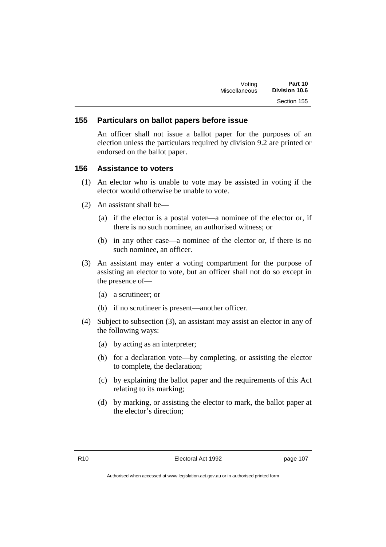#### **155 Particulars on ballot papers before issue**

An officer shall not issue a ballot paper for the purposes of an election unless the particulars required by division 9.2 are printed or endorsed on the ballot paper.

#### **156 Assistance to voters**

- (1) An elector who is unable to vote may be assisted in voting if the elector would otherwise be unable to vote.
- (2) An assistant shall be—
	- (a) if the elector is a postal voter—a nominee of the elector or, if there is no such nominee, an authorised witness; or
	- (b) in any other case—a nominee of the elector or, if there is no such nominee, an officer.
- (3) An assistant may enter a voting compartment for the purpose of assisting an elector to vote, but an officer shall not do so except in the presence of—
	- (a) a scrutineer; or
	- (b) if no scrutineer is present—another officer.
- (4) Subject to subsection (3), an assistant may assist an elector in any of the following ways:
	- (a) by acting as an interpreter;
	- (b) for a declaration vote—by completing, or assisting the elector to complete, the declaration;
	- (c) by explaining the ballot paper and the requirements of this Act relating to its marking;
	- (d) by marking, or assisting the elector to mark, the ballot paper at the elector's direction;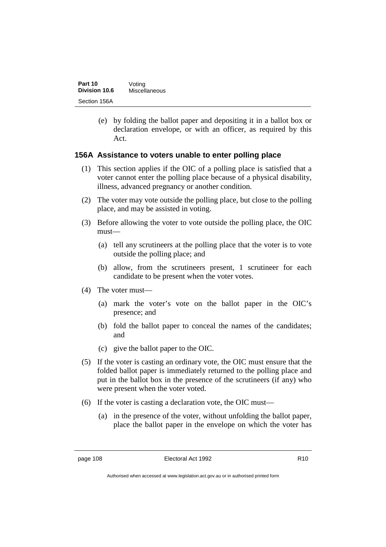| Part 10       | Voting        |
|---------------|---------------|
| Division 10.6 | Miscellaneous |
| Section 156A  |               |

(e) by folding the ballot paper and depositing it in a ballot box or declaration envelope, or with an officer, as required by this Act.

#### **156A Assistance to voters unable to enter polling place**

- (1) This section applies if the OIC of a polling place is satisfied that a voter cannot enter the polling place because of a physical disability, illness, advanced pregnancy or another condition.
- (2) The voter may vote outside the polling place, but close to the polling place, and may be assisted in voting.
- (3) Before allowing the voter to vote outside the polling place, the OIC must—
	- (a) tell any scrutineers at the polling place that the voter is to vote outside the polling place; and
	- (b) allow, from the scrutineers present, 1 scrutineer for each candidate to be present when the voter votes.
- (4) The voter must—
	- (a) mark the voter's vote on the ballot paper in the OIC's presence; and
	- (b) fold the ballot paper to conceal the names of the candidates; and
	- (c) give the ballot paper to the OIC.
- (5) If the voter is casting an ordinary vote, the OIC must ensure that the folded ballot paper is immediately returned to the polling place and put in the ballot box in the presence of the scrutineers (if any) who were present when the voter voted.
- (6) If the voter is casting a declaration vote, the OIC must—
	- (a) in the presence of the voter, without unfolding the ballot paper, place the ballot paper in the envelope on which the voter has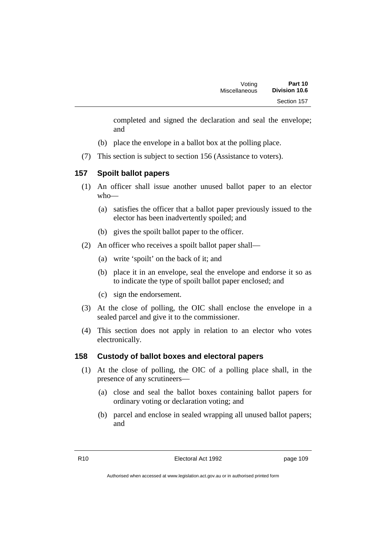completed and signed the declaration and seal the envelope; and

- (b) place the envelope in a ballot box at the polling place.
- (7) This section is subject to section 156 (Assistance to voters).

## **157 Spoilt ballot papers**

- (1) An officer shall issue another unused ballot paper to an elector who—
	- (a) satisfies the officer that a ballot paper previously issued to the elector has been inadvertently spoiled; and
	- (b) gives the spoilt ballot paper to the officer.
- (2) An officer who receives a spoilt ballot paper shall—
	- (a) write 'spoilt' on the back of it; and
	- (b) place it in an envelope, seal the envelope and endorse it so as to indicate the type of spoilt ballot paper enclosed; and
	- (c) sign the endorsement.
- (3) At the close of polling, the OIC shall enclose the envelope in a sealed parcel and give it to the commissioner.
- (4) This section does not apply in relation to an elector who votes electronically.

## **158 Custody of ballot boxes and electoral papers**

- (1) At the close of polling, the OIC of a polling place shall, in the presence of any scrutineers—
	- (a) close and seal the ballot boxes containing ballot papers for ordinary voting or declaration voting; and
	- (b) parcel and enclose in sealed wrapping all unused ballot papers; and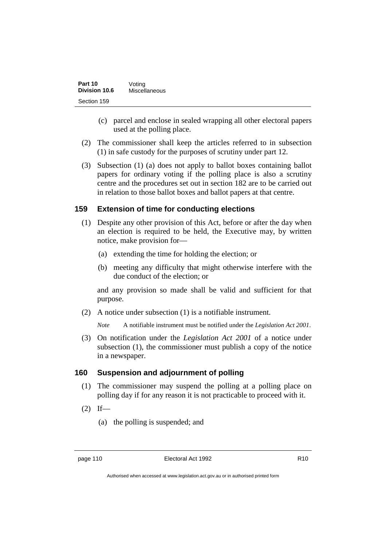| Part 10       | Voting        |
|---------------|---------------|
| Division 10.6 | Miscellaneous |
| Section 159   |               |

- (c) parcel and enclose in sealed wrapping all other electoral papers used at the polling place.
- (2) The commissioner shall keep the articles referred to in subsection (1) in safe custody for the purposes of scrutiny under part 12.
- (3) Subsection (1) (a) does not apply to ballot boxes containing ballot papers for ordinary voting if the polling place is also a scrutiny centre and the procedures set out in section 182 are to be carried out in relation to those ballot boxes and ballot papers at that centre.

#### **159 Extension of time for conducting elections**

- (1) Despite any other provision of this Act, before or after the day when an election is required to be held, the Executive may, by written notice, make provision for—
	- (a) extending the time for holding the election; or
	- (b) meeting any difficulty that might otherwise interfere with the due conduct of the election; or

and any provision so made shall be valid and sufficient for that purpose.

(2) A notice under subsection (1) is a notifiable instrument.

*Note* A notifiable instrument must be notified under the *Legislation Act 2001*.

(3) On notification under the *Legislation Act 2001* of a notice under subsection (1), the commissioner must publish a copy of the notice in a newspaper.

#### **160 Suspension and adjournment of polling**

- (1) The commissioner may suspend the polling at a polling place on polling day if for any reason it is not practicable to proceed with it.
- $(2)$  If—
	- (a) the polling is suspended; and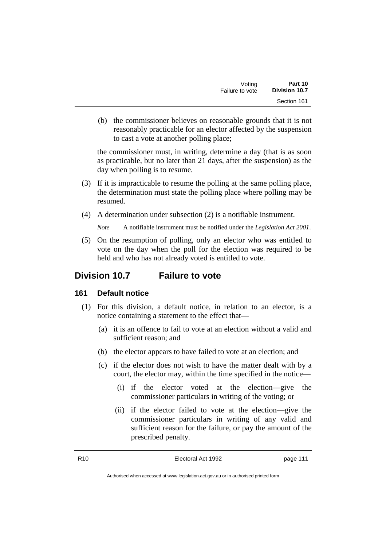| Voting          | Part 10       |
|-----------------|---------------|
| Failure to vote | Division 10.7 |
|                 | Section 161   |

(b) the commissioner believes on reasonable grounds that it is not reasonably practicable for an elector affected by the suspension to cast a vote at another polling place;

the commissioner must, in writing, determine a day (that is as soon as practicable, but no later than 21 days, after the suspension) as the day when polling is to resume.

- (3) If it is impracticable to resume the polling at the same polling place, the determination must state the polling place where polling may be resumed.
- (4) A determination under subsection (2) is a notifiable instrument.

*Note* A notifiable instrument must be notified under the *Legislation Act 2001*.

(5) On the resumption of polling, only an elector who was entitled to vote on the day when the poll for the election was required to be held and who has not already voted is entitled to vote.

# **Division 10.7 Failure to vote**

#### **161 Default notice**

- (1) For this division, a default notice, in relation to an elector, is a notice containing a statement to the effect that—
	- (a) it is an offence to fail to vote at an election without a valid and sufficient reason; and
	- (b) the elector appears to have failed to vote at an election; and
	- (c) if the elector does not wish to have the matter dealt with by a court, the elector may, within the time specified in the notice—
		- (i) if the elector voted at the election—give the commissioner particulars in writing of the voting; or
		- (ii) if the elector failed to vote at the election—give the commissioner particulars in writing of any valid and sufficient reason for the failure, or pay the amount of the prescribed penalty.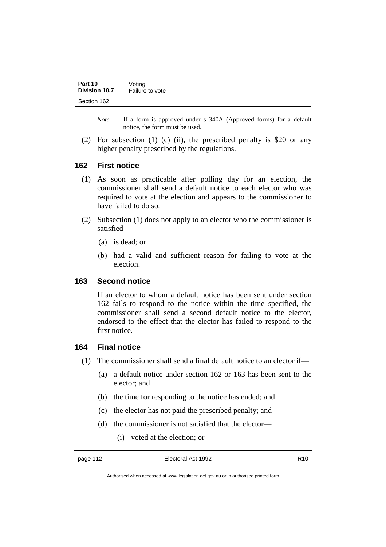| Part 10       | Voting          |
|---------------|-----------------|
| Division 10.7 | Failure to vote |
| Section 162   |                 |

*Note* If a form is approved under s 340A (Approved forms) for a default notice, the form must be used.

(2) For subsection (1) (c) (ii), the prescribed penalty is \$20 or any higher penalty prescribed by the regulations.

#### **162 First notice**

- (1) As soon as practicable after polling day for an election, the commissioner shall send a default notice to each elector who was required to vote at the election and appears to the commissioner to have failed to do so.
- (2) Subsection (1) does not apply to an elector who the commissioner is satisfied—
	- (a) is dead; or
	- (b) had a valid and sufficient reason for failing to vote at the election.

#### **163 Second notice**

If an elector to whom a default notice has been sent under section 162 fails to respond to the notice within the time specified, the commissioner shall send a second default notice to the elector, endorsed to the effect that the elector has failed to respond to the first notice.

#### **164 Final notice**

- (1) The commissioner shall send a final default notice to an elector if—
	- (a) a default notice under section 162 or 163 has been sent to the elector; and
	- (b) the time for responding to the notice has ended; and
	- (c) the elector has not paid the prescribed penalty; and
	- (d) the commissioner is not satisfied that the elector—
		- (i) voted at the election; or

Authorised when accessed at www.legislation.act.gov.au or in authorised printed form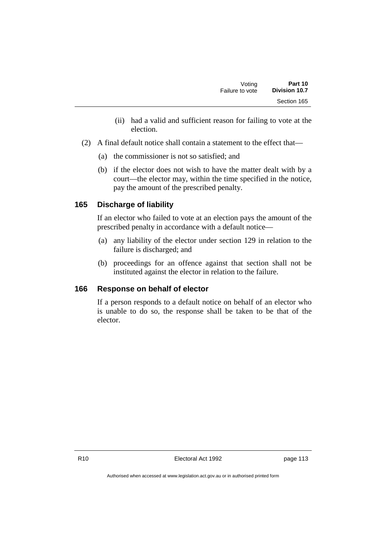- (ii) had a valid and sufficient reason for failing to vote at the election.
- (2) A final default notice shall contain a statement to the effect that—
	- (a) the commissioner is not so satisfied; and
	- (b) if the elector does not wish to have the matter dealt with by a court—the elector may, within the time specified in the notice, pay the amount of the prescribed penalty.

## **165 Discharge of liability**

If an elector who failed to vote at an election pays the amount of the prescribed penalty in accordance with a default notice—

- (a) any liability of the elector under section 129 in relation to the failure is discharged; and
- (b) proceedings for an offence against that section shall not be instituted against the elector in relation to the failure.

## **166 Response on behalf of elector**

If a person responds to a default notice on behalf of an elector who is unable to do so, the response shall be taken to be that of the elector.

R10 **Electoral Act 1992 page 113**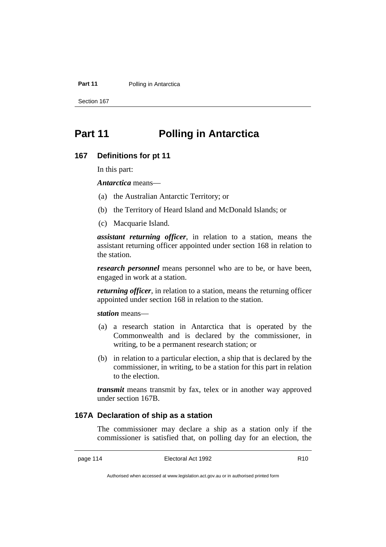#### **Part 11** Polling in Antarctica

Section 167

# **Part 11 Polling in Antarctica**

#### **167 Definitions for pt 11**

In this part:

*Antarctica* means—

- (a) the Australian Antarctic Territory; or
- (b) the Territory of Heard Island and McDonald Islands; or
- (c) Macquarie Island.

*assistant returning officer*, in relation to a station, means the assistant returning officer appointed under section 168 in relation to the station.

*research personnel* means personnel who are to be, or have been, engaged in work at a station.

*returning officer*, in relation to a station, means the returning officer appointed under section 168 in relation to the station.

*station* means—

- (a) a research station in Antarctica that is operated by the Commonwealth and is declared by the commissioner, in writing, to be a permanent research station; or
- (b) in relation to a particular election, a ship that is declared by the commissioner, in writing, to be a station for this part in relation to the election.

*transmit* means transmit by fax, telex or in another way approved under section 167B.

## **167A Declaration of ship as a station**

The commissioner may declare a ship as a station only if the commissioner is satisfied that, on polling day for an election, the

Authorised when accessed at www.legislation.act.gov.au or in authorised printed form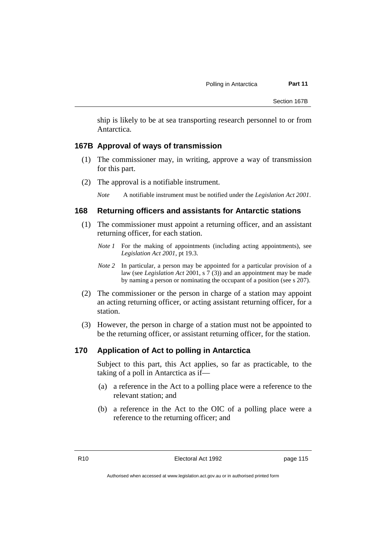ship is likely to be at sea transporting research personnel to or from Antarctica.

#### **167B Approval of ways of transmission**

- (1) The commissioner may, in writing, approve a way of transmission for this part.
- (2) The approval is a notifiable instrument.

*Note* A notifiable instrument must be notified under the *Legislation Act 2001*.

#### **168 Returning officers and assistants for Antarctic stations**

- (1) The commissioner must appoint a returning officer, and an assistant returning officer, for each station.
	- *Note 1* For the making of appointments (including acting appointments), see *Legislation Act 2001*, pt 19.3.
	- *Note 2* In particular, a person may be appointed for a particular provision of a law (see *Legislation Act* 2001, s 7 (3)) and an appointment may be made by naming a person or nominating the occupant of a position (see s 207).
- (2) The commissioner or the person in charge of a station may appoint an acting returning officer, or acting assistant returning officer, for a station.
- (3) However, the person in charge of a station must not be appointed to be the returning officer, or assistant returning officer, for the station.

#### **170 Application of Act to polling in Antarctica**

Subject to this part, this Act applies, so far as practicable, to the taking of a poll in Antarctica as if—

- (a) a reference in the Act to a polling place were a reference to the relevant station; and
- (b) a reference in the Act to the OIC of a polling place were a reference to the returning officer; and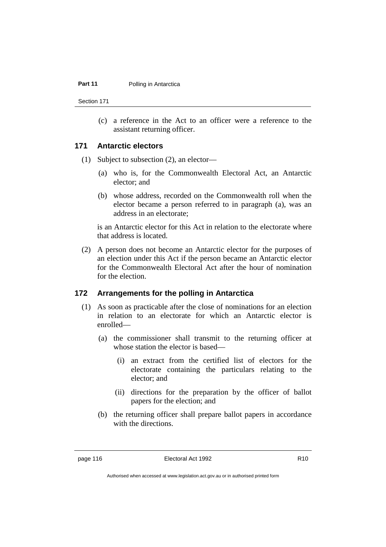#### **Part 11** Polling in Antarctica

Section 171

(c) a reference in the Act to an officer were a reference to the assistant returning officer.

## **171 Antarctic electors**

- (1) Subject to subsection (2), an elector—
	- (a) who is, for the Commonwealth Electoral Act, an Antarctic elector; and
	- (b) whose address, recorded on the Commonwealth roll when the elector became a person referred to in paragraph (a), was an address in an electorate;

is an Antarctic elector for this Act in relation to the electorate where that address is located.

(2) A person does not become an Antarctic elector for the purposes of an election under this Act if the person became an Antarctic elector for the Commonwealth Electoral Act after the hour of nomination for the election.

#### **172 Arrangements for the polling in Antarctica**

- (1) As soon as practicable after the close of nominations for an election in relation to an electorate for which an Antarctic elector is enrolled—
	- (a) the commissioner shall transmit to the returning officer at whose station the elector is based—
		- (i) an extract from the certified list of electors for the electorate containing the particulars relating to the elector; and
		- (ii) directions for the preparation by the officer of ballot papers for the election; and
	- (b) the returning officer shall prepare ballot papers in accordance with the directions.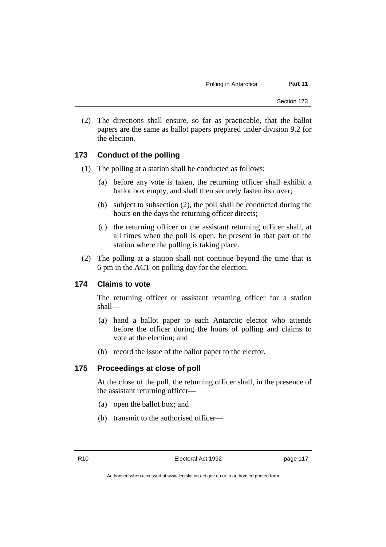(2) The directions shall ensure, so far as practicable, that the ballot papers are the same as ballot papers prepared under division 9.2 for the election.

## **173 Conduct of the polling**

- (1) The polling at a station shall be conducted as follows:
	- (a) before any vote is taken, the returning officer shall exhibit a ballot box empty, and shall then securely fasten its cover;
	- (b) subject to subsection (2), the poll shall be conducted during the hours on the days the returning officer directs;
	- (c) the returning officer or the assistant returning officer shall, at all times when the poll is open, be present in that part of the station where the polling is taking place.
- (2) The polling at a station shall not continue beyond the time that is 6 pm in the ACT on polling day for the election.

#### **174 Claims to vote**

The returning officer or assistant returning officer for a station shall—

- (a) hand a ballot paper to each Antarctic elector who attends before the officer during the hours of polling and claims to vote at the election; and
- (b) record the issue of the ballot paper to the elector.

#### **175 Proceedings at close of poll**

At the close of the poll, the returning officer shall, in the presence of the assistant returning officer—

- (a) open the ballot box; and
- (b) transmit to the authorised officer—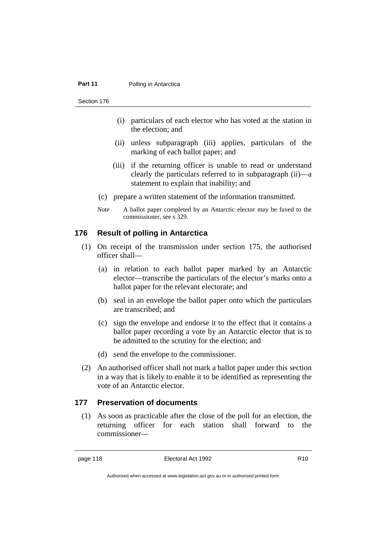#### **Part 11** Polling in Antarctica

Section 176

- (i) particulars of each elector who has voted at the station in the election; and
- (ii) unless subparagraph (iii) applies, particulars of the marking of each ballot paper; and
- (iii) if the returning officer is unable to read or understand clearly the particulars referred to in subparagraph (ii)—a statement to explain that inability; and
- (c) prepare a written statement of the information transmitted.
- *Note* A ballot paper completed by an Antarctic elector may be faxed to the commissioner, see s 329.

#### **176 Result of polling in Antarctica**

- (1) On receipt of the transmission under section 175, the authorised officer shall—
	- (a) in relation to each ballot paper marked by an Antarctic elector—transcribe the particulars of the elector's marks onto a ballot paper for the relevant electorate; and
	- (b) seal in an envelope the ballot paper onto which the particulars are transcribed; and
	- (c) sign the envelope and endorse it to the effect that it contains a ballot paper recording a vote by an Antarctic elector that is to be admitted to the scrutiny for the election; and
	- (d) send the envelope to the commissioner.
- (2) An authorised officer shall not mark a ballot paper under this section in a way that is likely to enable it to be identified as representing the vote of an Antarctic elector.

#### **177 Preservation of documents**

(1) As soon as practicable after the close of the poll for an election, the returning officer for each station shall forward to the commissioner—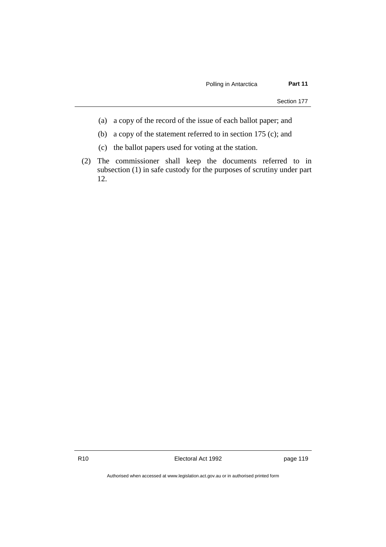- (a) a copy of the record of the issue of each ballot paper; and
- (b) a copy of the statement referred to in section 175 (c); and
- (c) the ballot papers used for voting at the station.
- (2) The commissioner shall keep the documents referred to in subsection (1) in safe custody for the purposes of scrutiny under part 12.

R10 **Electoral Act 1992 page 119**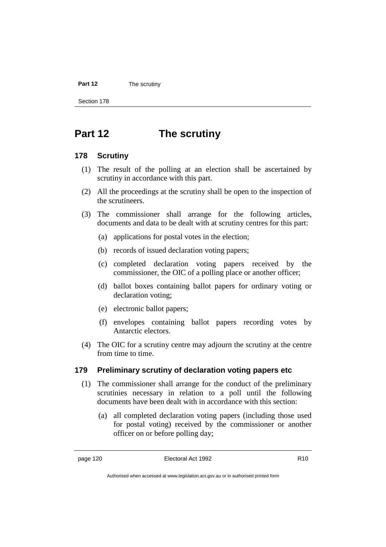#### **Part 12** The scrutiny

Section 178

# **Part 12 The scrutiny**

#### **178 Scrutiny**

- (1) The result of the polling at an election shall be ascertained by scrutiny in accordance with this part.
- (2) All the proceedings at the scrutiny shall be open to the inspection of the scrutineers.
- (3) The commissioner shall arrange for the following articles, documents and data to be dealt with at scrutiny centres for this part:
	- (a) applications for postal votes in the election;
	- (b) records of issued declaration voting papers;
	- (c) completed declaration voting papers received by the commissioner, the OIC of a polling place or another officer;
	- (d) ballot boxes containing ballot papers for ordinary voting or declaration voting;
	- (e) electronic ballot papers;
	- (f) envelopes containing ballot papers recording votes by Antarctic electors.
- (4) The OIC for a scrutiny centre may adjourn the scrutiny at the centre from time to time.

#### **179 Preliminary scrutiny of declaration voting papers etc**

- (1) The commissioner shall arrange for the conduct of the preliminary scrutinies necessary in relation to a poll until the following documents have been dealt with in accordance with this section:
	- (a) all completed declaration voting papers (including those used for postal voting) received by the commissioner or another officer on or before polling day;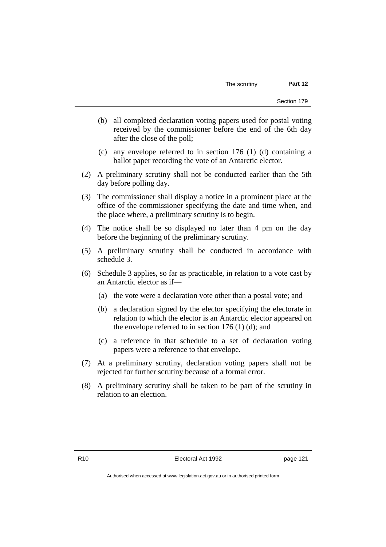- (b) all completed declaration voting papers used for postal voting received by the commissioner before the end of the 6th day after the close of the poll;
- (c) any envelope referred to in section 176 (1) (d) containing a ballot paper recording the vote of an Antarctic elector.
- (2) A preliminary scrutiny shall not be conducted earlier than the 5th day before polling day.
- (3) The commissioner shall display a notice in a prominent place at the office of the commissioner specifying the date and time when, and the place where, a preliminary scrutiny is to begin.
- (4) The notice shall be so displayed no later than 4 pm on the day before the beginning of the preliminary scrutiny.
- (5) A preliminary scrutiny shall be conducted in accordance with schedule 3.
- (6) Schedule 3 applies, so far as practicable, in relation to a vote cast by an Antarctic elector as if—
	- (a) the vote were a declaration vote other than a postal vote; and
	- (b) a declaration signed by the elector specifying the electorate in relation to which the elector is an Antarctic elector appeared on the envelope referred to in section  $176$  (1) (d); and
	- (c) a reference in that schedule to a set of declaration voting papers were a reference to that envelope.
- (7) At a preliminary scrutiny, declaration voting papers shall not be rejected for further scrutiny because of a formal error.
- (8) A preliminary scrutiny shall be taken to be part of the scrutiny in relation to an election.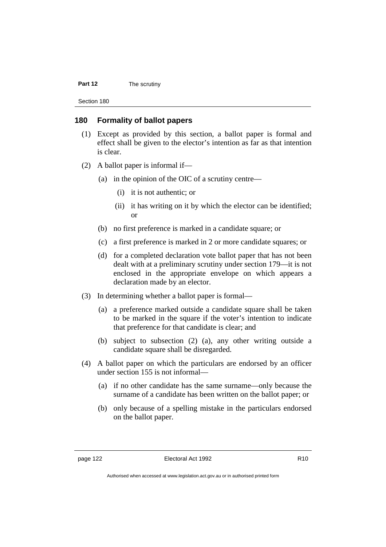#### **Part 12** The scrutiny

Section 180

#### **180 Formality of ballot papers**

- (1) Except as provided by this section, a ballot paper is formal and effect shall be given to the elector's intention as far as that intention is clear.
- (2) A ballot paper is informal if—
	- (a) in the opinion of the OIC of a scrutiny centre—
		- (i) it is not authentic; or
		- (ii) it has writing on it by which the elector can be identified; or
	- (b) no first preference is marked in a candidate square; or
	- (c) a first preference is marked in 2 or more candidate squares; or
	- (d) for a completed declaration vote ballot paper that has not been dealt with at a preliminary scrutiny under section 179—it is not enclosed in the appropriate envelope on which appears a declaration made by an elector.
- (3) In determining whether a ballot paper is formal—
	- (a) a preference marked outside a candidate square shall be taken to be marked in the square if the voter's intention to indicate that preference for that candidate is clear; and
	- (b) subject to subsection (2) (a), any other writing outside a candidate square shall be disregarded.
- (4) A ballot paper on which the particulars are endorsed by an officer under section 155 is not informal—
	- (a) if no other candidate has the same surname—only because the surname of a candidate has been written on the ballot paper; or
	- (b) only because of a spelling mistake in the particulars endorsed on the ballot paper.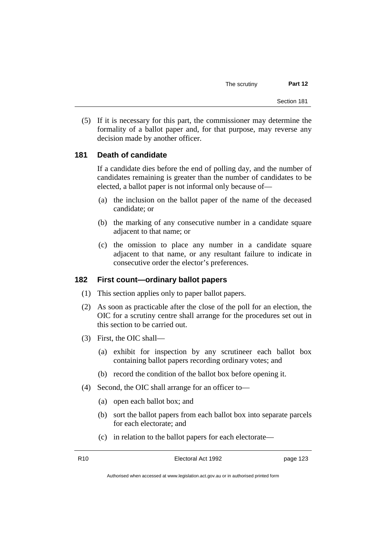(5) If it is necessary for this part, the commissioner may determine the formality of a ballot paper and, for that purpose, may reverse any decision made by another officer.

## **181 Death of candidate**

If a candidate dies before the end of polling day, and the number of candidates remaining is greater than the number of candidates to be elected, a ballot paper is not informal only because of—

- (a) the inclusion on the ballot paper of the name of the deceased candidate; or
- (b) the marking of any consecutive number in a candidate square adjacent to that name; or
- (c) the omission to place any number in a candidate square adjacent to that name, or any resultant failure to indicate in consecutive order the elector's preferences.

#### **182 First count—ordinary ballot papers**

- (1) This section applies only to paper ballot papers.
- (2) As soon as practicable after the close of the poll for an election, the OIC for a scrutiny centre shall arrange for the procedures set out in this section to be carried out.
- (3) First, the OIC shall—
	- (a) exhibit for inspection by any scrutineer each ballot box containing ballot papers recording ordinary votes; and
	- (b) record the condition of the ballot box before opening it.
- (4) Second, the OIC shall arrange for an officer to—
	- (a) open each ballot box; and
	- (b) sort the ballot papers from each ballot box into separate parcels for each electorate; and
	- (c) in relation to the ballot papers for each electorate—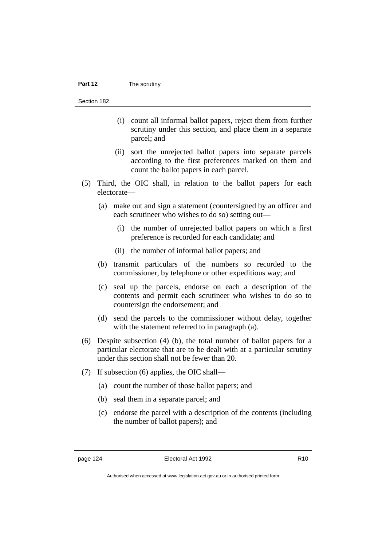#### **Part 12** The scrutiny

Section 182

- (i) count all informal ballot papers, reject them from further scrutiny under this section, and place them in a separate parcel; and
- (ii) sort the unrejected ballot papers into separate parcels according to the first preferences marked on them and count the ballot papers in each parcel.
- (5) Third, the OIC shall, in relation to the ballot papers for each electorate—
	- (a) make out and sign a statement (countersigned by an officer and each scrutineer who wishes to do so) setting out—
		- (i) the number of unrejected ballot papers on which a first preference is recorded for each candidate; and
		- (ii) the number of informal ballot papers; and
	- (b) transmit particulars of the numbers so recorded to the commissioner, by telephone or other expeditious way; and
	- (c) seal up the parcels, endorse on each a description of the contents and permit each scrutineer who wishes to do so to countersign the endorsement; and
	- (d) send the parcels to the commissioner without delay, together with the statement referred to in paragraph (a).
- (6) Despite subsection (4) (b), the total number of ballot papers for a particular electorate that are to be dealt with at a particular scrutiny under this section shall not be fewer than 20.
- (7) If subsection (6) applies, the OIC shall—
	- (a) count the number of those ballot papers; and
	- (b) seal them in a separate parcel; and
	- (c) endorse the parcel with a description of the contents (including the number of ballot papers); and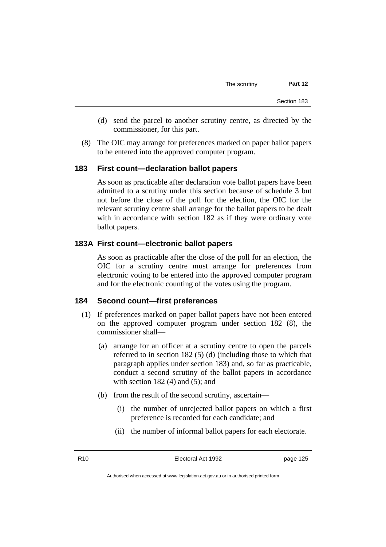- (d) send the parcel to another scrutiny centre, as directed by the commissioner, for this part.
- (8) The OIC may arrange for preferences marked on paper ballot papers to be entered into the approved computer program.

#### **183 First count—declaration ballot papers**

As soon as practicable after declaration vote ballot papers have been admitted to a scrutiny under this section because of schedule 3 but not before the close of the poll for the election, the OIC for the relevant scrutiny centre shall arrange for the ballot papers to be dealt with in accordance with section 182 as if they were ordinary vote ballot papers.

#### **183A First count—electronic ballot papers**

As soon as practicable after the close of the poll for an election, the OIC for a scrutiny centre must arrange for preferences from electronic voting to be entered into the approved computer program and for the electronic counting of the votes using the program.

#### **184 Second count—first preferences**

- (1) If preferences marked on paper ballot papers have not been entered on the approved computer program under section 182 (8), the commissioner shall—
	- (a) arrange for an officer at a scrutiny centre to open the parcels referred to in section 182 (5) (d) (including those to which that paragraph applies under section 183) and, so far as practicable, conduct a second scrutiny of the ballot papers in accordance with section  $182(4)$  and  $(5)$ ; and
	- (b) from the result of the second scrutiny, ascertain—
		- (i) the number of unrejected ballot papers on which a first preference is recorded for each candidate; and
		- (ii) the number of informal ballot papers for each electorate.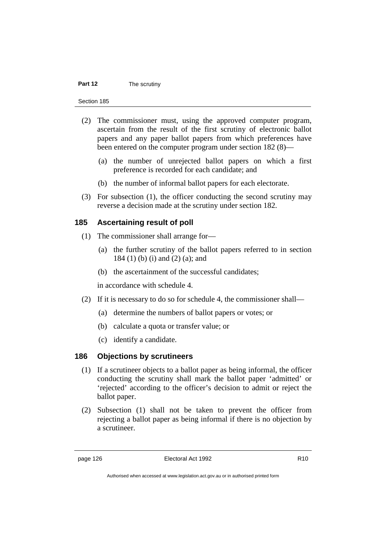#### **Part 12** The scrutiny

Section 185

- (2) The commissioner must, using the approved computer program, ascertain from the result of the first scrutiny of electronic ballot papers and any paper ballot papers from which preferences have been entered on the computer program under section 182 (8)—
	- (a) the number of unrejected ballot papers on which a first preference is recorded for each candidate; and
	- (b) the number of informal ballot papers for each electorate.
- (3) For subsection (1), the officer conducting the second scrutiny may reverse a decision made at the scrutiny under section 182.

#### **185 Ascertaining result of poll**

- (1) The commissioner shall arrange for—
	- (a) the further scrutiny of the ballot papers referred to in section 184 (1) (b) (i) and (2) (a); and
	- (b) the ascertainment of the successful candidates;

in accordance with schedule 4.

- (2) If it is necessary to do so for schedule 4, the commissioner shall—
	- (a) determine the numbers of ballot papers or votes; or
	- (b) calculate a quota or transfer value; or
	- (c) identify a candidate.

#### **186 Objections by scrutineers**

- (1) If a scrutineer objects to a ballot paper as being informal, the officer conducting the scrutiny shall mark the ballot paper 'admitted' or 'rejected' according to the officer's decision to admit or reject the ballot paper.
- (2) Subsection (1) shall not be taken to prevent the officer from rejecting a ballot paper as being informal if there is no objection by a scrutineer.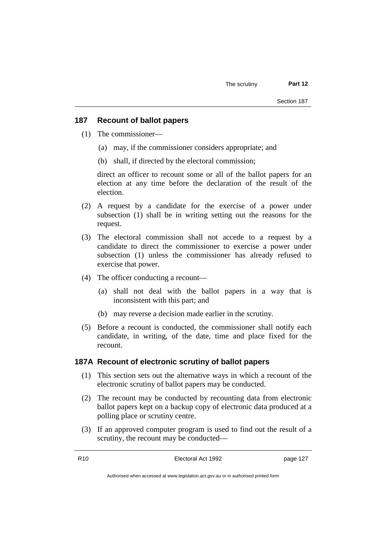#### **187 Recount of ballot papers**

- (1) The commissioner—
	- (a) may, if the commissioner considers appropriate; and
	- (b) shall, if directed by the electoral commission;

direct an officer to recount some or all of the ballot papers for an election at any time before the declaration of the result of the election.

- (2) A request by a candidate for the exercise of a power under subsection (1) shall be in writing setting out the reasons for the request.
- (3) The electoral commission shall not accede to a request by a candidate to direct the commissioner to exercise a power under subsection (1) unless the commissioner has already refused to exercise that power.
- (4) The officer conducting a recount—
	- (a) shall not deal with the ballot papers in a way that is inconsistent with this part; and
	- (b) may reverse a decision made earlier in the scrutiny.
- (5) Before a recount is conducted, the commissioner shall notify each candidate, in writing, of the date, time and place fixed for the recount.

#### **187A Recount of electronic scrutiny of ballot papers**

- (1) This section sets out the alternative ways in which a recount of the electronic scrutiny of ballot papers may be conducted.
- (2) The recount may be conducted by recounting data from electronic ballot papers kept on a backup copy of electronic data produced at a polling place or scrutiny centre.
- (3) If an approved computer program is used to find out the result of a scrutiny, the recount may be conducted—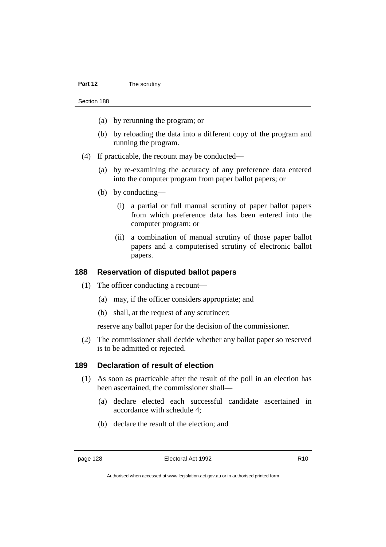- (a) by rerunning the program; or
- (b) by reloading the data into a different copy of the program and running the program.
- (4) If practicable, the recount may be conducted—
	- (a) by re-examining the accuracy of any preference data entered into the computer program from paper ballot papers; or
	- (b) by conducting—
		- (i) a partial or full manual scrutiny of paper ballot papers from which preference data has been entered into the computer program; or
		- (ii) a combination of manual scrutiny of those paper ballot papers and a computerised scrutiny of electronic ballot papers.

#### **188 Reservation of disputed ballot papers**

- (1) The officer conducting a recount—
	- (a) may, if the officer considers appropriate; and
	- (b) shall, at the request of any scrutineer;

reserve any ballot paper for the decision of the commissioner.

(2) The commissioner shall decide whether any ballot paper so reserved is to be admitted or rejected.

#### **189 Declaration of result of election**

- (1) As soon as practicable after the result of the poll in an election has been ascertained, the commissioner shall—
	- (a) declare elected each successful candidate ascertained in accordance with schedule 4;
	- (b) declare the result of the election; and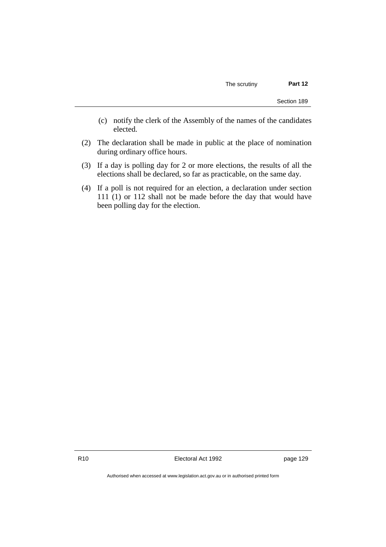- (c) notify the clerk of the Assembly of the names of the candidates elected.
- (2) The declaration shall be made in public at the place of nomination during ordinary office hours.
- (3) If a day is polling day for 2 or more elections, the results of all the elections shall be declared, so far as practicable, on the same day.
- (4) If a poll is not required for an election, a declaration under section 111 (1) or 112 shall not be made before the day that would have been polling day for the election.

R10 **Electoral Act 1992 page 129**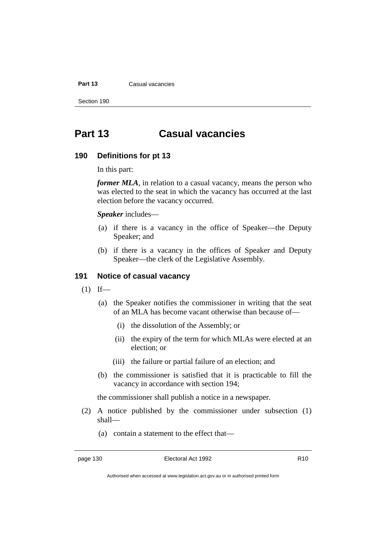#### **Part 13** Casual vacancies

Section 190

# **Part 13 Casual vacancies**

#### **190 Definitions for pt 13**

In this part:

*former MLA*, in relation to a casual vacancy, means the person who was elected to the seat in which the vacancy has occurred at the last election before the vacancy occurred.

*Speaker* includes—

- (a) if there is a vacancy in the office of Speaker—the Deputy Speaker; and
- (b) if there is a vacancy in the offices of Speaker and Deputy Speaker—the clerk of the Legislative Assembly.

#### **191 Notice of casual vacancy**

- $(1)$  If—
	- (a) the Speaker notifies the commissioner in writing that the seat of an MLA has become vacant otherwise than because of—
		- (i) the dissolution of the Assembly; or
		- (ii) the expiry of the term for which MLAs were elected at an election; or
		- (iii) the failure or partial failure of an election; and
	- (b) the commissioner is satisfied that it is practicable to fill the vacancy in accordance with section 194;

the commissioner shall publish a notice in a newspaper.

- (2) A notice published by the commissioner under subsection (1) shall—
	- (a) contain a statement to the effect that—

Authorised when accessed at www.legislation.act.gov.au or in authorised printed form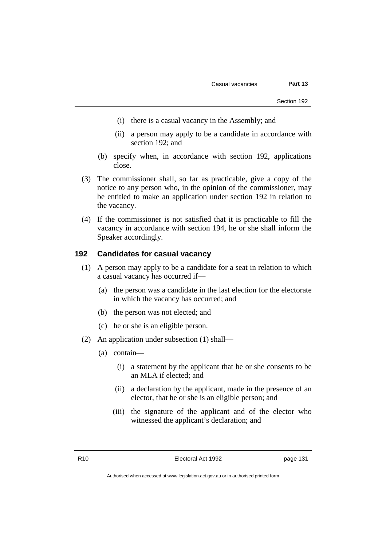- (i) there is a casual vacancy in the Assembly; and
- (ii) a person may apply to be a candidate in accordance with section 192; and
- (b) specify when, in accordance with section 192, applications close.
- (3) The commissioner shall, so far as practicable, give a copy of the notice to any person who, in the opinion of the commissioner, may be entitled to make an application under section 192 in relation to the vacancy.
- (4) If the commissioner is not satisfied that it is practicable to fill the vacancy in accordance with section 194, he or she shall inform the Speaker accordingly.

#### **192 Candidates for casual vacancy**

- (1) A person may apply to be a candidate for a seat in relation to which a casual vacancy has occurred if—
	- (a) the person was a candidate in the last election for the electorate in which the vacancy has occurred; and
	- (b) the person was not elected; and
	- (c) he or she is an eligible person.
- (2) An application under subsection (1) shall—
	- (a) contain—
		- (i) a statement by the applicant that he or she consents to be an MLA if elected; and
		- (ii) a declaration by the applicant, made in the presence of an elector, that he or she is an eligible person; and
		- (iii) the signature of the applicant and of the elector who witnessed the applicant's declaration; and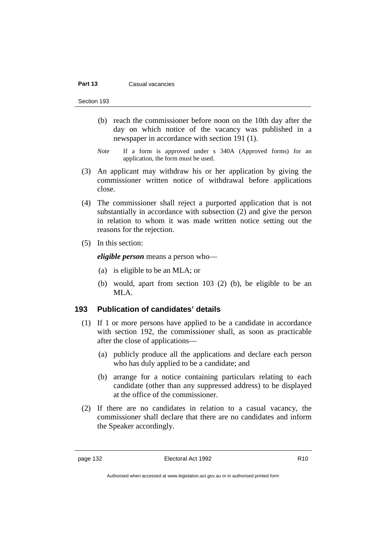#### **Part 13** Casual vacancies

Section 193

- (b) reach the commissioner before noon on the 10th day after the day on which notice of the vacancy was published in a newspaper in accordance with section 191 (1).
- *Note* If a form is approved under s 340A (Approved forms) for an application, the form must be used.
- (3) An applicant may withdraw his or her application by giving the commissioner written notice of withdrawal before applications close.
- (4) The commissioner shall reject a purported application that is not substantially in accordance with subsection (2) and give the person in relation to whom it was made written notice setting out the reasons for the rejection.
- (5) In this section:

*eligible person* means a person who—

- (a) is eligible to be an MLA; or
- (b) would, apart from section 103 (2) (b), be eligible to be an MLA.

### **193 Publication of candidates' details**

- (1) If 1 or more persons have applied to be a candidate in accordance with section 192, the commissioner shall, as soon as practicable after the close of applications—
	- (a) publicly produce all the applications and declare each person who has duly applied to be a candidate; and
	- (b) arrange for a notice containing particulars relating to each candidate (other than any suppressed address) to be displayed at the office of the commissioner.
- (2) If there are no candidates in relation to a casual vacancy, the commissioner shall declare that there are no candidates and inform the Speaker accordingly.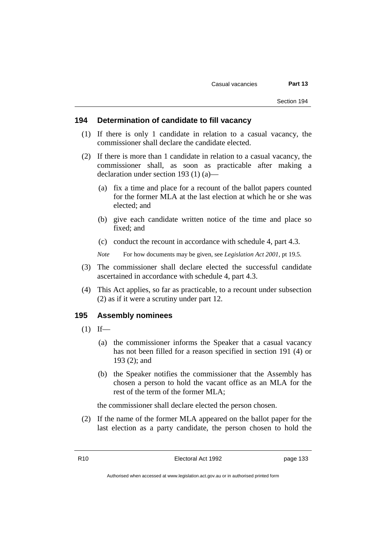#### **194 Determination of candidate to fill vacancy**

- (1) If there is only 1 candidate in relation to a casual vacancy, the commissioner shall declare the candidate elected.
- (2) If there is more than 1 candidate in relation to a casual vacancy, the commissioner shall, as soon as practicable after making a declaration under section 193 (1) (a)—
	- (a) fix a time and place for a recount of the ballot papers counted for the former MLA at the last election at which he or she was elected; and
	- (b) give each candidate written notice of the time and place so fixed; and
	- (c) conduct the recount in accordance with schedule 4, part 4.3.

*Note* For how documents may be given, see *Legislation Act 2001*, pt 19.5.

- (3) The commissioner shall declare elected the successful candidate ascertained in accordance with schedule 4, part 4.3.
- (4) This Act applies, so far as practicable, to a recount under subsection (2) as if it were a scrutiny under part 12.

#### **195 Assembly nominees**

- $(1)$  If—
	- (a) the commissioner informs the Speaker that a casual vacancy has not been filled for a reason specified in section 191 (4) or 193 (2); and
	- (b) the Speaker notifies the commissioner that the Assembly has chosen a person to hold the vacant office as an MLA for the rest of the term of the former MLA;

the commissioner shall declare elected the person chosen.

(2) If the name of the former MLA appeared on the ballot paper for the last election as a party candidate, the person chosen to hold the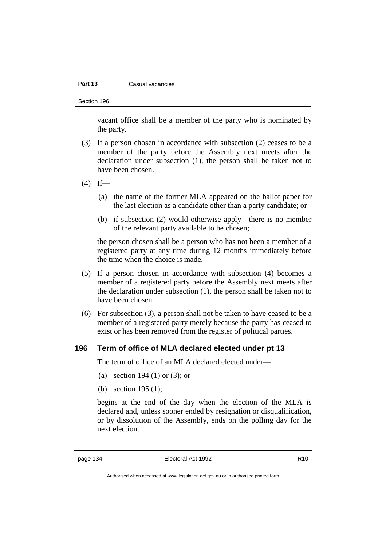#### **Part 13** Casual vacancies

Section 196

vacant office shall be a member of the party who is nominated by the party.

- (3) If a person chosen in accordance with subsection (2) ceases to be a member of the party before the Assembly next meets after the declaration under subsection (1), the person shall be taken not to have been chosen.
- $(4)$  If—
	- (a) the name of the former MLA appeared on the ballot paper for the last election as a candidate other than a party candidate; or
	- (b) if subsection (2) would otherwise apply—there is no member of the relevant party available to be chosen;

the person chosen shall be a person who has not been a member of a registered party at any time during 12 months immediately before the time when the choice is made.

- (5) If a person chosen in accordance with subsection (4) becomes a member of a registered party before the Assembly next meets after the declaration under subsection (1), the person shall be taken not to have been chosen.
- (6) For subsection (3), a person shall not be taken to have ceased to be a member of a registered party merely because the party has ceased to exist or has been removed from the register of political parties.

#### **196 Term of office of MLA declared elected under pt 13**

The term of office of an MLA declared elected under—

- (a) section 194 (1) or (3); or
- (b) section 195 (1);

begins at the end of the day when the election of the MLA is declared and, unless sooner ended by resignation or disqualification, or by dissolution of the Assembly, ends on the polling day for the next election.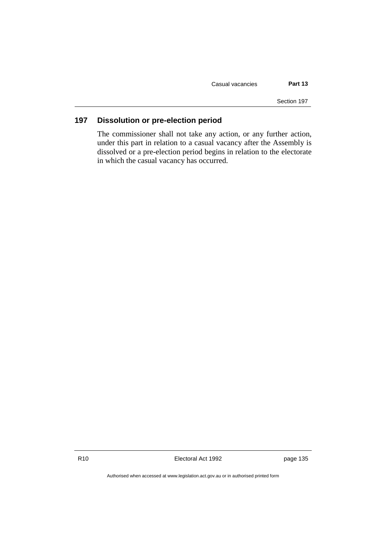Casual vacancies **Part 13**

Section 197

## **197 Dissolution or pre-election period**

The commissioner shall not take any action, or any further action, under this part in relation to a casual vacancy after the Assembly is dissolved or a pre-election period begins in relation to the electorate in which the casual vacancy has occurred.

R10 **Electoral Act 1992 page 135** 

Authorised when accessed at www.legislation.act.gov.au or in authorised printed form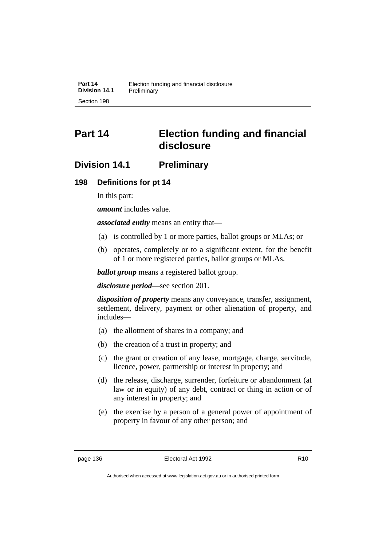# **Part 14 Election funding and financial disclosure**

## **Division 14.1 Preliminary**

### **198 Definitions for pt 14**

In this part:

*amount* includes value.

*associated entity* means an entity that—

- (a) is controlled by 1 or more parties, ballot groups or MLAs; or
- (b) operates, completely or to a significant extent, for the benefit of 1 or more registered parties, ballot groups or MLAs.

*ballot group* means a registered ballot group.

*disclosure period*—see section 201.

*disposition of property* means any conveyance, transfer, assignment, settlement, delivery, payment or other alienation of property, and includes—

- (a) the allotment of shares in a company; and
- (b) the creation of a trust in property; and
- (c) the grant or creation of any lease, mortgage, charge, servitude, licence, power, partnership or interest in property; and
- (d) the release, discharge, surrender, forfeiture or abandonment (at law or in equity) of any debt, contract or thing in action or of any interest in property; and
- (e) the exercise by a person of a general power of appointment of property in favour of any other person; and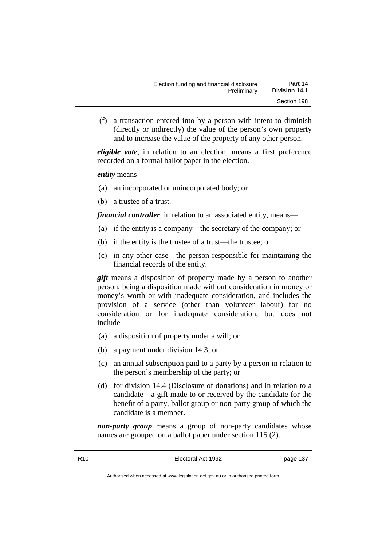(f) a transaction entered into by a person with intent to diminish (directly or indirectly) the value of the person's own property and to increase the value of the property of any other person.

*eligible vote*, in relation to an election, means a first preference recorded on a formal ballot paper in the election.

*entity* means—

- (a) an incorporated or unincorporated body; or
- (b) a trustee of a trust.

*financial controller*, in relation to an associated entity, means—

- (a) if the entity is a company—the secretary of the company; or
- (b) if the entity is the trustee of a trust—the trustee; or
- (c) in any other case—the person responsible for maintaining the financial records of the entity.

*gift* means a disposition of property made by a person to another person, being a disposition made without consideration in money or money's worth or with inadequate consideration, and includes the provision of a service (other than volunteer labour) for no consideration or for inadequate consideration, but does not include—

- (a) a disposition of property under a will; or
- (b) a payment under division 14.3; or
- (c) an annual subscription paid to a party by a person in relation to the person's membership of the party; or
- (d) for division 14.4 (Disclosure of donations) and in relation to a candidate—a gift made to or received by the candidate for the benefit of a party, ballot group or non-party group of which the candidate is a member.

*non-party group* means a group of non-party candidates whose names are grouped on a ballot paper under section 115 (2).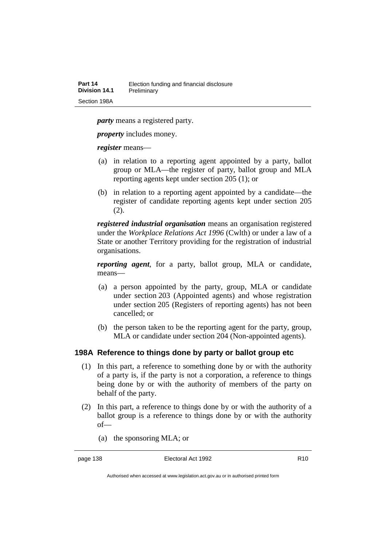*party* means a registered party.

*property* includes money.

*register* means—

- (a) in relation to a reporting agent appointed by a party, ballot group or MLA—the register of party, ballot group and MLA reporting agents kept under section 205 (1); or
- (b) in relation to a reporting agent appointed by a candidate—the register of candidate reporting agents kept under section 205 (2).

*registered industrial organisation* means an organisation registered under the *Workplace Relations Act 1996* (Cwlth) or under a law of a State or another Territory providing for the registration of industrial organisations.

*reporting agent*, for a party, ballot group, MLA or candidate, means—

- (a) a person appointed by the party, group, MLA or candidate under section 203 (Appointed agents) and whose registration under section 205 (Registers of reporting agents) has not been cancelled; or
- (b) the person taken to be the reporting agent for the party, group, MLA or candidate under section 204 (Non-appointed agents).

#### **198A Reference to things done by party or ballot group etc**

- (1) In this part, a reference to something done by or with the authority of a party is, if the party is not a corporation, a reference to things being done by or with the authority of members of the party on behalf of the party.
- (2) In this part, a reference to things done by or with the authority of a ballot group is a reference to things done by or with the authority of—
	- (a) the sponsoring MLA; or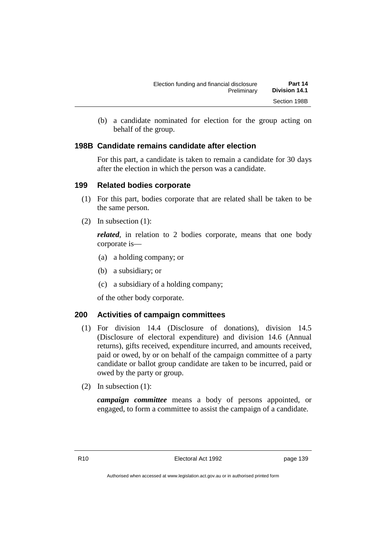| Election funding and financial disclosure | Part 14              |
|-------------------------------------------|----------------------|
| Preliminary                               | <b>Division 14.1</b> |
|                                           | Section 198B         |

(b) a candidate nominated for election for the group acting on behalf of the group.

#### **198B Candidate remains candidate after election**

For this part, a candidate is taken to remain a candidate for 30 days after the election in which the person was a candidate.

#### **199 Related bodies corporate**

- (1) For this part, bodies corporate that are related shall be taken to be the same person.
- (2) In subsection (1):

*related*, in relation to 2 bodies corporate, means that one body corporate is—

- (a) a holding company; or
- (b) a subsidiary; or
- (c) a subsidiary of a holding company;

of the other body corporate.

#### **200 Activities of campaign committees**

- (1) For division 14.4 (Disclosure of donations), division 14.5 (Disclosure of electoral expenditure) and division 14.6 (Annual returns), gifts received, expenditure incurred, and amounts received, paid or owed, by or on behalf of the campaign committee of a party candidate or ballot group candidate are taken to be incurred, paid or owed by the party or group.
- (2) In subsection (1):

*campaign committee* means a body of persons appointed, or engaged, to form a committee to assist the campaign of a candidate.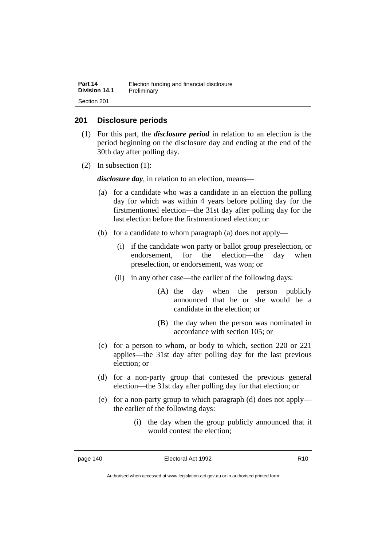| Part 14       | Election funding and financial disclosure |
|---------------|-------------------------------------------|
| Division 14.1 | Preliminary                               |
| Section 201   |                                           |

#### **201 Disclosure periods**

- (1) For this part, the *disclosure period* in relation to an election is the period beginning on the disclosure day and ending at the end of the 30th day after polling day.
- (2) In subsection (1):

*disclosure day*, in relation to an election, means—

- (a) for a candidate who was a candidate in an election the polling day for which was within 4 years before polling day for the firstmentioned election—the 31st day after polling day for the last election before the firstmentioned election; or
- (b) for a candidate to whom paragraph (a) does not apply—
	- (i) if the candidate won party or ballot group preselection, or endorsement, for the election—the day when preselection, or endorsement, was won; or
	- (ii) in any other case—the earlier of the following days:
		- (A) the day when the person publicly announced that he or she would be a candidate in the election; or
		- (B) the day when the person was nominated in accordance with section 105; or
- (c) for a person to whom, or body to which, section 220 or 221 applies—the 31st day after polling day for the last previous election; or
- (d) for a non-party group that contested the previous general election—the 31st day after polling day for that election; or
- (e) for a non-party group to which paragraph (d) does not apply the earlier of the following days:
	- (i) the day when the group publicly announced that it would contest the election;

Authorised when accessed at www.legislation.act.gov.au or in authorised printed form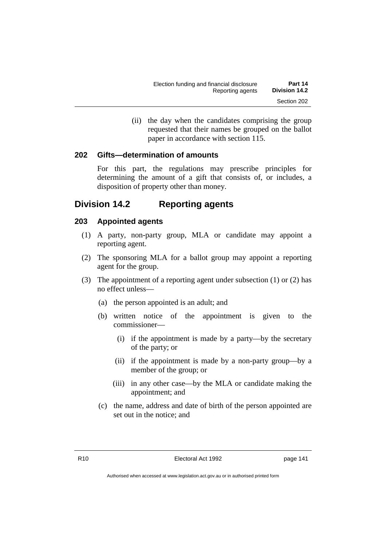(ii) the day when the candidates comprising the group requested that their names be grouped on the ballot paper in accordance with section 115.

#### **202 Gifts—determination of amounts**

For this part, the regulations may prescribe principles for determining the amount of a gift that consists of, or includes, a disposition of property other than money.

## **Division 14.2 Reporting agents**

#### **203 Appointed agents**

- (1) A party, non-party group, MLA or candidate may appoint a reporting agent.
- (2) The sponsoring MLA for a ballot group may appoint a reporting agent for the group.
- (3) The appointment of a reporting agent under subsection (1) or (2) has no effect unless—
	- (a) the person appointed is an adult; and
	- (b) written notice of the appointment is given to the commissioner—
		- (i) if the appointment is made by a party—by the secretary of the party; or
		- (ii) if the appointment is made by a non-party group—by a member of the group; or
		- (iii) in any other case—by the MLA or candidate making the appointment; and
	- (c) the name, address and date of birth of the person appointed are set out in the notice; and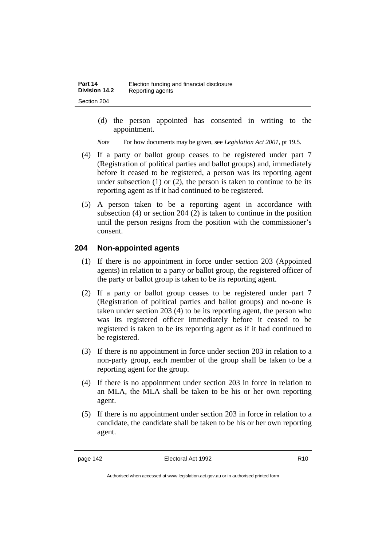(d) the person appointed has consented in writing to the appointment.

*Note* For how documents may be given, see *Legislation Act 2001*, pt 19.5.

- (4) If a party or ballot group ceases to be registered under part 7 (Registration of political parties and ballot groups) and, immediately before it ceased to be registered, a person was its reporting agent under subsection  $(1)$  or  $(2)$ , the person is taken to continue to be its reporting agent as if it had continued to be registered.
- (5) A person taken to be a reporting agent in accordance with subsection (4) or section 204 (2) is taken to continue in the position until the person resigns from the position with the commissioner's consent.

### **204 Non-appointed agents**

- (1) If there is no appointment in force under section 203 (Appointed agents) in relation to a party or ballot group, the registered officer of the party or ballot group is taken to be its reporting agent.
- (2) If a party or ballot group ceases to be registered under part 7 (Registration of political parties and ballot groups) and no-one is taken under section 203 (4) to be its reporting agent, the person who was its registered officer immediately before it ceased to be registered is taken to be its reporting agent as if it had continued to be registered.
- (3) If there is no appointment in force under section 203 in relation to a non-party group, each member of the group shall be taken to be a reporting agent for the group.
- (4) If there is no appointment under section 203 in force in relation to an MLA, the MLA shall be taken to be his or her own reporting agent.
- (5) If there is no appointment under section 203 in force in relation to a candidate, the candidate shall be taken to be his or her own reporting agent.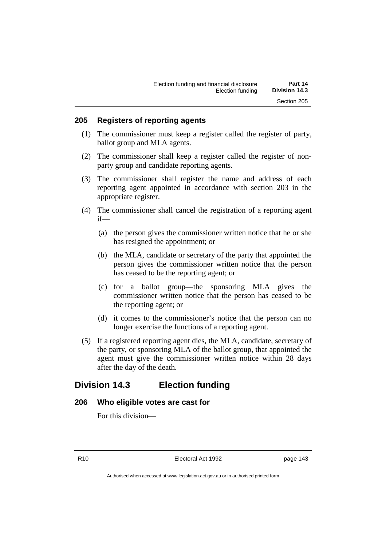#### **205 Registers of reporting agents**

- (1) The commissioner must keep a register called the register of party, ballot group and MLA agents.
- (2) The commissioner shall keep a register called the register of nonparty group and candidate reporting agents.
- (3) The commissioner shall register the name and address of each reporting agent appointed in accordance with section 203 in the appropriate register.
- (4) The commissioner shall cancel the registration of a reporting agent if—
	- (a) the person gives the commissioner written notice that he or she has resigned the appointment; or
	- (b) the MLA, candidate or secretary of the party that appointed the person gives the commissioner written notice that the person has ceased to be the reporting agent; or
	- (c) for a ballot group—the sponsoring MLA gives the commissioner written notice that the person has ceased to be the reporting agent; or
	- (d) it comes to the commissioner's notice that the person can no longer exercise the functions of a reporting agent.
- (5) If a registered reporting agent dies, the MLA, candidate, secretary of the party, or sponsoring MLA of the ballot group, that appointed the agent must give the commissioner written notice within 28 days after the day of the death.

## **Division 14.3 Election funding**

#### **206 Who eligible votes are cast for**

For this division—

R10 Electoral Act 1992 page 143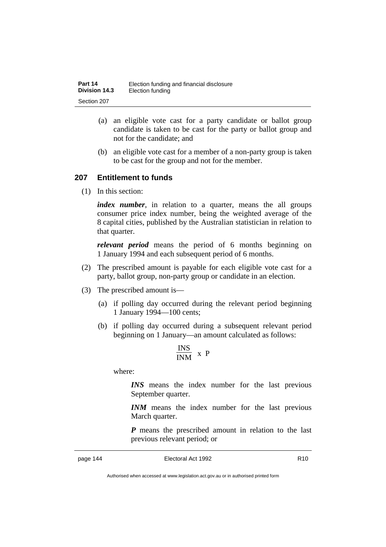| Part 14              | Election funding and financial disclosure |
|----------------------|-------------------------------------------|
| <b>Division 14.3</b> | Election funding                          |
| Section 207          |                                           |

- (a) an eligible vote cast for a party candidate or ballot group candidate is taken to be cast for the party or ballot group and not for the candidate; and
- (b) an eligible vote cast for a member of a non-party group is taken to be cast for the group and not for the member.

#### **207 Entitlement to funds**

(1) In this section:

*index number*, in relation to a quarter, means the all groups consumer price index number, being the weighted average of the 8 capital cities, published by the Australian statistician in relation to that quarter.

*relevant period* means the period of 6 months beginning on 1 January 1994 and each subsequent period of 6 months.

- (2) The prescribed amount is payable for each eligible vote cast for a party, ballot group, non-party group or candidate in an election.
- (3) The prescribed amount is—
	- (a) if polling day occurred during the relevant period beginning 1 January 1994—100 cents;
	- (b) if polling day occurred during a subsequent relevant period beginning on 1 January—an amount calculated as follows:

$$
\frac{\text{INS}}{\text{INM}} \times P
$$

where:

*INS* means the index number for the last previous September quarter.

*INM* means the index number for the last previous March quarter.

*P* means the prescribed amount in relation to the last previous relevant period; or

Authorised when accessed at www.legislation.act.gov.au or in authorised printed form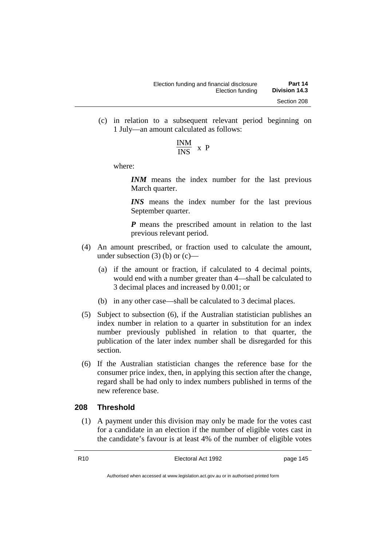(c) in relation to a subsequent relevant period beginning on 1 July—an amount calculated as follows:

$$
\frac{\text{INM}}{\text{INS}} \times P
$$

where:

*INM* means the index number for the last previous March quarter.

*INS* means the index number for the last previous September quarter.

*P* means the prescribed amount in relation to the last previous relevant period.

- (4) An amount prescribed, or fraction used to calculate the amount, under subsection  $(3)$  (b) or  $(c)$ —
	- (a) if the amount or fraction, if calculated to 4 decimal points, would end with a number greater than 4—shall be calculated to 3 decimal places and increased by 0.001; or
	- (b) in any other case—shall be calculated to 3 decimal places.
- (5) Subject to subsection (6), if the Australian statistician publishes an index number in relation to a quarter in substitution for an index number previously published in relation to that quarter, the publication of the later index number shall be disregarded for this section.
- (6) If the Australian statistician changes the reference base for the consumer price index, then, in applying this section after the change, regard shall be had only to index numbers published in terms of the new reference base.

#### **208 Threshold**

(1) A payment under this division may only be made for the votes cast for a candidate in an election if the number of eligible votes cast in the candidate's favour is at least 4% of the number of eligible votes

R10 Electoral Act 1992 page 145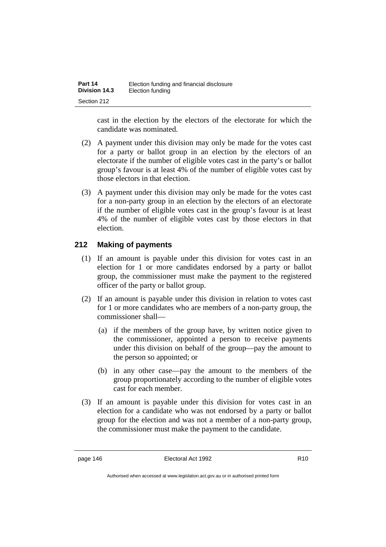| Part 14              | Election funding and financial disclosure |
|----------------------|-------------------------------------------|
| <b>Division 14.3</b> | Election funding                          |
| Section 212          |                                           |

cast in the election by the electors of the electorate for which the candidate was nominated.

- (2) A payment under this division may only be made for the votes cast for a party or ballot group in an election by the electors of an electorate if the number of eligible votes cast in the party's or ballot group's favour is at least 4% of the number of eligible votes cast by those electors in that election.
- (3) A payment under this division may only be made for the votes cast for a non-party group in an election by the electors of an electorate if the number of eligible votes cast in the group's favour is at least 4% of the number of eligible votes cast by those electors in that election.

### **212 Making of payments**

- (1) If an amount is payable under this division for votes cast in an election for 1 or more candidates endorsed by a party or ballot group, the commissioner must make the payment to the registered officer of the party or ballot group.
- (2) If an amount is payable under this division in relation to votes cast for 1 or more candidates who are members of a non-party group, the commissioner shall—
	- (a) if the members of the group have, by written notice given to the commissioner, appointed a person to receive payments under this division on behalf of the group—pay the amount to the person so appointed; or
	- (b) in any other case—pay the amount to the members of the group proportionately according to the number of eligible votes cast for each member.
- (3) If an amount is payable under this division for votes cast in an election for a candidate who was not endorsed by a party or ballot group for the election and was not a member of a non-party group, the commissioner must make the payment to the candidate.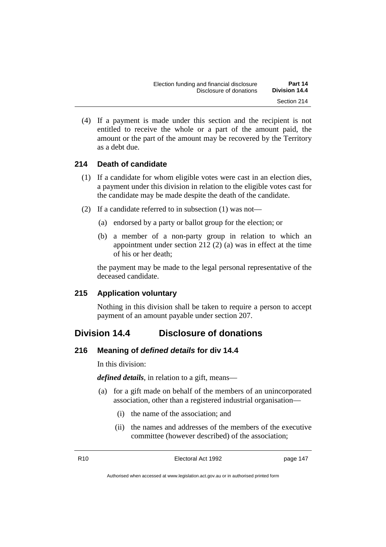(4) If a payment is made under this section and the recipient is not entitled to receive the whole or a part of the amount paid, the amount or the part of the amount may be recovered by the Territory as a debt due.

### **214 Death of candidate**

- (1) If a candidate for whom eligible votes were cast in an election dies, a payment under this division in relation to the eligible votes cast for the candidate may be made despite the death of the candidate.
- (2) If a candidate referred to in subsection (1) was not—
	- (a) endorsed by a party or ballot group for the election; or
	- (b) a member of a non-party group in relation to which an appointment under section 212 (2) (a) was in effect at the time of his or her death;

the payment may be made to the legal personal representative of the deceased candidate.

### **215 Application voluntary**

Nothing in this division shall be taken to require a person to accept payment of an amount payable under section 207.

## **Division 14.4 Disclosure of donations**

#### **216 Meaning of** *defined details* **for div 14.4**

In this division:

*defined details*, in relation to a gift, means—

- (a) for a gift made on behalf of the members of an unincorporated association, other than a registered industrial organisation—
	- (i) the name of the association; and
	- (ii) the names and addresses of the members of the executive committee (however described) of the association;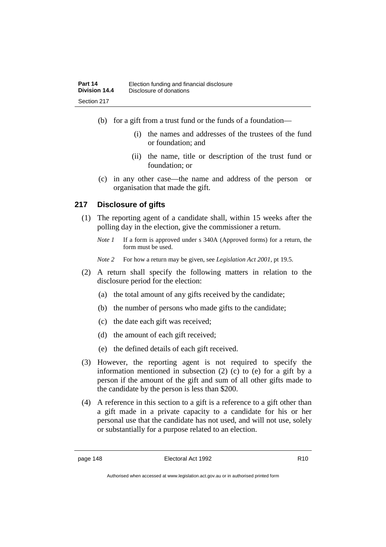- (b) for a gift from a trust fund or the funds of a foundation—
	- (i) the names and addresses of the trustees of the fund or foundation; and
	- (ii) the name, title or description of the trust fund or foundation; or
- (c) in any other case—the name and address of the person or organisation that made the gift.

### **217 Disclosure of gifts**

- (1) The reporting agent of a candidate shall, within 15 weeks after the polling day in the election, give the commissioner a return.
	- *Note 1* If a form is approved under s 340A (Approved forms) for a return, the form must be used.
	- *Note 2* For how a return may be given, see *Legislation Act 2001*, pt 19.5.
- (2) A return shall specify the following matters in relation to the disclosure period for the election:
	- (a) the total amount of any gifts received by the candidate;
	- (b) the number of persons who made gifts to the candidate;
	- (c) the date each gift was received;
	- (d) the amount of each gift received;
	- (e) the defined details of each gift received.
- (3) However, the reporting agent is not required to specify the information mentioned in subsection (2) (c) to (e) for a gift by a person if the amount of the gift and sum of all other gifts made to the candidate by the person is less than \$200.
- (4) A reference in this section to a gift is a reference to a gift other than a gift made in a private capacity to a candidate for his or her personal use that the candidate has not used, and will not use, solely or substantially for a purpose related to an election.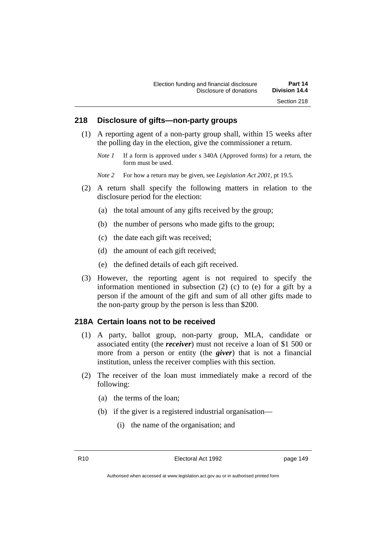#### **218 Disclosure of gifts—non-party groups**

- (1) A reporting agent of a non-party group shall, within 15 weeks after the polling day in the election, give the commissioner a return.
	- *Note 1* If a form is approved under s 340A (Approved forms) for a return, the form must be used.

*Note 2* For how a return may be given, see *Legislation Act 2001*, pt 19.5.

- (2) A return shall specify the following matters in relation to the disclosure period for the election:
	- (a) the total amount of any gifts received by the group;
	- (b) the number of persons who made gifts to the group;
	- (c) the date each gift was received;
	- (d) the amount of each gift received;
	- (e) the defined details of each gift received.
- (3) However, the reporting agent is not required to specify the information mentioned in subsection (2) (c) to (e) for a gift by a person if the amount of the gift and sum of all other gifts made to the non-party group by the person is less than \$200.

#### **218A Certain loans not to be received**

- (1) A party, ballot group, non-party group, MLA, candidate or associated entity (the *receiver*) must not receive a loan of \$1 500 or more from a person or entity (the *giver*) that is not a financial institution, unless the receiver complies with this section.
- (2) The receiver of the loan must immediately make a record of the following:
	- (a) the terms of the loan;
	- (b) if the giver is a registered industrial organisation—
		- (i) the name of the organisation; and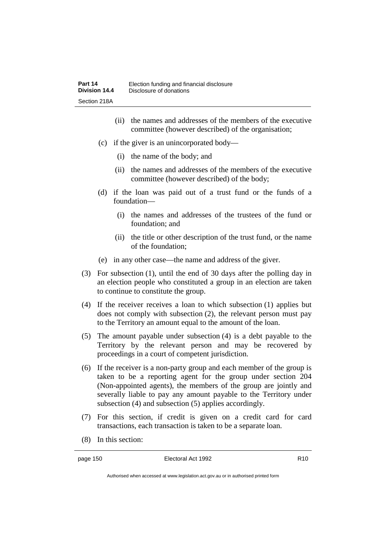- (ii) the names and addresses of the members of the executive committee (however described) of the organisation;
- (c) if the giver is an unincorporated body—
	- (i) the name of the body; and
	- (ii) the names and addresses of the members of the executive committee (however described) of the body;
- (d) if the loan was paid out of a trust fund or the funds of a foundation—
	- (i) the names and addresses of the trustees of the fund or foundation; and
	- (ii) the title or other description of the trust fund, or the name of the foundation;
- (e) in any other case—the name and address of the giver.
- (3) For subsection (1), until the end of 30 days after the polling day in an election people who constituted a group in an election are taken to continue to constitute the group.
- (4) If the receiver receives a loan to which subsection (1) applies but does not comply with subsection (2), the relevant person must pay to the Territory an amount equal to the amount of the loan.
- (5) The amount payable under subsection (4) is a debt payable to the Territory by the relevant person and may be recovered by proceedings in a court of competent jurisdiction.
- (6) If the receiver is a non-party group and each member of the group is taken to be a reporting agent for the group under section 204 (Non-appointed agents), the members of the group are jointly and severally liable to pay any amount payable to the Territory under subsection (4) and subsection (5) applies accordingly.
- (7) For this section, if credit is given on a credit card for card transactions, each transaction is taken to be a separate loan.
- (8) In this section:

Authorised when accessed at www.legislation.act.gov.au or in authorised printed form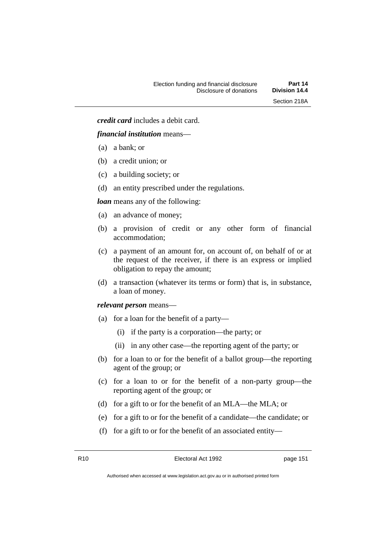*credit card* includes a debit card.

#### *financial institution* means—

- (a) a bank; or
- (b) a credit union; or
- (c) a building society; or
- (d) an entity prescribed under the regulations.

#### *loan* means any of the following:

- (a) an advance of money;
- (b) a provision of credit or any other form of financial accommodation;
- (c) a payment of an amount for, on account of, on behalf of or at the request of the receiver, if there is an express or implied obligation to repay the amount;
- (d) a transaction (whatever its terms or form) that is, in substance, a loan of money.

*relevant person* means—

- (a) for a loan for the benefit of a party—
	- (i) if the party is a corporation—the party; or
	- (ii) in any other case—the reporting agent of the party; or
- (b) for a loan to or for the benefit of a ballot group—the reporting agent of the group; or
- (c) for a loan to or for the benefit of a non-party group—the reporting agent of the group; or
- (d) for a gift to or for the benefit of an MLA—the MLA; or
- (e) for a gift to or for the benefit of a candidate—the candidate; or
- (f) for a gift to or for the benefit of an associated entity—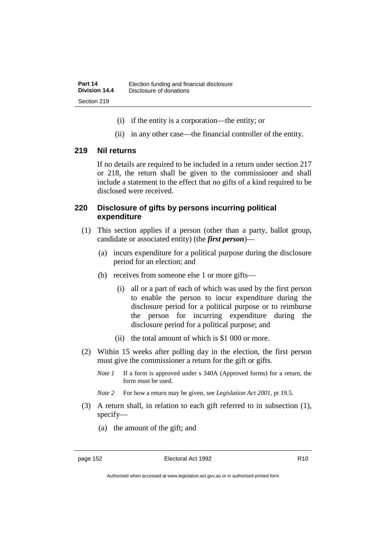- (i) if the entity is a corporation—the entity; or
- (ii) in any other case—the financial controller of the entity.

#### **219 Nil returns**

If no details are required to be included in a return under section 217 or 218, the return shall be given to the commissioner and shall include a statement to the effect that no gifts of a kind required to be disclosed were received.

#### **220 Disclosure of gifts by persons incurring political expenditure**

- (1) This section applies if a person (other than a party, ballot group, candidate or associated entity) (the *first person*)—
	- (a) incurs expenditure for a political purpose during the disclosure period for an election; and
	- (b) receives from someone else 1 or more gifts—
		- (i) all or a part of each of which was used by the first person to enable the person to incur expenditure during the disclosure period for a political purpose or to reimburse the person for incurring expenditure during the disclosure period for a political purpose; and
		- (ii) the total amount of which is \$1 000 or more.
- (2) Within 15 weeks after polling day in the election, the first person must give the commissioner a return for the gift or gifts.
	- *Note 1* If a form is approved under s 340A (Approved forms) for a return, the form must be used.
	- *Note 2* For how a return may be given, see *Legislation Act 2001*, pt 19.5.
- (3) A return shall, in relation to each gift referred to in subsection (1), specify—
	- (a) the amount of the gift; and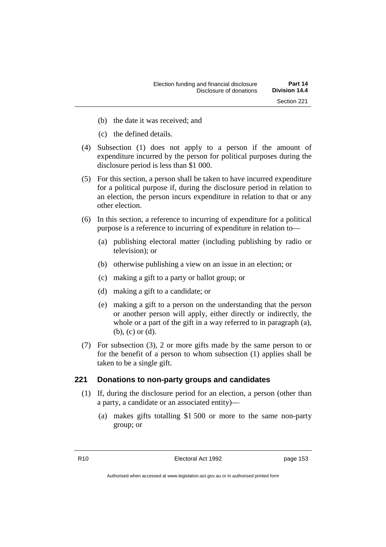- (b) the date it was received; and
- (c) the defined details.
- (4) Subsection (1) does not apply to a person if the amount of expenditure incurred by the person for political purposes during the disclosure period is less than \$1 000.
- (5) For this section, a person shall be taken to have incurred expenditure for a political purpose if, during the disclosure period in relation to an election, the person incurs expenditure in relation to that or any other election.
- (6) In this section, a reference to incurring of expenditure for a political purpose is a reference to incurring of expenditure in relation to—
	- (a) publishing electoral matter (including publishing by radio or television); or
	- (b) otherwise publishing a view on an issue in an election; or
	- (c) making a gift to a party or ballot group; or
	- (d) making a gift to a candidate; or
	- (e) making a gift to a person on the understanding that the person or another person will apply, either directly or indirectly, the whole or a part of the gift in a way referred to in paragraph (a), (b), (c) or (d).
- (7) For subsection (3), 2 or more gifts made by the same person to or for the benefit of a person to whom subsection (1) applies shall be taken to be a single gift.

#### **221 Donations to non-party groups and candidates**

- (1) If, during the disclosure period for an election, a person (other than a party, a candidate or an associated entity)—
	- (a) makes gifts totalling \$1 500 or more to the same non-party group; or

R10 **Electoral Act 1992 page 153**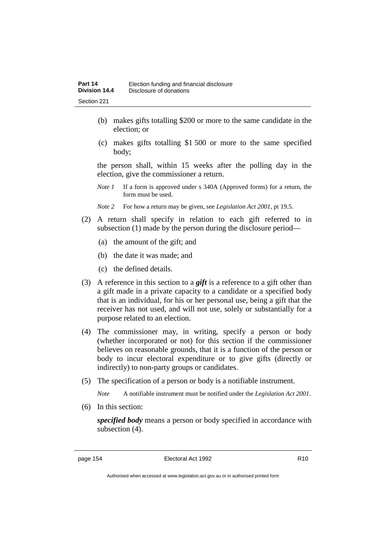- (b) makes gifts totalling \$200 or more to the same candidate in the election; or
- (c) makes gifts totalling \$1 500 or more to the same specified body;

the person shall, within 15 weeks after the polling day in the election, give the commissioner a return.

- *Note 1* If a form is approved under s 340A (Approved forms) for a return, the form must be used.
- *Note 2* For how a return may be given, see *Legislation Act 2001*, pt 19.5.
- (2) A return shall specify in relation to each gift referred to in subsection (1) made by the person during the disclosure period—
	- (a) the amount of the gift; and
	- (b) the date it was made; and
	- (c) the defined details.
- (3) A reference in this section to a *gift* is a reference to a gift other than a gift made in a private capacity to a candidate or a specified body that is an individual, for his or her personal use, being a gift that the receiver has not used, and will not use, solely or substantially for a purpose related to an election.
- (4) The commissioner may, in writing, specify a person or body (whether incorporated or not) for this section if the commissioner believes on reasonable grounds, that it is a function of the person or body to incur electoral expenditure or to give gifts (directly or indirectly) to non-party groups or candidates.
- (5) The specification of a person or body is a notifiable instrument.

*Note* A notifiable instrument must be notified under the *Legislation Act 2001*.

(6) In this section:

*specified body* means a person or body specified in accordance with subsection (4).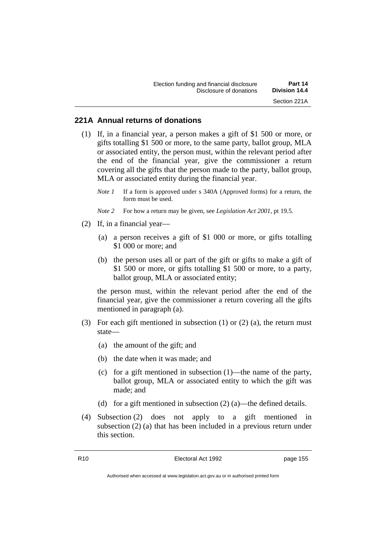#### **221A Annual returns of donations**

- (1) If, in a financial year, a person makes a gift of \$1 500 or more, or gifts totalling \$1 500 or more, to the same party, ballot group, MLA or associated entity, the person must, within the relevant period after the end of the financial year, give the commissioner a return covering all the gifts that the person made to the party, ballot group, MLA or associated entity during the financial year.
	- *Note 1* If a form is approved under s 340A (Approved forms) for a return, the form must be used.
	- *Note 2* For how a return may be given, see *Legislation Act 2001*, pt 19.5.
- (2) If, in a financial year—
	- (a) a person receives a gift of \$1 000 or more, or gifts totalling \$1 000 or more; and
	- (b) the person uses all or part of the gift or gifts to make a gift of \$1 500 or more, or gifts totalling \$1 500 or more, to a party, ballot group, MLA or associated entity;

the person must, within the relevant period after the end of the financial year, give the commissioner a return covering all the gifts mentioned in paragraph (a).

- (3) For each gift mentioned in subsection (1) or (2) (a), the return must state—
	- (a) the amount of the gift; and
	- (b) the date when it was made; and
	- (c) for a gift mentioned in subsection (1)—the name of the party, ballot group, MLA or associated entity to which the gift was made; and
	- (d) for a gift mentioned in subsection  $(2)$  (a)—the defined details.
- (4) Subsection (2) does not apply to a gift mentioned in subsection (2) (a) that has been included in a previous return under this section.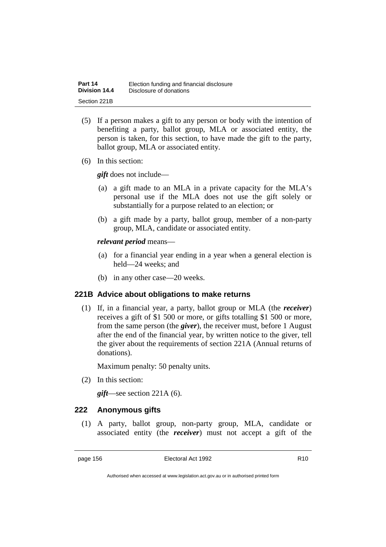| Part 14       | Election funding and financial disclosure |
|---------------|-------------------------------------------|
| Division 14.4 | Disclosure of donations                   |
| Section 221B  |                                           |

- (5) If a person makes a gift to any person or body with the intention of benefiting a party, ballot group, MLA or associated entity, the person is taken, for this section, to have made the gift to the party, ballot group, MLA or associated entity.
- (6) In this section:

*gift* does not include—

- (a) a gift made to an MLA in a private capacity for the MLA's personal use if the MLA does not use the gift solely or substantially for a purpose related to an election; or
- (b) a gift made by a party, ballot group, member of a non-party group, MLA, candidate or associated entity.

*relevant period* means—

- (a) for a financial year ending in a year when a general election is held—24 weeks; and
- (b) in any other case—20 weeks.

#### **221B Advice about obligations to make returns**

(1) If, in a financial year, a party, ballot group or MLA (the *receiver*) receives a gift of \$1 500 or more, or gifts totalling \$1 500 or more, from the same person (the *giver*), the receiver must, before 1 August after the end of the financial year, by written notice to the giver, tell the giver about the requirements of section 221A (Annual returns of donations).

Maximum penalty: 50 penalty units.

(2) In this section:

*gift*—see section 221A (6).

### **222 Anonymous gifts**

(1) A party, ballot group, non-party group, MLA, candidate or associated entity (the *receiver*) must not accept a gift of the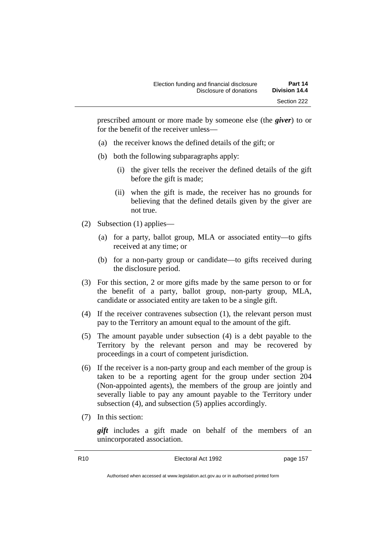prescribed amount or more made by someone else (the *giver*) to or for the benefit of the receiver unless—

- (a) the receiver knows the defined details of the gift; or
- (b) both the following subparagraphs apply:
	- (i) the giver tells the receiver the defined details of the gift before the gift is made;
	- (ii) when the gift is made, the receiver has no grounds for believing that the defined details given by the giver are not true.
- (2) Subsection (1) applies—
	- (a) for a party, ballot group, MLA or associated entity—to gifts received at any time; or
	- (b) for a non-party group or candidate—to gifts received during the disclosure period.
- (3) For this section, 2 or more gifts made by the same person to or for the benefit of a party, ballot group, non-party group, MLA, candidate or associated entity are taken to be a single gift.
- (4) If the receiver contravenes subsection (1), the relevant person must pay to the Territory an amount equal to the amount of the gift.
- (5) The amount payable under subsection (4) is a debt payable to the Territory by the relevant person and may be recovered by proceedings in a court of competent jurisdiction.
- (6) If the receiver is a non-party group and each member of the group is taken to be a reporting agent for the group under section 204 (Non-appointed agents), the members of the group are jointly and severally liable to pay any amount payable to the Territory under subsection (4), and subsection (5) applies accordingly.
- (7) In this section:

*gift* includes a gift made on behalf of the members of an unincorporated association.

R10 Electoral Act 1992 page 157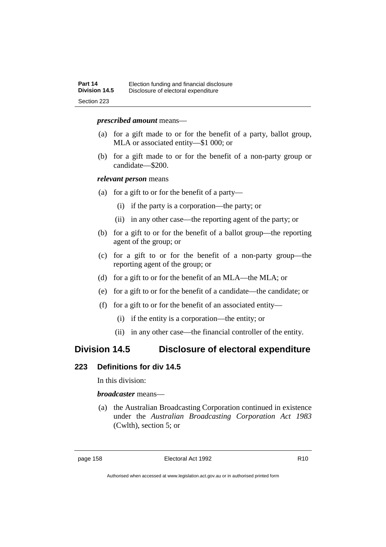#### *prescribed amount* means—

- (a) for a gift made to or for the benefit of a party, ballot group, MLA or associated entity—\$1 000; or
- (b) for a gift made to or for the benefit of a non-party group or candidate—\$200.

#### *relevant person* means

- (a) for a gift to or for the benefit of a party—
	- (i) if the party is a corporation—the party; or
	- (ii) in any other case—the reporting agent of the party; or
- (b) for a gift to or for the benefit of a ballot group—the reporting agent of the group; or
- (c) for a gift to or for the benefit of a non-party group—the reporting agent of the group; or
- (d) for a gift to or for the benefit of an MLA—the MLA; or
- (e) for a gift to or for the benefit of a candidate—the candidate; or
- (f) for a gift to or for the benefit of an associated entity—
	- (i) if the entity is a corporation—the entity; or
	- (ii) in any other case—the financial controller of the entity.

## **Division 14.5 Disclosure of electoral expenditure**

### **223 Definitions for div 14.5**

In this division:

*broadcaster* means—

(a) the Australian Broadcasting Corporation continued in existence under the *Australian Broadcasting Corporation Act 1983* (Cwlth), section 5; or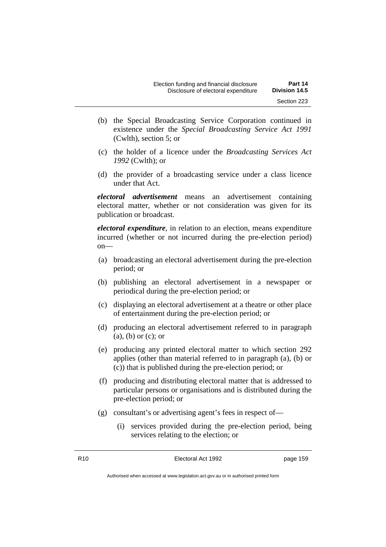- (b) the Special Broadcasting Service Corporation continued in existence under the *Special Broadcasting Service Act 1991* (Cwlth), section 5; or
- (c) the holder of a licence under the *Broadcasting Services Act 1992* (Cwlth); or
- (d) the provider of a broadcasting service under a class licence under that Act.

*electoral advertisement* means an advertisement containing electoral matter, whether or not consideration was given for its publication or broadcast.

*electoral expenditure*, in relation to an election, means expenditure incurred (whether or not incurred during the pre-election period) on—

- (a) broadcasting an electoral advertisement during the pre-election period; or
- (b) publishing an electoral advertisement in a newspaper or periodical during the pre-election period; or
- (c) displaying an electoral advertisement at a theatre or other place of entertainment during the pre-election period; or
- (d) producing an electoral advertisement referred to in paragraph (a), (b) or (c); or
- (e) producing any printed electoral matter to which section 292 applies (other than material referred to in paragraph (a), (b) or (c)) that is published during the pre-election period; or
- (f) producing and distributing electoral matter that is addressed to particular persons or organisations and is distributed during the pre-election period; or
- (g) consultant's or advertising agent's fees in respect of—
	- (i) services provided during the pre-election period, being services relating to the election; or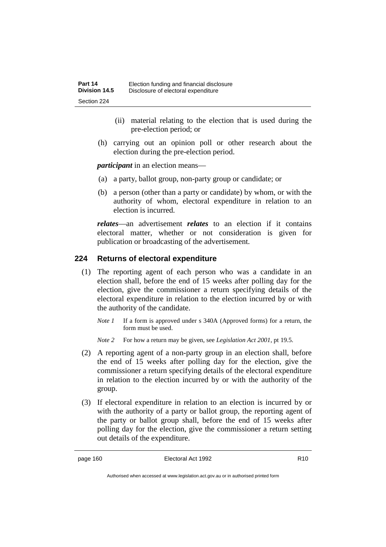- (ii) material relating to the election that is used during the pre-election period; or
- (h) carrying out an opinion poll or other research about the election during the pre-election period.

*participant* in an election means—

- (a) a party, ballot group, non-party group or candidate; or
- (b) a person (other than a party or candidate) by whom, or with the authority of whom, electoral expenditure in relation to an election is incurred.

*relates*—an advertisement *relates* to an election if it contains electoral matter, whether or not consideration is given for publication or broadcasting of the advertisement.

### **224 Returns of electoral expenditure**

- (1) The reporting agent of each person who was a candidate in an election shall, before the end of 15 weeks after polling day for the election, give the commissioner a return specifying details of the electoral expenditure in relation to the election incurred by or with the authority of the candidate.
	- *Note 1* If a form is approved under s 340A (Approved forms) for a return, the form must be used.
	- *Note 2* For how a return may be given, see *Legislation Act 2001*, pt 19.5.
- (2) A reporting agent of a non-party group in an election shall, before the end of 15 weeks after polling day for the election, give the commissioner a return specifying details of the electoral expenditure in relation to the election incurred by or with the authority of the group.
- (3) If electoral expenditure in relation to an election is incurred by or with the authority of a party or ballot group, the reporting agent of the party or ballot group shall, before the end of 15 weeks after polling day for the election, give the commissioner a return setting out details of the expenditure.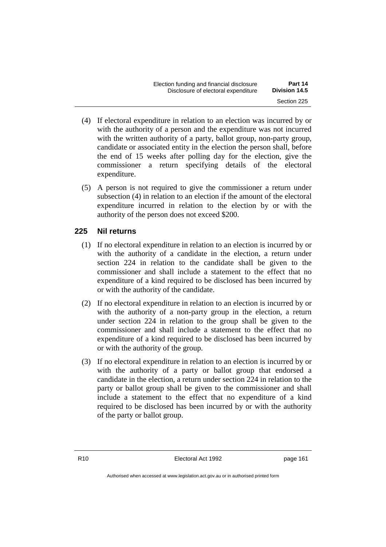| Election funding and financial disclosure | Part 14       |
|-------------------------------------------|---------------|
| Disclosure of electoral expenditure       | Division 14.5 |
|                                           | Section 225   |

- (4) If electoral expenditure in relation to an election was incurred by or with the authority of a person and the expenditure was not incurred with the written authority of a party, ballot group, non-party group, candidate or associated entity in the election the person shall, before the end of 15 weeks after polling day for the election, give the commissioner a return specifying details of the electoral expenditure.
- (5) A person is not required to give the commissioner a return under subsection (4) in relation to an election if the amount of the electoral expenditure incurred in relation to the election by or with the authority of the person does not exceed \$200.

### **225 Nil returns**

- (1) If no electoral expenditure in relation to an election is incurred by or with the authority of a candidate in the election, a return under section 224 in relation to the candidate shall be given to the commissioner and shall include a statement to the effect that no expenditure of a kind required to be disclosed has been incurred by or with the authority of the candidate.
- (2) If no electoral expenditure in relation to an election is incurred by or with the authority of a non-party group in the election, a return under section 224 in relation to the group shall be given to the commissioner and shall include a statement to the effect that no expenditure of a kind required to be disclosed has been incurred by or with the authority of the group.
- (3) If no electoral expenditure in relation to an election is incurred by or with the authority of a party or ballot group that endorsed a candidate in the election, a return under section 224 in relation to the party or ballot group shall be given to the commissioner and shall include a statement to the effect that no expenditure of a kind required to be disclosed has been incurred by or with the authority of the party or ballot group.

R10 **Electoral Act 1992 page 161**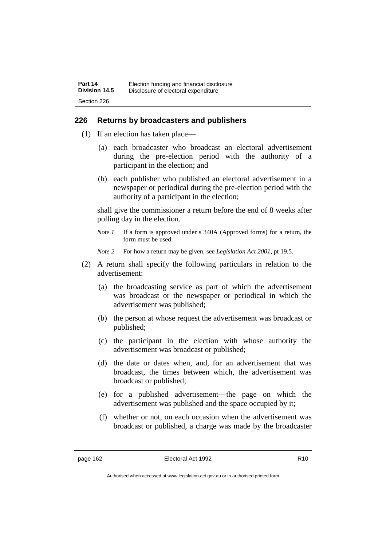#### **226 Returns by broadcasters and publishers**

- (1) If an election has taken place—
	- (a) each broadcaster who broadcast an electoral advertisement during the pre-election period with the authority of a participant in the election; and
	- (b) each publisher who published an electoral advertisement in a newspaper or periodical during the pre-election period with the authority of a participant in the election;

shall give the commissioner a return before the end of 8 weeks after polling day in the election.

- *Note 1* If a form is approved under s 340A (Approved forms) for a return, the form must be used.
- *Note 2* For how a return may be given, see *Legislation Act 2001*, pt 19.5.
- (2) A return shall specify the following particulars in relation to the advertisement:
	- (a) the broadcasting service as part of which the advertisement was broadcast or the newspaper or periodical in which the advertisement was published;
	- (b) the person at whose request the advertisement was broadcast or published;
	- (c) the participant in the election with whose authority the advertisement was broadcast or published;
	- (d) the date or dates when, and, for an advertisement that was broadcast, the times between which, the advertisement was broadcast or published;
	- (e) for a published advertisement—the page on which the advertisement was published and the space occupied by it;
	- (f) whether or not, on each occasion when the advertisement was broadcast or published, a charge was made by the broadcaster

Authorised when accessed at www.legislation.act.gov.au or in authorised printed form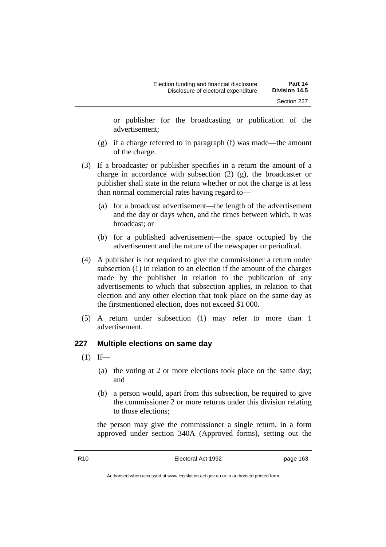or publisher for the broadcasting or publication of the advertisement;

- (g) if a charge referred to in paragraph (f) was made—the amount of the charge.
- (3) If a broadcaster or publisher specifies in a return the amount of a charge in accordance with subsection (2) (g), the broadcaster or publisher shall state in the return whether or not the charge is at less than normal commercial rates having regard to—
	- (a) for a broadcast advertisement—the length of the advertisement and the day or days when, and the times between which, it was broadcast; or
	- (b) for a published advertisement—the space occupied by the advertisement and the nature of the newspaper or periodical.
- (4) A publisher is not required to give the commissioner a return under subsection (1) in relation to an election if the amount of the charges made by the publisher in relation to the publication of any advertisements to which that subsection applies, in relation to that election and any other election that took place on the same day as the firstmentioned election, does not exceed \$1 000.
- (5) A return under subsection (1) may refer to more than 1 advertisement.

# **227 Multiple elections on same day**

- $(1)$  If—
	- (a) the voting at 2 or more elections took place on the same day; and
	- (b) a person would, apart from this subsection, be required to give the commissioner 2 or more returns under this division relating to those elections;

the person may give the commissioner a single return, in a form approved under section 340A (Approved forms), setting out the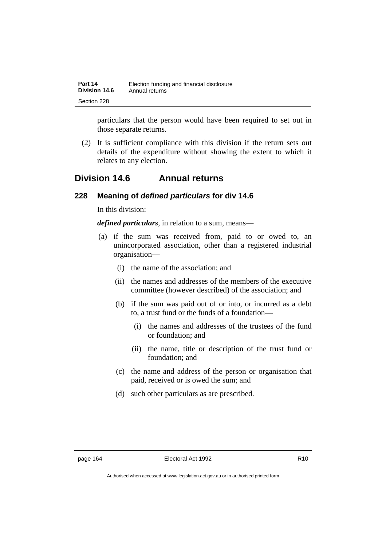| Part 14       | Election funding and financial disclosure |
|---------------|-------------------------------------------|
| Division 14.6 | Annual returns                            |
| Section 228   |                                           |

particulars that the person would have been required to set out in those separate returns.

(2) It is sufficient compliance with this division if the return sets out details of the expenditure without showing the extent to which it relates to any election.

# **Division 14.6 Annual returns**

## **228 Meaning of** *defined particulars* **for div 14.6**

In this division:

*defined particulars*, in relation to a sum, means—

- (a) if the sum was received from, paid to or owed to, an unincorporated association, other than a registered industrial organisation—
	- (i) the name of the association; and
	- (ii) the names and addresses of the members of the executive committee (however described) of the association; and
	- (b) if the sum was paid out of or into, or incurred as a debt to, a trust fund or the funds of a foundation—
		- (i) the names and addresses of the trustees of the fund or foundation; and
		- (ii) the name, title or description of the trust fund or foundation; and
	- (c) the name and address of the person or organisation that paid, received or is owed the sum; and
	- (d) such other particulars as are prescribed.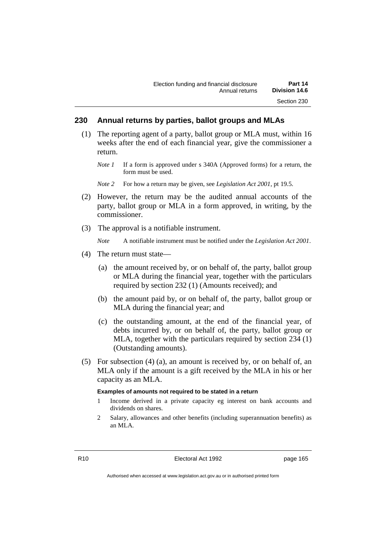# **230 Annual returns by parties, ballot groups and MLAs**

- (1) The reporting agent of a party, ballot group or MLA must, within 16 weeks after the end of each financial year, give the commissioner a return.
	- *Note 1* If a form is approved under s 340A (Approved forms) for a return, the form must be used.

*Note 2* For how a return may be given, see *Legislation Act 2001*, pt 19.5.

- (2) However, the return may be the audited annual accounts of the party, ballot group or MLA in a form approved, in writing, by the commissioner.
- (3) The approval is a notifiable instrument.

*Note* A notifiable instrument must be notified under the *Legislation Act 2001*.

- (4) The return must state—
	- (a) the amount received by, or on behalf of, the party, ballot group or MLA during the financial year, together with the particulars required by section 232 (1) (Amounts received); and
	- (b) the amount paid by, or on behalf of, the party, ballot group or MLA during the financial year; and
	- (c) the outstanding amount, at the end of the financial year, of debts incurred by, or on behalf of, the party, ballot group or MLA, together with the particulars required by section 234 (1) (Outstanding amounts).
- (5) For subsection (4) (a), an amount is received by, or on behalf of, an MLA only if the amount is a gift received by the MLA in his or her capacity as an MLA.

#### **Examples of amounts not required to be stated in a return**

- 1 Income derived in a private capacity eg interest on bank accounts and dividends on shares.
- 2 Salary, allowances and other benefits (including superannuation benefits) as an MLA.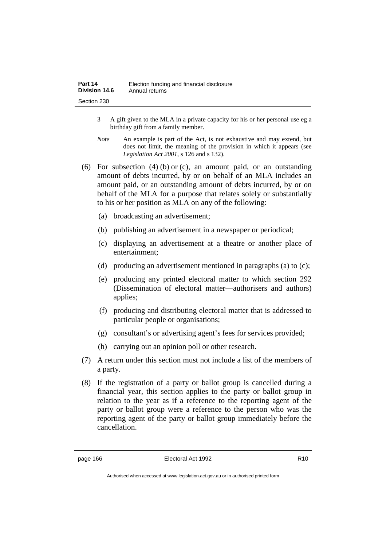| Part 14       | Election funding and financial disclosure |
|---------------|-------------------------------------------|
| Division 14.6 | Annual returns                            |
| Section 230   |                                           |

- 3 A gift given to the MLA in a private capacity for his or her personal use eg a birthday gift from a family member.
- *Note* An example is part of the Act, is not exhaustive and may extend, but does not limit, the meaning of the provision in which it appears (see *Legislation Act 2001*, s 126 and s 132).
- (6) For subsection (4) (b) or (c), an amount paid, or an outstanding amount of debts incurred, by or on behalf of an MLA includes an amount paid, or an outstanding amount of debts incurred, by or on behalf of the MLA for a purpose that relates solely or substantially to his or her position as MLA on any of the following:
	- (a) broadcasting an advertisement;
	- (b) publishing an advertisement in a newspaper or periodical;
	- (c) displaying an advertisement at a theatre or another place of entertainment;
	- (d) producing an advertisement mentioned in paragraphs (a) to (c);
	- (e) producing any printed electoral matter to which section 292 (Dissemination of electoral matter—authorisers and authors) applies;
	- (f) producing and distributing electoral matter that is addressed to particular people or organisations;
	- (g) consultant's or advertising agent's fees for services provided;
	- (h) carrying out an opinion poll or other research.
- (7) A return under this section must not include a list of the members of a party.
- (8) If the registration of a party or ballot group is cancelled during a financial year, this section applies to the party or ballot group in relation to the year as if a reference to the reporting agent of the party or ballot group were a reference to the person who was the reporting agent of the party or ballot group immediately before the cancellation.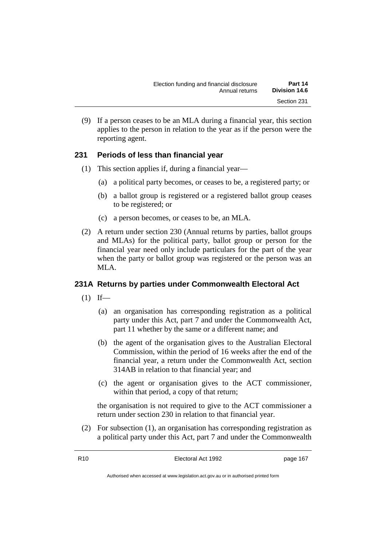(9) If a person ceases to be an MLA during a financial year, this section applies to the person in relation to the year as if the person were the reporting agent.

# **231 Periods of less than financial year**

- (1) This section applies if, during a financial year—
	- (a) a political party becomes, or ceases to be, a registered party; or
	- (b) a ballot group is registered or a registered ballot group ceases to be registered; or
	- (c) a person becomes, or ceases to be, an MLA.
- (2) A return under section 230 (Annual returns by parties, ballot groups and MLAs) for the political party, ballot group or person for the financial year need only include particulars for the part of the year when the party or ballot group was registered or the person was an MLA.

# **231A Returns by parties under Commonwealth Electoral Act**

- $(1)$  If—
	- (a) an organisation has corresponding registration as a political party under this Act, part 7 and under the Commonwealth Act, part 11 whether by the same or a different name; and
	- (b) the agent of the organisation gives to the Australian Electoral Commission, within the period of 16 weeks after the end of the financial year, a return under the Commonwealth Act, section 314AB in relation to that financial year; and
	- (c) the agent or organisation gives to the ACT commissioner, within that period, a copy of that return;

the organisation is not required to give to the ACT commissioner a return under section 230 in relation to that financial year.

(2) For subsection (1), an organisation has corresponding registration as a political party under this Act, part 7 and under the Commonwealth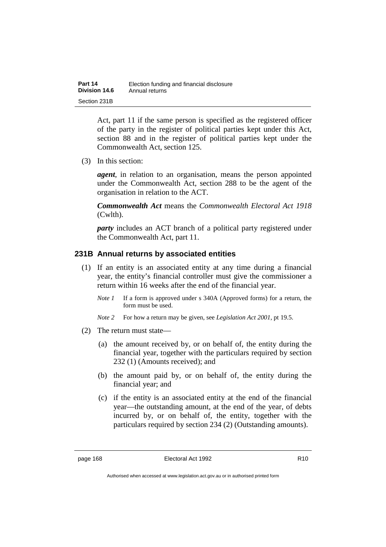| Part 14       | Election funding and financial disclosure |
|---------------|-------------------------------------------|
| Division 14.6 | Annual returns                            |
| Section 231B  |                                           |

Act, part 11 if the same person is specified as the registered officer of the party in the register of political parties kept under this Act, section 88 and in the register of political parties kept under the Commonwealth Act, section 125.

(3) In this section:

*agent*, in relation to an organisation, means the person appointed under the Commonwealth Act, section 288 to be the agent of the organisation in relation to the ACT.

*Commonwealth Act* means the *Commonwealth Electoral Act 1918* (Cwlth).

*party* includes an ACT branch of a political party registered under the Commonwealth Act, part 11.

# **231B Annual returns by associated entities**

- (1) If an entity is an associated entity at any time during a financial year, the entity's financial controller must give the commissioner a return within 16 weeks after the end of the financial year.
	- *Note 1* If a form is approved under s 340A (Approved forms) for a return, the form must be used.
	- *Note 2* For how a return may be given, see *Legislation Act 2001*, pt 19.5.
- (2) The return must state—
	- (a) the amount received by, or on behalf of, the entity during the financial year, together with the particulars required by section 232 (1) (Amounts received); and
	- (b) the amount paid by, or on behalf of, the entity during the financial year; and
	- (c) if the entity is an associated entity at the end of the financial year—the outstanding amount, at the end of the year, of debts incurred by, or on behalf of, the entity, together with the particulars required by section 234 (2) (Outstanding amounts).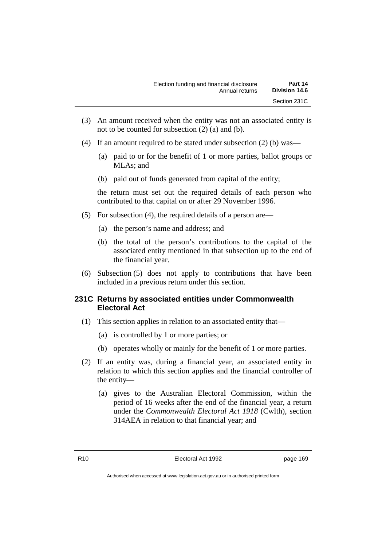- (3) An amount received when the entity was not an associated entity is not to be counted for subsection (2) (a) and (b).
- (4) If an amount required to be stated under subsection (2) (b) was—
	- (a) paid to or for the benefit of 1 or more parties, ballot groups or MLAs; and
	- (b) paid out of funds generated from capital of the entity;

the return must set out the required details of each person who contributed to that capital on or after 29 November 1996.

- (5) For subsection (4), the required details of a person are—
	- (a) the person's name and address; and
	- (b) the total of the person's contributions to the capital of the associated entity mentioned in that subsection up to the end of the financial year.
- (6) Subsection (5) does not apply to contributions that have been included in a previous return under this section.

# **231C Returns by associated entities under Commonwealth Electoral Act**

- (1) This section applies in relation to an associated entity that—
	- (a) is controlled by 1 or more parties; or
	- (b) operates wholly or mainly for the benefit of 1 or more parties.
- (2) If an entity was, during a financial year, an associated entity in relation to which this section applies and the financial controller of the entity—
	- (a) gives to the Australian Electoral Commission, within the period of 16 weeks after the end of the financial year, a return under the *Commonwealth Electoral Act 1918* (Cwlth), section 314AEA in relation to that financial year; and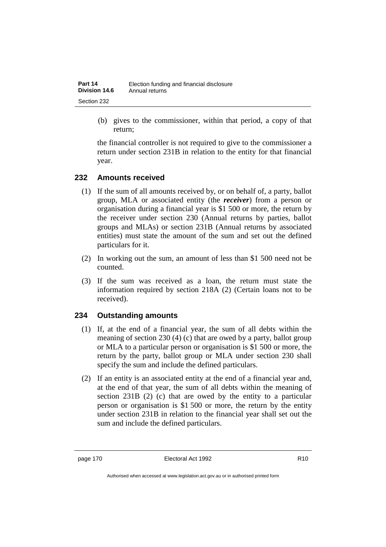(b) gives to the commissioner, within that period, a copy of that return;

the financial controller is not required to give to the commissioner a return under section 231B in relation to the entity for that financial year.

# **232 Amounts received**

- (1) If the sum of all amounts received by, or on behalf of, a party, ballot group, MLA or associated entity (the *receiver*) from a person or organisation during a financial year is \$1 500 or more, the return by the receiver under section 230 (Annual returns by parties, ballot groups and MLAs) or section 231B (Annual returns by associated entities) must state the amount of the sum and set out the defined particulars for it.
- (2) In working out the sum, an amount of less than \$1 500 need not be counted.
- (3) If the sum was received as a loan, the return must state the information required by section 218A (2) (Certain loans not to be received).

# **234 Outstanding amounts**

- (1) If, at the end of a financial year, the sum of all debts within the meaning of section 230 (4) (c) that are owed by a party, ballot group or MLA to a particular person or organisation is \$1 500 or more, the return by the party, ballot group or MLA under section 230 shall specify the sum and include the defined particulars.
- (2) If an entity is an associated entity at the end of a financial year and, at the end of that year, the sum of all debts within the meaning of section 231B (2) (c) that are owed by the entity to a particular person or organisation is \$1 500 or more, the return by the entity under section 231B in relation to the financial year shall set out the sum and include the defined particulars.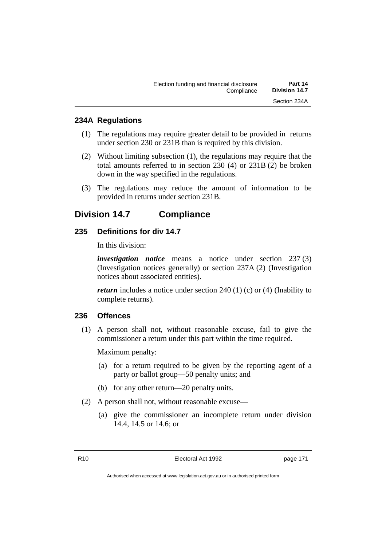# **234A Regulations**

- (1) The regulations may require greater detail to be provided in returns under section 230 or 231B than is required by this division.
- (2) Without limiting subsection (1), the regulations may require that the total amounts referred to in section 230 (4) or 231B (2) be broken down in the way specified in the regulations.
- (3) The regulations may reduce the amount of information to be provided in returns under section 231B.

# **Division 14.7 Compliance**

# **235 Definitions for div 14.7**

In this division:

*investigation notice* means a notice under section 237 (3) (Investigation notices generally) or section 237A (2) (Investigation notices about associated entities).

*return* includes a notice under section 240 (1) (c) or (4) (Inability to complete returns).

# **236 Offences**

(1) A person shall not, without reasonable excuse, fail to give the commissioner a return under this part within the time required.

Maximum penalty:

- (a) for a return required to be given by the reporting agent of a party or ballot group—50 penalty units; and
- (b) for any other return—20 penalty units.
- (2) A person shall not, without reasonable excuse—
	- (a) give the commissioner an incomplete return under division 14.4, 14.5 or 14.6; or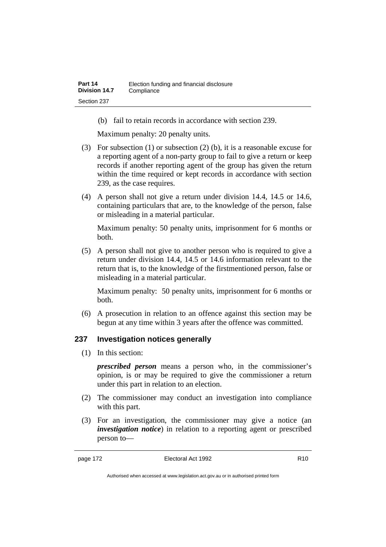(b) fail to retain records in accordance with section 239.

Maximum penalty: 20 penalty units.

- (3) For subsection (1) or subsection (2) (b), it is a reasonable excuse for a reporting agent of a non-party group to fail to give a return or keep records if another reporting agent of the group has given the return within the time required or kept records in accordance with section 239, as the case requires.
- (4) A person shall not give a return under division 14.4, 14.5 or 14.6, containing particulars that are, to the knowledge of the person, false or misleading in a material particular.

Maximum penalty: 50 penalty units, imprisonment for 6 months or both.

(5) A person shall not give to another person who is required to give a return under division 14.4, 14.5 or 14.6 information relevant to the return that is, to the knowledge of the firstmentioned person, false or misleading in a material particular.

Maximum penalty: 50 penalty units, imprisonment for 6 months or both.

(6) A prosecution in relation to an offence against this section may be begun at any time within 3 years after the offence was committed.

# **237 Investigation notices generally**

(1) In this section:

*prescribed person* means a person who, in the commissioner's opinion, is or may be required to give the commissioner a return under this part in relation to an election.

- (2) The commissioner may conduct an investigation into compliance with this part.
- (3) For an investigation, the commissioner may give a notice (an *investigation notice*) in relation to a reporting agent or prescribed person to—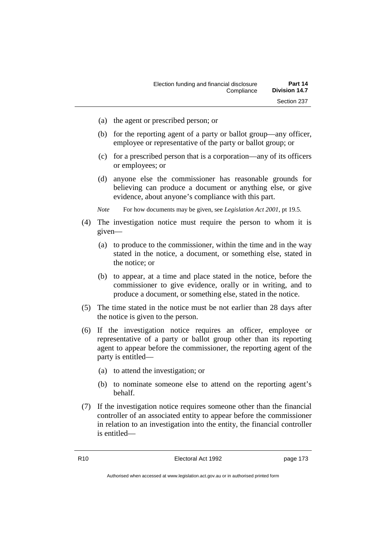- (a) the agent or prescribed person; or
- (b) for the reporting agent of a party or ballot group—any officer, employee or representative of the party or ballot group; or
- (c) for a prescribed person that is a corporation—any of its officers or employees; or
- (d) anyone else the commissioner has reasonable grounds for believing can produce a document or anything else, or give evidence, about anyone's compliance with this part.

*Note* For how documents may be given, see *Legislation Act 2001*, pt 19.5.

- (4) The investigation notice must require the person to whom it is given—
	- (a) to produce to the commissioner, within the time and in the way stated in the notice, a document, or something else, stated in the notice; or
	- (b) to appear, at a time and place stated in the notice, before the commissioner to give evidence, orally or in writing, and to produce a document, or something else, stated in the notice.
- (5) The time stated in the notice must be not earlier than 28 days after the notice is given to the person.
- (6) If the investigation notice requires an officer, employee or representative of a party or ballot group other than its reporting agent to appear before the commissioner, the reporting agent of the party is entitled—
	- (a) to attend the investigation; or
	- (b) to nominate someone else to attend on the reporting agent's behalf.
- (7) If the investigation notice requires someone other than the financial controller of an associated entity to appear before the commissioner in relation to an investigation into the entity, the financial controller is entitled—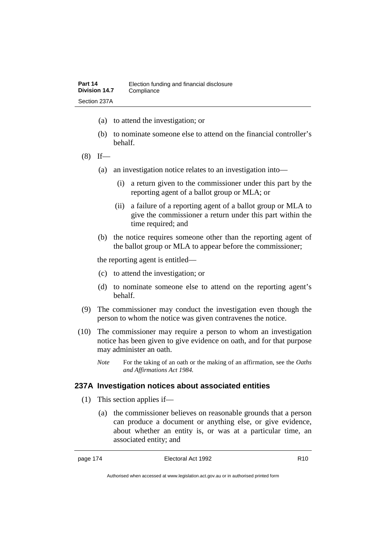- (a) to attend the investigation; or
- (b) to nominate someone else to attend on the financial controller's behalf.
- $(8)$  If—
	- (a) an investigation notice relates to an investigation into—
		- (i) a return given to the commissioner under this part by the reporting agent of a ballot group or MLA; or
		- (ii) a failure of a reporting agent of a ballot group or MLA to give the commissioner a return under this part within the time required; and
	- (b) the notice requires someone other than the reporting agent of the ballot group or MLA to appear before the commissioner;

the reporting agent is entitled—

- (c) to attend the investigation; or
- (d) to nominate someone else to attend on the reporting agent's behalf.
- (9) The commissioner may conduct the investigation even though the person to whom the notice was given contravenes the notice.
- (10) The commissioner may require a person to whom an investigation notice has been given to give evidence on oath, and for that purpose may administer an oath.
	- *Note* For the taking of an oath or the making of an affirmation, see the *Oaths and Affirmations Act 1984.*

# **237A Investigation notices about associated entities**

- (1) This section applies if—
	- (a) the commissioner believes on reasonable grounds that a person can produce a document or anything else, or give evidence, about whether an entity is, or was at a particular time, an associated entity; and

Authorised when accessed at www.legislation.act.gov.au or in authorised printed form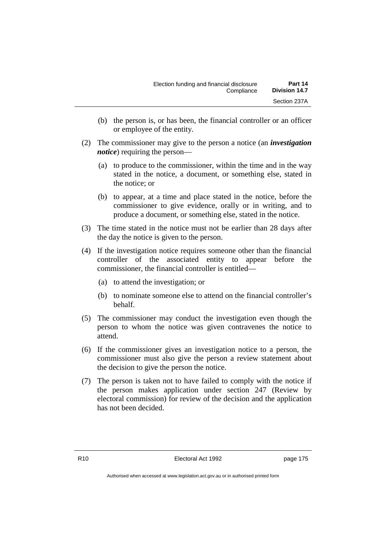- (b) the person is, or has been, the financial controller or an officer or employee of the entity.
- (2) The commissioner may give to the person a notice (an *investigation notice*) requiring the person—
	- (a) to produce to the commissioner, within the time and in the way stated in the notice, a document, or something else, stated in the notice; or
	- (b) to appear, at a time and place stated in the notice, before the commissioner to give evidence, orally or in writing, and to produce a document, or something else, stated in the notice.
- (3) The time stated in the notice must not be earlier than 28 days after the day the notice is given to the person.
- (4) If the investigation notice requires someone other than the financial controller of the associated entity to appear before the commissioner, the financial controller is entitled—
	- (a) to attend the investigation; or
	- (b) to nominate someone else to attend on the financial controller's behalf.
- (5) The commissioner may conduct the investigation even though the person to whom the notice was given contravenes the notice to attend.
- (6) If the commissioner gives an investigation notice to a person, the commissioner must also give the person a review statement about the decision to give the person the notice.
- (7) The person is taken not to have failed to comply with the notice if the person makes application under section 247 (Review by electoral commission) for review of the decision and the application has not been decided.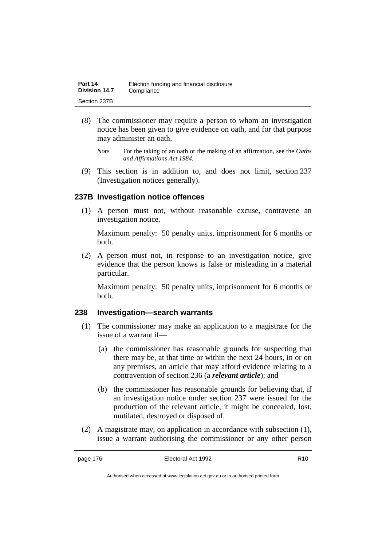| Part 14       | Election funding and financial disclosure |
|---------------|-------------------------------------------|
| Division 14.7 | Compliance                                |
| Section 237B  |                                           |

- (8) The commissioner may require a person to whom an investigation notice has been given to give evidence on oath, and for that purpose may administer an oath.
	- *Note* For the taking of an oath or the making of an affirmation, see the *Oaths and Affirmations Act 1984.*
- (9) This section is in addition to, and does not limit, section 237 (Investigation notices generally).

# **237B Investigation notice offences**

(1) A person must not, without reasonable excuse, contravene an investigation notice.

Maximum penalty: 50 penalty units, imprisonment for 6 months or both.

(2) A person must not, in response to an investigation notice, give evidence that the person knows is false or misleading in a material particular.

Maximum penalty: 50 penalty units, imprisonment for 6 months or both.

# **238 Investigation—search warrants**

- (1) The commissioner may make an application to a magistrate for the issue of a warrant if—
	- (a) the commissioner has reasonable grounds for suspecting that there may be, at that time or within the next 24 hours, in or on any premises, an article that may afford evidence relating to a contravention of section 236 (a *relevant article*); and
	- (b) the commissioner has reasonable grounds for believing that, if an investigation notice under section 237 were issued for the production of the relevant article, it might be concealed, lost, mutilated, destroyed or disposed of.
- (2) A magistrate may, on application in accordance with subsection (1), issue a warrant authorising the commissioner or any other person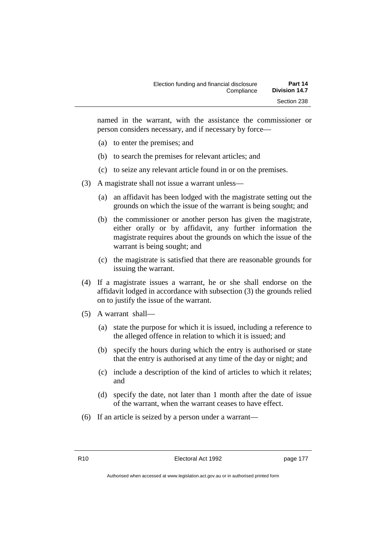named in the warrant, with the assistance the commissioner or person considers necessary, and if necessary by force—

- (a) to enter the premises; and
- (b) to search the premises for relevant articles; and
- (c) to seize any relevant article found in or on the premises.
- (3) A magistrate shall not issue a warrant unless—
	- (a) an affidavit has been lodged with the magistrate setting out the grounds on which the issue of the warrant is being sought; and
	- (b) the commissioner or another person has given the magistrate, either orally or by affidavit, any further information the magistrate requires about the grounds on which the issue of the warrant is being sought; and
	- (c) the magistrate is satisfied that there are reasonable grounds for issuing the warrant.
- (4) If a magistrate issues a warrant, he or she shall endorse on the affidavit lodged in accordance with subsection (3) the grounds relied on to justify the issue of the warrant.
- (5) A warrant shall—
	- (a) state the purpose for which it is issued, including a reference to the alleged offence in relation to which it is issued; and
	- (b) specify the hours during which the entry is authorised or state that the entry is authorised at any time of the day or night; and
	- (c) include a description of the kind of articles to which it relates; and
	- (d) specify the date, not later than 1 month after the date of issue of the warrant, when the warrant ceases to have effect.
- (6) If an article is seized by a person under a warrant—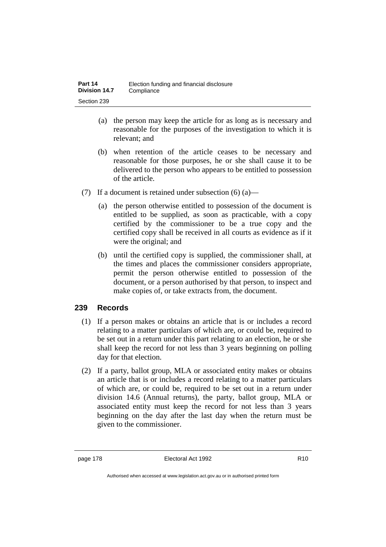- (a) the person may keep the article for as long as is necessary and reasonable for the purposes of the investigation to which it is relevant; and
- (b) when retention of the article ceases to be necessary and reasonable for those purposes, he or she shall cause it to be delivered to the person who appears to be entitled to possession of the article.
- (7) If a document is retained under subsection  $(6)$  (a)—
	- (a) the person otherwise entitled to possession of the document is entitled to be supplied, as soon as practicable, with a copy certified by the commissioner to be a true copy and the certified copy shall be received in all courts as evidence as if it were the original; and
	- (b) until the certified copy is supplied, the commissioner shall, at the times and places the commissioner considers appropriate, permit the person otherwise entitled to possession of the document, or a person authorised by that person, to inspect and make copies of, or take extracts from, the document.

# **239 Records**

- (1) If a person makes or obtains an article that is or includes a record relating to a matter particulars of which are, or could be, required to be set out in a return under this part relating to an election, he or she shall keep the record for not less than 3 years beginning on polling day for that election.
- (2) If a party, ballot group, MLA or associated entity makes or obtains an article that is or includes a record relating to a matter particulars of which are, or could be, required to be set out in a return under division 14.6 (Annual returns), the party, ballot group, MLA or associated entity must keep the record for not less than 3 years beginning on the day after the last day when the return must be given to the commissioner.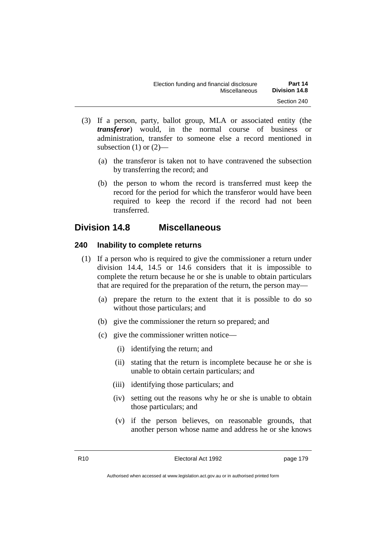- (3) If a person, party, ballot group, MLA or associated entity (the *transferor*) would, in the normal course of business or administration, transfer to someone else a record mentioned in subsection  $(1)$  or  $(2)$ —
	- (a) the transferor is taken not to have contravened the subsection by transferring the record; and
	- (b) the person to whom the record is transferred must keep the record for the period for which the transferor would have been required to keep the record if the record had not been transferred.

# **Division 14.8 Miscellaneous**

# **240 Inability to complete returns**

- (1) If a person who is required to give the commissioner a return under division 14.4, 14.5 or 14.6 considers that it is impossible to complete the return because he or she is unable to obtain particulars that are required for the preparation of the return, the person may—
	- (a) prepare the return to the extent that it is possible to do so without those particulars; and
	- (b) give the commissioner the return so prepared; and
	- (c) give the commissioner written notice—
		- (i) identifying the return; and
		- (ii) stating that the return is incomplete because he or she is unable to obtain certain particulars; and
		- (iii) identifying those particulars; and
		- (iv) setting out the reasons why he or she is unable to obtain those particulars; and
		- (v) if the person believes, on reasonable grounds, that another person whose name and address he or she knows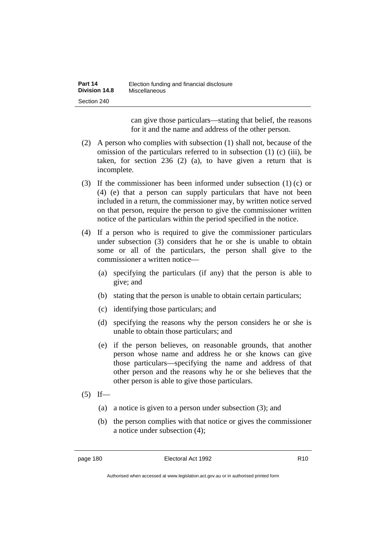| Part 14       | Election funding and financial disclosure |
|---------------|-------------------------------------------|
| Division 14.8 | Miscellaneous                             |
| Section 240   |                                           |

can give those particulars—stating that belief, the reasons for it and the name and address of the other person.

- (2) A person who complies with subsection (1) shall not, because of the omission of the particulars referred to in subsection (1) (c) (iii), be taken, for section 236 (2) (a), to have given a return that is incomplete.
- (3) If the commissioner has been informed under subsection (1) (c) or (4) (e) that a person can supply particulars that have not been included in a return, the commissioner may, by written notice served on that person, require the person to give the commissioner written notice of the particulars within the period specified in the notice.
- (4) If a person who is required to give the commissioner particulars under subsection (3) considers that he or she is unable to obtain some or all of the particulars, the person shall give to the commissioner a written notice—
	- (a) specifying the particulars (if any) that the person is able to give; and
	- (b) stating that the person is unable to obtain certain particulars;
	- (c) identifying those particulars; and
	- (d) specifying the reasons why the person considers he or she is unable to obtain those particulars; and
	- (e) if the person believes, on reasonable grounds, that another person whose name and address he or she knows can give those particulars—specifying the name and address of that other person and the reasons why he or she believes that the other person is able to give those particulars.
- $(5)$  If—
	- (a) a notice is given to a person under subsection (3); and
	- (b) the person complies with that notice or gives the commissioner a notice under subsection (4);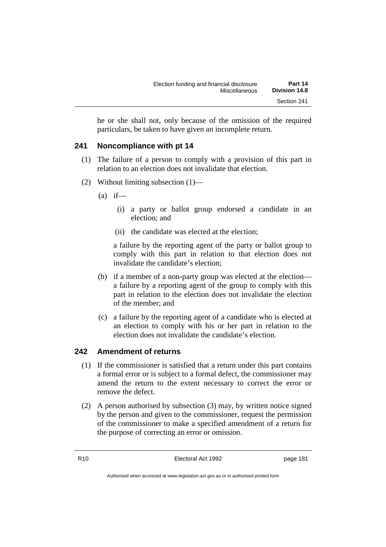he or she shall not, only because of the omission of the required particulars, be taken to have given an incomplete return.

# **241 Noncompliance with pt 14**

- (1) The failure of a person to comply with a provision of this part in relation to an election does not invalidate that election.
- (2) Without limiting subsection (1)—
	- $(a)$  if—
		- (i) a party or ballot group endorsed a candidate in an election; and
		- (ii) the candidate was elected at the election;

a failure by the reporting agent of the party or ballot group to comply with this part in relation to that election does not invalidate the candidate's election;

- (b) if a member of a non-party group was elected at the election a failure by a reporting agent of the group to comply with this part in relation to the election does not invalidate the election of the member; and
- (c) a failure by the reporting agent of a candidate who is elected at an election to comply with his or her part in relation to the election does not invalidate the candidate's election.

# **242 Amendment of returns**

- (1) If the commissioner is satisfied that a return under this part contains a formal error or is subject to a formal defect, the commissioner may amend the return to the extent necessary to correct the error or remove the defect.
- (2) A person authorised by subsection (3) may, by written notice signed by the person and given to the commissioner, request the permission of the commissioner to make a specified amendment of a return for the purpose of correcting an error or omission.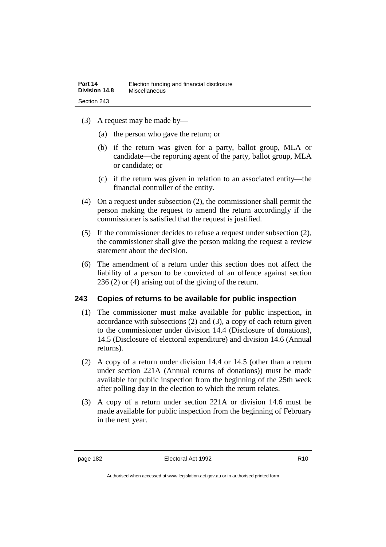- (3) A request may be made by—
	- (a) the person who gave the return; or
	- (b) if the return was given for a party, ballot group, MLA or candidate—the reporting agent of the party, ballot group, MLA or candidate; or
	- (c) if the return was given in relation to an associated entity—the financial controller of the entity.
- (4) On a request under subsection (2), the commissioner shall permit the person making the request to amend the return accordingly if the commissioner is satisfied that the request is justified.
- (5) If the commissioner decides to refuse a request under subsection (2), the commissioner shall give the person making the request a review statement about the decision.
- (6) The amendment of a return under this section does not affect the liability of a person to be convicted of an offence against section 236 (2) or (4) arising out of the giving of the return.

# **243 Copies of returns to be available for public inspection**

- (1) The commissioner must make available for public inspection, in accordance with subsections (2) and (3), a copy of each return given to the commissioner under division 14.4 (Disclosure of donations), 14.5 (Disclosure of electoral expenditure) and division 14.6 (Annual returns).
- (2) A copy of a return under division 14.4 or 14.5 (other than a return under section 221A (Annual returns of donations)) must be made available for public inspection from the beginning of the 25th week after polling day in the election to which the return relates.
- (3) A copy of a return under section 221A or division 14.6 must be made available for public inspection from the beginning of February in the next year.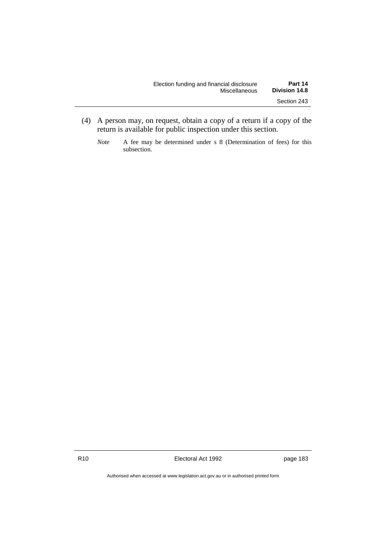| Election funding and financial disclosure | Part 14              |
|-------------------------------------------|----------------------|
| Miscellaneous                             | <b>Division 14.8</b> |
|                                           | Section 243          |

- (4) A person may, on request, obtain a copy of a return if a copy of the return is available for public inspection under this section.
	- *Note* A fee may be determined under s 8 (Determination of fees) for this subsection.

R10 **Electoral Act 1992 page 183** 

Authorised when accessed at www.legislation.act.gov.au or in authorised printed form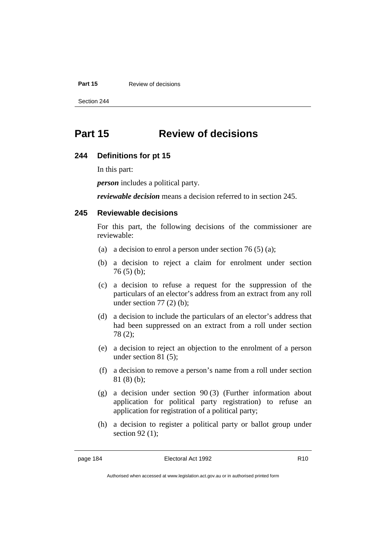#### **Part 15** Review of decisions

Section 244

# **Part 15 Review of decisions**

#### **244 Definitions for pt 15**

In this part:

*person* includes a political party.

*reviewable decision* means a decision referred to in section 245.

## **245 Reviewable decisions**

For this part, the following decisions of the commissioner are reviewable:

- (a) a decision to enrol a person under section 76 (5) (a);
- (b) a decision to reject a claim for enrolment under section 76 (5) (b);
- (c) a decision to refuse a request for the suppression of the particulars of an elector's address from an extract from any roll under section  $77(2)$  (b);
- (d) a decision to include the particulars of an elector's address that had been suppressed on an extract from a roll under section 78 (2);
- (e) a decision to reject an objection to the enrolment of a person under section 81 (5);
- (f) a decision to remove a person's name from a roll under section 81 (8) (b);
- (g) a decision under section 90 (3) (Further information about application for political party registration) to refuse an application for registration of a political party;
- (h) a decision to register a political party or ballot group under section 92 (1);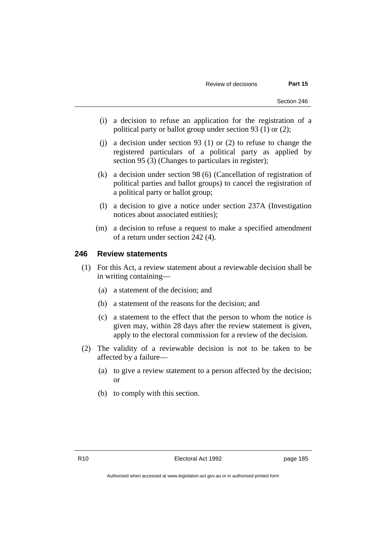- (i) a decision to refuse an application for the registration of a political party or ballot group under section 93 (1) or (2);
- (j) a decision under section 93 (1) or (2) to refuse to change the registered particulars of a political party as applied by section 95 (3) (Changes to particulars in register);
- (k) a decision under section 98 (6) (Cancellation of registration of political parties and ballot groups) to cancel the registration of a political party or ballot group;
- (l) a decision to give a notice under section 237A (Investigation notices about associated entities);
- (m) a decision to refuse a request to make a specified amendment of a return under section 242 (4).

#### **246 Review statements**

- (1) For this Act, a review statement about a reviewable decision shall be in writing containing—
	- (a) a statement of the decision; and
	- (b) a statement of the reasons for the decision; and
	- (c) a statement to the effect that the person to whom the notice is given may, within 28 days after the review statement is given, apply to the electoral commission for a review of the decision.
- (2) The validity of a reviewable decision is not to be taken to be affected by a failure—
	- (a) to give a review statement to a person affected by the decision; or
	- (b) to comply with this section.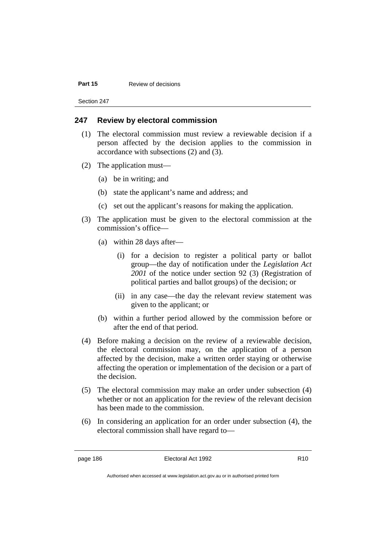#### **Part 15** Review of decisions

Section 247

#### **247 Review by electoral commission**

- (1) The electoral commission must review a reviewable decision if a person affected by the decision applies to the commission in accordance with subsections (2) and (3).
- (2) The application must—
	- (a) be in writing; and
	- (b) state the applicant's name and address; and
	- (c) set out the applicant's reasons for making the application.
- (3) The application must be given to the electoral commission at the commission's office—
	- (a) within 28 days after—
		- (i) for a decision to register a political party or ballot group—the day of notification under the *Legislation Act 2001* of the notice under section 92 (3) (Registration of political parties and ballot groups) of the decision; or
		- (ii) in any case—the day the relevant review statement was given to the applicant; or
	- (b) within a further period allowed by the commission before or after the end of that period.
- (4) Before making a decision on the review of a reviewable decision, the electoral commission may, on the application of a person affected by the decision, make a written order staying or otherwise affecting the operation or implementation of the decision or a part of the decision.
- (5) The electoral commission may make an order under subsection (4) whether or not an application for the review of the relevant decision has been made to the commission.
- (6) In considering an application for an order under subsection (4), the electoral commission shall have regard to—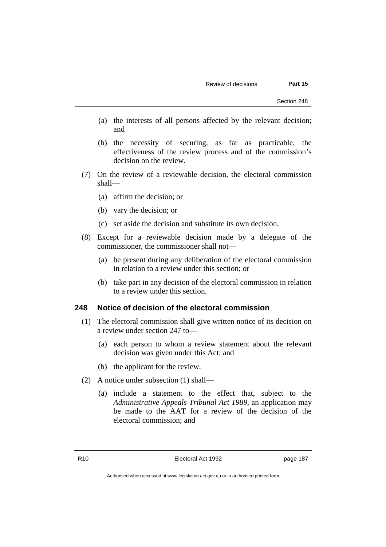- (a) the interests of all persons affected by the relevant decision; and
- (b) the necessity of securing, as far as practicable, the effectiveness of the review process and of the commission's decision on the review.
- (7) On the review of a reviewable decision, the electoral commission shall—
	- (a) affirm the decision; or
	- (b) vary the decision; or
	- (c) set aside the decision and substitute its own decision.
- (8) Except for a reviewable decision made by a delegate of the commissioner, the commissioner shall not—
	- (a) be present during any deliberation of the electoral commission in relation to a review under this section; or
	- (b) take part in any decision of the electoral commission in relation to a review under this section.

#### **248 Notice of decision of the electoral commission**

- (1) The electoral commission shall give written notice of its decision on a review under section 247 to—
	- (a) each person to whom a review statement about the relevant decision was given under this Act; and
	- (b) the applicant for the review.
- (2) A notice under subsection (1) shall—
	- (a) include a statement to the effect that, subject to the *Administrative Appeals Tribunal Act 1989*, an application may be made to the AAT for a review of the decision of the electoral commission; and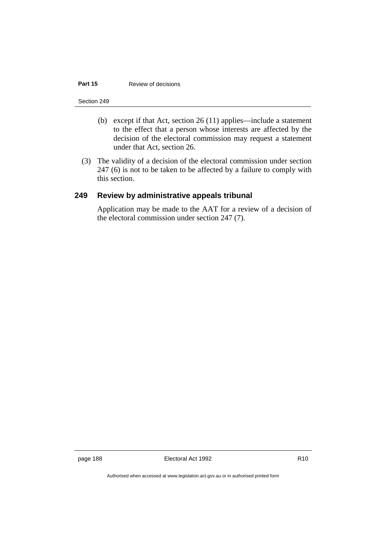#### **Part 15** Review of decisions

#### Section 249

- (b) except if that Act, section 26 (11) applies—include a statement to the effect that a person whose interests are affected by the decision of the electoral commission may request a statement under that Act, section 26.
- (3) The validity of a decision of the electoral commission under section 247 (6) is not to be taken to be affected by a failure to comply with this section.

## **249 Review by administrative appeals tribunal**

Application may be made to the AAT for a review of a decision of the electoral commission under section 247 (7).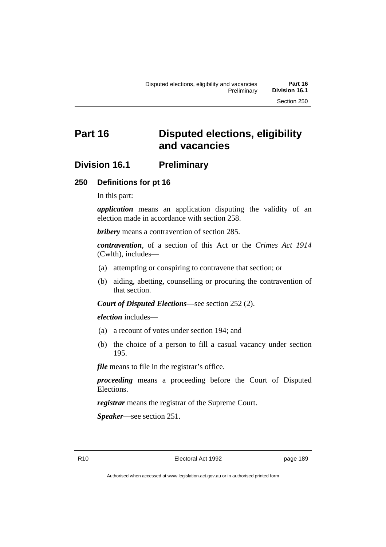# **Part 16 Disputed elections, eligibility and vacancies**

# **Division 16.1 Preliminary**

# **250 Definitions for pt 16**

In this part:

*application* means an application disputing the validity of an election made in accordance with section 258.

*bribery* means a contravention of section 285.

*contravention*, of a section of this Act or the *Crimes Act 1914* (Cwlth), includes—

- (a) attempting or conspiring to contravene that section; or
- (b) aiding, abetting, counselling or procuring the contravention of that section.

*Court of Disputed Elections*—see section 252 (2).

*election* includes—

- (a) a recount of votes under section 194; and
- (b) the choice of a person to fill a casual vacancy under section 195.

*file* means to file in the registrar's office.

*proceeding* means a proceeding before the Court of Disputed Elections.

*registrar* means the registrar of the Supreme Court.

*Speaker*—see section 251.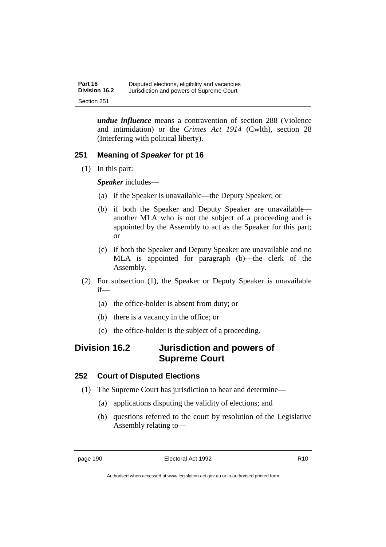*undue influence* means a contravention of section 288 (Violence and intimidation) or the *Crimes Act 1914* (Cwlth), section 28 (Interfering with political liberty).

# **251 Meaning of** *Speaker* **for pt 16**

(1) In this part:

*Speaker* includes—

- (a) if the Speaker is unavailable—the Deputy Speaker; or
- (b) if both the Speaker and Deputy Speaker are unavailable another MLA who is not the subject of a proceeding and is appointed by the Assembly to act as the Speaker for this part; or
- (c) if both the Speaker and Deputy Speaker are unavailable and no MLA is appointed for paragraph (b)—the clerk of the Assembly.
- (2) For subsection (1), the Speaker or Deputy Speaker is unavailable if—
	- (a) the office-holder is absent from duty; or
	- (b) there is a vacancy in the office; or
	- (c) the office-holder is the subject of a proceeding.

# **Division 16.2 Jurisdiction and powers of Supreme Court**

# **252 Court of Disputed Elections**

- (1) The Supreme Court has jurisdiction to hear and determine—
	- (a) applications disputing the validity of elections; and
	- (b) questions referred to the court by resolution of the Legislative Assembly relating to—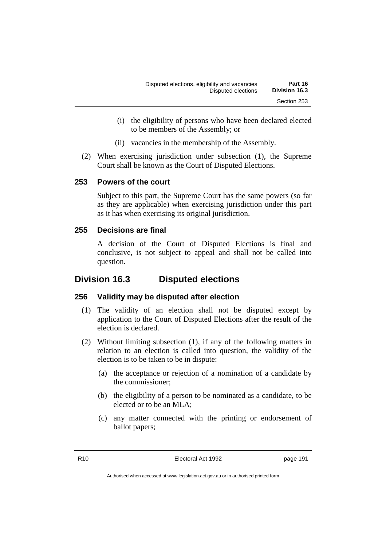- (i) the eligibility of persons who have been declared elected to be members of the Assembly; or
- (ii) vacancies in the membership of the Assembly.
- (2) When exercising jurisdiction under subsection (1), the Supreme Court shall be known as the Court of Disputed Elections.

# **253 Powers of the court**

Subject to this part, the Supreme Court has the same powers (so far as they are applicable) when exercising jurisdiction under this part as it has when exercising its original jurisdiction.

# **255 Decisions are final**

A decision of the Court of Disputed Elections is final and conclusive, is not subject to appeal and shall not be called into question.

# **Division 16.3 Disputed elections**

# **256 Validity may be disputed after election**

- (1) The validity of an election shall not be disputed except by application to the Court of Disputed Elections after the result of the election is declared.
- (2) Without limiting subsection (1), if any of the following matters in relation to an election is called into question, the validity of the election is to be taken to be in dispute:
	- (a) the acceptance or rejection of a nomination of a candidate by the commissioner;
	- (b) the eligibility of a person to be nominated as a candidate, to be elected or to be an MLA;
	- (c) any matter connected with the printing or endorsement of ballot papers;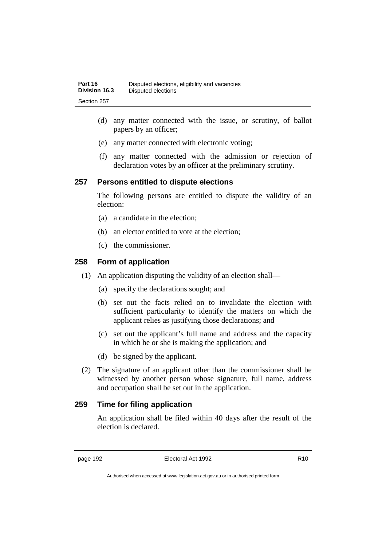- (d) any matter connected with the issue, or scrutiny, of ballot papers by an officer;
- (e) any matter connected with electronic voting;
- (f) any matter connected with the admission or rejection of declaration votes by an officer at the preliminary scrutiny.

# **257 Persons entitled to dispute elections**

The following persons are entitled to dispute the validity of an election:

- (a) a candidate in the election;
- (b) an elector entitled to vote at the election;
- (c) the commissioner.

# **258 Form of application**

- (1) An application disputing the validity of an election shall—
	- (a) specify the declarations sought; and
	- (b) set out the facts relied on to invalidate the election with sufficient particularity to identify the matters on which the applicant relies as justifying those declarations; and
	- (c) set out the applicant's full name and address and the capacity in which he or she is making the application; and
	- (d) be signed by the applicant.
- (2) The signature of an applicant other than the commissioner shall be witnessed by another person whose signature, full name, address and occupation shall be set out in the application.

# **259 Time for filing application**

An application shall be filed within 40 days after the result of the election is declared.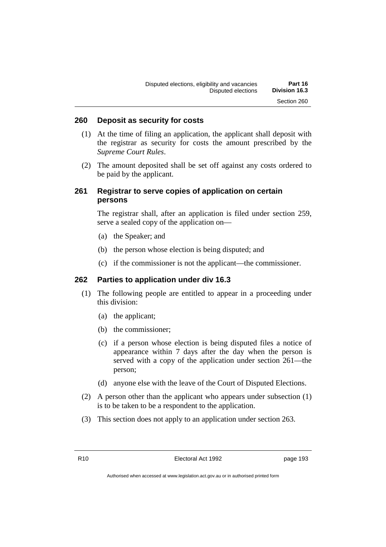#### **260 Deposit as security for costs**

- (1) At the time of filing an application, the applicant shall deposit with the registrar as security for costs the amount prescribed by the *Supreme Court Rules*.
- (2) The amount deposited shall be set off against any costs ordered to be paid by the applicant.

# **261 Registrar to serve copies of application on certain persons**

The registrar shall, after an application is filed under section 259, serve a sealed copy of the application on—

- (a) the Speaker; and
- (b) the person whose election is being disputed; and
- (c) if the commissioner is not the applicant—the commissioner.

# **262 Parties to application under div 16.3**

- (1) The following people are entitled to appear in a proceeding under this division:
	- (a) the applicant;
	- (b) the commissioner;
	- (c) if a person whose election is being disputed files a notice of appearance within 7 days after the day when the person is served with a copy of the application under section 261—the person;
	- (d) anyone else with the leave of the Court of Disputed Elections.
- (2) A person other than the applicant who appears under subsection (1) is to be taken to be a respondent to the application.
- (3) This section does not apply to an application under section 263.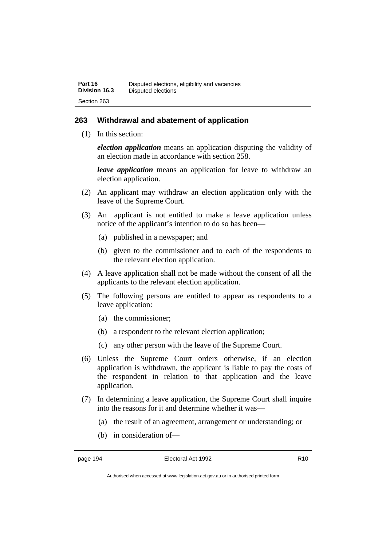# **263 Withdrawal and abatement of application**

(1) In this section:

*election application* means an application disputing the validity of an election made in accordance with section 258.

*leave application* means an application for leave to withdraw an election application.

- (2) An applicant may withdraw an election application only with the leave of the Supreme Court.
- (3) An applicant is not entitled to make a leave application unless notice of the applicant's intention to do so has been—
	- (a) published in a newspaper; and
	- (b) given to the commissioner and to each of the respondents to the relevant election application.
- (4) A leave application shall not be made without the consent of all the applicants to the relevant election application.
- (5) The following persons are entitled to appear as respondents to a leave application:
	- (a) the commissioner;
	- (b) a respondent to the relevant election application;
	- (c) any other person with the leave of the Supreme Court.
- (6) Unless the Supreme Court orders otherwise, if an election application is withdrawn, the applicant is liable to pay the costs of the respondent in relation to that application and the leave application.
- (7) In determining a leave application, the Supreme Court shall inquire into the reasons for it and determine whether it was—
	- (a) the result of an agreement, arrangement or understanding; or
	- (b) in consideration of—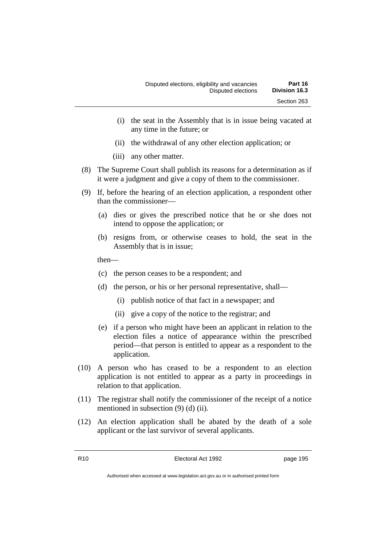- (i) the seat in the Assembly that is in issue being vacated at any time in the future; or
- (ii) the withdrawal of any other election application; or
- (iii) any other matter.
- (8) The Supreme Court shall publish its reasons for a determination as if it were a judgment and give a copy of them to the commissioner.
- (9) If, before the hearing of an election application, a respondent other than the commissioner—
	- (a) dies or gives the prescribed notice that he or she does not intend to oppose the application; or
	- (b) resigns from, or otherwise ceases to hold, the seat in the Assembly that is in issue;

then—

- (c) the person ceases to be a respondent; and
- (d) the person, or his or her personal representative, shall—
	- (i) publish notice of that fact in a newspaper; and
	- (ii) give a copy of the notice to the registrar; and
- (e) if a person who might have been an applicant in relation to the election files a notice of appearance within the prescribed period—that person is entitled to appear as a respondent to the application.
- (10) A person who has ceased to be a respondent to an election application is not entitled to appear as a party in proceedings in relation to that application.
- (11) The registrar shall notify the commissioner of the receipt of a notice mentioned in subsection (9) (d) (ii).
- (12) An election application shall be abated by the death of a sole applicant or the last survivor of several applicants.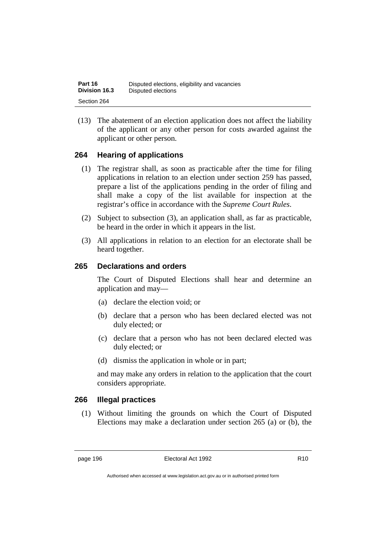| Part 16              | Disputed elections, eligibility and vacancies |
|----------------------|-----------------------------------------------|
| <b>Division 16.3</b> | Disputed elections                            |
| Section 264          |                                               |

(13) The abatement of an election application does not affect the liability of the applicant or any other person for costs awarded against the applicant or other person.

# **264 Hearing of applications**

- (1) The registrar shall, as soon as practicable after the time for filing applications in relation to an election under section 259 has passed, prepare a list of the applications pending in the order of filing and shall make a copy of the list available for inspection at the registrar's office in accordance with the *Supreme Court Rules*.
- (2) Subject to subsection (3), an application shall, as far as practicable, be heard in the order in which it appears in the list.
- (3) All applications in relation to an election for an electorate shall be heard together.

# **265 Declarations and orders**

The Court of Disputed Elections shall hear and determine an application and may—

- (a) declare the election void; or
- (b) declare that a person who has been declared elected was not duly elected; or
- (c) declare that a person who has not been declared elected was duly elected; or
- (d) dismiss the application in whole or in part;

and may make any orders in relation to the application that the court considers appropriate.

# **266 Illegal practices**

(1) Without limiting the grounds on which the Court of Disputed Elections may make a declaration under section 265 (a) or (b), the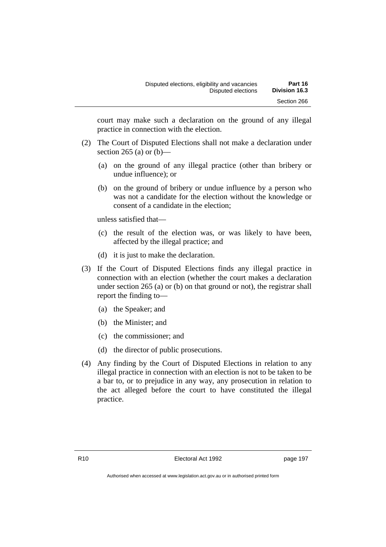court may make such a declaration on the ground of any illegal practice in connection with the election.

- (2) The Court of Disputed Elections shall not make a declaration under section 265 (a) or  $(b)$ —
	- (a) on the ground of any illegal practice (other than bribery or undue influence); or
	- (b) on the ground of bribery or undue influence by a person who was not a candidate for the election without the knowledge or consent of a candidate in the election;

unless satisfied that—

- (c) the result of the election was, or was likely to have been, affected by the illegal practice; and
- (d) it is just to make the declaration.
- (3) If the Court of Disputed Elections finds any illegal practice in connection with an election (whether the court makes a declaration under section 265 (a) or (b) on that ground or not), the registrar shall report the finding to—
	- (a) the Speaker; and
	- (b) the Minister; and
	- (c) the commissioner; and
	- (d) the director of public prosecutions.
- (4) Any finding by the Court of Disputed Elections in relation to any illegal practice in connection with an election is not to be taken to be a bar to, or to prejudice in any way, any prosecution in relation to the act alleged before the court to have constituted the illegal practice.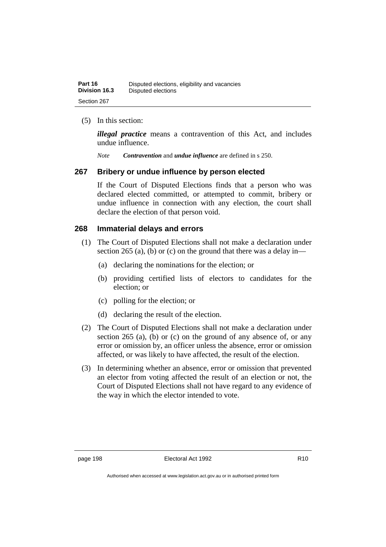## (5) In this section:

*illegal practice* means a contravention of this Act, and includes undue influence.

*Note Contravention* and *undue influence* are defined in s 250.

# **267 Bribery or undue influence by person elected**

If the Court of Disputed Elections finds that a person who was declared elected committed, or attempted to commit, bribery or undue influence in connection with any election, the court shall declare the election of that person void.

## **268 Immaterial delays and errors**

- (1) The Court of Disputed Elections shall not make a declaration under section 265 (a), (b) or (c) on the ground that there was a delay in—
	- (a) declaring the nominations for the election; or
	- (b) providing certified lists of electors to candidates for the election; or
	- (c) polling for the election; or
	- (d) declaring the result of the election.
- (2) The Court of Disputed Elections shall not make a declaration under section 265 (a), (b) or (c) on the ground of any absence of, or any error or omission by, an officer unless the absence, error or omission affected, or was likely to have affected, the result of the election.
- (3) In determining whether an absence, error or omission that prevented an elector from voting affected the result of an election or not, the Court of Disputed Elections shall not have regard to any evidence of the way in which the elector intended to vote.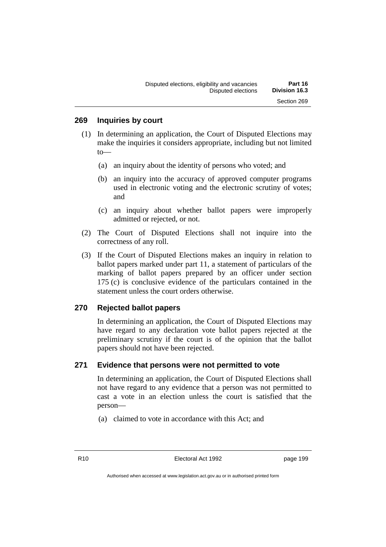#### **269 Inquiries by court**

- (1) In determining an application, the Court of Disputed Elections may make the inquiries it considers appropriate, including but not limited to—
	- (a) an inquiry about the identity of persons who voted; and
	- (b) an inquiry into the accuracy of approved computer programs used in electronic voting and the electronic scrutiny of votes; and
	- (c) an inquiry about whether ballot papers were improperly admitted or rejected, or not.
- (2) The Court of Disputed Elections shall not inquire into the correctness of any roll.
- (3) If the Court of Disputed Elections makes an inquiry in relation to ballot papers marked under part 11, a statement of particulars of the marking of ballot papers prepared by an officer under section 175 (c) is conclusive evidence of the particulars contained in the statement unless the court orders otherwise.

#### **270 Rejected ballot papers**

In determining an application, the Court of Disputed Elections may have regard to any declaration vote ballot papers rejected at the preliminary scrutiny if the court is of the opinion that the ballot papers should not have been rejected.

#### **271 Evidence that persons were not permitted to vote**

In determining an application, the Court of Disputed Elections shall not have regard to any evidence that a person was not permitted to cast a vote in an election unless the court is satisfied that the person—

(a) claimed to vote in accordance with this Act; and

R10 Electoral Act 1992 page 199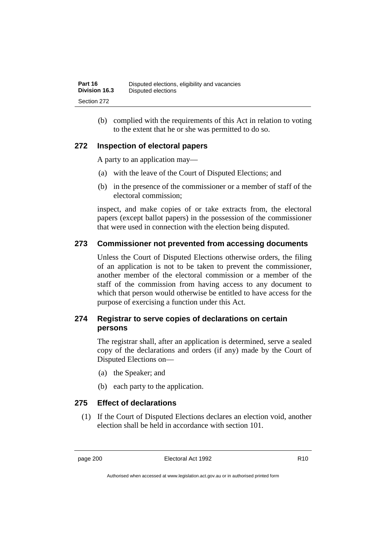(b) complied with the requirements of this Act in relation to voting to the extent that he or she was permitted to do so.

### **272 Inspection of electoral papers**

A party to an application may—

- (a) with the leave of the Court of Disputed Elections; and
- (b) in the presence of the commissioner or a member of staff of the electoral commission;

inspect, and make copies of or take extracts from, the electoral papers (except ballot papers) in the possession of the commissioner that were used in connection with the election being disputed.

### **273 Commissioner not prevented from accessing documents**

Unless the Court of Disputed Elections otherwise orders, the filing of an application is not to be taken to prevent the commissioner, another member of the electoral commission or a member of the staff of the commission from having access to any document to which that person would otherwise be entitled to have access for the purpose of exercising a function under this Act.

### **274 Registrar to serve copies of declarations on certain persons**

The registrar shall, after an application is determined, serve a sealed copy of the declarations and orders (if any) made by the Court of Disputed Elections on—

- (a) the Speaker; and
- (b) each party to the application.

### **275 Effect of declarations**

(1) If the Court of Disputed Elections declares an election void, another election shall be held in accordance with section 101.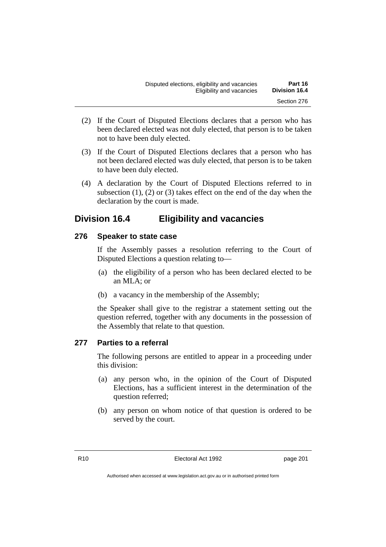- (2) If the Court of Disputed Elections declares that a person who has been declared elected was not duly elected, that person is to be taken not to have been duly elected.
- (3) If the Court of Disputed Elections declares that a person who has not been declared elected was duly elected, that person is to be taken to have been duly elected.
- (4) A declaration by the Court of Disputed Elections referred to in subsection  $(1)$ ,  $(2)$  or  $(3)$  takes effect on the end of the day when the declaration by the court is made.

### **Division 16.4 Eligibility and vacancies**

### **276 Speaker to state case**

If the Assembly passes a resolution referring to the Court of Disputed Elections a question relating to—

- (a) the eligibility of a person who has been declared elected to be an MLA; or
- (b) a vacancy in the membership of the Assembly;

the Speaker shall give to the registrar a statement setting out the question referred, together with any documents in the possession of the Assembly that relate to that question.

### **277 Parties to a referral**

The following persons are entitled to appear in a proceeding under this division:

- (a) any person who, in the opinion of the Court of Disputed Elections, has a sufficient interest in the determination of the question referred;
- (b) any person on whom notice of that question is ordered to be served by the court.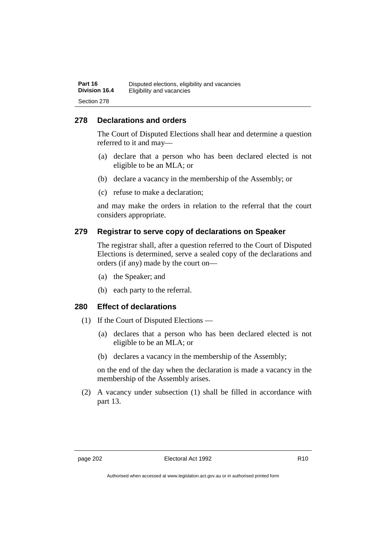#### **278 Declarations and orders**

The Court of Disputed Elections shall hear and determine a question referred to it and may—

- (a) declare that a person who has been declared elected is not eligible to be an MLA; or
- (b) declare a vacancy in the membership of the Assembly; or
- (c) refuse to make a declaration;

and may make the orders in relation to the referral that the court considers appropriate.

#### **279 Registrar to serve copy of declarations on Speaker**

The registrar shall, after a question referred to the Court of Disputed Elections is determined, serve a sealed copy of the declarations and orders (if any) made by the court on—

- (a) the Speaker; and
- (b) each party to the referral.

#### **280 Effect of declarations**

- (1) If the Court of Disputed Elections
	- (a) declares that a person who has been declared elected is not eligible to be an MLA; or
	- (b) declares a vacancy in the membership of the Assembly;

on the end of the day when the declaration is made a vacancy in the membership of the Assembly arises.

(2) A vacancy under subsection (1) shall be filled in accordance with part 13.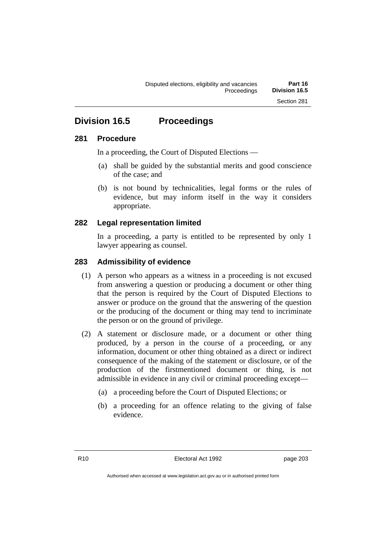## **Division 16.5 Proceedings**

#### **281 Procedure**

In a proceeding, the Court of Disputed Elections —

- (a) shall be guided by the substantial merits and good conscience of the case; and
- (b) is not bound by technicalities, legal forms or the rules of evidence, but may inform itself in the way it considers appropriate.

### **282 Legal representation limited**

In a proceeding, a party is entitled to be represented by only 1 lawyer appearing as counsel.

#### **283 Admissibility of evidence**

- (1) A person who appears as a witness in a proceeding is not excused from answering a question or producing a document or other thing that the person is required by the Court of Disputed Elections to answer or produce on the ground that the answering of the question or the producing of the document or thing may tend to incriminate the person or on the ground of privilege.
- (2) A statement or disclosure made, or a document or other thing produced, by a person in the course of a proceeding, or any information, document or other thing obtained as a direct or indirect consequence of the making of the statement or disclosure, or of the production of the firstmentioned document or thing, is not admissible in evidence in any civil or criminal proceeding except—
	- (a) a proceeding before the Court of Disputed Elections; or
	- (b) a proceeding for an offence relating to the giving of false evidence.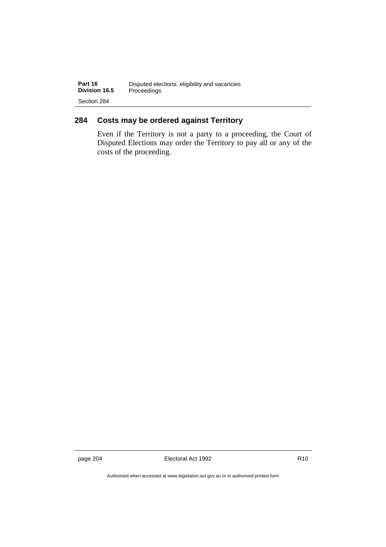### **284 Costs may be ordered against Territory**

Even if the Territory is not a party to a proceeding, the Court of Disputed Elections may order the Territory to pay all or any of the costs of the proceeding.

page 204 **Electoral Act 1992** R10

Authorised when accessed at www.legislation.act.gov.au or in authorised printed form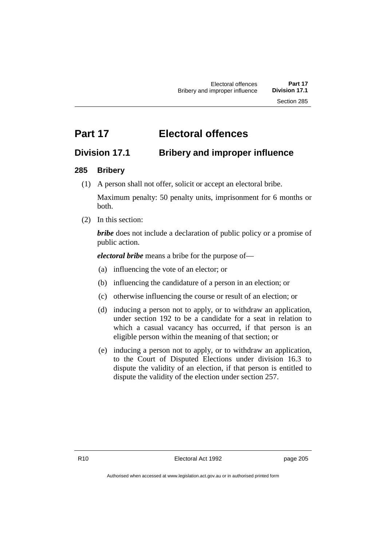# **Part 17 Electoral offences**

## **Division 17.1 Bribery and improper influence**

### **285 Bribery**

(1) A person shall not offer, solicit or accept an electoral bribe.

Maximum penalty: 50 penalty units, imprisonment for 6 months or both.

(2) In this section:

*bribe* does not include a declaration of public policy or a promise of public action.

*electoral bribe* means a bribe for the purpose of—

- (a) influencing the vote of an elector; or
- (b) influencing the candidature of a person in an election; or
- (c) otherwise influencing the course or result of an election; or
- (d) inducing a person not to apply, or to withdraw an application, under section 192 to be a candidate for a seat in relation to which a casual vacancy has occurred, if that person is an eligible person within the meaning of that section; or
- (e) inducing a person not to apply, or to withdraw an application, to the Court of Disputed Elections under division 16.3 to dispute the validity of an election, if that person is entitled to dispute the validity of the election under section 257.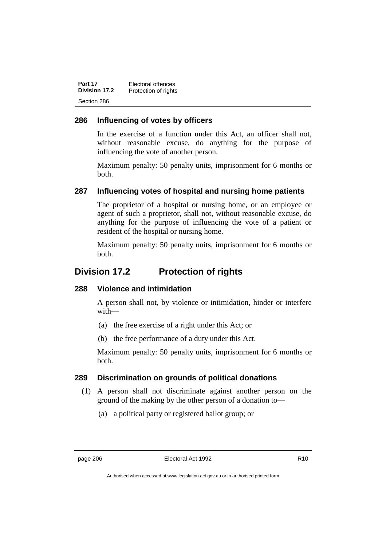| Part 17       | Electoral offences   |
|---------------|----------------------|
| Division 17.2 | Protection of rights |
| Section 286   |                      |

#### **286 Influencing of votes by officers**

In the exercise of a function under this Act, an officer shall not, without reasonable excuse, do anything for the purpose of influencing the vote of another person.

Maximum penalty: 50 penalty units, imprisonment for 6 months or both.

#### **287 Influencing votes of hospital and nursing home patients**

The proprietor of a hospital or nursing home, or an employee or agent of such a proprietor, shall not, without reasonable excuse, do anything for the purpose of influencing the vote of a patient or resident of the hospital or nursing home.

Maximum penalty: 50 penalty units, imprisonment for 6 months or both.

### **Division 17.2 Protection of rights**

#### **288 Violence and intimidation**

A person shall not, by violence or intimidation, hinder or interfere with—

- (a) the free exercise of a right under this Act; or
- (b) the free performance of a duty under this Act.

Maximum penalty: 50 penalty units, imprisonment for 6 months or both.

#### **289 Discrimination on grounds of political donations**

- (1) A person shall not discriminate against another person on the ground of the making by the other person of a donation to—
	- (a) a political party or registered ballot group; or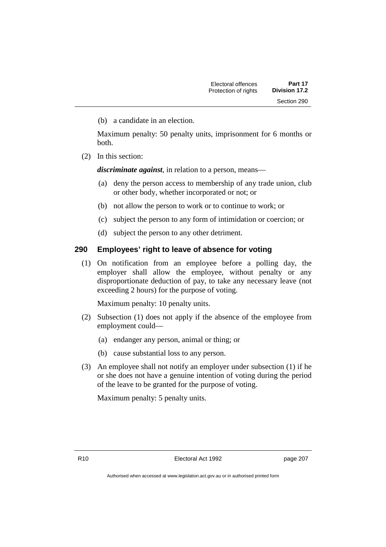(b) a candidate in an election.

Maximum penalty: 50 penalty units, imprisonment for 6 months or both.

(2) In this section:

*discriminate against*, in relation to a person, means—

- (a) deny the person access to membership of any trade union, club or other body, whether incorporated or not; or
- (b) not allow the person to work or to continue to work; or
- (c) subject the person to any form of intimidation or coercion; or
- (d) subject the person to any other detriment.

#### **290 Employees' right to leave of absence for voting**

(1) On notification from an employee before a polling day, the employer shall allow the employee, without penalty or any disproportionate deduction of pay, to take any necessary leave (not exceeding 2 hours) for the purpose of voting.

Maximum penalty: 10 penalty units.

- (2) Subsection (1) does not apply if the absence of the employee from employment could—
	- (a) endanger any person, animal or thing; or
	- (b) cause substantial loss to any person.
- (3) An employee shall not notify an employer under subsection (1) if he or she does not have a genuine intention of voting during the period of the leave to be granted for the purpose of voting.

Maximum penalty: 5 penalty units.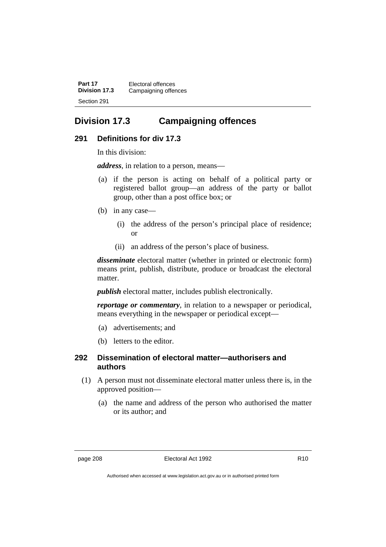**Part 17** Electoral offences **Division 17.3** Campaigning offences Section 291

## **Division 17.3 Campaigning offences**

#### **291 Definitions for div 17.3**

In this division:

*address*, in relation to a person, means—

- (a) if the person is acting on behalf of a political party or registered ballot group—an address of the party or ballot group, other than a post office box; or
- (b) in any case—
	- (i) the address of the person's principal place of residence; or
	- (ii) an address of the person's place of business.

*disseminate* electoral matter (whether in printed or electronic form) means print, publish, distribute, produce or broadcast the electoral matter.

*publish* electoral matter, includes publish electronically.

*reportage or commentary*, in relation to a newspaper or periodical, means everything in the newspaper or periodical except—

- (a) advertisements; and
- (b) letters to the editor.

#### **292 Dissemination of electoral matter—authorisers and authors**

- (1) A person must not disseminate electoral matter unless there is, in the approved position—
	- (a) the name and address of the person who authorised the matter or its author; and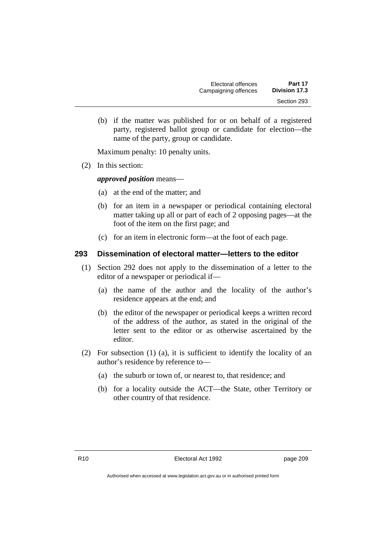| Electoral offences   | Part 17       |
|----------------------|---------------|
| Campaigning offences | Division 17.3 |
|                      | Section 293   |

(b) if the matter was published for or on behalf of a registered party, registered ballot group or candidate for election—the name of the party, group or candidate.

Maximum penalty: 10 penalty units.

(2) In this section:

#### *approved position* means—

- (a) at the end of the matter; and
- (b) for an item in a newspaper or periodical containing electoral matter taking up all or part of each of 2 opposing pages—at the foot of the item on the first page; and
- (c) for an item in electronic form—at the foot of each page.

#### **293 Dissemination of electoral matter—letters to the editor**

- (1) Section 292 does not apply to the dissemination of a letter to the editor of a newspaper or periodical if—
	- (a) the name of the author and the locality of the author's residence appears at the end; and
	- (b) the editor of the newspaper or periodical keeps a written record of the address of the author, as stated in the original of the letter sent to the editor or as otherwise ascertained by the editor.
- (2) For subsection (1) (a), it is sufficient to identify the locality of an author's residence by reference to—
	- (a) the suburb or town of, or nearest to, that residence; and
	- (b) for a locality outside the ACT—the State, other Territory or other country of that residence.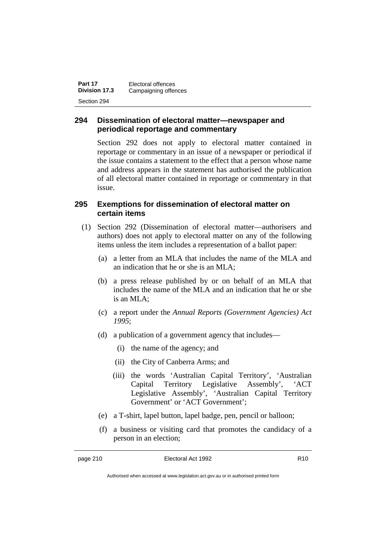| Part 17       | Electoral offences   |
|---------------|----------------------|
| Division 17.3 | Campaigning offences |
| Section 294   |                      |

### **294 Dissemination of electoral matter—newspaper and periodical reportage and commentary**

Section 292 does not apply to electoral matter contained in reportage or commentary in an issue of a newspaper or periodical if the issue contains a statement to the effect that a person whose name and address appears in the statement has authorised the publication of all electoral matter contained in reportage or commentary in that issue.

#### **295 Exemptions for dissemination of electoral matter on certain items**

- (1) Section 292 (Dissemination of electoral matter—authorisers and authors) does not apply to electoral matter on any of the following items unless the item includes a representation of a ballot paper:
	- (a) a letter from an MLA that includes the name of the MLA and an indication that he or she is an MLA;
	- (b) a press release published by or on behalf of an MLA that includes the name of the MLA and an indication that he or she is an MLA;
	- (c) a report under the *Annual Reports (Government Agencies) Act 1995*;
	- (d) a publication of a government agency that includes—
		- (i) the name of the agency; and
		- (ii) the City of Canberra Arms; and
		- (iii) the words 'Australian Capital Territory', 'Australian Capital Territory Legislative Assembly', 'ACT Legislative Assembly', 'Australian Capital Territory Government' or 'ACT Government';
	- (e) a T-shirt, lapel button, lapel badge, pen, pencil or balloon;
	- (f) a business or visiting card that promotes the candidacy of a person in an election;

Authorised when accessed at www.legislation.act.gov.au or in authorised printed form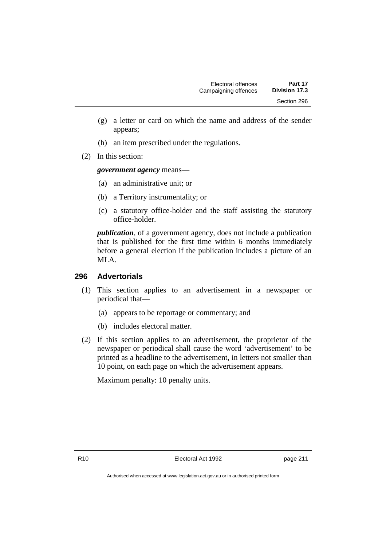- (g) a letter or card on which the name and address of the sender appears;
- (h) an item prescribed under the regulations.
- (2) In this section:

#### *government agency* means—

- (a) an administrative unit; or
- (b) a Territory instrumentality; or
- (c) a statutory office-holder and the staff assisting the statutory office-holder.

*publication*, of a government agency, does not include a publication that is published for the first time within 6 months immediately before a general election if the publication includes a picture of an MLA.

#### **296 Advertorials**

- (1) This section applies to an advertisement in a newspaper or periodical that—
	- (a) appears to be reportage or commentary; and
	- (b) includes electoral matter.
- (2) If this section applies to an advertisement, the proprietor of the newspaper or periodical shall cause the word 'advertisement' to be printed as a headline to the advertisement, in letters not smaller than 10 point, on each page on which the advertisement appears.

Maximum penalty: 10 penalty units.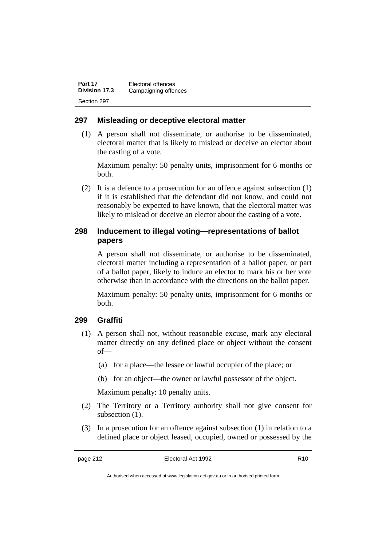| Part 17       | Electoral offences   |
|---------------|----------------------|
| Division 17.3 | Campaigning offences |
| Section 297   |                      |

#### **297 Misleading or deceptive electoral matter**

(1) A person shall not disseminate, or authorise to be disseminated, electoral matter that is likely to mislead or deceive an elector about the casting of a vote.

Maximum penalty: 50 penalty units, imprisonment for 6 months or both.

(2) It is a defence to a prosecution for an offence against subsection (1) if it is established that the defendant did not know, and could not reasonably be expected to have known, that the electoral matter was likely to mislead or deceive an elector about the casting of a vote.

#### **298 Inducement to illegal voting—representations of ballot papers**

A person shall not disseminate, or authorise to be disseminated, electoral matter including a representation of a ballot paper, or part of a ballot paper, likely to induce an elector to mark his or her vote otherwise than in accordance with the directions on the ballot paper.

Maximum penalty: 50 penalty units, imprisonment for 6 months or both.

#### **299 Graffiti**

- (1) A person shall not, without reasonable excuse, mark any electoral matter directly on any defined place or object without the consent of—
	- (a) for a place—the lessee or lawful occupier of the place; or
	- (b) for an object—the owner or lawful possessor of the object.

Maximum penalty: 10 penalty units.

- (2) The Territory or a Territory authority shall not give consent for subsection  $(1)$ .
- (3) In a prosecution for an offence against subsection (1) in relation to a defined place or object leased, occupied, owned or possessed by the

Authorised when accessed at www.legislation.act.gov.au or in authorised printed form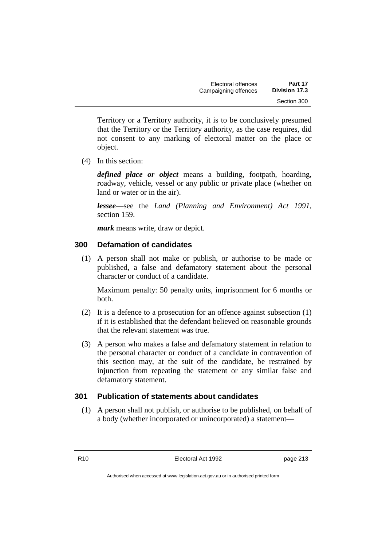Territory or a Territory authority, it is to be conclusively presumed that the Territory or the Territory authority, as the case requires, did not consent to any marking of electoral matter on the place or object.

(4) In this section:

*defined place or object* means a building, footpath, hoarding, roadway, vehicle, vessel or any public or private place (whether on land or water or in the air).

*lessee*—see the *Land (Planning and Environment) Act 1991*, section 159.

*mark* means write, draw or depict.

### **300 Defamation of candidates**

(1) A person shall not make or publish, or authorise to be made or published, a false and defamatory statement about the personal character or conduct of a candidate.

Maximum penalty: 50 penalty units, imprisonment for 6 months or both.

- (2) It is a defence to a prosecution for an offence against subsection (1) if it is established that the defendant believed on reasonable grounds that the relevant statement was true.
- (3) A person who makes a false and defamatory statement in relation to the personal character or conduct of a candidate in contravention of this section may, at the suit of the candidate, be restrained by injunction from repeating the statement or any similar false and defamatory statement.

### **301 Publication of statements about candidates**

(1) A person shall not publish, or authorise to be published, on behalf of a body (whether incorporated or unincorporated) a statement—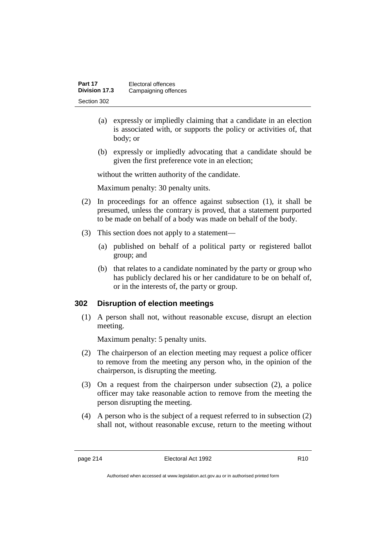| Part 17       | Electoral offences   |
|---------------|----------------------|
| Division 17.3 | Campaigning offences |
| Section 302   |                      |

- (a) expressly or impliedly claiming that a candidate in an election is associated with, or supports the policy or activities of, that body; or
- (b) expressly or impliedly advocating that a candidate should be given the first preference vote in an election;

without the written authority of the candidate.

Maximum penalty: 30 penalty units.

- (2) In proceedings for an offence against subsection (1), it shall be presumed, unless the contrary is proved, that a statement purported to be made on behalf of a body was made on behalf of the body.
- (3) This section does not apply to a statement—
	- (a) published on behalf of a political party or registered ballot group; and
	- (b) that relates to a candidate nominated by the party or group who has publicly declared his or her candidature to be on behalf of, or in the interests of, the party or group.

#### **302 Disruption of election meetings**

(1) A person shall not, without reasonable excuse, disrupt an election meeting.

Maximum penalty: 5 penalty units.

- (2) The chairperson of an election meeting may request a police officer to remove from the meeting any person who, in the opinion of the chairperson, is disrupting the meeting.
- (3) On a request from the chairperson under subsection (2), a police officer may take reasonable action to remove from the meeting the person disrupting the meeting.
- (4) A person who is the subject of a request referred to in subsection (2) shall not, without reasonable excuse, return to the meeting without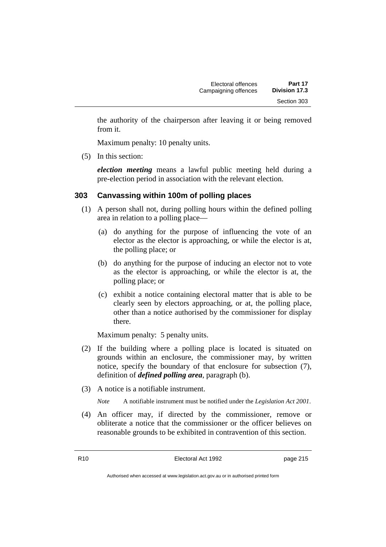the authority of the chairperson after leaving it or being removed from it.

Maximum penalty: 10 penalty units.

(5) In this section:

*election meeting* means a lawful public meeting held during a pre-election period in association with the relevant election.

### **303 Canvassing within 100m of polling places**

- (1) A person shall not, during polling hours within the defined polling area in relation to a polling place—
	- (a) do anything for the purpose of influencing the vote of an elector as the elector is approaching, or while the elector is at, the polling place; or
	- (b) do anything for the purpose of inducing an elector not to vote as the elector is approaching, or while the elector is at, the polling place; or
	- (c) exhibit a notice containing electoral matter that is able to be clearly seen by electors approaching, or at, the polling place, other than a notice authorised by the commissioner for display there.

Maximum penalty: 5 penalty units.

- (2) If the building where a polling place is located is situated on grounds within an enclosure, the commissioner may, by written notice, specify the boundary of that enclosure for subsection (7), definition of *defined polling area*, paragraph (b).
- (3) A notice is a notifiable instrument.

*Note* A notifiable instrument must be notified under the *Legislation Act 2001*.

(4) An officer may, if directed by the commissioner, remove or obliterate a notice that the commissioner or the officer believes on reasonable grounds to be exhibited in contravention of this section.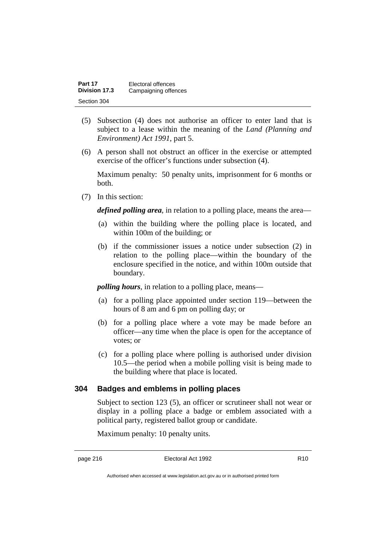| Part 17       | Electoral offences   |
|---------------|----------------------|
| Division 17.3 | Campaigning offences |
| Section 304   |                      |

- (5) Subsection (4) does not authorise an officer to enter land that is subject to a lease within the meaning of the *Land (Planning and Environment) Act 1991*, part 5.
- (6) A person shall not obstruct an officer in the exercise or attempted exercise of the officer's functions under subsection (4).

Maximum penalty: 50 penalty units, imprisonment for 6 months or both.

(7) In this section:

*defined polling area*, in relation to a polling place, means the area—

- (a) within the building where the polling place is located, and within 100m of the building; or
- (b) if the commissioner issues a notice under subsection (2) in relation to the polling place—within the boundary of the enclosure specified in the notice, and within 100m outside that boundary.

*polling hours*, in relation to a polling place, means—

- (a) for a polling place appointed under section 119—between the hours of 8 am and 6 pm on polling day; or
- (b) for a polling place where a vote may be made before an officer—any time when the place is open for the acceptance of votes; or
- (c) for a polling place where polling is authorised under division 10.5—the period when a mobile polling visit is being made to the building where that place is located.

#### **304 Badges and emblems in polling places**

Subject to section 123 (5), an officer or scrutineer shall not wear or display in a polling place a badge or emblem associated with a political party, registered ballot group or candidate.

Maximum penalty: 10 penalty units.

Authorised when accessed at www.legislation.act.gov.au or in authorised printed form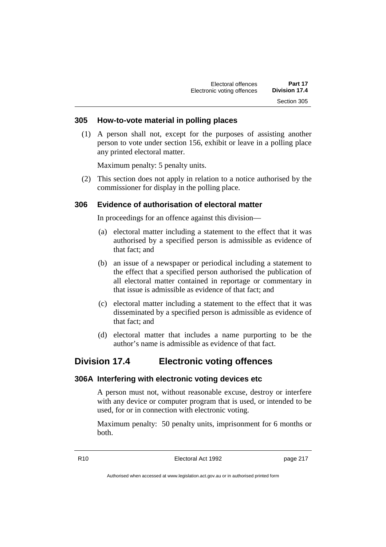#### **305 How-to-vote material in polling places**

(1) A person shall not, except for the purposes of assisting another person to vote under section 156, exhibit or leave in a polling place any printed electoral matter.

Maximum penalty: 5 penalty units.

(2) This section does not apply in relation to a notice authorised by the commissioner for display in the polling place.

#### **306 Evidence of authorisation of electoral matter**

In proceedings for an offence against this division—

- (a) electoral matter including a statement to the effect that it was authorised by a specified person is admissible as evidence of that fact; and
- (b) an issue of a newspaper or periodical including a statement to the effect that a specified person authorised the publication of all electoral matter contained in reportage or commentary in that issue is admissible as evidence of that fact; and
- (c) electoral matter including a statement to the effect that it was disseminated by a specified person is admissible as evidence of that fact; and
- (d) electoral matter that includes a name purporting to be the author's name is admissible as evidence of that fact.

### **Division 17.4 Electronic voting offences**

#### **306A Interfering with electronic voting devices etc**

A person must not, without reasonable excuse, destroy or interfere with any device or computer program that is used, or intended to be used, for or in connection with electronic voting.

Maximum penalty: 50 penalty units, imprisonment for 6 months or both.

R10 **Electoral Act 1992 page 217**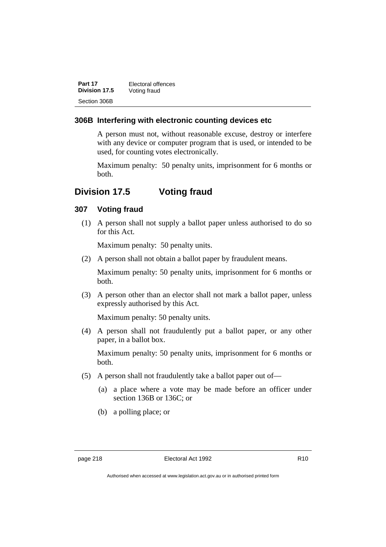| Part 17       | Electoral offences |
|---------------|--------------------|
| Division 17.5 | Voting fraud       |
| Section 306B  |                    |

#### **306B Interfering with electronic counting devices etc**

A person must not, without reasonable excuse, destroy or interfere with any device or computer program that is used, or intended to be used, for counting votes electronically.

Maximum penalty: 50 penalty units, imprisonment for 6 months or both.

## **Division 17.5 Voting fraud**

#### **307 Voting fraud**

(1) A person shall not supply a ballot paper unless authorised to do so for this Act.

Maximum penalty: 50 penalty units.

(2) A person shall not obtain a ballot paper by fraudulent means.

Maximum penalty: 50 penalty units, imprisonment for 6 months or both.

(3) A person other than an elector shall not mark a ballot paper, unless expressly authorised by this Act.

Maximum penalty: 50 penalty units.

(4) A person shall not fraudulently put a ballot paper, or any other paper, in a ballot box.

Maximum penalty: 50 penalty units, imprisonment for 6 months or both.

- (5) A person shall not fraudulently take a ballot paper out of—
	- (a) a place where a vote may be made before an officer under section 136B or 136C; or
	- (b) a polling place; or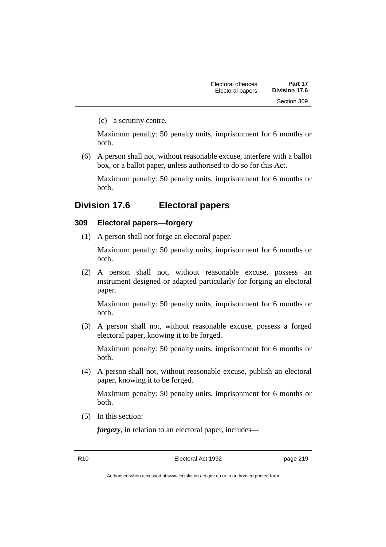(c) a scrutiny centre.

Maximum penalty: 50 penalty units, imprisonment for 6 months or both.

(6) A person shall not, without reasonable excuse, interfere with a ballot box, or a ballot paper, unless authorised to do so for this Act.

Maximum penalty: 50 penalty units, imprisonment for 6 months or both.

### **Division 17.6 Electoral papers**

#### **309 Electoral papers—forgery**

(1) A person shall not forge an electoral paper.

Maximum penalty: 50 penalty units, imprisonment for 6 months or both.

(2) A person shall not, without reasonable excuse, possess an instrument designed or adapted particularly for forging an electoral paper.

Maximum penalty: 50 penalty units, imprisonment for 6 months or both.

(3) A person shall not, without reasonable excuse, possess a forged electoral paper, knowing it to be forged.

Maximum penalty: 50 penalty units, imprisonment for 6 months or both.

(4) A person shall not, without reasonable excuse, publish an electoral paper, knowing it to be forged.

Maximum penalty: 50 penalty units, imprisonment for 6 months or both.

(5) In this section:

*forgery*, in relation to an electoral paper, includes—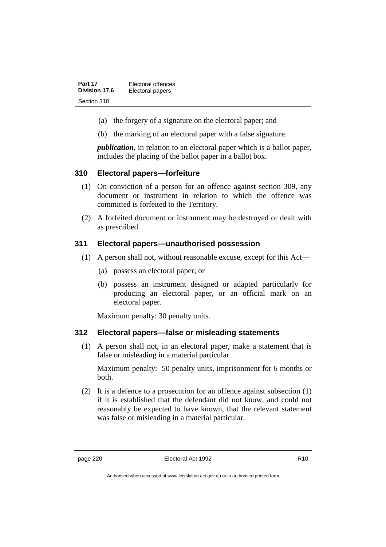| Part 17       | Electoral offences |
|---------------|--------------------|
| Division 17.6 | Electoral papers   |
| Section 310   |                    |

- (a) the forgery of a signature on the electoral paper; and
- (b) the marking of an electoral paper with a false signature.

*publication*, in relation to an electoral paper which is a ballot paper, includes the placing of the ballot paper in a ballot box.

#### **310 Electoral papers—forfeiture**

- (1) On conviction of a person for an offence against section 309, any document or instrument in relation to which the offence was committed is forfeited to the Territory.
- (2) A forfeited document or instrument may be destroyed or dealt with as prescribed.

#### **311 Electoral papers—unauthorised possession**

- (1) A person shall not, without reasonable excuse, except for this Act—
	- (a) possess an electoral paper; or
	- (b) possess an instrument designed or adapted particularly for producing an electoral paper, or an official mark on an electoral paper.

Maximum penalty: 30 penalty units.

#### **312 Electoral papers—false or misleading statements**

(1) A person shall not, in an electoral paper, make a statement that is false or misleading in a material particular.

Maximum penalty: 50 penalty units, imprisonment for 6 months or both.

(2) It is a defence to a prosecution for an offence against subsection (1) if it is established that the defendant did not know, and could not reasonably be expected to have known, that the relevant statement was false or misleading in a material particular.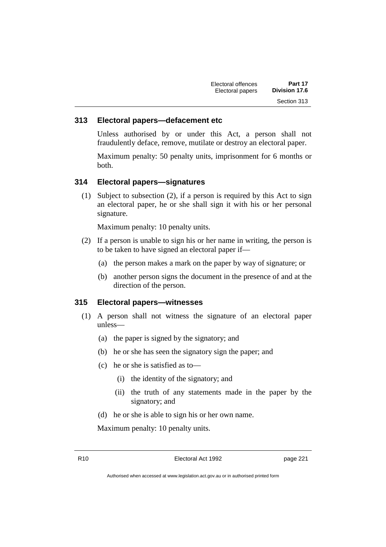| Electoral offences | Part 17       |
|--------------------|---------------|
| Electoral papers   | Division 17.6 |
|                    | Section 313   |

#### **313 Electoral papers—defacement etc**

Unless authorised by or under this Act, a person shall not fraudulently deface, remove, mutilate or destroy an electoral paper.

Maximum penalty: 50 penalty units, imprisonment for 6 months or both.

#### **314 Electoral papers—signatures**

(1) Subject to subsection (2), if a person is required by this Act to sign an electoral paper, he or she shall sign it with his or her personal signature.

Maximum penalty: 10 penalty units.

- (2) If a person is unable to sign his or her name in writing, the person is to be taken to have signed an electoral paper if—
	- (a) the person makes a mark on the paper by way of signature; or
	- (b) another person signs the document in the presence of and at the direction of the person.

#### **315 Electoral papers—witnesses**

- (1) A person shall not witness the signature of an electoral paper unless—
	- (a) the paper is signed by the signatory; and
	- (b) he or she has seen the signatory sign the paper; and
	- (c) he or she is satisfied as to—
		- (i) the identity of the signatory; and
		- (ii) the truth of any statements made in the paper by the signatory; and
	- (d) he or she is able to sign his or her own name.

Maximum penalty: 10 penalty units.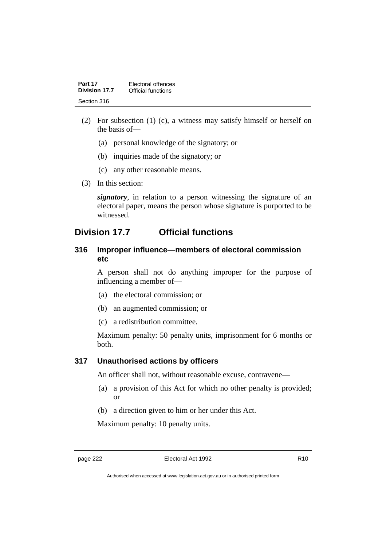| Part 17       | Electoral offences |
|---------------|--------------------|
| Division 17.7 | Official functions |
| Section 316   |                    |

- (2) For subsection (1) (c), a witness may satisfy himself or herself on the basis of—
	- (a) personal knowledge of the signatory; or
	- (b) inquiries made of the signatory; or
	- (c) any other reasonable means.
- (3) In this section:

*signatory*, in relation to a person witnessing the signature of an electoral paper, means the person whose signature is purported to be witnessed.

### **Division 17.7 Official functions**

#### **316 Improper influence—members of electoral commission etc**

A person shall not do anything improper for the purpose of influencing a member of—

- (a) the electoral commission; or
- (b) an augmented commission; or
- (c) a redistribution committee.

Maximum penalty: 50 penalty units, imprisonment for 6 months or both.

#### **317 Unauthorised actions by officers**

An officer shall not, without reasonable excuse, contravene—

- (a) a provision of this Act for which no other penalty is provided; or
- (b) a direction given to him or her under this Act.

Maximum penalty: 10 penalty units.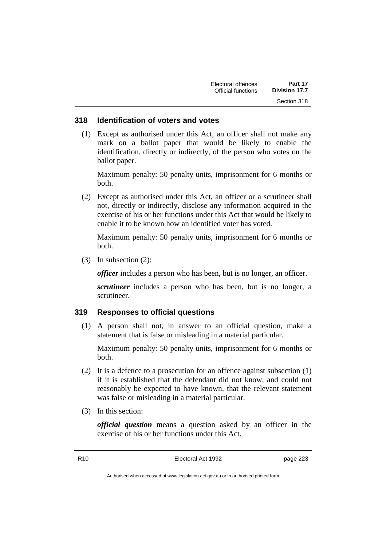| Electoral offences | Part 17              |
|--------------------|----------------------|
| Official functions | <b>Division 17.7</b> |
|                    | Section 318          |

#### **318 Identification of voters and votes**

(1) Except as authorised under this Act, an officer shall not make any mark on a ballot paper that would be likely to enable the identification, directly or indirectly, of the person who votes on the ballot paper.

Maximum penalty: 50 penalty units, imprisonment for 6 months or both.

(2) Except as authorised under this Act, an officer or a scrutineer shall not, directly or indirectly, disclose any information acquired in the exercise of his or her functions under this Act that would be likely to enable it to be known how an identified voter has voted.

Maximum penalty: 50 penalty units, imprisonment for 6 months or both.

(3) In subsection (2):

*officer* includes a person who has been, but is no longer, an officer.

*scrutineer* includes a person who has been, but is no longer, a scrutineer.

#### **319 Responses to official questions**

(1) A person shall not, in answer to an official question, make a statement that is false or misleading in a material particular.

Maximum penalty: 50 penalty units, imprisonment for 6 months or both.

- (2) It is a defence to a prosecution for an offence against subsection (1) if it is established that the defendant did not know, and could not reasonably be expected to have known, that the relevant statement was false or misleading in a material particular.
- (3) In this section:

*official question* means a question asked by an officer in the exercise of his or her functions under this Act.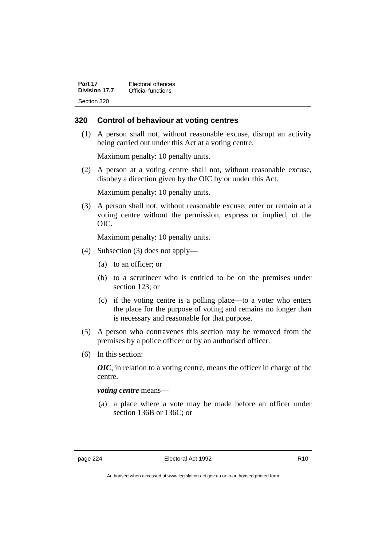| Part 17              | Electoral offences |
|----------------------|--------------------|
| <b>Division 17.7</b> | Official functions |
| Section 320          |                    |

#### **320 Control of behaviour at voting centres**

(1) A person shall not, without reasonable excuse, disrupt an activity being carried out under this Act at a voting centre.

Maximum penalty: 10 penalty units.

(2) A person at a voting centre shall not, without reasonable excuse, disobey a direction given by the OIC by or under this Act.

Maximum penalty: 10 penalty units.

(3) A person shall not, without reasonable excuse, enter or remain at a voting centre without the permission, express or implied, of the OIC.

Maximum penalty: 10 penalty units.

- (4) Subsection (3) does not apply—
	- (a) to an officer; or
	- (b) to a scrutineer who is entitled to be on the premises under section 123; or
	- (c) if the voting centre is a polling place—to a voter who enters the place for the purpose of voting and remains no longer than is necessary and reasonable for that purpose.
- (5) A person who contravenes this section may be removed from the premises by a police officer or by an authorised officer.
- (6) In this section:

*OIC*, in relation to a voting centre, means the officer in charge of the centre.

*voting centre* means—

(a) a place where a vote may be made before an officer under section 136B or 136C; or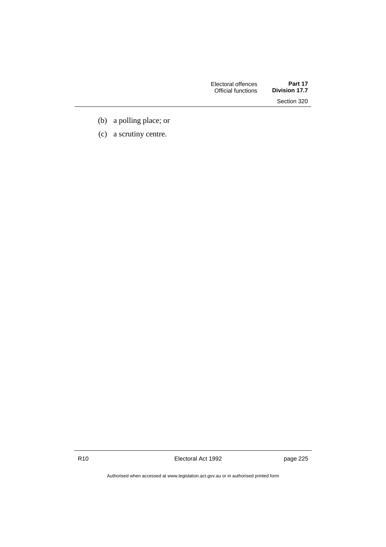| Electoral offences | Part 17       |
|--------------------|---------------|
| Official functions | Division 17.7 |
|                    | Section 320   |

- (b) a polling place; or
- (c) a scrutiny centre.

R10 **Electoral Act 1992 page 225** 

Authorised when accessed at www.legislation.act.gov.au or in authorised printed form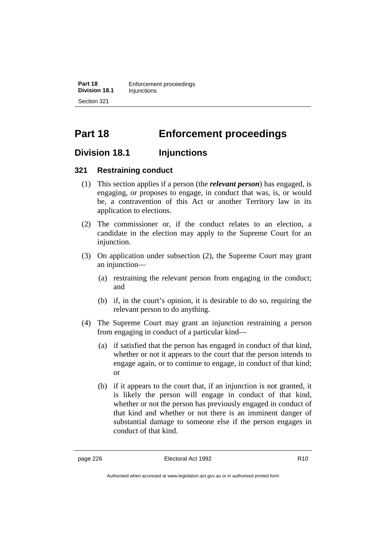**Part 18** Enforcement proceedings **Division 18.1** Injunctions Section 321

# **Part 18 Enforcement proceedings**

### **Division 18.1 Injunctions**

#### **321 Restraining conduct**

- (1) This section applies if a person (the *relevant person*) has engaged, is engaging, or proposes to engage, in conduct that was, is, or would be, a contravention of this Act or another Territory law in its application to elections.
- (2) The commissioner or, if the conduct relates to an election, a candidate in the election may apply to the Supreme Court for an injunction.
- (3) On application under subsection (2), the Supreme Court may grant an injunction—
	- (a) restraining the relevant person from engaging in the conduct; and
	- (b) if, in the court's opinion, it is desirable to do so, requiring the relevant person to do anything.
- (4) The Supreme Court may grant an injunction restraining a person from engaging in conduct of a particular kind—
	- (a) if satisfied that the person has engaged in conduct of that kind, whether or not it appears to the court that the person intends to engage again, or to continue to engage, in conduct of that kind; or
	- (b) if it appears to the court that, if an injunction is not granted, it is likely the person will engage in conduct of that kind, whether or not the person has previously engaged in conduct of that kind and whether or not there is an imminent danger of substantial damage to someone else if the person engages in conduct of that kind.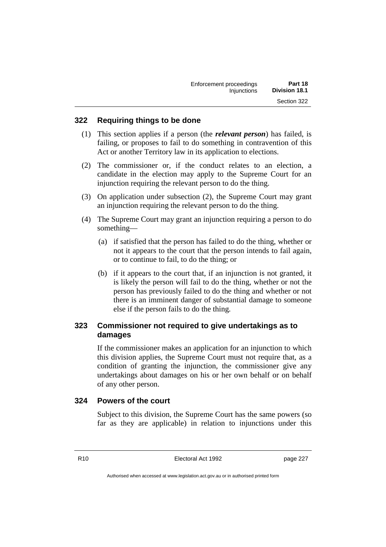| Enforcement proceedings | Part 18              |
|-------------------------|----------------------|
| Injunctions             | <b>Division 18.1</b> |
|                         | Section 322          |

#### **322 Requiring things to be done**

- (1) This section applies if a person (the *relevant person*) has failed, is failing, or proposes to fail to do something in contravention of this Act or another Territory law in its application to elections.
- (2) The commissioner or, if the conduct relates to an election, a candidate in the election may apply to the Supreme Court for an injunction requiring the relevant person to do the thing.
- (3) On application under subsection (2), the Supreme Court may grant an injunction requiring the relevant person to do the thing.
- (4) The Supreme Court may grant an injunction requiring a person to do something—
	- (a) if satisfied that the person has failed to do the thing, whether or not it appears to the court that the person intends to fail again, or to continue to fail, to do the thing; or
	- (b) if it appears to the court that, if an injunction is not granted, it is likely the person will fail to do the thing, whether or not the person has previously failed to do the thing and whether or not there is an imminent danger of substantial damage to someone else if the person fails to do the thing.

### **323 Commissioner not required to give undertakings as to damages**

If the commissioner makes an application for an injunction to which this division applies, the Supreme Court must not require that, as a condition of granting the injunction, the commissioner give any undertakings about damages on his or her own behalf or on behalf of any other person.

#### **324 Powers of the court**

Subject to this division, the Supreme Court has the same powers (so far as they are applicable) in relation to injunctions under this

R10 Electoral Act 1992 page 227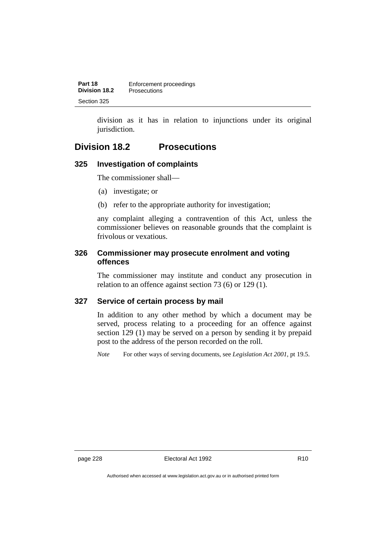| Part 18       | Enforcement proceedings |
|---------------|-------------------------|
| Division 18.2 | <b>Prosecutions</b>     |
| Section 325   |                         |

division as it has in relation to injunctions under its original jurisdiction.

## **Division 18.2 Prosecutions**

#### **325 Investigation of complaints**

The commissioner shall—

- (a) investigate; or
- (b) refer to the appropriate authority for investigation;

any complaint alleging a contravention of this Act, unless the commissioner believes on reasonable grounds that the complaint is frivolous or vexatious.

#### **326 Commissioner may prosecute enrolment and voting offences**

The commissioner may institute and conduct any prosecution in relation to an offence against section 73 (6) or 129 (1).

### **327 Service of certain process by mail**

In addition to any other method by which a document may be served, process relating to a proceeding for an offence against section 129 (1) may be served on a person by sending it by prepaid post to the address of the person recorded on the roll.

*Note* For other ways of serving documents, see *Legislation Act 2001*, pt 19.5.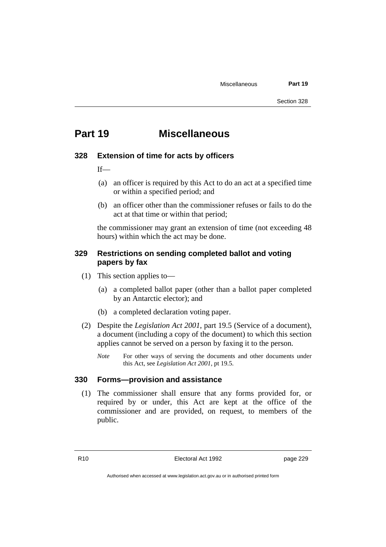# **Part 19 Miscellaneous**

#### **328 Extension of time for acts by officers**

 $If$ —

- (a) an officer is required by this Act to do an act at a specified time or within a specified period; and
- (b) an officer other than the commissioner refuses or fails to do the act at that time or within that period;

the commissioner may grant an extension of time (not exceeding 48 hours) within which the act may be done.

#### **329 Restrictions on sending completed ballot and voting papers by fax**

- (1) This section applies to—
	- (a) a completed ballot paper (other than a ballot paper completed by an Antarctic elector); and
	- (b) a completed declaration voting paper.
- (2) Despite the *Legislation Act 2001*, part 19.5 (Service of a document), a document (including a copy of the document) to which this section applies cannot be served on a person by faxing it to the person.
	- *Note* For other ways of serving the documents and other documents under this Act, see *Legislation Act 2001*, pt 19.5.

#### **330 Forms—provision and assistance**

(1) The commissioner shall ensure that any forms provided for, or required by or under, this Act are kept at the office of the commissioner and are provided, on request, to members of the public.

R10 Electoral Act 1992 page 229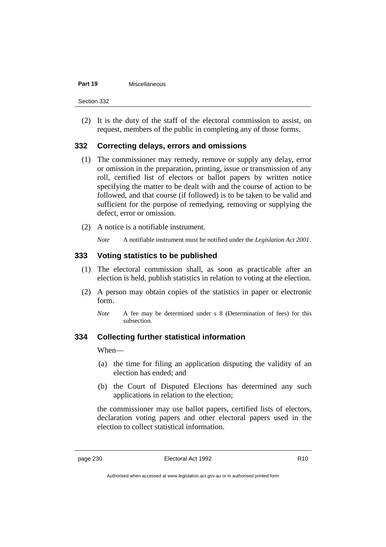#### **Part 19** Miscellaneous

(2) It is the duty of the staff of the electoral commission to assist, on request, members of the public in completing any of those forms.

#### **332 Correcting delays, errors and omissions**

- (1) The commissioner may remedy, remove or supply any delay, error or omission in the preparation, printing, issue or transmission of any roll, certified list of electors or ballot papers by written notice specifying the matter to be dealt with and the course of action to be followed, and that course (if followed) is to be taken to be valid and sufficient for the purpose of remedying, removing or supplying the defect, error or omission.
- (2) A notice is a notifiable instrument.
	- *Note* A notifiable instrument must be notified under the *Legislation Act 2001*.

#### **333 Voting statistics to be published**

- (1) The electoral commission shall, as soon as practicable after an election is held, publish statistics in relation to voting at the election.
- (2) A person may obtain copies of the statistics in paper or electronic form.
	- *Note* A fee may be determined under s 8 (Determination of fees) for this subsection.

#### **334 Collecting further statistical information**

When—

- (a) the time for filing an application disputing the validity of an election has ended; and
- (b) the Court of Disputed Elections has determined any such applications in relation to the election;

the commissioner may use ballot papers, certified lists of electors, declaration voting papers and other electoral papers used in the election to collect statistical information.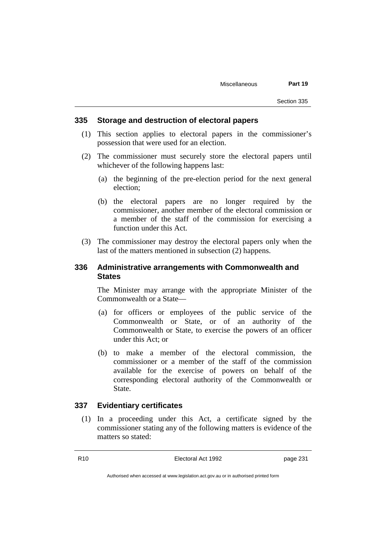#### **335 Storage and destruction of electoral papers**

- (1) This section applies to electoral papers in the commissioner's possession that were used for an election.
- (2) The commissioner must securely store the electoral papers until whichever of the following happens last:
	- (a) the beginning of the pre-election period for the next general election;
	- (b) the electoral papers are no longer required by the commissioner, another member of the electoral commission or a member of the staff of the commission for exercising a function under this Act.
- (3) The commissioner may destroy the electoral papers only when the last of the matters mentioned in subsection (2) happens.

#### **336 Administrative arrangements with Commonwealth and States**

The Minister may arrange with the appropriate Minister of the Commonwealth or a State—

- (a) for officers or employees of the public service of the Commonwealth or State, or of an authority of the Commonwealth or State, to exercise the powers of an officer under this Act; or
- (b) to make a member of the electoral commission, the commissioner or a member of the staff of the commission available for the exercise of powers on behalf of the corresponding electoral authority of the Commonwealth or State.

#### **337 Evidentiary certificates**

(1) In a proceeding under this Act, a certificate signed by the commissioner stating any of the following matters is evidence of the matters so stated: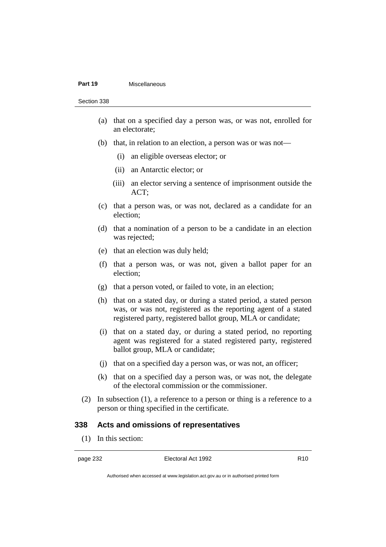#### **Part 19** Miscellaneous

Section 338

- (a) that on a specified day a person was, or was not, enrolled for an electorate;
- (b) that, in relation to an election, a person was or was not—
	- (i) an eligible overseas elector; or
	- (ii) an Antarctic elector; or
	- (iii) an elector serving a sentence of imprisonment outside the ACT;
- (c) that a person was, or was not, declared as a candidate for an election;
- (d) that a nomination of a person to be a candidate in an election was rejected;
- (e) that an election was duly held;
- (f) that a person was, or was not, given a ballot paper for an election;
- (g) that a person voted, or failed to vote, in an election;
- (h) that on a stated day, or during a stated period, a stated person was, or was not, registered as the reporting agent of a stated registered party, registered ballot group, MLA or candidate;
- (i) that on a stated day, or during a stated period, no reporting agent was registered for a stated registered party, registered ballot group, MLA or candidate;
- (j) that on a specified day a person was, or was not, an officer;
- (k) that on a specified day a person was, or was not, the delegate of the electoral commission or the commissioner.
- (2) In subsection (1), a reference to a person or thing is a reference to a person or thing specified in the certificate.

#### **338 Acts and omissions of representatives**

(1) In this section:

Authorised when accessed at www.legislation.act.gov.au or in authorised printed form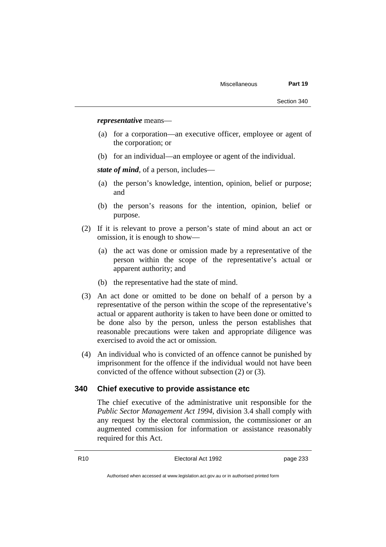*representative* means—

- (a) for a corporation—an executive officer, employee or agent of the corporation; or
- (b) for an individual—an employee or agent of the individual.

*state of mind*, of a person, includes—

- (a) the person's knowledge, intention, opinion, belief or purpose; and
- (b) the person's reasons for the intention, opinion, belief or purpose.
- (2) If it is relevant to prove a person's state of mind about an act or omission, it is enough to show—
	- (a) the act was done or omission made by a representative of the person within the scope of the representative's actual or apparent authority; and
	- (b) the representative had the state of mind.
- (3) An act done or omitted to be done on behalf of a person by a representative of the person within the scope of the representative's actual or apparent authority is taken to have been done or omitted to be done also by the person, unless the person establishes that reasonable precautions were taken and appropriate diligence was exercised to avoid the act or omission.
- (4) An individual who is convicted of an offence cannot be punished by imprisonment for the offence if the individual would not have been convicted of the offence without subsection (2) or (3).

#### **340 Chief executive to provide assistance etc**

The chief executive of the administrative unit responsible for the *Public Sector Management Act 1994*, division 3.4 shall comply with any request by the electoral commission, the commissioner or an augmented commission for information or assistance reasonably required for this Act.

R10 Electoral Act 1992 page 233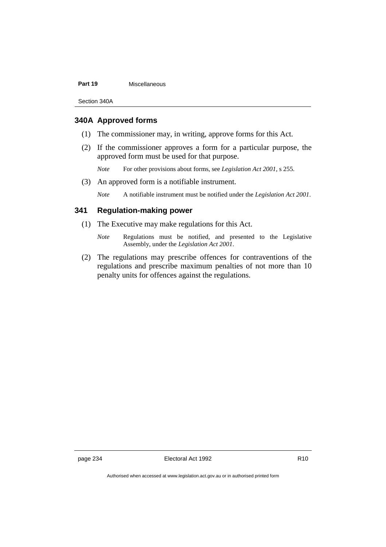#### Part 19 **Miscellaneous**

Section 340A

#### **340A Approved forms**

- (1) The commissioner may, in writing, approve forms for this Act.
- (2) If the commissioner approves a form for a particular purpose, the approved form must be used for that purpose.

*Note* For other provisions about forms, see *Legislation Act 2001*, s 255.

(3) An approved form is a notifiable instrument.

*Note* A notifiable instrument must be notified under the *Legislation Act 2001*.

#### **341 Regulation-making power**

- (1) The Executive may make regulations for this Act.
	- *Note* Regulations must be notified, and presented to the Legislative Assembly, under the *Legislation Act 2001*.
- (2) The regulations may prescribe offences for contraventions of the regulations and prescribe maximum penalties of not more than 10 penalty units for offences against the regulations.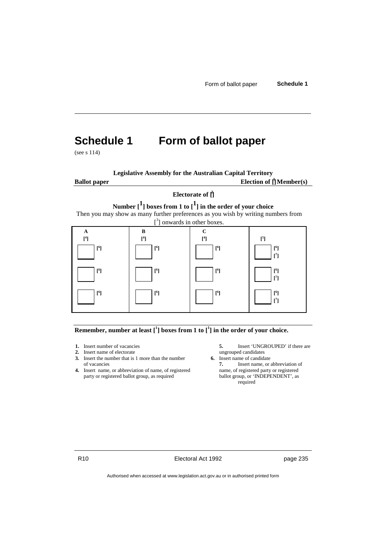# **Schedule 1 Form of ballot paper**

(see s 114)

**Legislative Assembly for the Australian Capital Territory**

**Ballot paper** Election of  $\prod_{i=1}^{n} \text{Member}(s)$ 

#### **Electorate of [ 2 ]**

**Number [<sup>1</sup> ] boxes from 1 to [1] in the order of your choice** Then you may show as many further preferences as you wish by writing numbers from



**Remember, number at least [<sup>1</sup> ] boxes from 1 to [<sup>1</sup> ] in the order of your choice.**

- 
- **2.** Insert name of electorate ungrouped candidates<br> **3.** Insert the number that is 1 more than the number **6.** Insert name of candidate **3.** Insert the number that is 1 more than the number of vacancies **7.** Insert name, or abbreviation of
- **4.** Insert name, or abbreviation of name, of registered name, of registered party or registered ballot group, as required ballot group, or 'INDEPENDENT', as party or registered ballot group, as required
- **1.** Insert number of vacancies **5.** Insert 'UNGROUPED' if there are **2.** Insert name of electorate **1.** ungrouped candidates
	- - required

R10 **Electoral Act 1992 page 235**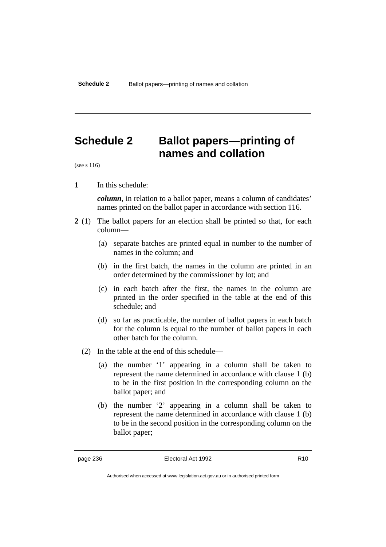# **Schedule 2 Ballot papers—printing of names and collation**

(see s 116)

**1** In this schedule:

*column*, in relation to a ballot paper, means a column of candidates' names printed on the ballot paper in accordance with section 116.

- **2** (1) The ballot papers for an election shall be printed so that, for each column—
	- (a) separate batches are printed equal in number to the number of names in the column; and
	- (b) in the first batch, the names in the column are printed in an order determined by the commissioner by lot; and
	- (c) in each batch after the first, the names in the column are printed in the order specified in the table at the end of this schedule; and
	- (d) so far as practicable, the number of ballot papers in each batch for the column is equal to the number of ballot papers in each other batch for the column.
	- (2) In the table at the end of this schedule—
		- (a) the number '1' appearing in a column shall be taken to represent the name determined in accordance with clause 1 (b) to be in the first position in the corresponding column on the ballot paper; and
		- (b) the number '2' appearing in a column shall be taken to represent the name determined in accordance with clause 1 (b) to be in the second position in the corresponding column on the ballot paper;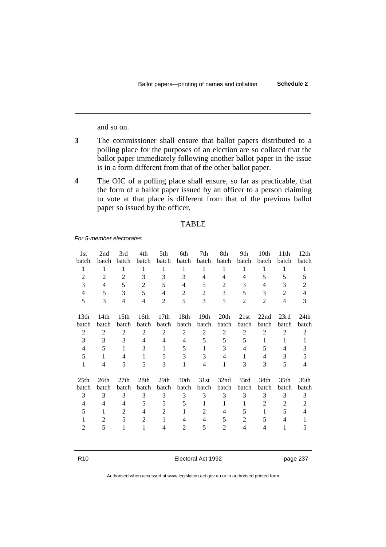and so on.

- **3** The commissioner shall ensure that ballot papers distributed to a polling place for the purposes of an election are so collated that the ballot paper immediately following another ballot paper in the issue is in a form different from that of the other ballot paper.
- **4** The OIC of a polling place shall ensure, so far as practicable, that the form of a ballot paper issued by an officer to a person claiming to vote at that place is different from that of the previous ballot paper so issued by the officer.

#### TABLE

*For 5-member electorates*

| 1st              | 2nd   | 3rd              | 4th            | 5th            | 6th   | 7th            | 8th              | 9th            | 10th           | 11th  | 12th  |
|------------------|-------|------------------|----------------|----------------|-------|----------------|------------------|----------------|----------------|-------|-------|
| batch            | batch | batch            | batch          | batch          | batch | batch          | batch            | batch          | batch          | batch | batch |
|                  |       |                  |                |                |       |                |                  |                |                |       |       |
| 1                | 1     | 1                | 1              | 1              | 1     | 1              | 1                |                | 1              |       | 1     |
| $\overline{2}$   | 2     | $\overline{2}$   | 3              | 3              | 3     | 4              | 4                | 4              | 5              | 5     | 5     |
| 3                | 4     | 5                | $\overline{2}$ | 5              | 4     | 5              | 2                | 3              | 4              | 3     | 2     |
| 4                | 5     | 3                | 5              | 4              | 2     | $\overline{2}$ | 3                | 5              | 3              | 2     | 4     |
| 5                | 3     | 4                | 4              | $\overline{2}$ | 5     | 3              | 5                | $\overline{2}$ | $\overline{2}$ | 4     | 3     |
| 13 <sub>th</sub> | 14th  | 15 <sub>th</sub> | 16th           | 17th           | 18th  | 19th           | 20th             | 21st           | 22nd           | 23rd  | 24th  |
| batch            | batch | batch            | batch          | batch          | batch | batch          | batch            | batch          | batch          | batch | batch |
| 2                | 2     | $\overline{2}$   | 2              | 2              | 2     | 2              | $\overline{2}$   | $\overline{2}$ | $\overline{2}$ | 2     | 2     |
| 3                | 3     | 3                | 4              | 4              | 4     | 5              | 5                | 5              | 1              | 1     |       |
| 4                | 5     | 1                | 3              | 1              | 5     |                | 3                | 4              | 5              | 4     | 3     |
| 5                |       | 4                | 1              | 5              | 3     | 3              | 4                |                | 4              | 3     | 5     |
| 1                | 4     | 5                | 5              | 3              | 1     | 4              |                  | 3              | 3              | 5     | 4     |
| 25th             | 26th  | 27th             | 28th           | 29th           | 30th  | 31st           | 32 <sub>nd</sub> | 33rd           | 34th           | 35th  | 36th  |
| batch            | batch | batch            | batch          | batch          | batch | batch          | batch            | batch          | batch          | batch | batch |
| 3                | 3     | 3                | 3              | 3              | 3     | 3              | 3                | 3              | 3              | 3     | 3     |
| 4                | 4     | 4                | 5              | 5              | 5     |                |                  | 1              | 2              | 2     | 2     |
| 5                |       | $\overline{2}$   | 4              | $\overline{2}$ |       | $\overline{2}$ | 4                | 5              |                | 5     | 4     |
|                  | 2     | 5                | 2              |                | 4     | 4              | 5                | $\overline{2}$ | 5              | 4     |       |
| $\mathfrak{D}$   | 5     |                  |                | 4              | 2     | 5              | $\overline{2}$   | 4              | 4              |       | 5     |
|                  |       |                  |                |                |       |                |                  |                |                |       |       |

R10 **Electoral Act 1992 page 237**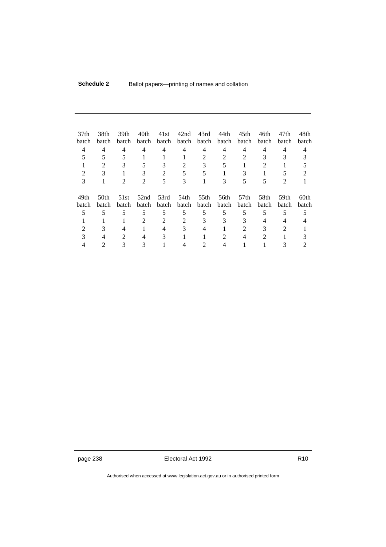| 37th<br>batch<br>4<br>5<br>2 | 38th<br>batch<br>4<br>5<br>2<br>3 | 39th<br>batch<br>4<br>5<br>3 | 40th<br>batch<br>4<br>5<br>3 | 41st<br>batch<br>4<br>3<br>2 | 42nd<br>batch<br>4<br>5 | 43rd<br>batch<br>4<br>2<br>3<br>5 | 44th<br>batch<br>4<br>2<br>5 | 45th<br>batch<br>4<br>3 | 46th<br>batch<br>4<br>3<br>2 | 47th<br>batch<br>4<br>3<br>5 | 48th<br>batch<br>4<br>5<br>2 |
|------------------------------|-----------------------------------|------------------------------|------------------------------|------------------------------|-------------------------|-----------------------------------|------------------------------|-------------------------|------------------------------|------------------------------|------------------------------|
| 3                            |                                   | 2                            | 2                            | 5                            | 3                       |                                   | 3                            | 5                       | 5                            | 2                            |                              |
| 49th<br>batch                | 50th<br>batch                     | 51st<br>batch                | 52 <sub>nd</sub><br>batch    | 53rd<br>batch                | 54th<br>batch           | 55th<br>batch                     | 56th<br>batch                | 57th<br>batch           | 58th<br>batch                | 59th<br>batch                | 60th<br>batch                |
| 5                            | 5                                 | 5                            | 5                            | 5                            | 5                       | 5                                 | 5                            | 5                       | 5                            | 5                            | 5                            |
|                              |                                   |                              | 2                            | 2                            | $\mathfrak{D}$          | 3                                 | 3                            | 3                       | 4                            | 4                            |                              |
|                              | 3                                 | 4                            |                              | 4                            | 3                       | 4                                 |                              | 2                       | 3                            | $\mathfrak{D}$               |                              |
|                              |                                   | 2                            |                              | 3                            |                         |                                   | 2                            |                         | 2                            |                              |                              |
|                              |                                   |                              |                              |                              |                         |                                   |                              |                         |                              |                              |                              |

page 238 **Electoral Act 1992** R10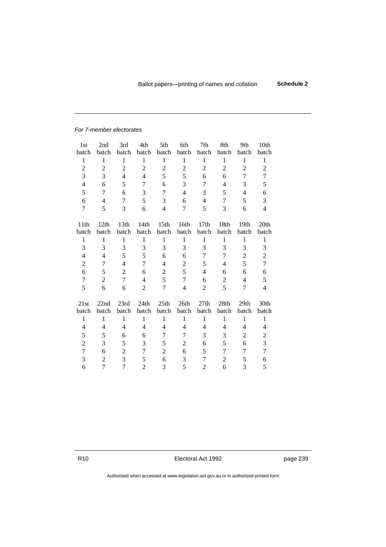#### *For 7-member electorates*

| 1st<br>batch   | 2nd<br>batch     | 3rd<br>batch     | 4th<br>batch   | 5th<br>batch     | 6th<br>batch     | 7th<br>batch   | 8th<br>batch   | 9th<br>batch   | 10th<br>batch  |
|----------------|------------------|------------------|----------------|------------------|------------------|----------------|----------------|----------------|----------------|
| 1              | 1                | 1                | 1              | 1                | 1                | 1              | 1              | 1              | 1              |
| $\overline{2}$ | $\overline{2}$   | $\overline{2}$   | $\overline{2}$ | $\overline{2}$   | $\overline{2}$   | $\overline{2}$ | $\overline{2}$ | 2              | $\overline{2}$ |
| 3              | 3                | 4                | $\overline{4}$ | 5                | 5                | 6              | 6              | $\overline{7}$ | 7              |
| 4              | 6                | 5                | $\overline{7}$ | 6                | 3                | 7              | 4              | 3              | 5              |
| 5              | $\overline{7}$   | 6                | 3              | $\overline{7}$   | 4                | 3              | 5              | 4              | 6              |
| 6              | 4                | $\overline{7}$   | 5              | 3                | 6                | 4              | 7              | 5              | 3              |
| $\overline{7}$ | 5                | 3                | 6              | $\overline{4}$   | 7                | 5              | 3              | 6              | $\overline{4}$ |
|                |                  |                  |                |                  |                  |                |                |                |                |
| 11th           | 12 <sub>th</sub> | 13 <sub>th</sub> | 14th           | 15 <sub>th</sub> | 16 <sub>th</sub> | 17th           | 18th           | 19th           | 20th           |
| batch          | batch            | batch            | batch          | batch            | batch            | batch          | batch          | batch          | batch          |
| 1              | 1                | 1                | $\mathbf{1}$   | 1                | 1                | 1              | 1              | 1              | 1              |
| 3              | 3                | 3                | 3              | 3                | 3                | 3              | 3              | 3              | 3              |
| 4              | 4                | 5                | 5              | 6                | 6                | 7              | $\overline{7}$ | 2              | $\overline{2}$ |
| $\overline{2}$ | $\overline{7}$   | 4                | $\overline{7}$ | 4                | $\overline{2}$   | 5              | 4              | 5              | $\overline{7}$ |
| 6              | 5                | $\overline{2}$   | 6              | $\overline{2}$   | 5                | 4              | 6              | 6              | 6              |
| 7              | $\overline{2}$   | $\overline{7}$   | 4              | 5                | $\overline{7}$   | 6              | $\overline{2}$ | 4              | 5              |
| 5              | 6                | 6                | $\overline{2}$ | $\overline{7}$   | $\overline{4}$   | $\overline{2}$ | 5              | $\overline{7}$ | $\overline{4}$ |
|                |                  |                  |                |                  |                  |                |                |                |                |
| 21st           | 22nd             | 23rd             | 24th           | 25th             | 26th             | 27th           | 28th           | 29th           | 30th           |
| batch          | batch            | batch            | batch          | batch            | batch            | batch          | batch          | batch          | batch          |
| 1              | 1                | 1                | 1              | 1                | 1                | 1              | 1              | 1              | 1              |
| 4              | 4                | 4                | 4              | 4                | 4                | 4              | 4              | 4              | 4              |
| 5              | 5                | 6                | 6              | $\overline{7}$   | 7                | 3              | 3              | 2              | $\overline{2}$ |
| $\overline{2}$ | 3                | 5                | 3              | 5                | $\overline{c}$   | 6              | 5              | 6              | $\overline{3}$ |
| $\overline{7}$ | 6                | $\overline{2}$   | 7              | $\overline{2}$   | 6                | 5              | 7              | 7              | $\overline{7}$ |
| 3              | $\overline{2}$   | 3                | 5              | 6                | 3                | $\overline{7}$ | $\overline{2}$ | 5              | 6              |
| 6              | $\overline{7}$   | $\overline{7}$   | $\overline{2}$ | 3                | 5                | $\overline{2}$ | 6              | 3              | 5              |

R10 **Electoral Act 1992 page 239**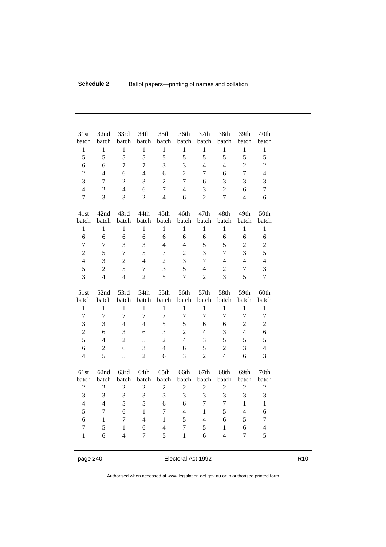| 31st           | 32nd           | 33rd           | 34th           | 35th           | 36th           | 37th           | 38th           | 39th           | 40th           |
|----------------|----------------|----------------|----------------|----------------|----------------|----------------|----------------|----------------|----------------|
| batch          | batch          | batch          | batch          | batch          | batch          | batch          | batch          | batch          | batch          |
| $\mathbf{1}$   | $\mathbf{1}$   | $\mathbf{1}$   | 1              | $\mathbf{1}$   | $\mathbf{1}$   | 1              | 1              | $\mathbf{1}$   | $\mathbf{1}$   |
| 5              | 5              | 5              | 5              | 5              | 5              | 5              | 5              | 5              | 5              |
| 6              | 6              | $\overline{7}$ | $\overline{7}$ | 3              | 3              | $\overline{4}$ | $\overline{4}$ | $\overline{2}$ | $\overline{2}$ |
| $\overline{2}$ | $\overline{4}$ | 6              | $\overline{4}$ | 6              | $\overline{2}$ | $\overline{7}$ | 6              | $\overline{7}$ | $\overline{4}$ |
| 3              | $\overline{7}$ | $\overline{2}$ | 3              | $\overline{2}$ | $\overline{7}$ | 6              | 3              | 3              | 3              |
| 4              | $\overline{2}$ | $\overline{4}$ | 6              | $\overline{7}$ | $\overline{4}$ | 3              | $\overline{2}$ | 6              | $\overline{7}$ |
| $\overline{7}$ | 3              | 3              | $\overline{2}$ | $\overline{4}$ | 6              | $\overline{2}$ | $\overline{7}$ | $\overline{4}$ | 6              |
| 41st           | 42nd           | 43rd           | 44th           | 45th           | 46th           | 47th           | 48th           | 49th           | 50th           |
| batch          | batch          | batch          | batch          | batch          | batch          | batch          | batch          | batch          | batch          |
| $\mathbf{1}$   | $\mathbf{1}$   | $\mathbf{1}$   | 1              | $\mathbf{1}$   | $\mathbf{1}$   | $\mathbf{1}$   | 1              | $\mathbf{1}$   | $\mathbf{1}$   |
| 6              | 6              | 6              | 6              | 6              | 6              | 6              | 6              | 6              | 6              |
| $\overline{7}$ | 7              | 3              | 3              | $\overline{4}$ | $\overline{4}$ | 5              | 5              | $\overline{2}$ | $\overline{2}$ |
| $\overline{2}$ | 5              | $\overline{1}$ | 5              | 7              | $\overline{2}$ | 3              | $\overline{7}$ | 3              | 5              |
| $\overline{4}$ | 3              | $\overline{2}$ | $\overline{4}$ | $\overline{2}$ | 3              | $\overline{7}$ | $\overline{4}$ | $\overline{4}$ | $\overline{4}$ |
| 5              | $\overline{2}$ | 5              | $\overline{7}$ | 3              | 5              | $\overline{4}$ | $\overline{2}$ | 7              | 3              |
| 3              | $\overline{4}$ | $\overline{4}$ | $\overline{2}$ | 5              | $\overline{7}$ | $\overline{2}$ | 3              | 5              | $\overline{7}$ |
| 51st           | 52nd           | 53rd           | 54th           | 55th           | 56th           | 57th           | 58th           | 59th           | 60th           |
| batch          | batch          | batch          | batch          | batch          | batch          | batch          | batch          | batch          | batch          |
| $\mathbf{1}$   | $\mathbf{1}$   | $\mathbf{1}$   | 1              | $\mathbf{1}$   | $\mathbf{1}$   | $\mathbf{1}$   | 1              | $\mathbf{1}$   | $\mathbf{1}$   |
| $\overline{7}$ | $\overline{7}$ | $\overline{1}$ | $\overline{7}$ | $\overline{7}$ | $\overline{7}$ | $\overline{7}$ | $\overline{7}$ | $\overline{7}$ | $\overline{7}$ |
| 3              | 3              | $\overline{4}$ | 4              | 5              | 5              | 6              | 6              | $\overline{2}$ | $\overline{2}$ |
| $\overline{2}$ | 6              | 3              | 6              | 3              | $\overline{2}$ | 4              | 3              | $\overline{4}$ | 6              |
| 5              | 4              | $\overline{2}$ | 5              | $\overline{2}$ | $\overline{4}$ | 3              | 5              | 5              | 5              |
| 6              | $\overline{2}$ | 6              | 3              | $\overline{4}$ | 6              | 5              | $\overline{2}$ | 3              | $\overline{4}$ |
| $\overline{4}$ | 5              | 5              | $\overline{2}$ | 6              | 3              | $\overline{2}$ | $\overline{4}$ | 6              | 3              |
| 61st           | 62nd           | 63rd           | 64th           | 65th           | 66th           | 67th           | 68th           | 69th           | 70th           |
| batch          | batch          | batch          | batch          | batch          | batch          | batch          | batch          | batch          | batch          |
| $\overline{2}$ | $\overline{2}$ | $\sqrt{2}$     | $\overline{2}$ | $\overline{2}$ | $\overline{2}$ | $\overline{2}$ | 2              | $\overline{2}$ | 2              |
| 3              | 3              | 3              | 3              | $\mathfrak{Z}$ | 3              | $\overline{3}$ | 3              | 3              | 3              |
| $\overline{4}$ | $\overline{4}$ | 5              | 5              | 6              | 6              | $\overline{7}$ | $\overline{7}$ | $\mathbf{1}$   | 1              |
| 5              | $\overline{7}$ | 6              | $\mathbf{1}$   | $\overline{7}$ | $\overline{4}$ | $\mathbf{1}$   | 5              | $\overline{4}$ | 6              |
| 6              | 1              | 7              | $\overline{4}$ | 1              | 5              | $\overline{4}$ | 6              | 5              | 7              |
| $\overline{7}$ | 5              | $\mathbf{1}$   | 6              | $\overline{4}$ | $\overline{7}$ | 5              | 1              | 6              | $\overline{4}$ |
| 1              | 6              | $\overline{4}$ | $\overline{7}$ | 5              | 1              | 6              | $\overline{4}$ | $\overline{7}$ | 5              |

page 240 **Electoral Act 1992** R10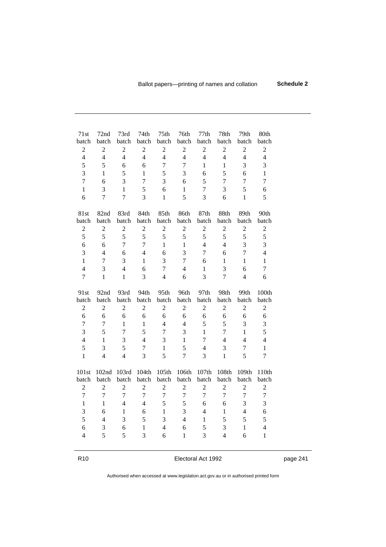| 71st           | 72nd           | 73rd           | 74th           | 75th           | 76th           | 77th           | 78th           | 79th           | 80th           |  |
|----------------|----------------|----------------|----------------|----------------|----------------|----------------|----------------|----------------|----------------|--|
| batch          | batch          | batch          | batch          | batch          | batch          | batch          | batch          | batch          | batch          |  |
| $\overline{2}$ | $\overline{2}$ | $\overline{2}$ | $\overline{2}$ | $\sqrt{2}$     | $\overline{2}$ | $\overline{2}$ | $\overline{2}$ | $\overline{2}$ | $\sqrt{2}$     |  |
| $\overline{4}$ | $\overline{4}$ | $\overline{4}$ | $\overline{4}$ | $\overline{4}$ | $\overline{4}$ | $\overline{4}$ | $\overline{4}$ | $\overline{4}$ | $\overline{4}$ |  |
| 5              | 5              | 6              | 6              | $\overline{7}$ | $\overline{7}$ | $\mathbf{1}$   | $\mathbf{1}$   | 3              | 3              |  |
| 3              | $\mathbf{1}$   | 5              | 1              | 5              | 3              | 6              | 5              | 6              | $\mathbf{1}$   |  |
| $\overline{7}$ | 6              | 3              | $\overline{7}$ | 3              | 6              | 5              | $\overline{7}$ | $\overline{7}$ | $\overline{7}$ |  |
| 1              | 3              | 1              | 5              | 6              | $\mathbf{1}$   | $\overline{7}$ | $\overline{3}$ | 5              | 6              |  |
| 6              | $\overline{7}$ | $\overline{7}$ | 3              | 1              | 5              | 3              | 6              | 1              | 5              |  |
| 81st           | 82nd           | 83rd           | 84th           | 85th           | 86th           | 87th           | 88th           | 89th           | 90th           |  |
| batch          | batch          | batch          | batch          | batch          | batch          | batch          | batch          | batch          | batch          |  |
| $\overline{2}$ | $\overline{2}$ | $\overline{2}$ | $\overline{2}$ | $\overline{2}$ | $\overline{2}$ | $\overline{2}$ | $\overline{2}$ | $\overline{2}$ | $\overline{2}$ |  |
| 5              | 5              | 5              | 5              | 5              | 5              | 5              | 5              | 5              | 5              |  |
| 6              | 6              | $\overline{7}$ | $\overline{7}$ | $\mathbf{1}$   | $\mathbf{1}$   | $\overline{4}$ | $\overline{4}$ | 3              | 3              |  |
| 3              | $\overline{4}$ | 6              | $\overline{4}$ | 6              | 3              | $\overline{7}$ | 6              | $\overline{7}$ | $\overline{4}$ |  |
| $\mathbf{1}$   | $\overline{7}$ | 3              | $\mathbf{1}$   | 3              | $\overline{7}$ | 6              | 1              | $\mathbf{1}$   | $\mathbf{1}$   |  |
| $\overline{4}$ | 3              | $\overline{4}$ | 6              | $\overline{7}$ | $\overline{4}$ | 1              | 3              | 6              | $\overline{7}$ |  |
| $\overline{7}$ | 1              | $\mathbf{1}$   | 3              | $\overline{4}$ | 6              | 3              | $\overline{7}$ | $\overline{4}$ | 6              |  |
| 91st           | 92nd           | 93rd           | 94th           | 95th           | 96th           | 97th           | 98th           | 99th           | 100th          |  |
| batch          | batch          | batch          | batch          | batch          | batch          | batch          | batch          | batch          | batch          |  |
| $\overline{2}$ | $\overline{2}$ | $\overline{2}$ | $\overline{2}$ | $\overline{2}$ | $\overline{2}$ | $\overline{2}$ | $\overline{2}$ | $\overline{2}$ | $\overline{2}$ |  |
| 6              | 6              | 6              | 6              | 6              | 6              | 6              | 6              | 6              | 6              |  |
| $\overline{7}$ | $\overline{1}$ | $\mathbf{1}$   | 1              | $\overline{4}$ | $\overline{4}$ | 5              | 5              | 3              | 3              |  |
| 3              | 5              | $\overline{7}$ | 5              | $\overline{7}$ | 3              | $\mathbf{1}$   | $\overline{7}$ | 1              | 5              |  |
| $\overline{4}$ | $\mathbf{1}$   | 3              | $\overline{4}$ | 3              | 1              | $\overline{7}$ | 4              | $\overline{4}$ | $\overline{4}$ |  |
| 5              | 3              | 5              | $\overline{7}$ | $\mathbf{1}$   | 5              | $\overline{4}$ | 3              | $\overline{7}$ | $\mathbf{1}$   |  |
| $\mathbf{1}$   | $\overline{4}$ | $\overline{4}$ | $\overline{3}$ | 5              | $\overline{7}$ | 3              | $\mathbf{1}$   | 5              | $\overline{7}$ |  |
| 101st          | 102nd          | 103rd          | 104th          | 105th          | 106th          | 107th          | 108th          | 109th          | 110th          |  |
| batch          | batch          | batch          | batch          | batch          | batch          | batch          | batch          | batch          | batch          |  |
| $\overline{2}$ | $\overline{2}$ | $\overline{2}$ | $\overline{2}$ | $\overline{2}$ | $\overline{2}$ | $\overline{2}$ | $\overline{2}$ | $\overline{2}$ | $\overline{2}$ |  |
| $\overline{1}$ | $\overline{7}$ | $\overline{7}$ | $\overline{7}$ | $\overline{7}$ | $\overline{7}$ | $\overline{7}$ | $\overline{7}$ | $\overline{7}$ | $\overline{7}$ |  |
| 1              | $\mathbf{1}$   | $\overline{4}$ | $\overline{4}$ | 5              | 5              | 6              | 6              | 3              | 3              |  |
| 3              | 6              | $\mathbf{1}$   | 6              | 1              | 3              | $\overline{4}$ | 1              | $\overline{4}$ | 6              |  |
| 5              | $\overline{4}$ | 3              | 5              | 3              | $\overline{4}$ | $\mathbf{1}$   | 5              | 5              | 5              |  |
| 6              | $\mathfrak{Z}$ | 6              | 1              | $\overline{4}$ | 6              | 5              | 3              | 1              | $\overline{4}$ |  |
| $\overline{4}$ | 5              | 5              | 3              | 6              | 1              | 3              | $\overline{4}$ | 6              | $\mathbf{1}$   |  |

R10 **Electoral Act 1992 page 241**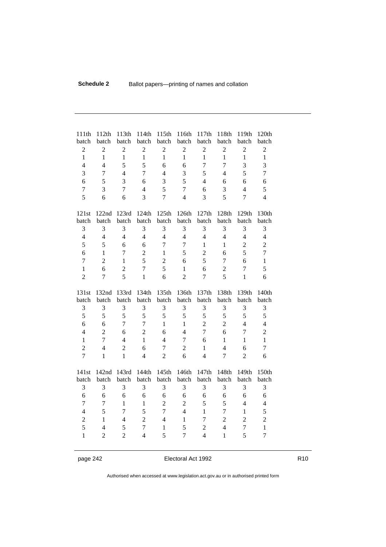| 111th          | 112th          | 113th          | 114th          | 115th          | 116th          | 117th          | 118th          | 119th          | 120th          |
|----------------|----------------|----------------|----------------|----------------|----------------|----------------|----------------|----------------|----------------|
| batch          | batch          | batch          | batch          | batch          | batch          | batch          | batch          | batch          | batch          |
| $\overline{2}$ | $\overline{2}$ | $\overline{2}$ | $\overline{2}$ | $\overline{2}$ | $\overline{2}$ | $\overline{2}$ | $\overline{2}$ | $\overline{2}$ | $\overline{2}$ |
| $\mathbf{1}$   | $\mathbf{1}$   | $\mathbf{1}$   | $\mathbf{1}$   | 1              | $\mathbf{1}$   | $\mathbf{1}$   | $\mathbf{1}$   | $\mathbf{1}$   | 1              |
| $\overline{4}$ | $\overline{4}$ | 5              | 5              | 6              | 6              | $\overline{7}$ | $\overline{7}$ | 3              | 3              |
| 3              | $\overline{7}$ | $\overline{4}$ | $\overline{7}$ | $\overline{4}$ | 3              | 5              | 4              | 5              | $\overline{7}$ |
| 6              | 5              | 3              | 6              | 3              | 5              | 4              | 6              | 6              | 6              |
| $\overline{7}$ | 3              | $\overline{7}$ | $\overline{4}$ | 5              | $\overline{7}$ | 6              | 3              | $\overline{4}$ | 5              |
| 5              | 6              | 6              | 3              | $\overline{7}$ | $\overline{4}$ | 3              | 5              | $\overline{7}$ | $\overline{4}$ |
| 121st          | 122nd          | 123rd          | 124th          | 125th          | 126th          | 127th          | 128th          | 129th          | 130th          |
| batch          | batch          | batch          | batch          | batch          | batch          | batch          | batch          | batch          | batch          |
| 3              | 3              | 3              | 3              | 3              | 3              | 3              | 3              | 3              | 3              |
| $\overline{4}$ | $\overline{4}$ | $\overline{4}$ | $\overline{4}$ | $\overline{4}$ | $\overline{4}$ | $\overline{4}$ | $\overline{4}$ | $\overline{4}$ | $\overline{4}$ |
| 5              | 5              | 6              | 6              | $\overline{7}$ | $\overline{7}$ | $\mathbf{1}$   | $\mathbf{1}$   | $\overline{2}$ | $\overline{2}$ |
| 6              | 1              | $\overline{7}$ | $\overline{2}$ | $\mathbf{1}$   | 5              | $\overline{2}$ | 6              | 5              | $\overline{7}$ |
| $\overline{7}$ | $\overline{2}$ | $\mathbf{1}$   | 5              | $\overline{2}$ | 6              | 5              | $\overline{7}$ | 6              | 1              |
| $\mathbf{1}$   | 6              | $\overline{2}$ | $\overline{7}$ | 5              | 1              | 6              | $\overline{2}$ | $\overline{7}$ | 5              |
| $\overline{2}$ | $\overline{7}$ | 5              | $\mathbf{1}$   | 6              | $\overline{2}$ | $\overline{7}$ | 5              | $\mathbf{1}$   | 6              |
| 131st          | 132nd          | 133rd          | 134th          | 135th          | 136th          | 137th          | 138th          | 139th          | 140th          |
| batch          | batch          | batch          | batch          | batch          | batch          | batch          | batch          | batch          | batch          |
| $\sqrt{3}$     | 3              | $\mathfrak{Z}$ | 3              | $\mathfrak{Z}$ | 3              | 3              | 3              | 3              | 3              |
| 5              | 5              | 5              | 5              | 5              | 5              | 5              | 5              | 5              | 5              |
| 6              | 6              | $\overline{7}$ | $\overline{7}$ | 1              | $\mathbf{1}$   | $\overline{2}$ | $\overline{2}$ | $\overline{4}$ | 4              |
| $\overline{4}$ | $\overline{2}$ | 6              | $\overline{2}$ | 6              | $\overline{4}$ | $\overline{7}$ | 6              | $\overline{7}$ | $\overline{2}$ |
| $\mathbf{1}$   | $\overline{7}$ | $\overline{4}$ | $\mathbf{1}$   | $\overline{4}$ | 7              | 6              | 1              | $\mathbf{1}$   | $\mathbf{1}$   |
| $\overline{2}$ | $\overline{4}$ | $\overline{2}$ | 6              | $\overline{7}$ | $\overline{2}$ | 1              | $\overline{4}$ | 6              | $\overline{7}$ |
| $\overline{7}$ | 1              | $\mathbf{1}$   | 4              | $\overline{2}$ | 6              | $\overline{4}$ | $\overline{7}$ | $\overline{2}$ | 6              |

page 242 **Electoral Act 1992** R10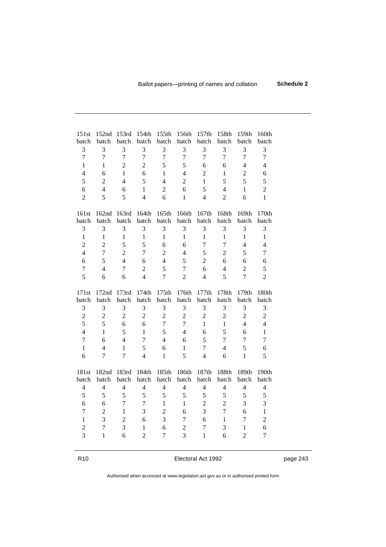| 151st<br>batch      | 152nd<br>batch                 | 153rd<br>batch | 154th<br>batch      | 155th<br>batch      | 156th<br>batch                   | 157th<br>batch                 | 158th<br>batch | 159th<br>batch      | 160th<br>batch      |
|---------------------|--------------------------------|----------------|---------------------|---------------------|----------------------------------|--------------------------------|----------------|---------------------|---------------------|
| 3                   | $\mathfrak{Z}$                 | 3              | 3                   | $\sqrt{3}$          | $\sqrt{3}$                       | 3                              | 3              | 3                   | 3                   |
| $\overline{7}$      | $\overline{7}$                 | $\overline{7}$ | $\overline{7}$      | $\overline{1}$      | $\overline{1}$                   | $\overline{1}$                 | $\overline{1}$ | $\overline{7}$      | $\overline{1}$      |
| 1                   | 1                              | $\overline{2}$ | $\overline{2}$      | 5                   | 5                                | 6                              | 6              | $\overline{4}$      | $\overline{4}$      |
| 4                   | 6                              | $\mathbf{1}$   | 6                   | 1                   | $\overline{4}$                   | $\overline{2}$                 | 1              | $\overline{2}$      | 6                   |
| 5                   | $\overline{2}$                 | $\overline{4}$ | 5                   | 4                   | $\overline{2}$                   | 1                              | 5              | 5                   | 5                   |
| 6                   | $\overline{4}$                 | 6              | $\mathbf{1}$        | $\overline{2}$      | 6                                | 5                              | $\overline{4}$ | 1                   | $\overline{2}$      |
| $\overline{2}$      | 5                              | 5              | $\overline{4}$      | 6                   | 1                                | $\overline{4}$                 | $\overline{2}$ | 6                   | $\mathbf{1}$        |
| 161st<br>batch      | 162nd<br>batch                 | 163rd<br>batch | 164th<br>batch      | 165th<br>batch      | 166th<br>batch                   | 167th<br>batch                 | 168th<br>batch | 169th<br>batch      | 170th<br>batch      |
| 3                   | 3                              | 3              | 3                   | 3                   | 3                                | 3                              | 3              | 3                   | 3                   |
| $\mathbf{1}$        | $\mathbf{1}$                   | 1              | $\mathbf{1}$        | $\mathbf{1}$        | $\mathbf{1}$                     | $\mathbf{1}$                   | $\mathbf{1}$   | 1                   | $\mathbf{1}$        |
| $\overline{2}$      | $\overline{2}$                 | 5              | 5                   | 6                   | 6                                | $\overline{7}$                 | $\overline{7}$ | 4                   | 4                   |
| 4                   | $\overline{7}$                 | $\overline{2}$ | $\overline{7}$      | $\overline{2}$      | 4                                | 5                              | $\overline{2}$ | 5                   | 7                   |
| 6                   | 5                              | $\overline{4}$ | 6                   | $\overline{4}$      | 5                                | $\overline{2}$                 | 6              | 6                   |                     |
| $\overline{7}$      | $\overline{4}$                 | $\overline{7}$ | $\overline{2}$      | 5                   | $\overline{7}$                   | 6                              | $\overline{4}$ | $\overline{2}$      | 6<br>5              |
| 5                   | 6                              | 6              | $\overline{4}$      | $\overline{7}$      | $\overline{2}$                   | $\overline{4}$                 | 5              | $\overline{7}$      | $\overline{2}$      |
|                     |                                |                |                     |                     |                                  |                                |                |                     |                     |
|                     |                                |                |                     |                     |                                  |                                |                |                     |                     |
| 171st               | 172nd                          | 173rd          | 174th               | 175th               | 176th                            | 177th                          | 178th          | 179th               | 180th               |
| batch               | batch                          | batch          | batch               | batch               | batch                            | batch                          | batch          | batch               | batch               |
| 3                   | $\mathfrak{Z}$                 | 3              | 3                   | 3                   | $\mathfrak{Z}$                   | 3                              | 3              | 3                   | 3                   |
| $\overline{2}$      | $\overline{2}$                 | $\overline{2}$ | $\overline{2}$      | $\overline{2}$      | $\overline{2}$                   | $\overline{2}$                 | $\overline{2}$ | $\overline{2}$      | $\overline{2}$      |
| 5                   | 5                              | 6              | 6                   | $\overline{7}$      | $\overline{7}$                   | $\mathbf{1}$                   | $\mathbf{1}$   | $\overline{4}$      | $\overline{4}$      |
| $\overline{4}$      | 1                              | 5              | $\mathbf{1}$        | 5                   | $\overline{4}$                   | 6                              | 5              | 6                   | $\mathbf{1}$        |
| 7                   | 6                              | $\overline{4}$ | $\overline{7}$      | 4                   | 6                                | 5                              | $\overline{7}$ | 7                   | $\overline{7}$      |
| 1                   | $\overline{4}$                 | $\mathbf{1}$   | 5                   | 6                   | 1                                | $\overline{7}$                 | $\overline{4}$ | 5                   | 6                   |
| 6                   | $\overline{7}$                 | $\overline{7}$ | $\overline{4}$      | 1                   | 5                                | $\overline{4}$                 | 6              | 1                   | 5                   |
| 181st               | 182nd                          | 183rd          | 184th               | 185th               | 186th                            | 187th                          | 188th          | 189th               | 190th               |
| batch               | batch                          | batch          | batch               | batch               | batch                            | batch                          | batch          | batch               | batch               |
| $\overline{4}$      | $\overline{4}$                 | 4              | $\overline{4}$      | $\overline{4}$      | $\overline{4}$                   | $\overline{4}$                 | $\overline{4}$ | 4                   | 4                   |
| 5                   | 5                              | 5              | 5                   | 5                   | 5                                | 5                              | 5              | 5                   | 5                   |
| 6                   | 6                              | $\overline{1}$ | $\overline{7}$      | 1                   | 1                                | $\overline{2}$                 | $\overline{2}$ | 3                   | 3                   |
| $\overline{7}$      | $\overline{2}$                 | $\mathbf{1}$   | 3                   | $\overline{2}$      | 6                                | 3                              | $\overline{7}$ | 6                   | $\mathbf{1}$        |
| 1                   | $\overline{3}$                 | $\overline{2}$ | 6                   | 3                   | 7                                | 6                              | $\mathbf{1}$   | $\overline{7}$      | $\overline{2}$      |
| $\overline{2}$<br>3 | $\overline{1}$<br>$\mathbf{1}$ | 3<br>6         | 1<br>$\overline{2}$ | 6<br>$\overline{7}$ | $\overline{c}$<br>$\overline{3}$ | $\overline{7}$<br>$\mathbf{1}$ | 3<br>6         | 1<br>$\overline{2}$ | 6<br>$\overline{7}$ |

R10 **Electoral Act 1992 page 243**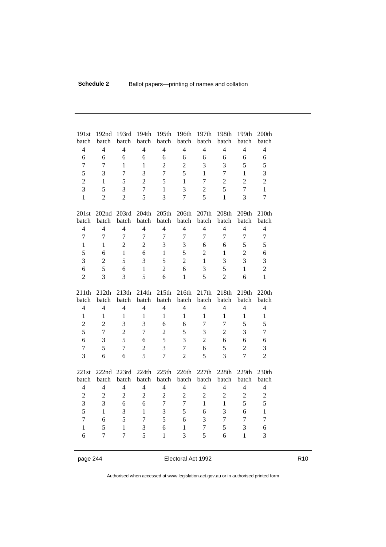| 191st                                                                   | 192nd                                                              | 193rd                                      | 194th                                                 | 195th                                                 | 196th                                                 | 197th                                                              | 198th                                                   | 199th                                                 | 200th                                      |
|-------------------------------------------------------------------------|--------------------------------------------------------------------|--------------------------------------------|-------------------------------------------------------|-------------------------------------------------------|-------------------------------------------------------|--------------------------------------------------------------------|---------------------------------------------------------|-------------------------------------------------------|--------------------------------------------|
| batch                                                                   | batch                                                              | batch                                      | batch                                                 | batch                                                 | batch                                                 | batch                                                              | batch                                                   | batch                                                 | batch                                      |
| $\overline{4}$                                                          | $\overline{4}$                                                     | $\overline{4}$                             | $\overline{4}$                                        | $\overline{4}$                                        | $\overline{4}$                                        | $\overline{4}$                                                     | $\overline{4}$                                          | $\overline{4}$                                        | $\overline{4}$                             |
| 6                                                                       | 6                                                                  | 6                                          | 6                                                     | 6                                                     | 6                                                     | 6                                                                  | 6                                                       | 6                                                     | 6                                          |
| $\overline{7}$                                                          | $\overline{7}$                                                     | 1                                          | 1                                                     | $\overline{2}$                                        | $\overline{2}$                                        | 3                                                                  | 3                                                       | 5                                                     | 5                                          |
| 5                                                                       | 3                                                                  | $\overline{7}$                             | $\overline{3}$                                        | $\overline{7}$                                        | 5                                                     | $\mathbf{1}$                                                       | $\overline{7}$                                          | $\mathbf{1}$                                          | 3                                          |
| $\overline{2}$                                                          | 1                                                                  | 5                                          | $\overline{2}$                                        | 5                                                     | 1                                                     | $\overline{7}$                                                     | $\overline{2}$                                          | $\overline{2}$                                        | $\overline{2}$                             |
| 3                                                                       | 5                                                                  | 3                                          | $\overline{7}$                                        | $\mathbf{1}$                                          | 3                                                     | $\overline{2}$                                                     | 5                                                       | $\overline{7}$                                        | $\mathbf{1}$                               |
| $\mathbf{1}$                                                            | $\overline{2}$                                                     | $\overline{2}$                             | 5                                                     | $\overline{3}$                                        | $\overline{7}$                                        | 5                                                                  | $\mathbf{1}$                                            | 3                                                     | 7                                          |
| 201st                                                                   | 202nd                                                              | 203rd                                      | 204th                                                 | 205th                                                 | 206th                                                 | 207th                                                              | 208th                                                   | 209th                                                 | 210th                                      |
| batch                                                                   | batch                                                              | batch                                      | batch                                                 | batch                                                 | batch                                                 | batch                                                              | batch                                                   | batch                                                 | batch                                      |
| $\overline{4}$                                                          | $\overline{4}$                                                     | $\overline{4}$                             | $\overline{4}$                                        | $\overline{4}$                                        | $\overline{4}$                                        | $\overline{4}$                                                     | $\overline{4}$                                          | $\overline{4}$                                        | 4                                          |
| $\overline{7}$                                                          | $\overline{7}$                                                     | $\overline{7}$                             | $\overline{7}$                                        | $\overline{1}$                                        | $\overline{7}$                                        | $\overline{7}$                                                     | $\overline{7}$                                          | $\overline{7}$                                        | $\overline{7}$                             |
| $\mathbf{1}$                                                            | $\mathbf{1}$                                                       | $\overline{2}$                             | $\overline{2}$                                        | 3                                                     | 3                                                     | 6                                                                  | 6                                                       | 5                                                     | 5                                          |
| 5                                                                       | 6                                                                  | $\mathbf{1}$                               | 6                                                     | $\mathbf{1}$                                          | 5                                                     | $\overline{2}$                                                     | $\mathbf{1}$                                            | $\overline{2}$                                        | 6                                          |
| 3                                                                       | $\overline{2}$                                                     | 5                                          | 3                                                     | 5                                                     | $\overline{2}$                                        | $\mathbf{1}$                                                       | 3                                                       | 3                                                     | 3                                          |
| 6                                                                       | 5                                                                  | 6                                          | 1                                                     | $\overline{2}$                                        | 6                                                     | 3                                                                  | 5                                                       | $\mathbf{1}$                                          | $\overline{2}$                             |
| $\overline{2}$                                                          | 3                                                                  | 3                                          | 5                                                     | 6                                                     | $\mathbf{1}$                                          | 5                                                                  | $\overline{2}$                                          | 6                                                     | 1                                          |
| 211th<br>batch<br>$\overline{4}$<br>$\mathbf{1}$<br>$\overline{2}$<br>5 | 212th<br>batch<br>$\overline{4}$<br>$\mathbf{1}$<br>$\overline{2}$ | 213th<br>batch<br>$\overline{4}$<br>1<br>3 | 214th<br>batch<br>$\overline{4}$<br>$\mathbf{1}$<br>3 | 215th<br>batch<br>$\overline{4}$<br>$\mathbf{1}$<br>6 | 216th<br>batch<br>$\overline{4}$<br>$\mathbf{1}$<br>6 | 217th<br>batch<br>$\overline{4}$<br>$\mathbf{1}$<br>$\overline{7}$ | 218th<br>batch<br>$\overline{4}$<br>1<br>$\overline{7}$ | 219th<br>batch<br>$\overline{4}$<br>$\mathbf{1}$<br>5 | 220th<br>batch<br>$\overline{4}$<br>1<br>5 |
| $\boldsymbol{6}$<br>$\overline{7}$<br>$\overline{3}$                    | $\overline{7}$<br>3<br>5<br>6                                      | $\overline{2}$<br>5<br>$\overline{7}$<br>6 | $\overline{7}$<br>6<br>$\overline{2}$<br>5            | $\overline{2}$<br>5<br>3<br>$\overline{7}$            | 5<br>3<br>$\overline{7}$<br>$\overline{2}$            | 3<br>$\overline{2}$<br>6<br>5                                      | $\overline{2}$<br>6<br>5<br>$\overline{3}$              | 3<br>6<br>$\overline{2}$<br>$\overline{7}$            | 7<br>6<br>3<br>$\overline{2}$              |

page 244 **Electoral Act 1992** R10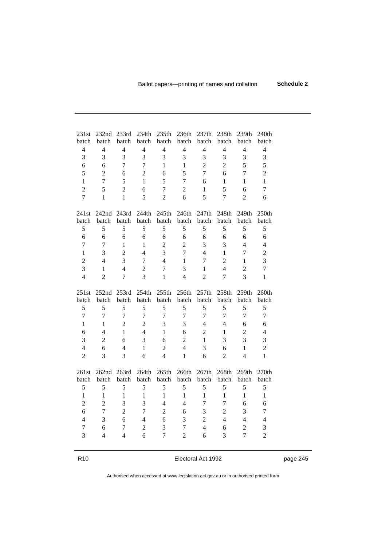| 231st          | 232nd             | 233rd          | 234th          | 235th          | 236th          | 237th          | 238th          | 239th          | 240th          |  |
|----------------|-------------------|----------------|----------------|----------------|----------------|----------------|----------------|----------------|----------------|--|
| batch          | batch             | batch          | batch          | batch          | batch          | batch          | batch          | batch          | batch          |  |
| $\overline{4}$ | $\overline{4}$    | $\overline{4}$ | $\overline{4}$ | $\overline{4}$ | $\overline{4}$ | $\overline{4}$ | $\overline{4}$ | $\overline{4}$ | $\overline{4}$ |  |
| 3              | 3                 | 3              | 3              | 3              | 3              | 3              | 3              | 3              | 3              |  |
| 6              | 6                 | $\overline{7}$ | $\overline{7}$ | 1              | $\mathbf{1}$   | $\overline{2}$ | $\overline{2}$ | 5              | 5              |  |
| 5              | $\overline{2}$    | 6              | $\overline{2}$ | 6              | 5              | $\overline{7}$ | 6              | $\overline{7}$ | $\overline{2}$ |  |
| $\mathbf{1}$   | $\overline{7}$    | 5              | $\mathbf{1}$   | 5              | $\overline{7}$ | 6              | 1              | 1              | $\mathbf{1}$   |  |
| $\overline{2}$ | 5                 | $\overline{2}$ | 6              | 7              | $\overline{2}$ | $\mathbf{1}$   | 5              | 6              | $\overline{7}$ |  |
| $\overline{7}$ | $\mathbf{1}$      | 1              | 5              | $\overline{2}$ | 6              | 5              | $\overline{7}$ | $\overline{2}$ | 6              |  |
| 241st          | 242nd             | 243rd          | 244th          | 245th          | 246th          | 247th          | 248th          | 249th          | 250th          |  |
| batch          | batch             | batch          | batch          | batch          | batch          | batch          | batch          | batch          | batch          |  |
| 5              | 5                 | 5              | 5              | 5              | 5              | 5              | 5              | 5              | 5              |  |
| 6              | 6                 | 6              | 6              | 6              | 6              | 6              | 6              | 6              | 6              |  |
| $\overline{7}$ | $\overline{7}$    | 1              | $\mathbf{1}$   | $\overline{2}$ | $\overline{2}$ | 3              | 3              | 4              | $\overline{4}$ |  |
| $\mathbf{1}$   | 3                 | $\overline{2}$ | $\overline{4}$ | 3              | $\overline{7}$ | $\overline{4}$ | $\mathbf{1}$   | $\overline{7}$ | $\sqrt{2}$     |  |
| $\overline{2}$ | $\overline{4}$    | 3              | $\overline{7}$ | $\overline{4}$ | $\mathbf{1}$   | $\overline{7}$ | $\overline{2}$ | 1              | 3              |  |
| 3              | 1                 | $\overline{4}$ | $\overline{2}$ | $\overline{7}$ | 3              | $\mathbf{1}$   | $\overline{4}$ | $\overline{2}$ | $\overline{7}$ |  |
| $\overline{4}$ | $\overline{2}$    | $\overline{7}$ | $\overline{3}$ | 1              | $\overline{4}$ | $\overline{2}$ | $\overline{7}$ | 3              | 1              |  |
| 251st          | 252nd             | 253rd          | 254th          | 255th          | 256th          | 257th          | 258th          | 259th          | 260th          |  |
| batch          | batch             | batch          | batch          | batch          | batch          | batch          | batch          | batch          | batch          |  |
| 5              | 5                 | 5              | 5              | 5              | 5              | 5              | 5              | 5              | 5              |  |
| $\overline{7}$ | $\overline{7}$    | $\overline{7}$ | $\overline{7}$ | $\overline{7}$ | $\overline{7}$ | $\overline{7}$ | $\overline{7}$ | $\overline{7}$ | $\overline{7}$ |  |
| $\mathbf{1}$   | $\mathbf{1}$      | $\overline{2}$ | $\overline{2}$ | 3              | 3              | $\overline{4}$ | $\overline{4}$ | 6              | 6              |  |
| 6              | $\overline{4}$    | $\mathbf{1}$   | $\overline{4}$ | 1              | 6              | $\overline{2}$ | 1              | $\overline{2}$ | $\overline{4}$ |  |
| 3              | $\overline{2}$    | 6              | 3              | 6              | $\overline{2}$ | 1              | 3              | 3              | 3              |  |
| $\overline{4}$ | 6                 | 4              | $\mathbf{1}$   | $\overline{2}$ | $\overline{4}$ | 3              | 6              | $\mathbf{1}$   | $\overline{2}$ |  |
| $\overline{2}$ | 3                 | 3              | 6              | $\overline{4}$ | 1              | 6              | $\overline{2}$ | $\overline{4}$ | $\mathbf{1}$   |  |
| 261st          | 262 <sub>nd</sub> | 263rd          | 264th          | 265th          | 266th          | 267th          | 268th          | 269th          | 270th          |  |
| batch          | batch             | batch          | batch          | batch          | batch          | batch          | batch          | batch          | batch          |  |
| 5              | 5                 | 5              | 5              | 5              | 5              | 5              | 5              | 5              | 5              |  |
| $\mathbf{1}$   | 1                 | 1              | $\mathbf{1}$   | $\mathbf{1}$   | $\mathbf{1}$   | $\mathbf{1}$   | $\mathbf{1}$   | 1              | $\mathbf{1}$   |  |
| $\overline{2}$ | $\overline{2}$    | 3              | 3              | 4              | $\overline{4}$ | $\overline{7}$ | $\overline{7}$ | 6              | 6              |  |
| 6              | $\overline{1}$    | $\overline{2}$ | $\overline{7}$ | $\overline{2}$ | 6              | 3              | $\overline{2}$ | 3              | 7              |  |
| 4              | 3                 | 6              | 4              | 6              | 3              | $\overline{2}$ | $\overline{4}$ | $\overline{4}$ | $\overline{4}$ |  |
| 7              | 6                 | $\overline{7}$ | $\overline{2}$ | 3              | $\overline{7}$ | $\overline{4}$ | 6              | $\overline{2}$ | 3              |  |
| 3              | $\overline{4}$    | $\overline{4}$ | 6              | $\overline{7}$ | $\overline{2}$ | 6              | $\overline{3}$ | $\overline{7}$ | $\overline{2}$ |  |

R10 **Electoral Act 1992 page 245**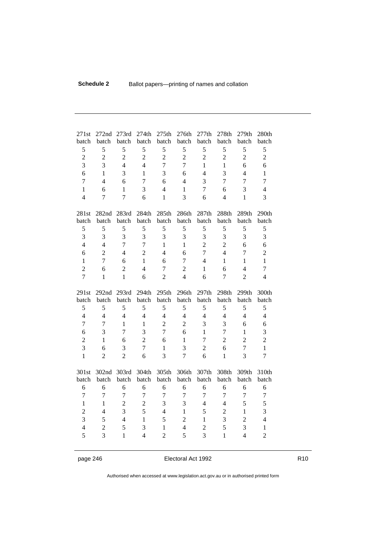| 271st          | 272nd          | 273rd          | 274th          | 275th          | 276th          | 277th          | 278th          | 279th          | 280th          |
|----------------|----------------|----------------|----------------|----------------|----------------|----------------|----------------|----------------|----------------|
| batch          | batch          | batch          | batch          | batch          | batch          | batch          | batch          | batch          | batch          |
| 5              | 5              | 5              | 5              | 5              | 5              | 5              | 5              | 5              | 5              |
| $\overline{2}$ | $\overline{2}$ | $\overline{2}$ | $\overline{2}$ | $\overline{2}$ | $\overline{2}$ | $\overline{2}$ | $\overline{2}$ | $\overline{2}$ | $\overline{2}$ |
| 3              | 3              | $\overline{4}$ | $\overline{4}$ | $\overline{1}$ | $\overline{7}$ | $\mathbf{1}$   | $\mathbf{1}$   | 6              | 6              |
| 6              | 1              | 3              | $\mathbf{1}$   | $\overline{3}$ | 6              | $\overline{4}$ | $\overline{3}$ | $\overline{4}$ | 1              |
| $\overline{7}$ | $\overline{4}$ | 6              | $\overline{7}$ | 6              | 4              | 3              | $\overline{7}$ | $\overline{7}$ | $\overline{7}$ |
| $\mathbf{1}$   | 6              | 1              | 3              | $\overline{4}$ | 1              | $\overline{7}$ | 6              | 3              | 4              |
| $\overline{4}$ | $\overline{7}$ | $\overline{7}$ | 6              | 1              | 3              | 6              | $\overline{4}$ | $\mathbf{1}$   | 3              |
| 281st          | 282nd          | 283rd          | 284th          | 285th          | 286th          | 287th          | 288th          | 289th          | 290th          |
| batch          | batch          | batch          | batch          | batch          | batch          | batch          | batch          | batch          | batch          |
| 5              | 5              | 5              | 5              | 5              | 5              | 5              | 5              | 5              | 5              |
| 3              | 3              | 3              | 3              | 3              | 3              | 3              | 3              | 3              | 3              |
| $\overline{4}$ | $\overline{4}$ | $\overline{7}$ | $\overline{7}$ | $\mathbf{1}$   | $\mathbf{1}$   | $\overline{2}$ | $\overline{2}$ | 6              | 6              |
| 6              | $\overline{2}$ | $\overline{4}$ | $\overline{2}$ | $\overline{4}$ | 6              | $\overline{7}$ | $\overline{4}$ | $\overline{7}$ | $\overline{2}$ |
| $\mathbf{1}$   | $\overline{7}$ | 6              | $\mathbf{1}$   | 6              | 7              | $\overline{4}$ | $\mathbf{1}$   | $\mathbf{1}$   | $\mathbf{1}$   |
| $\overline{2}$ | 6              | $\overline{2}$ | $\overline{4}$ | $\overline{7}$ | $\overline{2}$ | 1              | 6              | $\overline{4}$ | $\overline{7}$ |
| $\overline{7}$ | 1              | $\mathbf{1}$   | 6              | $\overline{2}$ | $\overline{4}$ | 6              | $\overline{7}$ | $\overline{2}$ | 4              |
| 291st          | 292nd          | 293rd          | 294th          | 295th          | 296th          | 297th          | 298th          | 299th          | 300th          |
| batch          | batch          | batch          | batch          | batch          | batch          | batch          | batch          | batch          | batch          |
| 5              | 5              | 5              | 5              | 5              | 5              | 5              | 5              | 5              | 5              |
| $\overline{4}$ | $\overline{4}$ | $\overline{4}$ | $\overline{4}$ | $\overline{4}$ | $\overline{4}$ | $\overline{4}$ | $\overline{4}$ | $\overline{4}$ | $\overline{4}$ |
| $\overline{7}$ | $\overline{7}$ | 1              | $\mathbf{1}$   | $\overline{2}$ | $\overline{2}$ | 3              | 3              | 6              | 6              |
| 6              | 3              | $\overline{7}$ | 3              | $\overline{7}$ | 6              | 1              | $\overline{7}$ | $\mathbf{1}$   | 3              |
| $\overline{2}$ | 1              | 6              | $\overline{2}$ | 6              | 1              | $\overline{7}$ | $\overline{2}$ | $\overline{2}$ | $\overline{2}$ |
| $\overline{3}$ | 6              | 3              | $\overline{7}$ | $\mathbf{1}$   | 3              | $\overline{2}$ | 6              | $\overline{7}$ | $\mathbf{1}$   |
| $\mathbf{1}$   | $\overline{2}$ | $\overline{2}$ | 6              | $\overline{3}$ | $\overline{7}$ | 6              | $\mathbf{1}$   | $\overline{3}$ | $\overline{7}$ |
| 301st          | 302nd          | 303rd          | 304th          | 305th          | 306th          | 307th          | 308th          | 309th          | 310th          |
| batch          | batch          | batch          | batch          | batch          | batch          | batch          | batch          | batch          | batch          |
| 6              | 6              | 6              | 6              | 6              | 6              | 6              | 6              | 6              | 6              |
| $\overline{7}$ | $\overline{7}$ | $\overline{7}$ | $\overline{7}$ | $\overline{7}$ | $\overline{7}$ | $\overline{7}$ | $\overline{7}$ | $\overline{7}$ | 7              |
| $\mathbf{1}$   | 1              | $\overline{2}$ | $\overline{2}$ | 3              | 3              | $\overline{4}$ | $\overline{4}$ | 5              | 5              |
| $\overline{2}$ | $\overline{4}$ | 3              | 5              | $\overline{4}$ | 1              | 5              | $\overline{2}$ | $\mathbf{1}$   | 3              |
| 3              | 5              | $\overline{4}$ | $\mathbf{1}$   | 5              | $\overline{2}$ | 1              | 3              | $\overline{2}$ | $\overline{4}$ |
| $\overline{4}$ | $\overline{2}$ | 5              | 3              | 1              | $\overline{4}$ | $\overline{2}$ | 5              | 3              | $\mathbf{1}$   |
| 5              | 3              | $\mathbf{1}$   | $\overline{4}$ | $\overline{2}$ | 5              | 3              | $\mathbf{1}$   | $\overline{4}$ | $\overline{2}$ |

page 246 **Electoral Act 1992** R10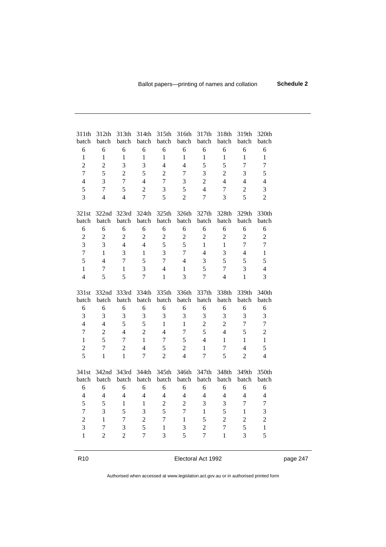| 311th<br>batch    | 312th<br>batch<br>6              | 313th<br>batch<br>6 | 314th<br>batch<br>6 | 315th<br>batch    | 316th<br>batch<br>6              | 317th<br>batch<br>6              | 318th<br>batch<br>6            | 319th<br>batch<br>6 | 320th<br>batch<br>6 |
|-------------------|----------------------------------|---------------------|---------------------|-------------------|----------------------------------|----------------------------------|--------------------------------|---------------------|---------------------|
| 6<br>$\mathbf{1}$ | $\mathbf{1}$                     | $\mathbf{1}$        | $\mathbf{1}$        | 6<br>$\mathbf{1}$ | $\mathbf{1}$                     | 1                                | $\mathbf{1}$                   | $\mathbf{1}$        | 1                   |
|                   |                                  |                     |                     |                   |                                  | 5                                |                                | $\overline{7}$      | $\overline{7}$      |
| $\overline{2}$    | $\overline{2}$<br>5              | 3                   | 3                   | $\overline{4}$    | $\overline{4}$<br>$\overline{7}$ |                                  | 5                              |                     |                     |
| $\overline{7}$    |                                  | $\overline{2}$      | 5                   | $\overline{2}$    |                                  | 3                                | $\overline{2}$                 | 3                   | 5                   |
| $\overline{4}$    | $\overline{3}$                   | $\overline{7}$      | $\overline{4}$      | $\overline{7}$    | 3                                | $\overline{2}$                   | $\overline{4}$                 | 4                   | 4                   |
| 5                 | $\overline{7}$                   | 5                   | $\overline{2}$      | 3                 | 5                                | $\overline{4}$                   | $\overline{1}$                 | $\overline{2}$      | 3                   |
| $\overline{3}$    | $\overline{4}$                   | $\overline{4}$      | $\overline{7}$      | 5                 | $\overline{2}$                   | $\overline{7}$                   | 3                              | 5                   | $\overline{2}$      |
| 321st             | 322nd                            | 323rd               | 324th               | 325th             | 326th                            | 327th                            | 328th                          | 329th               | 330th               |
| batch             | batch                            | batch               | batch               | batch             | batch                            | batch                            | batch                          | batch               | batch               |
| 6                 | 6                                | 6                   | 6                   | 6                 | 6                                | 6                                | 6                              | 6                   | 6                   |
| $\overline{2}$    | $\overline{2}$                   | $\overline{2}$      | $\overline{2}$      | $\overline{2}$    | $\overline{2}$                   | $\overline{2}$                   | $\overline{2}$                 | $\overline{2}$      | $\sqrt{2}$          |
| 3                 | 3                                | $\overline{4}$      | $\overline{4}$      | 5                 | 5                                | 1                                | $\mathbf{1}$                   | $\overline{7}$      | $\overline{7}$      |
| $\overline{7}$    | $\mathbf{1}$                     | 3                   | $\mathbf{1}$        | 3                 | $\overline{7}$                   | $\overline{4}$                   | 3                              | $\overline{4}$      | 1                   |
| 5                 | $\overline{4}$                   | $\overline{7}$      | 5                   | $\overline{7}$    | $\overline{4}$                   | 3                                | 5                              | 5                   | 5                   |
| 1                 | $\overline{7}$                   | $\mathbf{1}$        | 3                   | $\overline{4}$    | $\mathbf{1}$                     | 5                                | $\overline{7}$                 | 3                   | $\overline{4}$      |
| $\overline{4}$    | 5                                | 5                   | $\overline{7}$      | 1                 | 3                                | $\overline{7}$                   | $\overline{4}$                 | $\mathbf{1}$        | 3                   |
|                   |                                  |                     |                     |                   |                                  |                                  |                                |                     |                     |
| 331st<br>batch    | 332nd<br>batch                   | 333rd<br>batch      | 334th<br>batch      | 335th<br>batch    | 336th<br>batch                   | 337th<br>batch                   | 338th<br>batch                 | 339th<br>batch      | 340th<br>batch      |
| 6                 | 6                                | 6                   | 6                   | 6                 | 6                                | 6                                | 6                              | 6                   | 6                   |
| 3                 | 3                                | 3                   | 3                   | 3                 | 3                                | 3                                | 3                              | 3                   | 3                   |
| $\overline{4}$    | $\overline{4}$                   | 5                   | 5                   | 1                 | 1                                | $\overline{2}$                   | $\overline{2}$                 | $\overline{7}$      | $\overline{7}$      |
| $\overline{7}$    | $\overline{2}$                   | $\overline{4}$      | $\overline{2}$      | $\overline{4}$    | $\overline{1}$                   | 5                                | $\overline{4}$                 | 5                   | $\overline{2}$      |
| $\mathbf{1}$      | 5                                | $\overline{7}$      | $\mathbf{1}$        | 7                 | 5                                | $\overline{4}$                   | 1                              | $\mathbf{1}$        | $\mathbf{1}$        |
| $\overline{2}$    | $\overline{7}$                   | $\overline{2}$      | $\overline{4}$      | 5                 | $\overline{2}$                   | $\mathbf{1}$                     | $\overline{7}$                 | $\overline{4}$      | 5                   |
| 5                 | 1                                | $\mathbf{1}$        | $\overline{7}$      | $\overline{2}$    | $\overline{4}$                   | $\overline{7}$                   | 5                              | $\overline{2}$      | $\overline{4}$      |
|                   |                                  |                     |                     |                   |                                  |                                  |                                |                     |                     |
| 341st             | 342nd                            | 343rd               | 344th               | 345th             | 346th                            | 347th                            | 348th                          | 349th               | 350th               |
| batch             | batch                            | batch               | batch               | batch             | batch                            | batch                            | batch                          | batch               | batch               |
| 6                 | 6<br>4                           | 6                   | 6                   | 6                 | 6                                | 6                                | 6                              | 6                   | 6                   |
| 4                 |                                  | 4                   | $\overline{4}$      | $\overline{4}$    | $\overline{4}$                   | $\overline{4}$                   | 4                              | 4                   | 4                   |
| 5                 | 5                                | 1                   | $\mathbf{1}$        | $\overline{2}$    | $\overline{2}$                   | $\overline{3}$                   | 3                              | $\overline{7}$      | $\overline{7}$      |
| 7                 | 3                                | 5                   | 3                   | 5                 | $\overline{7}$                   | $\mathbf{1}$                     | 5                              | $\mathbf{1}$        | 3                   |
| $\overline{2}$    | $\mathbf{1}$                     | $\overline{7}$      | $\overline{2}$      | $\overline{7}$    | $\mathbf{1}$                     | 5                                | $\overline{2}$                 | $\overline{2}$      | $\overline{2}$      |
| 3<br>$\mathbf{1}$ | $\overline{7}$<br>$\overline{2}$ | 3<br>$\overline{2}$ | 5<br>$\overline{7}$ | 1<br>3            | 3<br>5                           | $\overline{2}$<br>$\overline{7}$ | $\overline{7}$<br>$\mathbf{1}$ | 5<br>3              | $\mathbf{1}$<br>5   |

R10 **Electoral Act 1992 page 247**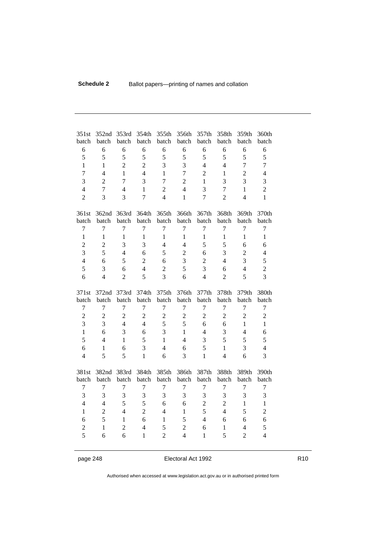| 351st                                 | 352nd          | 353rd          | 354th          | 355th          | 356th          | 357th          | 358th          | 359th          | 360th          |
|---------------------------------------|----------------|----------------|----------------|----------------|----------------|----------------|----------------|----------------|----------------|
| batch                                 | batch          | batch          | batch          | batch          | batch          | batch          | batch          | batch          | batch          |
| 6                                     | 6              | 6              | 6              | 6              | 6              | 6              | 6              | 6              | 6              |
| 5                                     | 5              | 5              | 5              | 5              | 5              | 5              | 5              | 5              | 5              |
| $\mathbf{1}$                          | $\mathbf{1}$   | $\overline{2}$ | $\overline{2}$ | 3              | 3              | $\overline{4}$ | $\overline{4}$ | $\overline{7}$ | $\overline{7}$ |
| $\overline{1}$                        | $\overline{4}$ | $\mathbf{1}$   | $\overline{4}$ | $\mathbf{1}$   | $\overline{7}$ | $\overline{2}$ | $\mathbf{1}$   | $\overline{2}$ | $\overline{4}$ |
| 3                                     | $\overline{2}$ | $\overline{7}$ | $\overline{3}$ | $\overline{7}$ | $\overline{2}$ | $\mathbf{1}$   | 3              | 3              | 3              |
| $\overline{4}$                        | $\overline{7}$ | $\overline{4}$ | $\mathbf{1}$   | $\overline{2}$ | $\overline{4}$ | 3              | $\overline{7}$ | $\mathbf{1}$   | $\overline{2}$ |
| $\overline{2}$                        | 3              | 3              | $\overline{7}$ | $\overline{4}$ | $\mathbf{1}$   | $\overline{7}$ | $\overline{2}$ | $\overline{4}$ | $\mathbf{1}$   |
| 361st                                 | 362nd          | 363rd          | 364th          | 365th          | 366th          | 367th          | 368th          | 369th          | 370th          |
| batch                                 | batch          | batch          | batch          | batch          | batch          | batch          | batch          | batch          | batch          |
| $\overline{7}$                        | $\overline{7}$ | 7              | $\overline{7}$ | $\overline{7}$ | $\overline{7}$ | $\overline{7}$ | $\overline{7}$ | $\overline{1}$ | $\overline{7}$ |
| $\mathbf{1}$                          | $\mathbf{1}$   | $\mathbf{1}$   | 1              | $\mathbf{1}$   | $\mathbf{1}$   | $\mathbf{1}$   | $\mathbf{1}$   | $\mathbf{1}$   | $\mathbf{1}$   |
| $\overline{2}$                        | $\overline{2}$ | $\overline{3}$ | 3              | $\overline{4}$ | $\overline{4}$ | 5              | 5              | 6              | 6              |
| 3                                     | 5              | $\overline{4}$ | 6              | 5              | $\overline{2}$ | 6              | 3              | $\overline{2}$ | 4              |
| $\overline{4}$                        | 6              | 5              | $\overline{2}$ | 6              | 3              | $\overline{2}$ | $\overline{4}$ | 3              | 5              |
| 5                                     | 3              | 6              | 4              | $\overline{2}$ | 5              | 3              | 6              | $\overline{4}$ | $\overline{2}$ |
| 6                                     | $\overline{4}$ | $\overline{2}$ | 5              | 3              | 6              | $\overline{4}$ | $\overline{2}$ | 5              | 3              |
| 371st                                 | 372nd          | 373rd          | 374th          | 375th          | 376th          | 377th          | 378th          | 379th          | 380th          |
| batch                                 | batch          | batch          | batch          | batch          | batch          | batch          | batch          | batch          | batch          |
| $\overline{7}$                        | $\overline{7}$ | $\overline{7}$ | $\overline{7}$ | $\overline{7}$ | $\overline{7}$ | $\overline{1}$ | $\overline{7}$ | $\overline{7}$ | $\overline{7}$ |
| $\overline{2}$                        | $\overline{2}$ | $\overline{2}$ | $\overline{2}$ | $\overline{2}$ | $\overline{2}$ | $\overline{2}$ | $\overline{2}$ | $\overline{2}$ | $\overline{2}$ |
| 3                                     | 3              | $\overline{4}$ | $\overline{4}$ | 5              | 5              | 6              | 6              | $\mathbf{1}$   | 1              |
| $\mathbf{1}$                          | 6              | 3              | 6              | $\overline{3}$ | 1              | $\overline{4}$ | 3              | 4              | 6              |
| 5                                     | $\overline{4}$ | 1              | 5              | $\mathbf{1}$   | $\overline{4}$ | 3              | 5              | 5              | 5              |
| 6                                     | 1              | 6              | 3              | $\overline{4}$ | 6              | 5              | $\mathbf{1}$   | 3              | 4              |
| $\overline{4}$                        | 5              | 5              | 1              | 6              | 3              | $\mathbf{1}$   | $\overline{4}$ | 6              | 3              |
| 381st<br>batch<br>$\overline{7}$<br>3 | 382nd<br>batch | 383rd<br>batch | 384th<br>batch | 385th<br>batch | 386th<br>batch | 387th<br>batch | 388th<br>batch | 389th<br>batch | 390th<br>batch |

page 248 **Electoral Act 1992** R10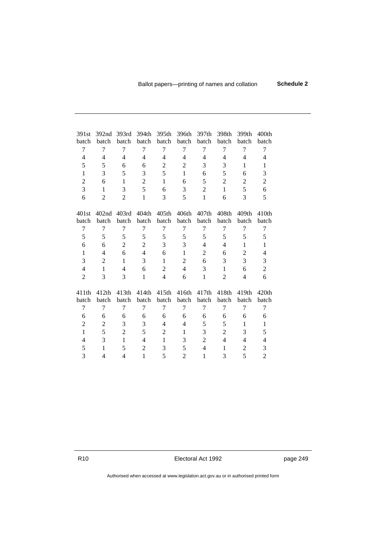| 391st          | 392nd          | 393rd          | 394th          | 395th          | 396th          | 397th          | 398th          | 399th          | 400th          |
|----------------|----------------|----------------|----------------|----------------|----------------|----------------|----------------|----------------|----------------|
| batch          | batch          | batch          | batch          | batch          | batch          | batch          | batch          | batch          | batch          |
| 7              | $\overline{7}$ | 7              | 7              | 7              | 7              | 7              | 7              | $\overline{7}$ | 7              |
| 4              | 4              | 4              | $\overline{4}$ | $\overline{4}$ | 4              | 4              | 4              | 4              | 4              |
| 5              | 5              | 6              | 6              | $\overline{2}$ | $\overline{2}$ | 3              | 3              | 1              | 1              |
| 1              | 3              | 5              | 3              | 5              | 1              | 6              | 5              | 6              | 3              |
| $\overline{2}$ | 6              | 1              | $\overline{2}$ | 1              | 6              | 5              | $\overline{2}$ | $\overline{2}$ | $\overline{2}$ |
| 3              | 1              | 3              | 5              | 6              | 3              | $\overline{2}$ | $\mathbf{1}$   | 5              | 6              |
| 6              | 2              | $\overline{2}$ | $\mathbf{1}$   | 3              | 5              | 1              | 6              | 3              | 5              |
| 401st          | 402nd          | 403rd          | 404th          | 405th          | 406th          | 407th          | 408th          | 409th          | 410th          |
| batch          | batch          | batch          | batch          | batch          | batch          | batch          | batch          | batch          | batch          |
| 7              | 7              | 7              | 7              | 7              | 7              | 7              | 7              | 7              | 7              |
| 5              | 5              | 5              | 5              | 5              | 5              | 5              | 5              | 5              | 5              |
| 6              | 6              | 2              | $\overline{2}$ | 3              | 3              | 4              | 4              | 1              | $\mathbf{1}$   |
| 1              | 4              | 6              | $\overline{4}$ | 6              | 1              | 2              | 6              | $\overline{2}$ | $\overline{4}$ |
| 3              | 2              | 1              | 3              | 1              | $\overline{2}$ | 6              | 3              | 3              | 3              |
| $\overline{4}$ | $\mathbf{1}$   | 4              | 6              | $\overline{2}$ | 4              | 3              | 1              | 6              | $\overline{2}$ |
| $\overline{2}$ | 3              | 3              | 1              | $\overline{4}$ | 6              | 1              | $\overline{2}$ | 4              | 6              |
| 411th          | 412th          | 413th          | 414th          | 415th          | 416th          | 417th          | 418th          | 419th          | 420th          |
| batch          | batch          | batch          | batch          | batch          | batch          | batch          | batch          | batch          | batch          |
| 7              | $\overline{7}$ | 7              | 7              | $\overline{7}$ | 7              | 7              | 7              | 7              | 7              |
| 6              | 6              | 6              | 6              | 6              | 6              | 6              | 6              | 6              | 6              |
| $\overline{2}$ | 2              | 3              | 3              | 4              | 4              | 5              | 5              | 1              | 1              |
| $\mathbf{1}$   | 5              | $\overline{2}$ | 5              | $\overline{2}$ | 1              | 3              | $\overline{2}$ | 3              | 5              |
| 4              | 3              | $\mathbf{1}$   | $\overline{4}$ | $\mathbf{1}$   | 3              | $\overline{2}$ | 4              | 4              | 4              |
| 5              | 1              | 5              | $\overline{2}$ | 3              | 5              | 4              | 1              | $\overline{2}$ | 3              |
| 3              | 4              | 4              | 1              | 5              | 2              | 1              | 3              | 5              | $\overline{2}$ |

R10 **Electoral Act 1992 page 249**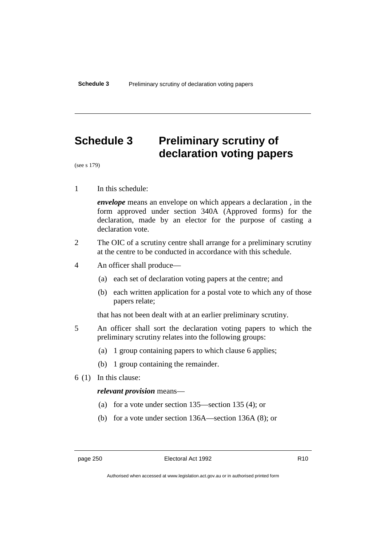# **Schedule 3 Preliminary scrutiny of declaration voting papers**

(see s 179)

1 In this schedule:

*envelope* means an envelope on which appears a declaration , in the form approved under section 340A (Approved forms) for the declaration, made by an elector for the purpose of casting a declaration vote.

- 2 The OIC of a scrutiny centre shall arrange for a preliminary scrutiny at the centre to be conducted in accordance with this schedule.
- 4 An officer shall produce—
	- (a) each set of declaration voting papers at the centre; and
	- (b) each written application for a postal vote to which any of those papers relate;

that has not been dealt with at an earlier preliminary scrutiny.

- 5 An officer shall sort the declaration voting papers to which the preliminary scrutiny relates into the following groups:
	- (a) 1 group containing papers to which clause 6 applies;
	- (b) 1 group containing the remainder.
- 6 (1) In this clause:

#### *relevant provision* means—

- (a) for a vote under section 135—section 135 (4); or
- (b) for a vote under section 136A—section 136A (8); or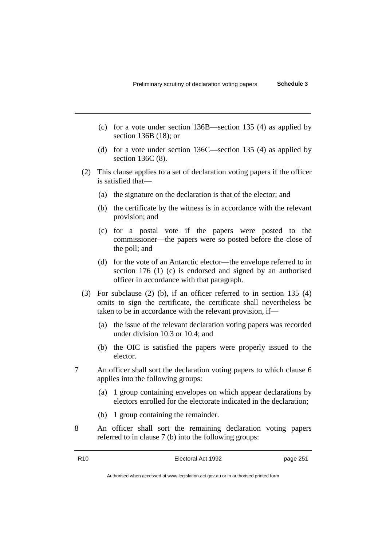- (c) for a vote under section 136B—section 135 (4) as applied by section 136B (18); or
- (d) for a vote under section 136C—section 135 (4) as applied by section 136C (8).
- (2) This clause applies to a set of declaration voting papers if the officer is satisfied that—
	- (a) the signature on the declaration is that of the elector; and
	- (b) the certificate by the witness is in accordance with the relevant provision; and
	- (c) for a postal vote if the papers were posted to the commissioner—the papers were so posted before the close of the poll; and
	- (d) for the vote of an Antarctic elector—the envelope referred to in section 176 (1) (c) is endorsed and signed by an authorised officer in accordance with that paragraph.
- (3) For subclause (2) (b), if an officer referred to in section 135 (4) omits to sign the certificate, the certificate shall nevertheless be taken to be in accordance with the relevant provision, if—
	- (a) the issue of the relevant declaration voting papers was recorded under division 10.3 or 10.4; and
	- (b) the OIC is satisfied the papers were properly issued to the elector.
- 7 An officer shall sort the declaration voting papers to which clause 6 applies into the following groups:
	- (a) 1 group containing envelopes on which appear declarations by electors enrolled for the electorate indicated in the declaration;
	- (b) 1 group containing the remainder.
- 8 An officer shall sort the remaining declaration voting papers referred to in clause 7 (b) into the following groups: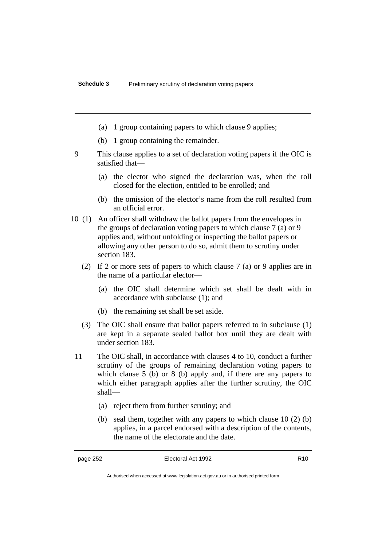- (a) 1 group containing papers to which clause 9 applies;
- (b) 1 group containing the remainder.
- 9 This clause applies to a set of declaration voting papers if the OIC is satisfied that—
	- (a) the elector who signed the declaration was, when the roll closed for the election, entitled to be enrolled; and
	- (b) the omission of the elector's name from the roll resulted from an official error.
- 10 (1) An officer shall withdraw the ballot papers from the envelopes in the groups of declaration voting papers to which clause 7 (a) or 9 applies and, without unfolding or inspecting the ballot papers or allowing any other person to do so, admit them to scrutiny under section 183.
	- (2) If 2 or more sets of papers to which clause 7 (a) or 9 applies are in the name of a particular elector—
		- (a) the OIC shall determine which set shall be dealt with in accordance with subclause (1); and
		- (b) the remaining set shall be set aside.
	- (3) The OIC shall ensure that ballot papers referred to in subclause (1) are kept in a separate sealed ballot box until they are dealt with under section 183.
	- 11 The OIC shall, in accordance with clauses 4 to 10, conduct a further scrutiny of the groups of remaining declaration voting papers to which clause 5 (b) or 8 (b) apply and, if there are any papers to which either paragraph applies after the further scrutiny, the OIC shall—
		- (a) reject them from further scrutiny; and
		- (b) seal them, together with any papers to which clause 10 (2) (b) applies, in a parcel endorsed with a description of the contents, the name of the electorate and the date.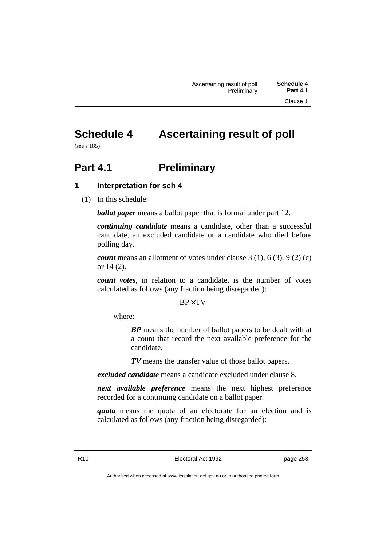# **Schedule 4 Ascertaining result of poll**

(see s 185)

# **Part 4.1 Preliminary**

# **1 Interpretation for sch 4**

(1) In this schedule:

*ballot paper* means a ballot paper that is formal under part 12.

*continuing candidate* means a candidate, other than a successful candidate, an excluded candidate or a candidate who died before polling day.

*count* means an allotment of votes under clause 3 (1), 6 (3), 9 (2) (c) or 14 (2).

*count votes*, in relation to a candidate, is the number of votes calculated as follows (any fraction being disregarded):

### $BP \times TV$

where:

*BP* means the number of ballot papers to be dealt with at a count that record the next available preference for the candidate.

*TV* means the transfer value of those ballot papers.

*excluded candidate* means a candidate excluded under clause 8.

*next available preference* means the next highest preference recorded for a continuing candidate on a ballot paper.

*quota* means the quota of an electorate for an election and is calculated as follows (any fraction being disregarded):

R10 Electoral Act 1992 page 253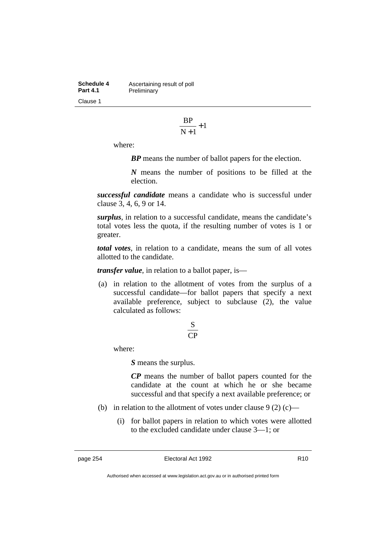**Schedule 4** Ascertaining result of poll<br>**Part 4.1** Preliminary **Preliminary** Clause 1

$$
\frac{BP}{N+1}\!+\!1
$$

where:

*BP* means the number of ballot papers for the election.

*N* means the number of positions to be filled at the election.

*successful candidate* means a candidate who is successful under clause 3, 4, 6, 9 or 14.

*surplus*, in relation to a successful candidate, means the candidate's total votes less the quota, if the resulting number of votes is 1 or greater.

*total votes*, in relation to a candidate, means the sum of all votes allotted to the candidate.

*transfer value*, in relation to a ballot paper, is—

(a) in relation to the allotment of votes from the surplus of a successful candidate—for ballot papers that specify a next available preference, subject to subclause (2), the value calculated as follows:

# CP S

where:

*S* means the surplus.

*CP* means the number of ballot papers counted for the candidate at the count at which he or she became successful and that specify a next available preference; or

- (b) in relation to the allotment of votes under clause  $9(2)$  (c)—
	- (i) for ballot papers in relation to which votes were allotted to the excluded candidate under clause 3—1; or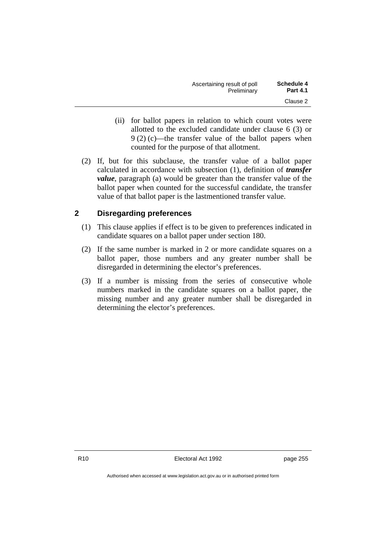| Ascertaining result of poll | <b>Schedule 4</b> |
|-----------------------------|-------------------|
| Preliminary                 | <b>Part 4.1</b>   |
|                             | Clause 2          |

- (ii) for ballot papers in relation to which count votes were allotted to the excluded candidate under clause 6 (3) or 9 (2) (c)—the transfer value of the ballot papers when counted for the purpose of that allotment.
- (2) If, but for this subclause, the transfer value of a ballot paper calculated in accordance with subsection (1), definition of *transfer value*, paragraph (a) would be greater than the transfer value of the ballot paper when counted for the successful candidate, the transfer value of that ballot paper is the lastmentioned transfer value.

# **2 Disregarding preferences**

- (1) This clause applies if effect is to be given to preferences indicated in candidate squares on a ballot paper under section 180.
- (2) If the same number is marked in 2 or more candidate squares on a ballot paper, those numbers and any greater number shall be disregarded in determining the elector's preferences.
- (3) If a number is missing from the series of consecutive whole numbers marked in the candidate squares on a ballot paper, the missing number and any greater number shall be disregarded in determining the elector's preferences.

R10 Electoral Act 1992 page 255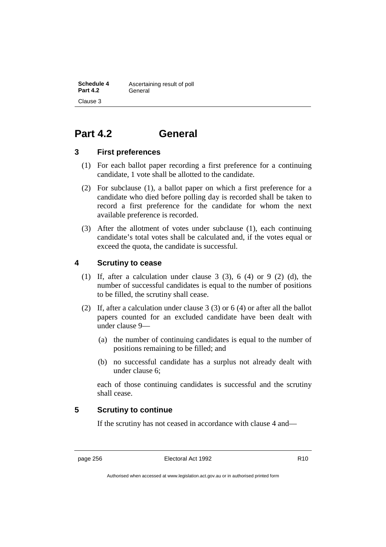**Schedule 4** Ascertaining result of poll Part 4.2 General Clause 3

# **Part 4.2 General**

### **3 First preferences**

- (1) For each ballot paper recording a first preference for a continuing candidate, 1 vote shall be allotted to the candidate.
- (2) For subclause (1), a ballot paper on which a first preference for a candidate who died before polling day is recorded shall be taken to record a first preference for the candidate for whom the next available preference is recorded.
- (3) After the allotment of votes under subclause (1), each continuing candidate's total votes shall be calculated and, if the votes equal or exceed the quota, the candidate is successful.

# **4 Scrutiny to cease**

- (1) If, after a calculation under clause 3 (3), 6 (4) or 9 (2) (d), the number of successful candidates is equal to the number of positions to be filled, the scrutiny shall cease.
- (2) If, after a calculation under clause 3 (3) or 6 (4) or after all the ballot papers counted for an excluded candidate have been dealt with under clause 9—
	- (a) the number of continuing candidates is equal to the number of positions remaining to be filled; and
	- (b) no successful candidate has a surplus not already dealt with under clause 6;

each of those continuing candidates is successful and the scrutiny shall cease.

# **5 Scrutiny to continue**

If the scrutiny has not ceased in accordance with clause 4 and—

page 256 **Electoral Act 1992** R10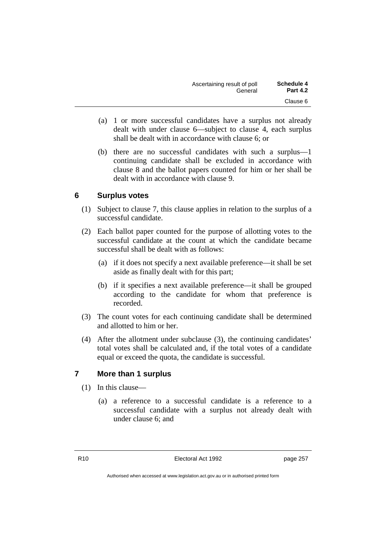| Ascertaining result of poll | <b>Schedule 4</b> |
|-----------------------------|-------------------|
| General                     | <b>Part 4.2</b>   |
|                             | Clause 6          |

- (a) 1 or more successful candidates have a surplus not already dealt with under clause 6—subject to clause 4, each surplus shall be dealt with in accordance with clause 6; or
- (b) there are no successful candidates with such a surplus—1 continuing candidate shall be excluded in accordance with clause 8 and the ballot papers counted for him or her shall be dealt with in accordance with clause 9.

# **6 Surplus votes**

- (1) Subject to clause 7, this clause applies in relation to the surplus of a successful candidate.
- (2) Each ballot paper counted for the purpose of allotting votes to the successful candidate at the count at which the candidate became successful shall be dealt with as follows:
	- (a) if it does not specify a next available preference—it shall be set aside as finally dealt with for this part;
	- (b) if it specifies a next available preference—it shall be grouped according to the candidate for whom that preference is recorded.
- (3) The count votes for each continuing candidate shall be determined and allotted to him or her.
- (4) After the allotment under subclause (3), the continuing candidates' total votes shall be calculated and, if the total votes of a candidate equal or exceed the quota, the candidate is successful.

# **7 More than 1 surplus**

- (1) In this clause—
	- (a) a reference to a successful candidate is a reference to a successful candidate with a surplus not already dealt with under clause 6; and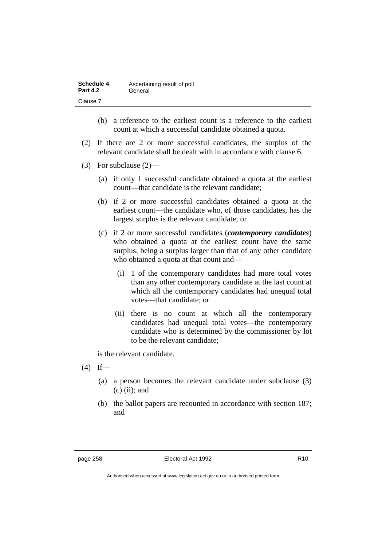| Schedule 4      | Ascertaining result of poll |
|-----------------|-----------------------------|
| <b>Part 4.2</b> | General                     |
| Clause 7        |                             |

- (b) a reference to the earliest count is a reference to the earliest count at which a successful candidate obtained a quota.
- (2) If there are 2 or more successful candidates, the surplus of the relevant candidate shall be dealt with in accordance with clause 6.
- (3) For subclause (2)—
	- (a) if only 1 successful candidate obtained a quota at the earliest count—that candidate is the relevant candidate;
	- (b) if 2 or more successful candidates obtained a quota at the earliest count—the candidate who, of those candidates, has the largest surplus is the relevant candidate; or
	- (c) if 2 or more successful candidates (*contemporary candidates*) who obtained a quota at the earliest count have the same surplus, being a surplus larger than that of any other candidate who obtained a quota at that count and—
		- (i) 1 of the contemporary candidates had more total votes than any other contemporary candidate at the last count at which all the contemporary candidates had unequal total votes—that candidate; or
		- (ii) there is no count at which all the contemporary candidates had unequal total votes—the contemporary candidate who is determined by the commissioner by lot to be the relevant candidate;

is the relevant candidate.

- $(4)$  If—
	- (a) a person becomes the relevant candidate under subclause (3)  $(c)$  (ii); and
	- (b) the ballot papers are recounted in accordance with section 187; and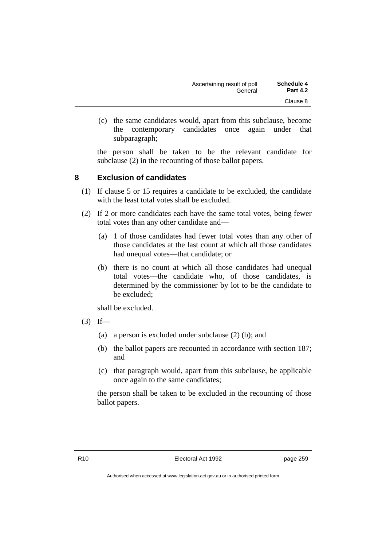| <b>Schedule 4</b> | Ascertaining result of poll |
|-------------------|-----------------------------|
| <b>Part 4.2</b>   | General                     |
| Clause 8          |                             |

(c) the same candidates would, apart from this subclause, become the contemporary candidates once again under that subparagraph;

the person shall be taken to be the relevant candidate for subclause (2) in the recounting of those ballot papers.

### **8 Exclusion of candidates**

- (1) If clause 5 or 15 requires a candidate to be excluded, the candidate with the least total votes shall be excluded.
- (2) If 2 or more candidates each have the same total votes, being fewer total votes than any other candidate and—
	- (a) 1 of those candidates had fewer total votes than any other of those candidates at the last count at which all those candidates had unequal votes—that candidate; or
	- (b) there is no count at which all those candidates had unequal total votes—the candidate who, of those candidates, is determined by the commissioner by lot to be the candidate to be excluded;

shall be excluded.

- $(3)$  If—
	- (a) a person is excluded under subclause (2) (b); and
	- (b) the ballot papers are recounted in accordance with section 187; and
	- (c) that paragraph would, apart from this subclause, be applicable once again to the same candidates;

the person shall be taken to be excluded in the recounting of those ballot papers.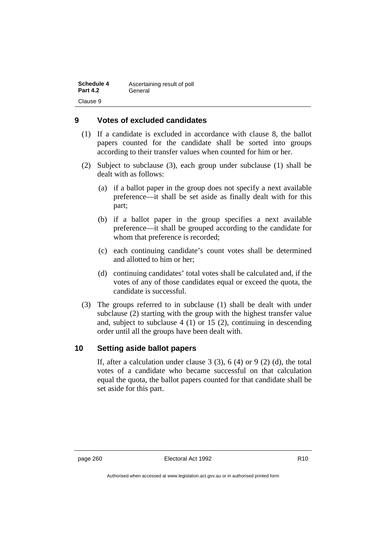| <b>Schedule 4</b> | Ascertaining result of poll |
|-------------------|-----------------------------|
| <b>Part 4.2</b>   | General                     |
| Clause 9          |                             |

# **9 Votes of excluded candidates**

- (1) If a candidate is excluded in accordance with clause 8, the ballot papers counted for the candidate shall be sorted into groups according to their transfer values when counted for him or her.
- (2) Subject to subclause (3), each group under subclause (1) shall be dealt with as follows:
	- (a) if a ballot paper in the group does not specify a next available preference—it shall be set aside as finally dealt with for this part;
	- (b) if a ballot paper in the group specifies a next available preference—it shall be grouped according to the candidate for whom that preference is recorded;
	- (c) each continuing candidate's count votes shall be determined and allotted to him or her;
	- (d) continuing candidates' total votes shall be calculated and, if the votes of any of those candidates equal or exceed the quota, the candidate is successful.
- (3) The groups referred to in subclause (1) shall be dealt with under subclause (2) starting with the group with the highest transfer value and, subject to subclause 4 (1) or 15 (2), continuing in descending order until all the groups have been dealt with.

# **10 Setting aside ballot papers**

If, after a calculation under clause  $3(3)$ ,  $6(4)$  or  $9(2)(d)$ , the total votes of a candidate who became successful on that calculation equal the quota, the ballot papers counted for that candidate shall be set aside for this part.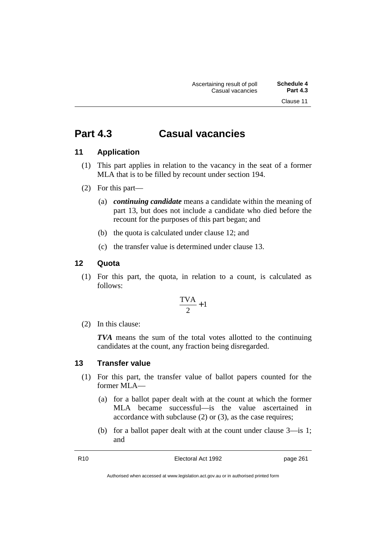# **Part 4.3 Casual vacancies**

# **11 Application**

- (1) This part applies in relation to the vacancy in the seat of a former MLA that is to be filled by recount under section 194.
- (2) For this part—
	- (a) *continuing candidate* means a candidate within the meaning of part 13, but does not include a candidate who died before the recount for the purposes of this part began; and
	- (b) the quota is calculated under clause 12; and
	- (c) the transfer value is determined under clause 13.

### **12 Quota**

(1) For this part, the quota, in relation to a count, is calculated as follows:

$$
\frac{\text{TVA}}{2} + 1
$$

(2) In this clause:

*TVA* means the sum of the total votes allotted to the continuing candidates at the count, any fraction being disregarded.

### **13 Transfer value**

- (1) For this part, the transfer value of ballot papers counted for the former MLA—
	- (a) for a ballot paper dealt with at the count at which the former MLA became successful—is the value ascertained in accordance with subclause (2) or (3), as the case requires;
	- (b) for a ballot paper dealt with at the count under clause 3—is 1; and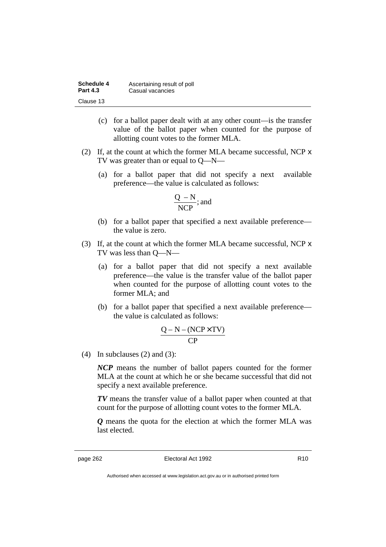| Schedule 4      | Ascertaining result of poll |
|-----------------|-----------------------------|
| <b>Part 4.3</b> | Casual vacancies            |
| Clause 13       |                             |

- (c) for a ballot paper dealt with at any other count—is the transfer value of the ballot paper when counted for the purpose of allotting count votes to the former MLA.
- (2) If, at the count at which the former MLA became successful, NCP x TV was greater than or equal to Q—N—
	- (a) for a ballot paper that did not specify a next available preference—the value is calculated as follows:

$$
\frac{Q - N}{NCP}; \text{and}
$$

- (b) for a ballot paper that specified a next available preference the value is zero.
- (3) If, at the count at which the former MLA became successful, NCP x TV was less than Q—N—
	- (a) for a ballot paper that did not specify a next available preference—the value is the transfer value of the ballot paper when counted for the purpose of allotting count votes to the former MLA; and
	- (b) for a ballot paper that specified a next available preference the value is calculated as follows:

$$
\frac{Q-N-(NCP \times TV)}{CP}
$$

(4) In subclauses (2) and (3):

*NCP* means the number of ballot papers counted for the former MLA at the count at which he or she became successful that did not specify a next available preference.

*TV* means the transfer value of a ballot paper when counted at that count for the purpose of allotting count votes to the former MLA.

*Q* means the quota for the election at which the former MLA was last elected.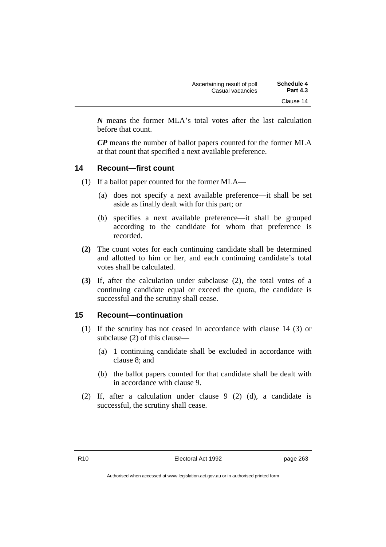| Ascertaining result of poll | <b>Schedule 4</b> |
|-----------------------------|-------------------|
| Casual vacancies            | <b>Part 4.3</b>   |
|                             | Clause 14         |

*N* means the former MLA's total votes after the last calculation before that count.

*CP* means the number of ballot papers counted for the former MLA at that count that specified a next available preference.

### **14 Recount—first count**

- (1) If a ballot paper counted for the former MLA—
	- (a) does not specify a next available preference—it shall be set aside as finally dealt with for this part; or
	- (b) specifies a next available preference—it shall be grouped according to the candidate for whom that preference is recorded.
- **(2)** The count votes for each continuing candidate shall be determined and allotted to him or her, and each continuing candidate's total votes shall be calculated.
- **(3)** If, after the calculation under subclause (2), the total votes of a continuing candidate equal or exceed the quota, the candidate is successful and the scrutiny shall cease.

### **15 Recount—continuation**

- (1) If the scrutiny has not ceased in accordance with clause 14 (3) or subclause (2) of this clause—
	- (a) 1 continuing candidate shall be excluded in accordance with clause 8; and
	- (b) the ballot papers counted for that candidate shall be dealt with in accordance with clause 9.
- (2) If, after a calculation under clause 9 (2) (d), a candidate is successful, the scrutiny shall cease.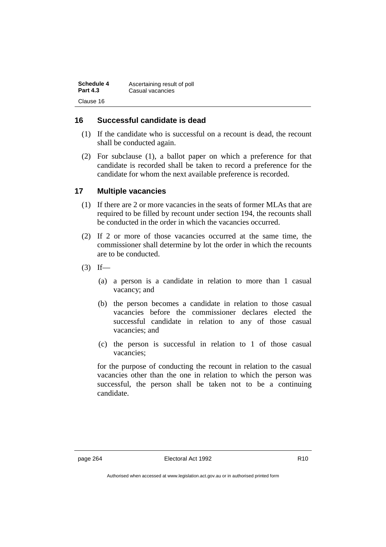| Schedule 4      | Ascertaining result of poll |
|-----------------|-----------------------------|
| <b>Part 4.3</b> | Casual vacancies            |
| Clause 16       |                             |

# **16 Successful candidate is dead**

- (1) If the candidate who is successful on a recount is dead, the recount shall be conducted again.
- (2) For subclause (1), a ballot paper on which a preference for that candidate is recorded shall be taken to record a preference for the candidate for whom the next available preference is recorded.

# **17 Multiple vacancies**

- (1) If there are 2 or more vacancies in the seats of former MLAs that are required to be filled by recount under section 194, the recounts shall be conducted in the order in which the vacancies occurred.
- (2) If 2 or more of those vacancies occurred at the same time, the commissioner shall determine by lot the order in which the recounts are to be conducted.
- $(3)$  If—
	- (a) a person is a candidate in relation to more than 1 casual vacancy; and
	- (b) the person becomes a candidate in relation to those casual vacancies before the commissioner declares elected the successful candidate in relation to any of those casual vacancies; and
	- (c) the person is successful in relation to 1 of those casual vacancies;

for the purpose of conducting the recount in relation to the casual vacancies other than the one in relation to which the person was successful, the person shall be taken not to be a continuing candidate.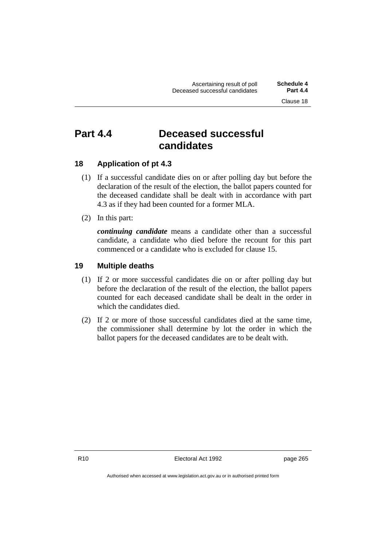# **Part 4.4 Deceased successful candidates**

# **18 Application of pt 4.3**

- (1) If a successful candidate dies on or after polling day but before the declaration of the result of the election, the ballot papers counted for the deceased candidate shall be dealt with in accordance with part 4.3 as if they had been counted for a former MLA.
- (2) In this part:

*continuing candidate* means a candidate other than a successful candidate, a candidate who died before the recount for this part commenced or a candidate who is excluded for clause 15.

# **19 Multiple deaths**

- (1) If 2 or more successful candidates die on or after polling day but before the declaration of the result of the election, the ballot papers counted for each deceased candidate shall be dealt in the order in which the candidates died.
- (2) If 2 or more of those successful candidates died at the same time, the commissioner shall determine by lot the order in which the ballot papers for the deceased candidates are to be dealt with.

R10 Electoral Act 1992 page 265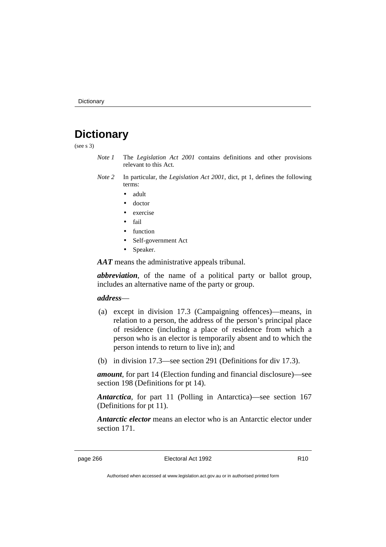# **Dictionary**

(see s 3)

- *Note 1* The *Legislation Act 2001* contains definitions and other provisions relevant to this Act.
- *Note 2* In particular, the *Legislation Act 2001*, dict, pt 1, defines the following terms:
	- adult
	- doctor
	- exercise
	- fail
	- function
	- Self-government Act
	- Speaker.

*AAT* means the administrative appeals tribunal.

*abbreviation*, of the name of a political party or ballot group, includes an alternative name of the party or group.

#### *address*—

- (a) except in division 17.3 (Campaigning offences)—means, in relation to a person, the address of the person's principal place of residence (including a place of residence from which a person who is an elector is temporarily absent and to which the person intends to return to live in); and
- (b) in division 17.3—see section 291 (Definitions for div 17.3).

*amount*, for part 14 (Election funding and financial disclosure)—see section 198 (Definitions for pt 14).

*Antarctica*, for part 11 (Polling in Antarctica)—see section 167 (Definitions for pt 11).

*Antarctic elector* means an elector who is an Antarctic elector under section 171.

page 266 **Electoral Act 1992** R10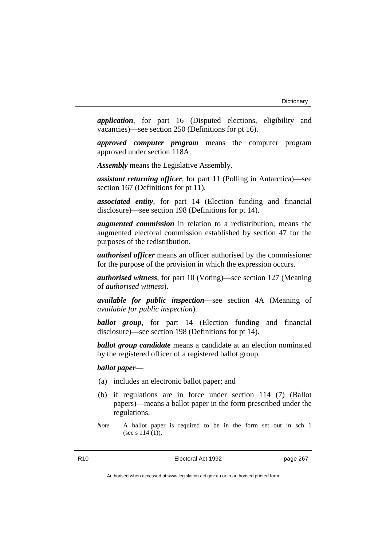*application*, for part 16 (Disputed elections, eligibility and vacancies)—see section 250 (Definitions for pt 16).

*approved computer program* means the computer program approved under section 118A.

*Assembly* means the Legislative Assembly.

*assistant returning officer*, for part 11 (Polling in Antarctica)—see section 167 (Definitions for pt 11).

*associated entity*, for part 14 (Election funding and financial disclosure)—see section 198 (Definitions for pt 14).

*augmented commission* in relation to a redistribution, means the augmented electoral commission established by section 47 for the purposes of the redistribution.

*authorised officer* means an officer authorised by the commissioner for the purpose of the provision in which the expression occurs.

*authorised witness*, for part 10 (Voting)—see section 127 (Meaning of *authorised witness*).

*available for public inspection*—see section 4A (Meaning of *available for public inspection*).

*ballot group*, for part 14 (Election funding and financial disclosure)—see section 198 (Definitions for pt 14).

*ballot group candidate* means a candidate at an election nominated by the registered officer of a registered ballot group.

#### *ballot paper*—

- (a) includes an electronic ballot paper; and
- (b) if regulations are in force under section 114 (7) (Ballot papers)—means a ballot paper in the form prescribed under the regulations.
- *Note* A ballot paper is required to be in the form set out in sch 1 (see s 114 (1)).

R10 **Electoral Act 1992 page 267**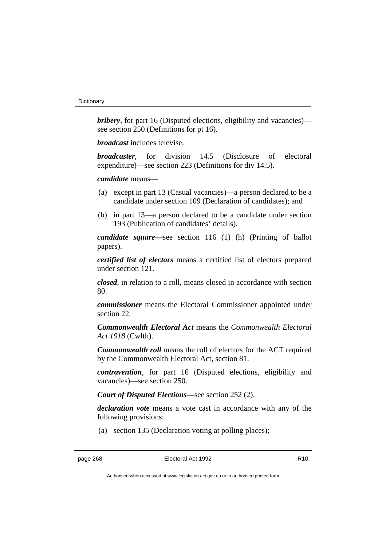*bribery*, for part 16 (Disputed elections, eligibility and vacancies) see section 250 (Definitions for pt 16).

*broadcast* includes televise.

*broadcaster*, for division 14.5 (Disclosure of electoral expenditure)—see section 223 (Definitions for div 14.5).

*candidate* means—

- (a) except in part 13 (Casual vacancies)—a person declared to be a candidate under section 109 (Declaration of candidates); and
- (b) in part 13—a person declared to be a candidate under section 193 (Publication of candidates' details).

*candidate square*—see section 116 (1) (h) (Printing of ballot papers).

*certified list of electors* means a certified list of electors prepared under section 121.

*closed*, in relation to a roll, means closed in accordance with section 80.

*commissioner* means the Electoral Commissioner appointed under section 22.

*Commonwealth Electoral Act* means the *Commonwealth Electoral Act 1918* (Cwlth).

*Commonwealth roll* means the roll of electors for the ACT required by the Commonwealth Electoral Act, section 81.

*contravention*, for part 16 (Disputed elections, eligibility and vacancies)—see section 250.

*Court of Disputed Elections*—see section 252 (2).

*declaration vote* means a vote cast in accordance with any of the following provisions:

(a) section 135 (Declaration voting at polling places);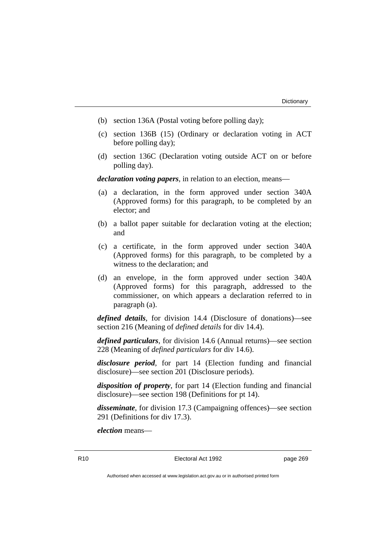- (b) section 136A (Postal voting before polling day);
- (c) section 136B (15) (Ordinary or declaration voting in ACT before polling day);
- (d) section 136C (Declaration voting outside ACT on or before polling day).

*declaration voting papers*, in relation to an election, means—

- (a) a declaration, in the form approved under section 340A (Approved forms) for this paragraph, to be completed by an elector; and
- (b) a ballot paper suitable for declaration voting at the election; and
- (c) a certificate, in the form approved under section 340A (Approved forms) for this paragraph, to be completed by a witness to the declaration; and
- (d) an envelope, in the form approved under section 340A (Approved forms) for this paragraph, addressed to the commissioner, on which appears a declaration referred to in paragraph (a).

*defined details*, for division 14.4 (Disclosure of donations)—see section 216 (Meaning of *defined details* for div 14.4).

*defined particulars*, for division 14.6 (Annual returns)—see section 228 (Meaning of *defined particulars* for div 14.6).

*disclosure period*, for part 14 (Election funding and financial disclosure)—see section 201 (Disclosure periods).

*disposition of property*, for part 14 (Election funding and financial disclosure)—see section 198 (Definitions for pt 14).

*disseminate*, for division 17.3 (Campaigning offences)—see section 291 (Definitions for div 17.3).

*election* means—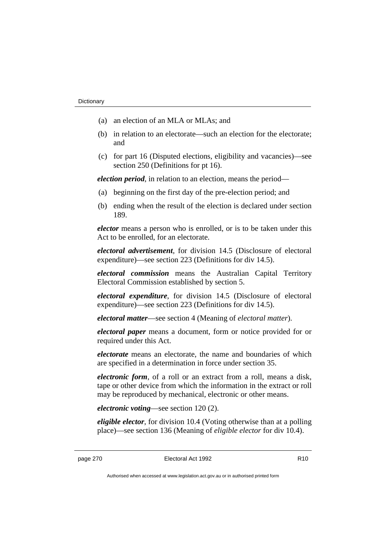- (a) an election of an MLA or MLAs; and
- (b) in relation to an electorate—such an election for the electorate; and
- (c) for part 16 (Disputed elections, eligibility and vacancies)—see section 250 (Definitions for pt 16).

*election period*, in relation to an election, means the period—

- (a) beginning on the first day of the pre-election period; and
- (b) ending when the result of the election is declared under section 189.

*elector* means a person who is enrolled, or is to be taken under this Act to be enrolled, for an electorate.

*electoral advertisement*, for division 14.5 (Disclosure of electoral expenditure)—see section 223 (Definitions for div 14.5).

*electoral commission* means the Australian Capital Territory Electoral Commission established by section 5.

*electoral expenditure*, for division 14.5 (Disclosure of electoral expenditure)—see section 223 (Definitions for div 14.5).

*electoral matter*—see section 4 (Meaning of *electoral matter*).

*electoral paper* means a document, form or notice provided for or required under this Act.

*electorate* means an electorate, the name and boundaries of which are specified in a determination in force under section 35.

*electronic form*, of a roll or an extract from a roll, means a disk, tape or other device from which the information in the extract or roll may be reproduced by mechanical, electronic or other means.

*electronic voting*—see section 120 (2).

*eligible elector*, for division 10.4 (Voting otherwise than at a polling place)—see section 136 (Meaning of *eligible elector* for div 10.4).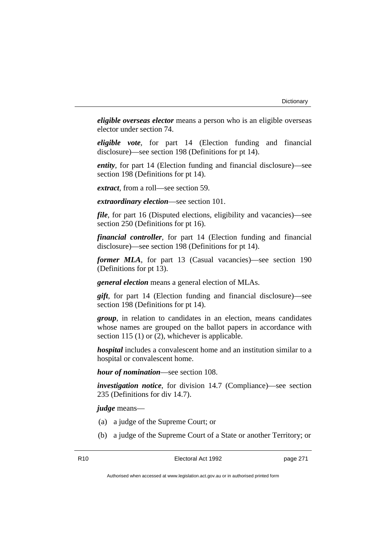*eligible overseas elector* means a person who is an eligible overseas elector under section 74.

*eligible vote*, for part 14 (Election funding and financial disclosure)—see section 198 (Definitions for pt 14).

*entity*, for part 14 (Election funding and financial disclosure)—see section 198 (Definitions for pt 14).

*extract*, from a roll—see section 59.

*extraordinary election*—see section 101.

*file*, for part 16 (Disputed elections, eligibility and vacancies)—see section 250 (Definitions for pt 16).

*financial controller*, for part 14 (Election funding and financial disclosure)—see section 198 (Definitions for pt 14).

*former MLA*, for part 13 (Casual vacancies)—see section 190 (Definitions for pt 13).

*general election* means a general election of MLAs.

*gift*, for part 14 (Election funding and financial disclosure)—see section 198 (Definitions for pt 14).

*group*, in relation to candidates in an election, means candidates whose names are grouped on the ballot papers in accordance with section 115 (1) or (2), whichever is applicable.

*hospital* includes a convalescent home and an institution similar to a hospital or convalescent home.

*hour of nomination*—see section 108.

*investigation notice*, for division 14.7 (Compliance)—see section 235 (Definitions for div 14.7).

*judge* means—

- (a) a judge of the Supreme Court; or
- (b) a judge of the Supreme Court of a State or another Territory; or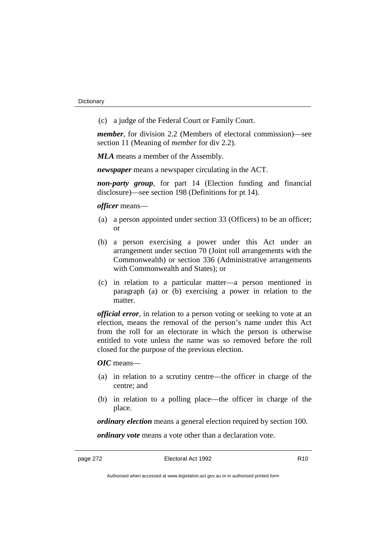(c) a judge of the Federal Court or Family Court.

*member*, for division 2.2 (Members of electoral commission)—see section 11 (Meaning of *member* for div 2.2).

*MLA* means a member of the Assembly.

*newspaper* means a newspaper circulating in the ACT.

*non-party group*, for part 14 (Election funding and financial disclosure)—see section 198 (Definitions for pt 14).

*officer* means—

- (a) a person appointed under section 33 (Officers) to be an officer; or
- (b) a person exercising a power under this Act under an arrangement under section 70 (Joint roll arrangements with the Commonwealth) or section 336 (Administrative arrangements with Commonwealth and States); or
- (c) in relation to a particular matter—a person mentioned in paragraph (a) or (b) exercising a power in relation to the matter.

*official error*, in relation to a person voting or seeking to vote at an election, means the removal of the person's name under this Act from the roll for an electorate in which the person is otherwise entitled to vote unless the name was so removed before the roll closed for the purpose of the previous election.

*OIC* means—

- (a) in relation to a scrutiny centre—the officer in charge of the centre; and
- (b) in relation to a polling place—the officer in charge of the place.

*ordinary election* means a general election required by section 100.

*ordinary vote* means a vote other than a declaration vote.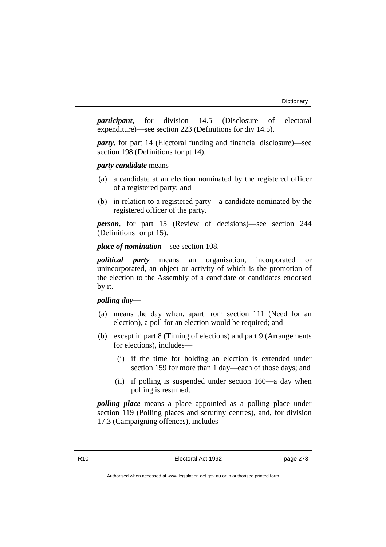*participant*, for division 14.5 (Disclosure of electoral expenditure)—see section 223 (Definitions for div 14.5).

*party*, for part 14 (Electoral funding and financial disclosure)—see section 198 (Definitions for pt 14).

*party candidate* means—

- (a) a candidate at an election nominated by the registered officer of a registered party; and
- (b) in relation to a registered party—a candidate nominated by the registered officer of the party.

*person*, for part 15 (Review of decisions)—see section 244 (Definitions for pt 15).

## *place of nomination*—see section 108.

*political party* means an organisation, incorporated or unincorporated, an object or activity of which is the promotion of the election to the Assembly of a candidate or candidates endorsed by it.

## *polling day*—

- (a) means the day when, apart from section 111 (Need for an election), a poll for an election would be required; and
- (b) except in part 8 (Timing of elections) and part 9 (Arrangements for elections), includes—
	- (i) if the time for holding an election is extended under section 159 for more than 1 day—each of those days; and
	- (ii) if polling is suspended under section 160—a day when polling is resumed.

*polling place* means a place appointed as a polling place under section 119 (Polling places and scrutiny centres), and, for division 17.3 (Campaigning offences), includes—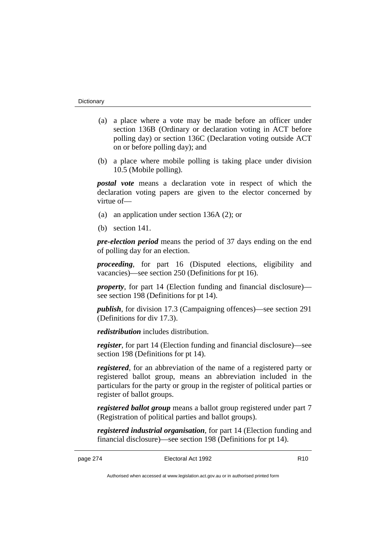- (a) a place where a vote may be made before an officer under section 136B (Ordinary or declaration voting in ACT before polling day) or section 136C (Declaration voting outside ACT on or before polling day); and
- (b) a place where mobile polling is taking place under division 10.5 (Mobile polling).

*postal vote* means a declaration vote in respect of which the declaration voting papers are given to the elector concerned by virtue of—

- (a) an application under section 136A (2); or
- (b) section 141.

*pre-election period* means the period of 37 days ending on the end of polling day for an election.

*proceeding*, for part 16 (Disputed elections, eligibility and vacancies)—see section 250 (Definitions for pt 16).

*property*, for part 14 (Election funding and financial disclosure) see section 198 (Definitions for pt 14).

*publish*, for division 17.3 (Campaigning offences)—see section 291 (Definitions for div 17.3).

*redistribution* includes distribution.

*register*, for part 14 (Election funding and financial disclosure)—see section 198 (Definitions for pt 14).

*registered*, for an abbreviation of the name of a registered party or registered ballot group, means an abbreviation included in the particulars for the party or group in the register of political parties or register of ballot groups.

*registered ballot group* means a ballot group registered under part 7 (Registration of political parties and ballot groups).

*registered industrial organisation*, for part 14 (Election funding and financial disclosure)—see section 198 (Definitions for pt 14).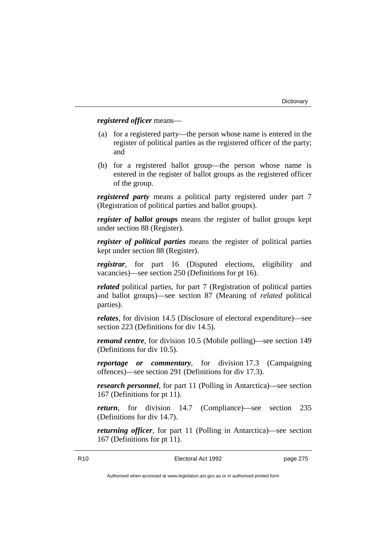## *registered officer* means—

- (a) for a registered party—the person whose name is entered in the register of political parties as the registered officer of the party; and
- (b) for a registered ballot group—the person whose name is entered in the register of ballot groups as the registered officer of the group.

*registered party* means a political party registered under part 7 (Registration of political parties and ballot groups).

*register of ballot groups* means the register of ballot groups kept under section 88 (Register).

*register of political parties* means the register of political parties kept under section 88 (Register).

*registrar*, for part 16 (Disputed elections, eligibility and vacancies)—see section 250 (Definitions for pt 16).

*related* political parties, for part 7 (Registration of political parties and ballot groups)—see section 87 (Meaning of *related* political parties).

*relates*, for division 14.5 (Disclosure of electoral expenditure)—see section 223 (Definitions for div 14.5).

*remand centre*, for division 10.5 (Mobile polling)—see section 149 (Definitions for div 10.5).

*reportage or commentary*, for division 17.3 (Campaigning offences)—see section 291 (Definitions for div 17.3).

*research personnel*, for part 11 (Polling in Antarctica)—see section 167 (Definitions for pt 11).

*return*, for division 14.7 (Compliance)—see section 235 (Definitions for div 14.7).

*returning officer*, for part 11 (Polling in Antarctica)—see section 167 (Definitions for pt 11).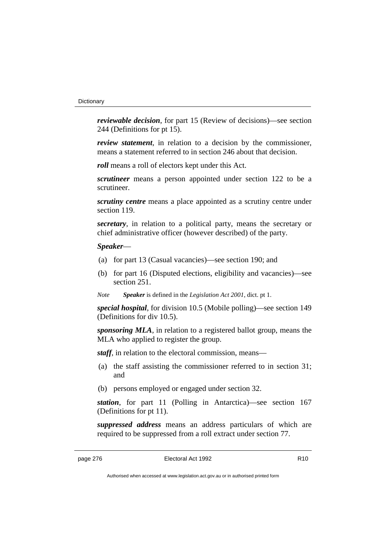*reviewable decision*, for part 15 (Review of decisions)—see section 244 (Definitions for pt 15).

*review statement*, in relation to a decision by the commissioner, means a statement referred to in section 246 about that decision.

*roll* means a roll of electors kept under this Act.

*scrutineer* means a person appointed under section 122 to be a scrutineer.

*scrutiny centre* means a place appointed as a scrutiny centre under section 119.

*secretary*, in relation to a political party, means the secretary or chief administrative officer (however described) of the party.

*Speaker*—

- (a) for part 13 (Casual vacancies)—see section 190; and
- (b) for part 16 (Disputed elections, eligibility and vacancies)—see section 251.
- *Note Speaker* is defined in the *Legislation Act 2001*, dict. pt 1.

*special hospital*, for division 10.5 (Mobile polling)—see section 149 (Definitions for div 10.5).

*sponsoring MLA*, in relation to a registered ballot group, means the MLA who applied to register the group.

*staff*, in relation to the electoral commission, means—

- (a) the staff assisting the commissioner referred to in section 31; and
- (b) persons employed or engaged under section 32.

*station*, for part 11 (Polling in Antarctica)—see section 167 (Definitions for pt 11).

*suppressed address* means an address particulars of which are required to be suppressed from a roll extract under section 77.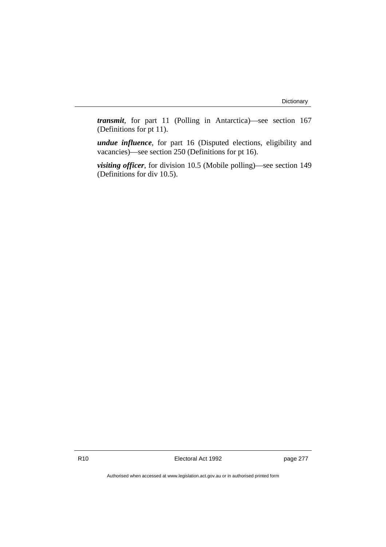*transmit*, for part 11 (Polling in Antarctica)—see section 167 (Definitions for pt 11).

*undue influence*, for part 16 (Disputed elections, eligibility and vacancies)—see section 250 (Definitions for pt 16).

*visiting officer*, for division 10.5 (Mobile polling)—see section 149 (Definitions for div 10.5).

R10 Electoral Act 1992 page 277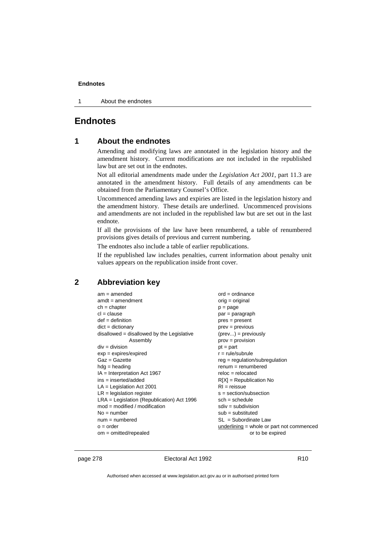1 About the endnotes

# **Endnotes**

## **1 About the endnotes**

Amending and modifying laws are annotated in the legislation history and the amendment history. Current modifications are not included in the republished law but are set out in the endnotes.

Not all editorial amendments made under the *Legislation Act 2001*, part 11.3 are annotated in the amendment history. Full details of any amendments can be obtained from the Parliamentary Counsel's Office.

Uncommenced amending laws and expiries are listed in the legislation history and the amendment history. These details are underlined. Uncommenced provisions and amendments are not included in the republished law but are set out in the last endnote.

If all the provisions of the law have been renumbered, a table of renumbered provisions gives details of previous and current numbering.

The endnotes also include a table of earlier republications.

If the republished law includes penalties, current information about penalty unit values appears on the republication inside front cover.

## **2 Abbreviation key**

| $am = amended$                               | $ord = ordinance$                         |
|----------------------------------------------|-------------------------------------------|
| $amdt = amendment$                           | $orig = original$                         |
| $ch = chapter$                               | $p = page$                                |
| $cl = clause$                                | $par = paragraph$                         |
| $def = definition$                           | $pres = present$                          |
| $dict = dictionary$                          | $prev = previous$                         |
| disallowed = disallowed by the Legislative   | $(\text{prev}) = \text{previously}$       |
| Assembly                                     | $prov = provision$                        |
| $div = division$                             | $pt = part$                               |
| $exp = expires/expired$                      | $r = rule/subrule$                        |
| $Gaz = Gazette$                              | $reg = regulation/subregulation$          |
| $hdg =$ heading                              | $renum = renumbered$                      |
| $IA = Interpretation Act 1967$               | $reloc = relocated$                       |
| $ins = inserted/added$                       | $R[X]$ = Republication No                 |
| $LA =$ Legislation Act 2001                  | $RI = reissue$                            |
| $LR =$ legislation register                  | $s = section/subsection$                  |
| $LRA =$ Legislation (Republication) Act 1996 | $sch = schedule$                          |
| $mod = modified / modified$                  | $sdiv = subdivision$                      |
| $No = number$                                | $sub =$ substituted                       |
| $num = numbered$                             | $SL = Subordinate$ Law                    |
| $o = order$                                  | underlining = whole or part not commenced |
| $om = omitted/repealed$                      | or to be expired                          |

page 278 **Electoral Act 1992** R10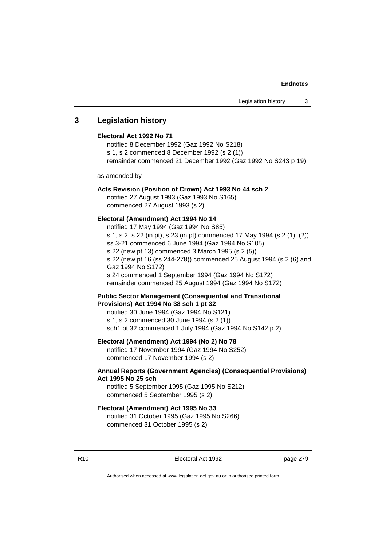## **3 Legislation history**

### **Electoral Act 1992 No 71**

notified 8 December 1992 (Gaz 1992 No S218) s 1, s 2 commenced 8 December 1992 (s 2 (1)) remainder commenced 21 December 1992 (Gaz 1992 No S243 p 19)

as amended by

#### **Acts Revision (Position of Crown) Act 1993 No 44 sch 2**

notified 27 August 1993 (Gaz 1993 No S165) commenced 27 August 1993 (s 2)

#### **Electoral (Amendment) Act 1994 No 14**

notified 17 May 1994 (Gaz 1994 No S85) s 1, s 2, s 22 (in pt), s 23 (in pt) commenced 17 May 1994 (s 2 (1), (2)) ss 3-21 commenced 6 June 1994 (Gaz 1994 No S105) s 22 (new pt 13) commenced 3 March 1995 (s 2 (5)) s 22 (new pt 16 (ss 244-278)) commenced 25 August 1994 (s 2 (6) and Gaz 1994 No S172) s 24 commenced 1 September 1994 (Gaz 1994 No S172) remainder commenced 25 August 1994 (Gaz 1994 No S172)

### **Public Sector Management (Consequential and Transitional Provisions) Act 1994 No 38 sch 1 pt 32**

notified 30 June 1994 (Gaz 1994 No S121) s 1, s 2 commenced 30 June 1994 (s 2 (1)) sch1 pt 32 commenced 1 July 1994 (Gaz 1994 No S142 p 2)

#### **Electoral (Amendment) Act 1994 (No 2) No 78**

notified 17 November 1994 (Gaz 1994 No S252) commenced 17 November 1994 (s 2)

## **Annual Reports (Government Agencies) (Consequential Provisions) Act 1995 No 25 sch**

notified 5 September 1995 (Gaz 1995 No S212) commenced 5 September 1995 (s 2)

# **Electoral (Amendment) Act 1995 No 33**

notified 31 October 1995 (Gaz 1995 No S266) commenced 31 October 1995 (s 2)

R10 **Electoral Act 1992 page 279**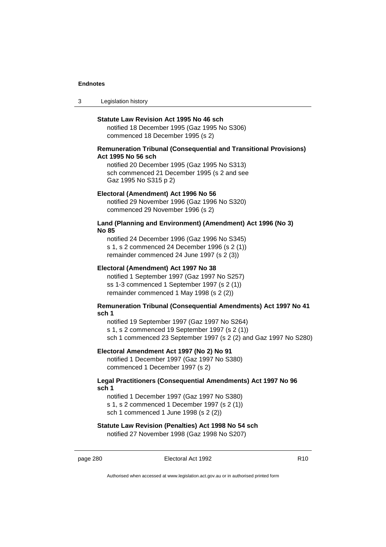3 Legislation history

#### **Statute Law Revision Act 1995 No 46 sch**

notified 18 December 1995 (Gaz 1995 No S306) commenced 18 December 1995 (s 2)

#### **Remuneration Tribunal (Consequential and Transitional Provisions) Act 1995 No 56 sch**

notified 20 December 1995 (Gaz 1995 No S313) sch commenced 21 December 1995 (s 2 and see Gaz 1995 No S315 p 2)

#### **Electoral (Amendment) Act 1996 No 56**

notified 29 November 1996 (Gaz 1996 No S320) commenced 29 November 1996 (s 2)

#### **Land (Planning and Environment) (Amendment) Act 1996 (No 3) No 85**

notified 24 December 1996 (Gaz 1996 No S345) s 1, s 2 commenced 24 December 1996 (s 2 (1)) remainder commenced 24 June 1997 (s 2 (3))

#### **Electoral (Amendment) Act 1997 No 38**

notified 1 September 1997 (Gaz 1997 No S257) ss 1-3 commenced 1 September 1997 (s 2 (1)) remainder commenced 1 May 1998 (s 2 (2))

#### **Remuneration Tribunal (Consequential Amendments) Act 1997 No 41 sch 1**

notified 19 September 1997 (Gaz 1997 No S264) s 1, s 2 commenced 19 September 1997 (s 2 (1)) sch 1 commenced 23 September 1997 (s 2 (2) and Gaz 1997 No S280)

#### **Electoral Amendment Act 1997 (No 2) No 91**

notified 1 December 1997 (Gaz 1997 No S380) commenced 1 December 1997 (s 2)

### **Legal Practitioners (Consequential Amendments) Act 1997 No 96 sch 1**

notified 1 December 1997 (Gaz 1997 No S380) s 1, s 2 commenced 1 December 1997 (s 2 (1)) sch 1 commenced 1 June 1998 (s 2 (2))

# **Statute Law Revision (Penalties) Act 1998 No 54 sch**

notified 27 November 1998 (Gaz 1998 No S207)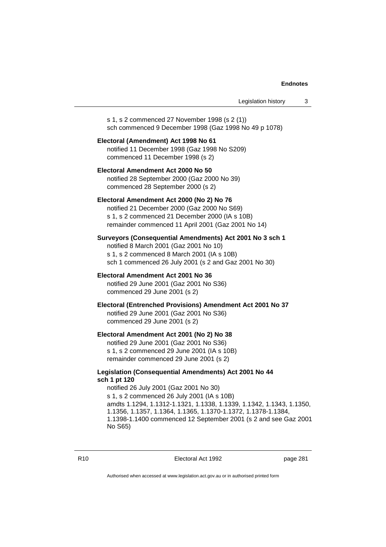s 1, s 2 commenced 27 November 1998 (s 2 (1)) sch commenced 9 December 1998 (Gaz 1998 No 49 p 1078)

## **Electoral (Amendment) Act 1998 No 61** notified 11 December 1998 (Gaz 1998 No S209) commenced 11 December 1998 (s 2)

**Electoral Amendment Act 2000 No 50** notified 28 September 2000 (Gaz 2000 No 39) commenced 28 September 2000 (s 2)

#### **Electoral Amendment Act 2000 (No 2) No 76**

notified 21 December 2000 (Gaz 2000 No S69) s 1, s 2 commenced 21 December 2000 (IA s 10B) remainder commenced 11 April 2001 (Gaz 2001 No 14)

# **Surveyors (Consequential Amendments) Act 2001 No 3 sch 1**

notified 8 March 2001 (Gaz 2001 No 10) s 1, s 2 commenced 8 March 2001 (IA s 10B) sch 1 commenced 26 July 2001 (s 2 and Gaz 2001 No 30)

# **Electoral Amendment Act 2001 No 36**

notified 29 June 2001 (Gaz 2001 No S36) commenced 29 June 2001 (s 2)

#### **Electoral (Entrenched Provisions) Amendment Act 2001 No 37** notified 29 June 2001 (Gaz 2001 No S36)

commenced 29 June 2001 (s 2)

## **Electoral Amendment Act 2001 (No 2) No 38**

notified 29 June 2001 (Gaz 2001 No S36) s 1, s 2 commenced 29 June 2001 (IA s 10B) remainder commenced 29 June 2001 (s 2)

### **Legislation (Consequential Amendments) Act 2001 No 44 sch 1 pt 120**

notified 26 July 2001 (Gaz 2001 No 30) s 1, s 2 commenced 26 July 2001 (IA s 10B) amdts 1.1294, 1.1312-1.1321, 1.1338, 1.1339, 1.1342, 1.1343, 1.1350, 1.1356, 1.1357, 1.1364, 1.1365, 1.1370-1.1372, 1.1378-1.1384, 1.1398-1.1400 commenced 12 September 2001 (s 2 and see Gaz 2001 No S65)

R10 Electoral Act 1992 page 281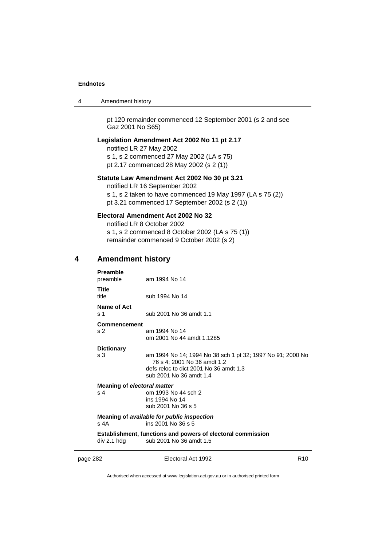| 4 | Amendment history |  |
|---|-------------------|--|
|---|-------------------|--|

pt 120 remainder commenced 12 September 2001 (s 2 and see Gaz 2001 No S65)

## **Legislation Amendment Act 2002 No 11 pt 2.17**

notified LR 27 May 2002 s 1, s 2 commenced 27 May 2002 (LA s 75) pt 2.17 commenced 28 May 2002 (s 2 (1))

#### **Statute Law Amendment Act 2002 No 30 pt 3.21**

notified LR 16 September 2002 s 1, s 2 taken to have commenced 19 May 1997 (LA s 75 (2)) pt 3.21 commenced 17 September 2002 (s 2 (1))

# **Electoral Amendment Act 2002 No 32**

notified LR 8 October 2002 s 1, s 2 commenced 8 October 2002 (LA s 75 (1)) remainder commenced 9 October 2002 (s 2)

#### **4 Amendment history**

| Preamble<br>preamble               | am 1994 No 14                                                                                                                                                  |
|------------------------------------|----------------------------------------------------------------------------------------------------------------------------------------------------------------|
| Title<br>title                     | sub 1994 No 14                                                                                                                                                 |
| Name of Act<br>s 1                 | sub 2001 No 36 amdt 1.1                                                                                                                                        |
| Commencement<br>s 2                | am 1994 No 14<br>om 2001 No 44 amdt 1.1285                                                                                                                     |
| <b>Dictionary</b><br>s 3           | am 1994 No 14; 1994 No 38 sch 1 pt 32; 1997 No 91; 2000 No<br>76 s 4; 2001 No 36 amdt 1.2<br>defs reloc to dict 2001 No 36 amdt 1.3<br>sub 2001 No 36 amdt 1.4 |
| Meaning of electoral matter<br>s 4 | om 1993 No 44 sch 2<br>ins 1994 No 14<br>sub 2001 No 36 s 5                                                                                                    |
| s 4A                               | Meaning of available for public inspection<br>$ins$ 2001 No 36 s 5                                                                                             |
| div 2.1 hdq                        | Establishment, functions and powers of electoral commission<br>sub 2001 No 36 amdt 1.5                                                                         |
|                                    |                                                                                                                                                                |

page 282 **Electoral Act 1992** R10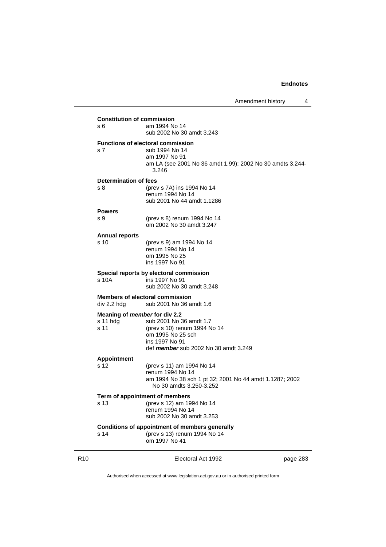| <b>Constitution of commission</b><br>s 6          | am 1994 No 14<br>sub 2002 No 30 amdt 3.243                                                                                                        |
|---------------------------------------------------|---------------------------------------------------------------------------------------------------------------------------------------------------|
| s <sub>7</sub>                                    | <b>Functions of electoral commission</b><br>sub 1994 No 14<br>am 1997 No 91<br>am LA (see 2001 No 36 amdt 1.99); 2002 No 30 amdts 3.244-<br>3.246 |
| Determination of fees                             |                                                                                                                                                   |
| s 8                                               | (prev s 7A) ins 1994 No 14<br>renum 1994 No 14<br>sub 2001 No 44 amdt 1.1286                                                                      |
| <b>Powers</b>                                     |                                                                                                                                                   |
| s 9                                               | (prev s 8) renum 1994 No 14<br>om 2002 No 30 amdt 3.247                                                                                           |
| <b>Annual reports</b>                             |                                                                                                                                                   |
| s 10                                              | (prev s 9) am 1994 No 14<br>renum 1994 No 14<br>om 1995 No 25<br>ins 1997 No 91                                                                   |
| s 10A                                             | Special reports by electoral commission<br>ins 1997 No 91<br>sub 2002 No 30 amdt 3.248                                                            |
| div 2.2 hdg                                       | <b>Members of electoral commission</b><br>sub 2001 No 36 amdt 1.6                                                                                 |
| Meaning of member for div 2.2<br>s 11 hda<br>s 11 | sub 2001 No 36 amdt 1.7<br>(prev s 10) renum 1994 No 14<br>om 1995 No 25 sch<br>ins 1997 No 91<br>def member sub 2002 No 30 amdt 3.249            |
| <b>Appointment</b>                                |                                                                                                                                                   |
| s <sub>12</sub>                                   | (prev s 11) am 1994 No 14<br>renum 1994 No 14<br>am 1994 No 38 sch 1 pt 32; 2001 No 44 amdt 1.1287; 2002<br>No 30 amdts 3.250-3.252               |
|                                                   | Term of appointment of members                                                                                                                    |
| s 13                                              | (prev s 12) am 1994 No 14<br>renum 1994 No 14<br>sub 2002 No 30 amdt 3.253                                                                        |
| s 14                                              | Conditions of appointment of members generally<br>(prev s 13) renum 1994 No 14                                                                    |
|                                                   | om 1997 No 41                                                                                                                                     |
|                                                   |                                                                                                                                                   |

R10 **Electoral Act 1992 page 283**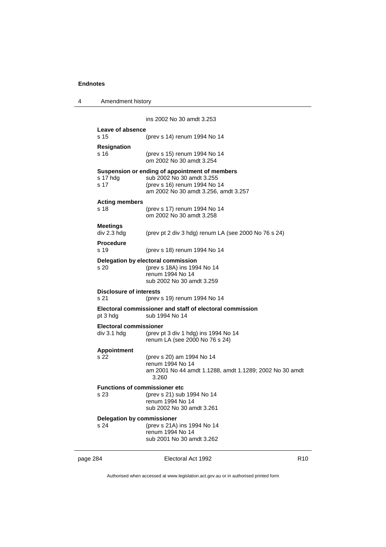4 Amendment history

|                                                | ins 2002 No 30 amdt 3.253                                                                                                                           |                 |
|------------------------------------------------|-----------------------------------------------------------------------------------------------------------------------------------------------------|-----------------|
| Leave of absence<br>s 15                       | (prev s 14) renum 1994 No 14                                                                                                                        |                 |
| <b>Resignation</b><br>s 16                     | (prev s 15) renum 1994 No 14<br>om 2002 No 30 amdt 3.254                                                                                            |                 |
| s 17 hdg<br>s 17                               | Suspension or ending of appointment of members<br>sub 2002 No 30 amdt 3.255<br>(prev s 16) renum 1994 No 14<br>am 2002 No 30 amdt 3.256, amdt 3.257 |                 |
| <b>Acting members</b><br>s 18                  | (prev s 17) renum 1994 No 14<br>om 2002 No 30 amdt 3.258                                                                                            |                 |
| <b>Meetings</b><br>div 2.3 hdg                 | (prev pt 2 div 3 hdg) renum LA (see 2000 No 76 s 24)                                                                                                |                 |
| <b>Procedure</b><br>s 19                       | (prev s 18) renum 1994 No 14                                                                                                                        |                 |
| s 20                                           | Delegation by electoral commission<br>(prev s 18A) ins 1994 No 14<br>renum 1994 No 14<br>sub 2002 No 30 amdt 3.259                                  |                 |
| Disclosure of interests<br>s 21                | (prev s 19) renum 1994 No 14                                                                                                                        |                 |
| pt 3 hdg                                       | Electoral commissioner and staff of electoral commission<br>sub 1994 No 14                                                                          |                 |
| <b>Electoral commissioner</b><br>$div$ 3.1 hdg | (prev pt 3 div 1 hdg) ins 1994 No 14<br>renum LA (see 2000 No 76 s 24)                                                                              |                 |
| <b>Appointment</b><br>s 22                     | (prev s 20) am 1994 No 14<br>renum 1994 No 14<br>am 2001 No 44 amdt 1.1288, amdt 1.1289; 2002 No 30 amdt<br>3.260                                   |                 |
| <b>Functions of commissioner etc</b><br>s 23   | (prev s 21) sub 1994 No 14<br>renum 1994 No 14<br>sub 2002 No 30 amdt 3.261                                                                         |                 |
| <b>Delegation by commissioner</b><br>s 24      | (prev s 21A) ins 1994 No 14<br>renum 1994 No 14<br>sub 2001 No 30 amdt 3.262                                                                        |                 |
| page 284                                       | Electoral Act 1992                                                                                                                                  | R <sub>10</sub> |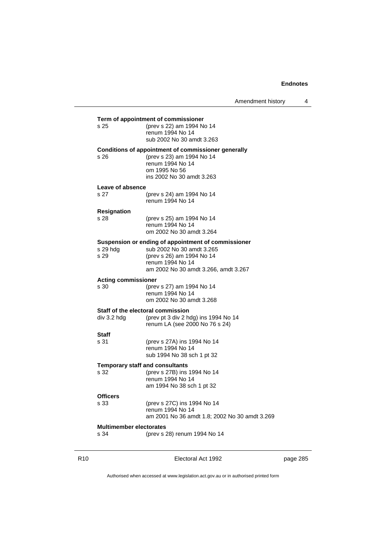Amendment history 4

| s 25                                   | (prev s 22) am 1994 No 14<br>renum 1994 No 14<br>sub 2002 No 30 amdt 3.263                                                                                                |  |
|----------------------------------------|---------------------------------------------------------------------------------------------------------------------------------------------------------------------------|--|
| s 26                                   | Conditions of appointment of commissioner generally<br>(prev s 23) am 1994 No 14<br>renum 1994 No 14<br>om 1995 No 56<br>ins 2002 No 30 amdt 3.263                        |  |
| Leave of absence                       |                                                                                                                                                                           |  |
| s 27                                   | (prev s 24) am 1994 No 14<br>renum 1994 No 14                                                                                                                             |  |
| <b>Resignation</b><br>s 28             | (prev s 25) am 1994 No 14<br>renum 1994 No 14<br>om 2002 No 30 amdt 3.264                                                                                                 |  |
| s 29 hda<br>s 29                       | Suspension or ending of appointment of commissioner<br>sub 2002 No 30 amdt 3.265<br>(prev s 26) am 1994 No 14<br>renum 1994 No 14<br>am 2002 No 30 amdt 3.266, amdt 3.267 |  |
| <b>Acting commissioner</b>             |                                                                                                                                                                           |  |
| s 30                                   | (prev s 27) am 1994 No 14<br>renum 1994 No 14<br>om 2002 No 30 amdt 3.268                                                                                                 |  |
|                                        | Staff of the electoral commission                                                                                                                                         |  |
| div 3.2 hdg                            | (prev pt 3 div 2 hdg) ins 1994 No 14<br>renum LA (see 2000 No 76 s 24)                                                                                                    |  |
| Staff                                  |                                                                                                                                                                           |  |
| s 31                                   | (prev s 27A) ins 1994 No 14<br>renum 1994 No 14<br>sub 1994 No 38 sch 1 pt 32                                                                                             |  |
| <b>Temporary staff and consultants</b> |                                                                                                                                                                           |  |
| s 32                                   | (prev s 27B) ins 1994 No 14<br>renum 1994 No 14<br>am 1994 No 38 sch 1 pt 32                                                                                              |  |
| <b>Officers</b>                        |                                                                                                                                                                           |  |
| s 33                                   | (prev s 27C) ins 1994 No 14<br>renum 1994 No 14<br>am 2001 No 36 amdt 1.8; 2002 No 30 amdt 3.269                                                                          |  |
| <b>Multimember electorates</b>         |                                                                                                                                                                           |  |
| s 34                                   | (prev s 28) renum 1994 No 14                                                                                                                                              |  |

**Term of appointment of commissioner**

R10 **Electoral Act 1992 page 285**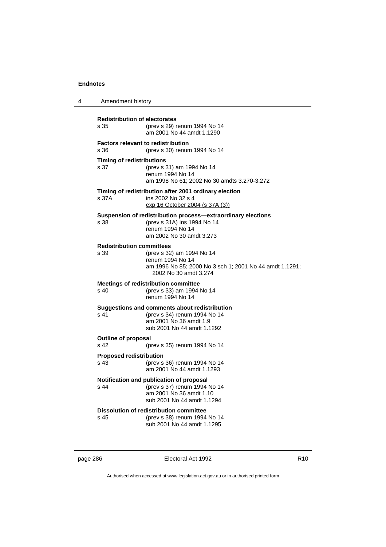| 4 | Amendment history                                 |                                                                                                                                             |
|---|---------------------------------------------------|---------------------------------------------------------------------------------------------------------------------------------------------|
|   | <b>Redistribution of electorates</b><br>s 35      | (prev s 29) renum 1994 No 14<br>am 2001 No 44 amdt 1.1290                                                                                   |
|   | s 36                                              | <b>Factors relevant to redistribution</b><br>(prev s 30) renum 1994 No 14                                                                   |
|   | <b>Timing of redistributions</b><br>s 37          | (prev s 31) am 1994 No 14<br>renum 1994 No 14<br>am 1998 No 61; 2002 No 30 amdts 3.270-3.272                                                |
|   | s 37A                                             | Timing of redistribution after 2001 ordinary election<br>ins 2002 No 32 s 4<br>exp 16 October 2004 (s 37A (3))                              |
|   | s 38                                              | Suspension of redistribution process—extraordinary elections<br>(prev s 31A) ins 1994 No 14<br>renum 1994 No 14<br>am 2002 No 30 amdt 3.273 |
|   | <b>Redistribution committees</b><br>s 39          | (prev s 32) am 1994 No 14<br>renum 1994 No 14<br>am 1996 No 85; 2000 No 3 sch 1; 2001 No 44 amdt 1.1291;<br>2002 No 30 amdt 3.274           |
|   | s 40                                              | <b>Meetings of redistribution committee</b><br>(prev s 33) am 1994 No 14<br>renum 1994 No 14                                                |
|   | s 41                                              | Suggestions and comments about redistribution<br>(prev s 34) renum 1994 No 14<br>am 2001 No 36 amdt 1.9<br>sub 2001 No 44 amdt 1.1292       |
|   | <b>Outline of proposal</b><br>s 42                | (prev s 35) renum 1994 No 14                                                                                                                |
|   | <b>Proposed redistribution</b><br>s <sub>43</sub> | (prev s 36) renum 1994 No 14<br>am 2001 No 44 amdt 1.1293                                                                                   |
|   | s 44                                              | Notification and publication of proposal<br>(prev s 37) renum 1994 No 14<br>am 2001 No 36 amdt 1.10<br>sub 2001 No 44 amdt 1.1294           |
|   | s 45                                              | Dissolution of redistribution committee<br>(prev s 38) renum 1994 No 14<br>sub 2001 No 44 amdt 1.1295                                       |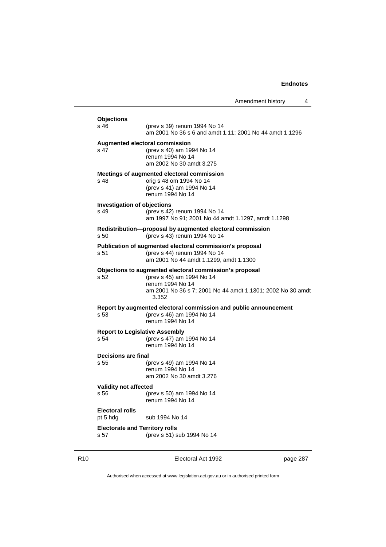| <b>Objections</b><br>s 46                     | (prev s 39) renum 1994 No 14<br>am 2001 No 36 s 6 and amdt 1.11; 2001 No 44 amdt 1.1296                                                                                         |
|-----------------------------------------------|---------------------------------------------------------------------------------------------------------------------------------------------------------------------------------|
| s 47                                          | Augmented electoral commission<br>(prev s 40) am 1994 No 14<br>renum 1994 No 14<br>am 2002 No 30 amdt 3.275                                                                     |
| s 48                                          | Meetings of augmented electoral commission<br>orig s 48 om 1994 No 14<br>(prev s 41) am 1994 No 14<br>renum 1994 No 14                                                          |
| <b>Investigation of objections</b><br>s 49    | (prev s 42) renum 1994 No 14<br>am 1997 No 91; 2001 No 44 amdt 1.1297, amdt 1.1298                                                                                              |
| s <sub>50</sub>                               | Redistribution-proposal by augmented electoral commission<br>(prev s 43) renum 1994 No 14                                                                                       |
| s 51                                          | Publication of augmented electoral commission's proposal<br>(prev s 44) renum 1994 No 14<br>am 2001 No 44 amdt 1.1299, amdt 1.1300                                              |
| s 52                                          | Objections to augmented electoral commission's proposal<br>(prev s 45) am 1994 No 14<br>renum 1994 No 14<br>am 2001 No 36 s 7; 2001 No 44 amdt 1.1301; 2002 No 30 amdt<br>3.352 |
| s 53                                          | Report by augmented electoral commission and public announcement<br>(prev s 46) am 1994 No 14<br>renum 1994 No 14                                                               |
| <b>Report to Legislative Assembly</b><br>s 54 | (prev s 47) am 1994 No 14<br>renum 1994 No 14                                                                                                                                   |
| Decisions are final                           |                                                                                                                                                                                 |
| s 55                                          | (prev s 49) am 1994 No 14<br>renum 1994 No 14<br>am 2002 No 30 amdt 3.276                                                                                                       |
| <b>Validity not affected</b><br>s 56          | (prev s 50) am 1994 No 14<br>renum 1994 No 14                                                                                                                                   |
| <b>Electoral rolls</b><br>pt 5 hdg            | sub 1994 No 14                                                                                                                                                                  |
| <b>Electorate and Territory rolls</b><br>s 57 | (prev s 51) sub 1994 No 14                                                                                                                                                      |

R10 **Electoral Act 1992 page 287**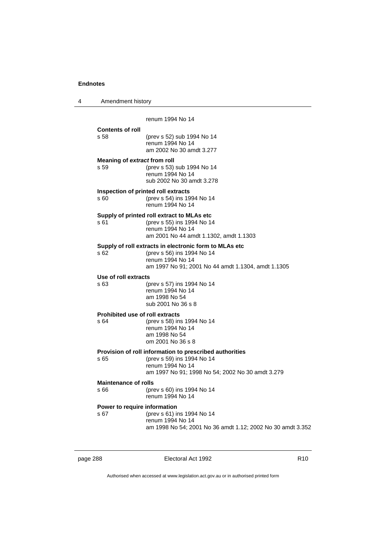| 4 | Amendment history                              |                                                                                                                                                                |
|---|------------------------------------------------|----------------------------------------------------------------------------------------------------------------------------------------------------------------|
|   |                                                | renum 1994 No 14                                                                                                                                               |
|   | <b>Contents of roll</b><br>s 58                | (prev s 52) sub 1994 No 14<br>renum 1994 No 14<br>am 2002 No 30 amdt 3.277                                                                                     |
|   | Meaning of extract from roll<br>s 59           | (prev s 53) sub 1994 No 14<br>renum 1994 No 14<br>sub 2002 No 30 amdt 3.278                                                                                    |
|   | s 60                                           | Inspection of printed roll extracts<br>(prev s 54) ins 1994 No 14<br>renum 1994 No 14                                                                          |
|   | s 61                                           | Supply of printed roll extract to MLAs etc<br>(prev s 55) ins 1994 No 14<br>renum 1994 No 14<br>am 2001 No 44 amdt 1.1302, amdt 1.1303                         |
|   | s 62                                           | Supply of roll extracts in electronic form to MLAs etc<br>(prev s 56) ins 1994 No 14<br>renum 1994 No 14<br>am 1997 No 91; 2001 No 44 amdt 1.1304, amdt 1.1305 |
|   | Use of roll extracts<br>s 63                   | (prev s 57) ins 1994 No 14<br>renum 1994 No 14<br>am 1998 No 54<br>sub 2001 No 36 s 8                                                                          |
|   | <b>Prohibited use of roll extracts</b><br>s 64 | (prev s 58) ins 1994 No 14<br>renum 1994 No 14<br>am 1998 No 54<br>om 2001 No 36 s 8                                                                           |
|   | s 65                                           | Provision of roll information to prescribed authorities<br>(prev s 59) ins 1994 No 14<br>renum 1994 No 14<br>am 1997 No 91; 1998 No 54; 2002 No 30 amdt 3.279  |
|   | <b>Maintenance of rolls</b><br>s 66            | (prev s 60) ins 1994 No 14<br>renum 1994 No 14                                                                                                                 |
|   | Power to require information<br>s 67           | (prev s 61) ins 1994 No 14<br>renum 1994 No 14<br>am 1998 No 54; 2001 No 36 amdt 1.12; 2002 No 30 amdt 3.352                                                   |

page 288 **Electoral Act 1992** R10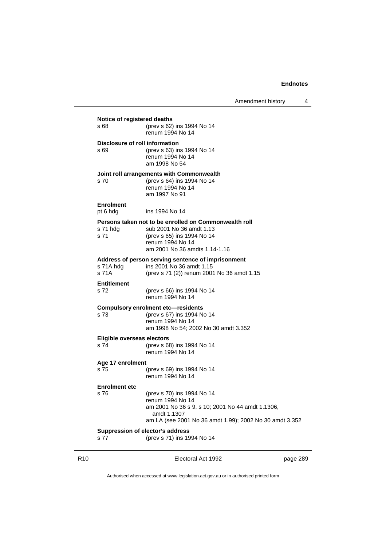Amendment history 4

| Notice of registered deaths            |                                                                                                                                                                              |  |  |
|----------------------------------------|------------------------------------------------------------------------------------------------------------------------------------------------------------------------------|--|--|
| s 68                                   | (prev s 62) ins 1994 No 14<br>renum 1994 No 14                                                                                                                               |  |  |
| Disclosure of roll information<br>s 69 | (prev s 63) ins 1994 No 14<br>renum 1994 No 14<br>am 1998 No 54                                                                                                              |  |  |
| s 70                                   | Joint roll arrangements with Commonwealth<br>(prev s 64) ins 1994 No 14<br>renum 1994 No 14<br>am 1997 No 91                                                                 |  |  |
| <b>Enrolment</b><br>pt 6 hdg           | ins 1994 No 14                                                                                                                                                               |  |  |
| s 71 hda<br>s 71                       | Persons taken not to be enrolled on Commonwealth roll<br>sub 2001 No 36 amdt 1.13<br>(prev s 65) ins 1994 No 14<br>renum 1994 No 14<br>am 2001 No 36 amdts 1.14-1.16         |  |  |
| s 71A hdg<br>s 71A                     | Address of person serving sentence of imprisonment<br>ins 2001 No 36 amdt 1.15<br>(prev s 71 (2)) renum 2001 No 36 amdt 1.15                                                 |  |  |
| <b>Entitlement</b><br>s 72             | (prev s 66) ins 1994 No 14<br>renum 1994 No 14                                                                                                                               |  |  |
| s 73                                   | <b>Compulsory enrolment etc-residents</b><br>(prev s 67) ins 1994 No 14<br>renum 1994 No 14<br>am 1998 No 54; 2002 No 30 amdt 3.352                                          |  |  |
| Eligible overseas electors<br>s 74     | (prev s 68) ins 1994 No 14<br>renum 1994 No 14                                                                                                                               |  |  |
| Age 17 enrolment                       |                                                                                                                                                                              |  |  |
| s 75                                   | (prev s 69) ins 1994 No 14<br>renum 1994 No 14                                                                                                                               |  |  |
| <b>Enrolment etc</b><br>s 76           | (prev s 70) ins 1994 No 14<br>renum 1994 No 14<br>am 2001 No 36 s 9, s 10; 2001 No 44 amdt 1.1306,<br>amdt 1.1307<br>am LA (see 2001 No 36 amdt 1.99); 2002 No 30 amdt 3.352 |  |  |
|                                        | Suppression of elector's address                                                                                                                                             |  |  |
| s 77                                   | (prev s 71) ins 1994 No 14                                                                                                                                                   |  |  |

R10 **Electoral Act 1992 page 289**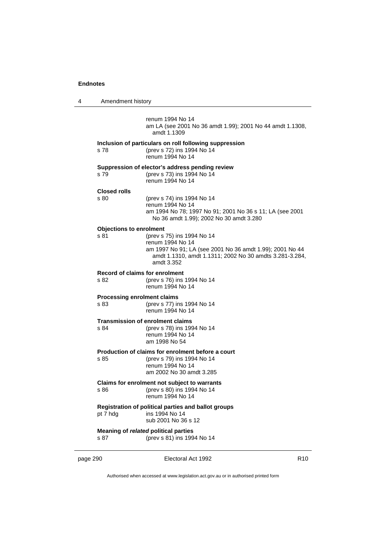| 4 | Amendment history                             |                                                                                                                                                                                     |
|---|-----------------------------------------------|-------------------------------------------------------------------------------------------------------------------------------------------------------------------------------------|
|   |                                               | renum 1994 No 14<br>am LA (see 2001 No 36 amdt 1.99); 2001 No 44 amdt 1.1308,<br>amdt 1.1309                                                                                        |
|   | s 78                                          | Inclusion of particulars on roll following suppression<br>(prev s 72) ins 1994 No 14<br>renum 1994 No 14                                                                            |
|   | s 79                                          | Suppression of elector's address pending review<br>(prev s 73) ins 1994 No 14<br>renum 1994 No 14                                                                                   |
|   | <b>Closed rolls</b><br>s 80                   | (prev s 74) ins 1994 No 14<br>renum 1994 No 14<br>am 1994 No 78; 1997 No 91; 2001 No 36 s 11; LA (see 2001<br>No 36 amdt 1.99); 2002 No 30 amdt 3.280                               |
|   | <b>Objections to enrolment</b><br>s 81        | (prev s 75) ins 1994 No 14<br>renum 1994 No 14<br>am 1997 No 91; LA (see 2001 No 36 amdt 1.99); 2001 No 44<br>amdt 1.1310, amdt 1.1311; 2002 No 30 amdts 3.281-3.284,<br>amdt 3.352 |
|   | <b>Record of claims for enrolment</b><br>s 82 | (prev s 76) ins 1994 No 14<br>renum 1994 No 14                                                                                                                                      |
|   | <b>Processing enrolment claims</b><br>s 83    | (prev s 77) ins 1994 No 14<br>renum 1994 No 14                                                                                                                                      |
|   | s 84                                          | <b>Transmission of enrolment claims</b><br>(prev s 78) ins 1994 No 14<br>renum 1994 No 14<br>am 1998 No 54                                                                          |
|   | s 85                                          | Production of claims for enrolment before a court<br>(prev s 79) ins 1994 No 14<br>renum 1994 No 14<br>am 2002 No 30 amdt 3.285                                                     |
|   | s 86                                          | Claims for enrolment not subject to warrants<br>(prev s 80) ins 1994 No 14<br>renum 1994 No 14                                                                                      |
|   | pt 7 hdg                                      | Registration of political parties and ballot groups<br>ins 1994 No 14<br>sub 2001 No 36 s 12                                                                                        |
|   | s 87                                          | Meaning of related political parties<br>(prev s 81) ins 1994 No 14                                                                                                                  |

page 290 **Electoral Act 1992** R10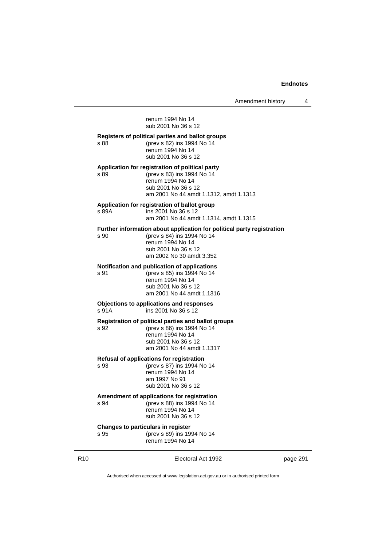renum 1994 No 14 sub 2001 No 36 s 12 **Registers of political parties and ballot groups** s 88 (prev s 82) ins 1994 No 14 renum 1994 No 14 sub 2001 No 36 s 12 **Application for registration of political party** s 89 (prev s 83) ins 1994 No 14 renum 1994 No 14 sub 2001 No 36 s 12 am 2001 No 44 amdt 1.1312, amdt 1.1313 **Application for registration of ballot group** s 89A ins 2001 No 36 s 12 am 2001 No 44 amdt 1.1314, amdt 1.1315 **Further information about application for political party registration** s 90 (prev s 84) ins 1994 No 14 renum 1994 No 14 sub 2001 No 36 s 12 am 2002 No 30 amdt 3.352 **Notification and publication of applications** s 91 (prev s 85) ins 1994 No 14 renum 1994 No 14 sub 2001 No 36 s 12 am 2001 No 44 amdt 1.1316 **Objections to applications and responses**  $ins$  2001 No 36 s 12 **Registration of political parties and ballot groups** s 92 (prev s 86) ins 1994 No 14 renum 1994 No 14 sub 2001 No 36 s 12 am 2001 No 44 amdt 1.1317 **Refusal of applications for registration** s 93 (prev s 87) ins 1994 No 14 renum 1994 No 14 am 1997 No 91 sub 2001 No 36 s 12 **Amendment of applications for registration** s 94 (prev s 88) ins 1994 No 14 renum 1994 No 14 sub 2001 No 36 s 12 **Changes to particulars in register** s 95 (prev s 89) ins 1994 No 14 renum 1994 No 14

R10 Electoral Act 1992 page 291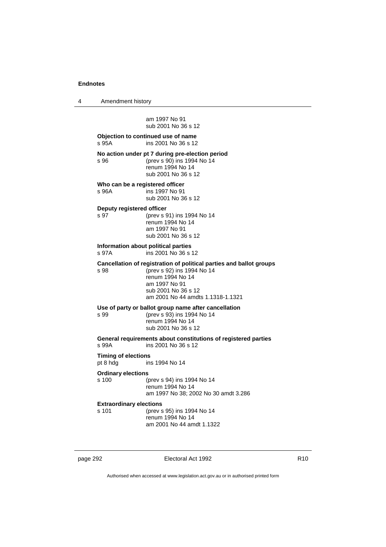4 Amendment history am 1997 No 91 sub 2001 No 36 s 12 **Objection to continued use of name** s 95A ins 2001 No 36 s 12 **No action under pt 7 during pre-election period**<br>s 96 (prev s 90) ins 1994 No 14 s 96 (prev s 90) ins 1994 No 14 renum 1994 No 14 sub 2001 No 36 s 12 **Who can be a registered officer** s 96A ins 1997 No 91 sub 2001 No 36 s 12 **Deputy registered officer** s 97 (prev s 91) ins 1994 No 14 renum 1994 No 14 am 1997 No 91 sub 2001 No 36 s 12 **Information about political parties** s 97A ins 2001 No 36 s 12 **Cancellation of registration of political parties and ballot groups** s 98 (prev s 92) ins 1994 No 14 renum 1994 No 14 am 1997 No 91 sub 2001 No 36 s 12 am 2001 No 44 amdts 1.1318-1.1321 **Use of party or ballot group name after cancellation** s 99 (prev s 93) ins 1994 No 14 renum 1994 No 14 sub 2001 No 36 s 12 **General requirements about constitutions of registered parties** ins 2001 No 36 s 12 **Timing of elections** pt 8 hdg ins 1994 No 14 **Ordinary elections** s 100 (prev s 94) ins 1994 No 14 renum 1994 No 14 am 1997 No 38; 2002 No 30 amdt 3.286 **Extraordinary elections** s 101 (prev s 95) ins 1994 No 14 renum 1994 No 14 am 2001 No 44 amdt 1.1322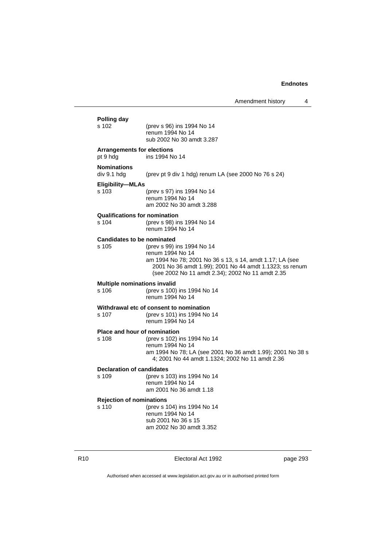**Polling day** s 102 (prev s 96) ins 1994 No 14 renum 1994 No 14 sub 2002 No 30 amdt 3.287 **Arrangements for elections** pt 9 hdg ins 1994 No 14 **Nominations** div 9.1 hdg (prev pt 9 div 1 hdg) renum LA (see 2000 No 76 s 24) **Eligibility—MLAs** s 103 (prev s 97) ins 1994 No 14 renum 1994 No 14 am 2002 No 30 amdt 3.288 **Qualifications for nomination** s 104 (prev s 98) ins 1994 No 14 renum 1994 No 14 **Candidates to be nominated**<br>s 105 (prev s 99) (prev s 99) ins 1994 No 14 renum 1994 No 14 am 1994 No 78; 2001 No 36 s 13, s 14, amdt 1.17; LA (see 2001 No 36 amdt 1.99); 2001 No 44 amdt 1.1323; ss renum (see 2002 No 11 amdt 2.34); 2002 No 11 amdt 2.35 **Multiple nominations invalid** s 106 (prev s 100) ins 1994 No 14 renum 1994 No 14 **Withdrawal etc of consent to nomination** s 107 (prev s 101) ins 1994 No 14 renum 1994 No 14 **Place and hour of nomination** s 108 (prev s 102) ins 1994 No 14 renum 1994 No 14 am 1994 No 78; LA (see 2001 No 36 amdt 1.99); 2001 No 38 s 4; 2001 No 44 amdt 1.1324; 2002 No 11 amdt 2.36 **Declaration of candidates** s 109 (prev s 103) ins 1994 No 14 renum 1994 No 14 am 2001 No 36 amdt 1.18 **Rejection of nominations** s 110 (prev s 104) ins 1994 No 14 renum 1994 No 14 sub 2001 No 36 s 15 am 2002 No 30 amdt 3.352

R10 Electoral Act 1992 page 293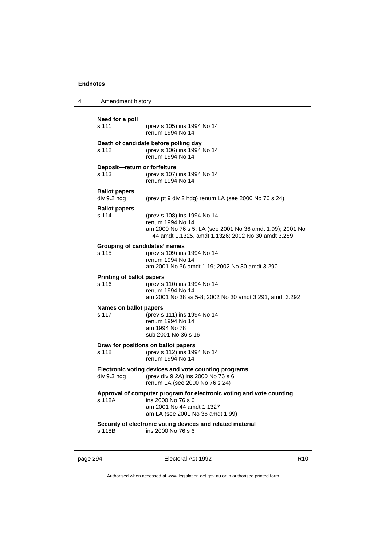| 4 | Amendment history                         |                                                                                                                                                                    |
|---|-------------------------------------------|--------------------------------------------------------------------------------------------------------------------------------------------------------------------|
|   | Need for a poll<br>s 111                  | (prev s 105) ins 1994 No 14<br>renum 1994 No 14                                                                                                                    |
|   | s 112                                     | Death of candidate before polling day<br>(prev s 106) ins 1994 No 14<br>renum 1994 No 14                                                                           |
|   | Deposit-return or forfeiture<br>s 113     | (prev s 107) ins 1994 No 14<br>renum 1994 No 14                                                                                                                    |
|   | <b>Ballot papers</b><br>div 9.2 hdg       | (prev pt 9 div 2 hdg) renum LA (see 2000 No 76 s 24)                                                                                                               |
|   | <b>Ballot papers</b><br>s 114             | (prev s 108) ins 1994 No 14<br>renum 1994 No 14<br>am 2000 No 76 s 5; LA (see 2001 No 36 amdt 1.99); 2001 No<br>44 amdt 1.1325, amdt 1.1326; 2002 No 30 amdt 3.289 |
|   | s 115                                     | Grouping of candidates' names<br>(prev s 109) ins 1994 No 14<br>renum 1994 No 14<br>am 2001 No 36 amdt 1.19; 2002 No 30 amdt 3.290                                 |
|   | <b>Printing of ballot papers</b><br>s 116 | (prev s 110) ins 1994 No 14<br>renum 1994 No 14<br>am 2001 No 38 ss 5-8; 2002 No 30 amdt 3.291, amdt 3.292                                                         |
|   | Names on ballot papers<br>s 117           | (prev s 111) ins 1994 No 14<br>renum 1994 No 14<br>am 1994 No 78<br>sub 2001 No 36 s 16                                                                            |
|   | s 118                                     | Draw for positions on ballot papers<br>(prev s 112) ins 1994 No 14<br>renum 1994 No 14                                                                             |
|   | div 9.3 hdg                               | Electronic voting devices and vote counting programs<br>(prev div 9.2A) ins 2000 No 76 s 6<br>renum LA (see 2000 No 76 s 24)                                       |
|   | s 118A                                    | Approval of computer program for electronic voting and vote counting<br>ins 2000 No 76 s 6<br>am 2001 No 44 amdt 1.1327<br>am LA (see 2001 No 36 amdt 1.99)        |
|   | s 118B                                    | Security of electronic voting devices and related material<br>ins 2000 No 76 s 6                                                                                   |
|   |                                           |                                                                                                                                                                    |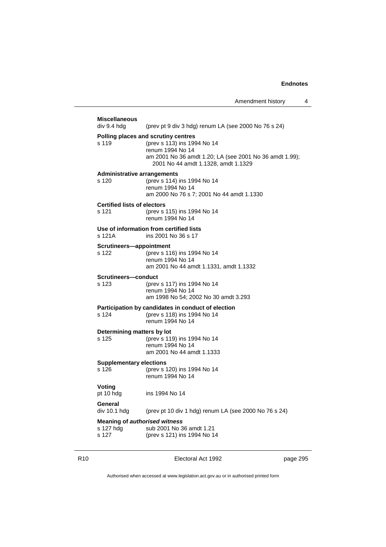| <b>Miscellaneous</b>                 |                                                                                                                                                                                          |  |
|--------------------------------------|------------------------------------------------------------------------------------------------------------------------------------------------------------------------------------------|--|
| div 9.4 hdg                          | (prev pt 9 div 3 hdg) renum LA (see 2000 No 76 s 24)                                                                                                                                     |  |
| s 119                                | Polling places and scrutiny centres<br>(prev s 113) ins 1994 No 14<br>renum 1994 No 14<br>am 2001 No 36 amdt 1.20; LA (see 2001 No 36 amdt 1.99);<br>2001 No 44 amdt 1.1328, amdt 1.1329 |  |
| <b>Administrative arrangements</b>   |                                                                                                                                                                                          |  |
| s 120                                | (prev s 114) ins 1994 No 14<br>renum 1994 No 14<br>am 2000 No 76 s 7; 2001 No 44 amdt 1.1330                                                                                             |  |
| <b>Certified lists of electors</b>   |                                                                                                                                                                                          |  |
| s 121                                | (prev s 115) ins 1994 No 14<br>renum 1994 No 14                                                                                                                                          |  |
| s 121A                               | Use of information from certified lists<br>ins 2001 No 36 s 17                                                                                                                           |  |
| Scrutineers-appointment              |                                                                                                                                                                                          |  |
| s 122                                | (prev s 116) ins 1994 No 14<br>renum 1994 No 14<br>am 2001 No 44 amdt 1.1331, amdt 1.1332                                                                                                |  |
| Scrutineers-conduct                  |                                                                                                                                                                                          |  |
| s 123                                | (prev s 117) ins 1994 No 14<br>renum 1994 No 14<br>am 1998 No 54; 2002 No 30 amdt 3.293                                                                                                  |  |
|                                      | Participation by candidates in conduct of election                                                                                                                                       |  |
| s 124                                | (prev s 118) ins 1994 No 14<br>renum 1994 No 14                                                                                                                                          |  |
| Determining matters by lot           |                                                                                                                                                                                          |  |
| s 125                                | (prev s 119) ins 1994 No 14<br>renum 1994 No 14<br>am 2001 No 44 amdt 1.1333                                                                                                             |  |
| <b>Supplementary elections</b>       |                                                                                                                                                                                          |  |
| s 126                                | (prev s 120) ins 1994 No 14<br>renum 1994 No 14                                                                                                                                          |  |
| Voting<br>pt 10 hdg                  | ins 1994 No 14                                                                                                                                                                           |  |
| General<br>div 10.1 hdg              | (prev pt 10 div 1 hdg) renum LA (see 2000 No 76 s 24)                                                                                                                                    |  |
| <b>Meaning of authorised witness</b> |                                                                                                                                                                                          |  |
| s 127 hdg<br>s 127                   | sub 2001 No 36 amdt 1.21<br>(prev s 121) ins 1994 No 14                                                                                                                                  |  |
|                                      |                                                                                                                                                                                          |  |

R10 **Electoral Act 1992 page 295**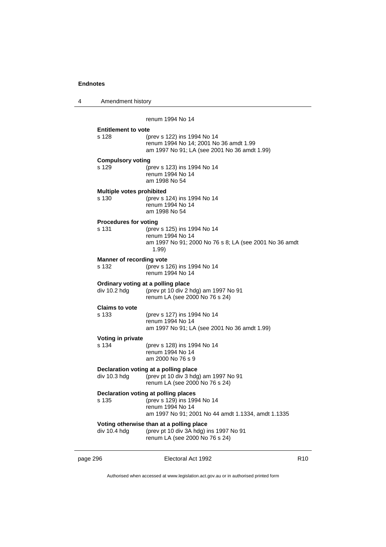4 Amendment history

renum 1994 No 14

| <b>Entitlement to vote</b><br>s 128   | (prev s 122) ins 1994 No 14<br>renum 1994 No 14; 2001 No 36 amdt 1.99<br>am 1997 No 91; LA (see 2001 No 36 amdt 1.99)                         |
|---------------------------------------|-----------------------------------------------------------------------------------------------------------------------------------------------|
| <b>Compulsory voting</b><br>s 129     | (prev s 123) ins 1994 No 14<br>renum 1994 No 14<br>am 1998 No 54                                                                              |
| Multiple votes prohibited<br>s 130    | (prev s 124) ins 1994 No 14<br>renum 1994 No 14<br>am 1998 No 54                                                                              |
| <b>Procedures for voting</b><br>s 131 | (prev s 125) ins 1994 No 14<br>renum 1994 No 14<br>am 1997 No 91; 2000 No 76 s 8; LA (see 2001 No 36 amdt<br>1.99)                            |
| Manner of recording vote<br>s 132     | (prev s 126) ins 1994 No 14<br>renum 1994 No 14                                                                                               |
| div 10.2 hdg                          | Ordinary voting at a polling place<br>(prev pt 10 div 2 hdg) am 1997 No 91<br>renum LA (see 2000 No 76 s 24)                                  |
| <b>Claims to vote</b><br>s 133        | (prev s 127) ins 1994 No 14<br>renum 1994 No 14<br>am 1997 No 91; LA (see 2001 No 36 amdt 1.99)                                               |
| Voting in private<br>s 134            | (prev s 128) ins 1994 No 14<br>renum 1994 No 14<br>am 2000 No 76 s 9                                                                          |
| div 10.3 hdg                          | Declaration voting at a polling place<br>(prev pt 10 div 3 hdg) am 1997 No 91<br>renum LA (see 2000 No 76 s 24)                               |
| s 135                                 | Declaration voting at polling places<br>(prev s 129) ins 1994 No 14<br>renum 1994 No 14<br>am 1997 No 91; 2001 No 44 amdt 1.1334, amdt 1.1335 |
| div 10.4 hdg                          | Voting otherwise than at a polling place<br>(prev pt 10 div 3A hdg) ins 1997 No 91<br>renum LA (see 2000 No 76 s 24)                          |

page 296 **Electoral Act 1992** R10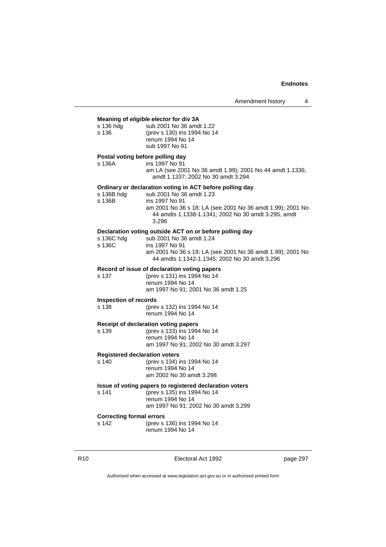| s 136 hdg<br>s 136                         | Meaning of eligible elector for div 3A<br>sub 2001 No 36 amdt 1.22<br>(prev s 130) ins 1994 No 14<br>renum 1994 No 14<br>sub 1997 No 91                                                                                              |  |
|--------------------------------------------|--------------------------------------------------------------------------------------------------------------------------------------------------------------------------------------------------------------------------------------|--|
| Postal voting before polling day<br>s 136A | ins 1997 No 91<br>am LA (see 2001 No 36 amdt 1.99); 2001 No 44 amdt 1.1336,<br>amdt 1.1337; 2002 No 30 amdt 3.294                                                                                                                    |  |
| s 136B hdg<br>s 136B                       | Ordinary or declaration voting in ACT before polling day<br>sub 2001 No 36 amdt 1.23<br>ins 1997 No 91<br>am 2001 No 36 s 18; LA (see 2001 No 36 amdt 1.99); 2001 No<br>44 amdts 1.1338-1.1341; 2002 No 30 amdt 3.295, amdt<br>3.296 |  |
| s 136C hdg<br>s 136C                       | Declaration voting outside ACT on or before polling day<br>sub 2001 No 36 amdt 1.24<br>ins 1997 No 91<br>am 2001 No 36 s 19; LA (see 2001 No 36 amdt 1.99); 2001 No<br>44 amdts 1.1342-1.1345; 2002 No 30 amdt 3.296                 |  |
| s 137                                      | Record of issue of declaration voting papers<br>(prev s 131) ins 1994 No 14<br>renum 1994 No 14<br>am 1997 No 91; 2001 No 36 amdt 1.25                                                                                               |  |
| <b>Inspection of records</b>               |                                                                                                                                                                                                                                      |  |
| s 138                                      | (prev s 132) ins 1994 No 14<br>renum 1994 No 14                                                                                                                                                                                      |  |
| s 139                                      | Receipt of declaration voting papers<br>(prev s 133) ins 1994 No 14<br>renum 1994 No 14<br>am 1997 No 91; 2002 No 30 amdt 3.297                                                                                                      |  |
| <b>Registered declaration voters</b>       |                                                                                                                                                                                                                                      |  |
| s 140                                      | (prev s 134) ins 1994 No 14<br>renum 1994 No 14<br>am 2002 No 30 amdt 3.298                                                                                                                                                          |  |
| s 141                                      | Issue of voting papers to registered declaration voters<br>(prev s 135) ins 1994 No 14<br>renum 1994 No 14<br>am 1997 No 91; 2002 No 30 amdt 3.299                                                                                   |  |
| <b>Correcting formal errors</b><br>s 142   | (prev s 136) ins 1994 No 14<br>renum 1994 No 14                                                                                                                                                                                      |  |

R10 **Electoral Act 1992 page 297**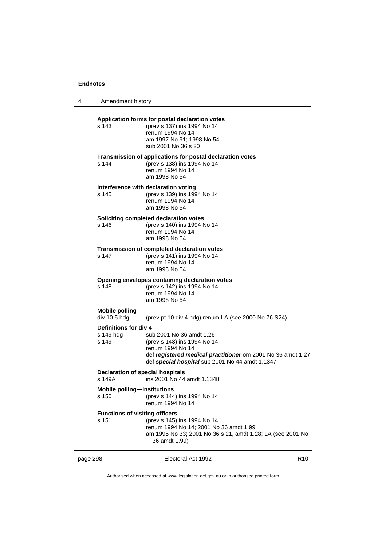| 4        | Amendment history                                                               |                                                                                                                                                                                               |                 |
|----------|---------------------------------------------------------------------------------|-----------------------------------------------------------------------------------------------------------------------------------------------------------------------------------------------|-----------------|
|          | s 143                                                                           | Application forms for postal declaration votes<br>(prev s 137) ins 1994 No 14<br>renum 1994 No 14<br>am 1997 No 91; 1998 No 54<br>sub 2001 No 36 s 20                                         |                 |
|          | s 144                                                                           | Transmission of applications for postal declaration votes<br>(prev s 138) ins 1994 No 14<br>renum 1994 No 14<br>am 1998 No 54                                                                 |                 |
|          | s 145                                                                           | Interference with declaration voting<br>(prev s 139) ins 1994 No 14<br>renum 1994 No 14<br>am 1998 No 54                                                                                      |                 |
|          | s 146                                                                           | Soliciting completed declaration votes<br>(prev s 140) ins 1994 No 14<br>renum 1994 No 14<br>am 1998 No 54                                                                                    |                 |
|          | s 147                                                                           | Transmission of completed declaration votes<br>(prev s 141) ins 1994 No 14<br>renum 1994 No 14<br>am 1998 No 54                                                                               |                 |
|          | s 148                                                                           | Opening envelopes containing declaration votes<br>(prev s 142) ins 1994 No 14<br>renum 1994 No 14<br>am 1998 No 54                                                                            |                 |
|          | <b>Mobile polling</b><br>div 10.5 hdg                                           | (prev pt 10 div 4 hdg) renum LA (see 2000 No 76 S24)                                                                                                                                          |                 |
|          | Definitions for div 4<br>s 149 hdg<br>s 149                                     | sub 2001 No 36 amdt 1.26<br>(prev s 143) ins 1994 No 14<br>renum 1994 No 14<br>def registered medical practitioner om 2001 No 36 amdt 1.27<br>def special hospital sub 2001 No 44 amdt 1.1347 |                 |
|          | <b>Declaration of special hospitals</b><br>s 149A<br>ins 2001 No 44 amdt 1.1348 |                                                                                                                                                                                               |                 |
|          | <b>Mobile polling-institutions</b><br>s 150                                     | (prev s 144) ins 1994 No 14<br>renum 1994 No 14                                                                                                                                               |                 |
|          | <b>Functions of visiting officers</b><br>s 151                                  | (prev s 145) ins 1994 No 14<br>renum 1994 No 14; 2001 No 36 amdt 1.99<br>am 1995 No 33; 2001 No 36 s 21, amdt 1.28; LA (see 2001 No<br>36 amdt 1.99)                                          |                 |
| page 298 |                                                                                 | Electoral Act 1992                                                                                                                                                                            | R <sub>10</sub> |

 $\overline{a}$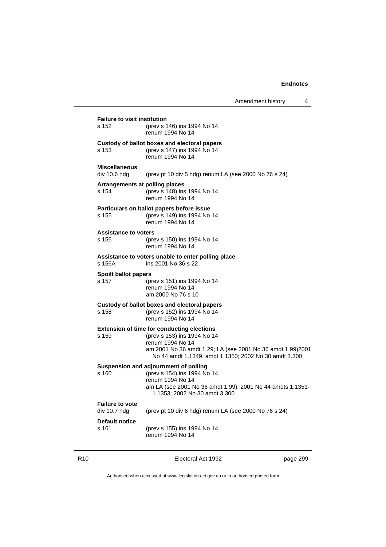**Failure to visit institution** s 152 (prev s 146) ins 1994 No 14 renum 1994 No 14 **Custody of ballot boxes and electoral papers** s 153 (prev s 147) ins 1994 No 14 renum 1994 No 14 **Miscellaneous** div 10.6 hdg (prev pt 10 div 5 hdg) renum LA (see 2000 No 76 s 24) **Arrangements at polling places** s 154 (prev s 148) ins 1994 No 14 renum 1994 No 14 **Particulars on ballot papers before issue** s 155 (prev s 149) ins 1994 No 14 renum 1994 No 14 **Assistance to voters** s 156 (prev s 150) ins 1994 No 14 renum 1994 No 14 **Assistance to voters unable to enter polling place** s 156A ins 2001 No 36 s 22 **Spoilt ballot papers**<br>s 157 (p) s 157 (prev s 151) ins 1994 No 14 renum 1994 No 14 am 2000 No 76 s 10 **Custody of ballot boxes and electoral papers** s 158 (prev s 152) ins 1994 No 14 renum 1994 No 14 **Extension of time for conducting elections** s 159 (prev s 153) ins 1994 No 14 renum 1994 No 14 am 2001 No 36 amdt 1.29; LA (see 2001 No 36 amdt 1.99)2001 No 44 amdt 1.1349, amdt 1.1350; 2002 No 30 amdt 3.300 **Suspension and adjournment of polling** s 160 (prev s 154) ins 1994 No 14 renum 1994 No 14 am LA (see 2001 No 36 amdt 1.99); 2001 No 44 amdts 1.1351- 1.1353; 2002 No 30 amdt 3.300 **Failure to vote** div 10.7 hdg (prev pt 10 div 6 hdg) renum LA (see 2000 No 76 s 24) **Default notice** s 161 (prev s 155) ins 1994 No 14 renum 1994 No 14

R10 Electoral Act 1992 page 299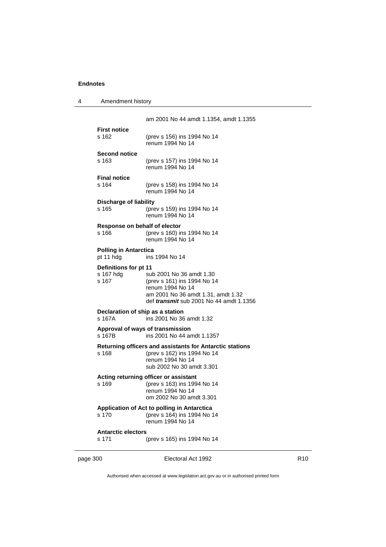| Amendment history |
|-------------------|
|                   |

am 2001 No 44 amdt 1.1354, amdt 1.1355 **First notice** s 162 (prev s 156) ins 1994 No 14 renum 1994 No 14 **Second notice** (prev s 157) ins 1994 No 14 renum 1994 No 14 **Final notice**<br>s 164 s 164 (prev s 158) ins 1994 No 14 renum 1994 No 14 **Discharge of liability** s 165 (prev s 159) ins 1994 No 14 renum 1994 No 14 **Response on behalf of elector** s 166 (prev s 160) ins 1994 No 14 renum 1994 No 14 **Polling in Antarctica** pt 11 hdg ins 1994 No 14 **Definitions for pt 11**<br>s 167 hdg su s 167 hdg sub 2001 No 36 amdt 1.30<br>s 167 (prev s 161) ins 1994 No 1 s 167 (prev s 161) ins 1994 No 14 renum 1994 No 14 am 2001 No 36 amdt 1.31, amdt 1.32 def *transmit* sub 2001 No 44 amdt 1.1356 **Declaration of ship as a station** s 167A ins 2001 No 36 amdt 1.32 **Approval of ways of transmission** s 167B ins 2001 No 44 amdt 1.1357 **Returning officers and assistants for Antarctic stations** s 168 (prev s 162) ins 1994 No 14 renum 1994 No 14 sub 2002 No 30 amdt 3.301

#### **Acting returning officer or assistant**

s 169 (prev s 163) ins 1994 No 14 renum 1994 No 14 om 2002 No 30 amdt 3.301

#### **Application of Act to polling in Antarctica** s 170 (prev s 164) ins 1994 No 14

renum 1994 No 14

#### **Antarctic electors**

s 171 (prev s 165) ins 1994 No 14

page 300 **Electoral Act 1992** R10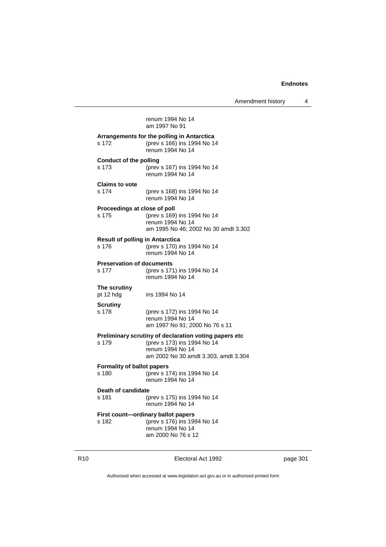Amendment history 4

renum 1994 No 14 am 1997 No 91 **Arrangements for the polling in Antarctica** s 172 (prev s 166) ins 1994 No 14 renum 1994 No 14 **Conduct of the polling** s 173 (prev s 167) ins 1994 No 14 renum 1994 No 14 **Claims to vote** s 174 (prev s 168) ins 1994 No 14 renum 1994 No 14 **Proceedings at close of poll** s 175 (prev s 169) ins 1994 No 14 renum 1994 No 14 am 1995 No 46; 2002 No 30 amdt 3.302 **Result of polling in Antarctica**<br>s 176 (prev s 170) in (prev s 170) ins 1994 No 14 renum 1994 No 14 **Preservation of documents** s 177 (prev s 171) ins 1994 No 14 renum 1994 No 14 **The scrutiny** pt 12 hdg ins 1994 No 14 **Scrutiny** s 178 (prev s 172) ins 1994 No 14 renum 1994 No 14 am 1997 No 91; 2000 No 76 s 11 **Preliminary scrutiny of declaration voting papers etc** s 179 (prev s 173) ins 1994 No 14 renum 1994 No 14 am 2002 No 30 amdt 3.303, amdt 3.304 **Formality of ballot papers** s 180 (prev s 174) ins 1994 No 14 renum 1994 No 14 **Death of candidate** s 181 (prev s 175) ins 1994 No 14 renum 1994 No 14 **First count—ordinary ballot papers** s 182 (prev s 176) ins 1994 No 14 renum 1994 No 14

R10 Electoral Act 1992 page 301

Authorised when accessed at www.legislation.act.gov.au or in authorised printed form

am 2000 No 76 s 12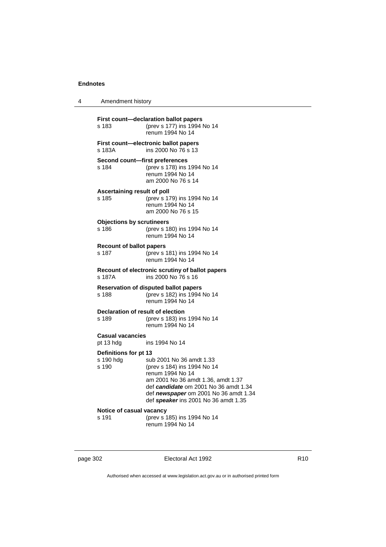4 Amendment history

| s 183                                       | First count-declaration ballot papers<br>(prev s 177) ins 1994 No 14<br>renum 1994 No 14                                                                                                                                                    |
|---------------------------------------------|---------------------------------------------------------------------------------------------------------------------------------------------------------------------------------------------------------------------------------------------|
| s 183A                                      | First count-electronic ballot papers<br>ins 2000 No 76 s 13                                                                                                                                                                                 |
| Second count-first preferences<br>s 184     | (prev s 178) ins 1994 No 14<br>renum 1994 No 14<br>am 2000 No 76 s 14                                                                                                                                                                       |
| Ascertaining result of poll<br>s 185        | (prev s 179) ins 1994 No 14<br>renum 1994 No 14<br>am 2000 No 76 s 15                                                                                                                                                                       |
| <b>Objections by scrutineers</b><br>s 186   | (prev s 180) ins 1994 No 14<br>renum 1994 No 14                                                                                                                                                                                             |
| <b>Recount of ballot papers</b><br>s 187    | (prev s 181) ins 1994 No 14<br>renum 1994 No 14                                                                                                                                                                                             |
| s 187A                                      | Recount of electronic scrutiny of ballot papers<br>ins 2000 No 76 s 16                                                                                                                                                                      |
| s 188                                       | <b>Reservation of disputed ballot papers</b><br>(prev s 182) ins 1994 No 14<br>renum 1994 No 14                                                                                                                                             |
| Declaration of result of election<br>s 189  | (prev s 183) ins 1994 No 14<br>renum 1994 No 14                                                                                                                                                                                             |
| <b>Casual vacancies</b><br>pt 13 hdg        | ins 1994 No 14                                                                                                                                                                                                                              |
| Definitions for pt 13<br>s 190 hdg<br>s 190 | sub 2001 No 36 amdt 1.33<br>(prev s 184) ins 1994 No 14<br>renum 1994 No 14<br>am 2001 No 36 amdt 1.36, amdt 1.37<br>def candidate om 2001 No 36 amdt 1.34<br>def newspaper om 2001 No 36 amdt 1.34<br>def speaker ins 2001 No 36 amdt 1.35 |
| Notice of casual vacancy<br>s 191           | (prev s 185) ins 1994 No 14<br>renum 1994 No 14                                                                                                                                                                                             |

| page 302 |  |  |
|----------|--|--|
|----------|--|--|

page 302 Electoral Act 1992 **R10**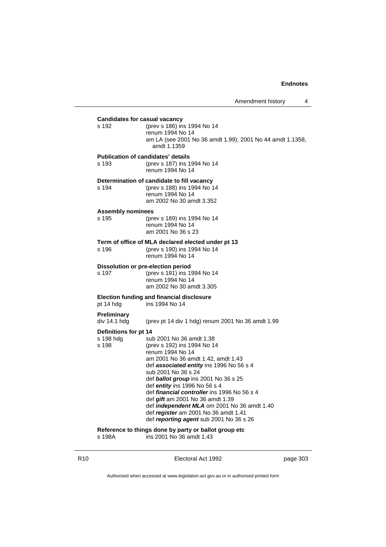**Candidates for casual vacancy** s 192 (prev s 186) ins 1994 No 14 renum 1994 No 14 am LA (see 2001 No 36 amdt 1.99); 2001 No 44 amdt 1.1358, amdt 1.1359 **Publication of candidates' details** s 193 (prev s 187) ins 1994 No 14 renum 1994 No 14 **Determination of candidate to fill vacancy** s 194 (prev s 188) ins 1994 No 14 renum 1994 No 14 am 2002 No 30 amdt 3.352 **Assembly nominees** s 195 (prev s 189) ins 1994 No 14 renum 1994 No 14 am 2001 No 36 s 23 **Term of office of MLA declared elected under pt 13** s 196 (prev s 190) ins 1994 No 14 renum 1994 No 14 **Dissolution or pre-election period** s 197 (prev s 191) ins 1994 No 14 renum 1994 No 14 am 2002 No 30 amdt 3.305 **Election funding and financial disclosure** pt 14 hdg ins 1994 No 14 **Preliminary** div 14.1 hdg (prev pt 14 div 1 hdg) renum 2001 No 36 amdt 1.99 **Definitions for pt 14** s 198 hdg sub 2001 No 36 amdt 1.38<br>s 198 (prev s 192) ins 1994 No 14 (prev s 192) ins 1994 No 14 renum 1994 No 14 am 2001 No 36 amdt 1.42, amdt 1.43 def *associated entity* ins 1996 No 56 s 4 sub 2001 No 36 s 24 def *ballot group* ins 2001 No 36 s 25 def *entity* ins 1996 No 56 s 4 def *financial controller* ins 1996 No 56 s 4 def *gift* am 2001 No 36 amdt 1.39 def *independent MLA* om 2001 No 36 amdt 1.40 def *register* am 2001 No 36 amdt 1.41 def *reporting agent* sub 2001 No 36 s 26 **Reference to things done by party or ballot group etc** s 198A ins 2001 No 36 amdt 1.43

R10 **Electoral Act 1992 page 303**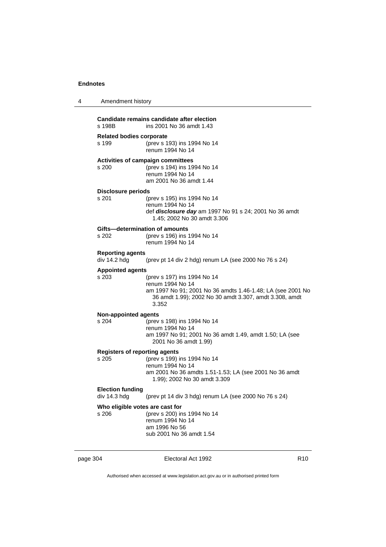| 4                                                                                          |                                               | Amendment history                                                                                                                                                                |  |
|--------------------------------------------------------------------------------------------|-----------------------------------------------|----------------------------------------------------------------------------------------------------------------------------------------------------------------------------------|--|
|                                                                                            | s 198B                                        | Candidate remains candidate after election<br>ins 2001 No 36 amdt 1.43                                                                                                           |  |
|                                                                                            | <b>Related bodies corporate</b><br>s 199      | (prev s 193) ins 1994 No 14<br>renum 1994 No 14                                                                                                                                  |  |
|                                                                                            | s 200                                         | Activities of campaign committees<br>(prev s 194) ins 1994 No 14<br>renum 1994 No 14<br>am 2001 No 36 amdt 1.44                                                                  |  |
|                                                                                            | Disclosure periods<br>s 201                   | (prev s 195) ins 1994 No 14<br>renum 1994 No 14<br>def <i>disclosure day</i> am 1997 No 91 s 24; 2001 No 36 amdt<br>1.45; 2002 No 30 amdt 3.306                                  |  |
| Gifts-determination of amounts<br>(prev s 196) ins 1994 No 14<br>s 202<br>renum 1994 No 14 |                                               |                                                                                                                                                                                  |  |
|                                                                                            | <b>Reporting agents</b><br>div 14.2 hdg       | (prev pt 14 div 2 hdg) renum LA (see 2000 No 76 s 24)                                                                                                                            |  |
|                                                                                            | <b>Appointed agents</b><br>s 203              | (prev s 197) ins 1994 No 14<br>renum 1994 No 14<br>am 1997 No 91; 2001 No 36 amdts 1.46-1.48; LA (see 2001 No<br>36 amdt 1.99); 2002 No 30 amdt 3.307, amdt 3.308, amdt<br>3.352 |  |
|                                                                                            | <b>Non-appointed agents</b><br>s 204          | (prev s 198) ins 1994 No 14<br>renum 1994 No 14<br>am 1997 No 91; 2001 No 36 amdt 1.49, amdt 1.50; LA (see<br>2001 No 36 amdt 1.99)                                              |  |
|                                                                                            | <b>Registers of reporting agents</b><br>s 205 | (prev s 199) ins 1994 No 14<br>renum 1994 No 14<br>am 2001 No 36 amdts 1.51-1.53; LA (see 2001 No 36 amdt<br>1.99); 2002 No 30 amdt 3.309                                        |  |
|                                                                                            | <b>Election funding</b><br>div 14.3 hdg       | (prev pt 14 div 3 hdg) renum LA (see 2000 No 76 s 24)                                                                                                                            |  |
|                                                                                            | Who eligible votes are cast for<br>s 206      | (prev s 200) ins 1994 No 14<br>renum 1994 No 14<br>am 1996 No 56<br>sub 2001 No 36 amdt 1.54                                                                                     |  |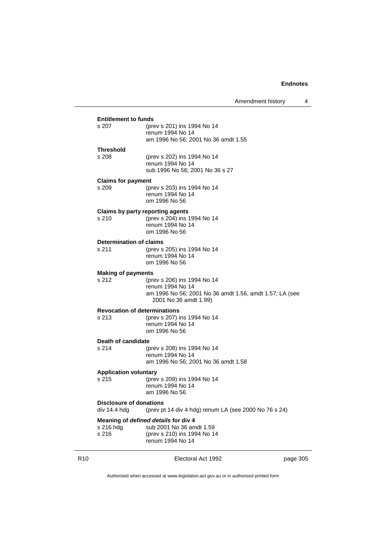| Amendment history |  |
|-------------------|--|
|                   |  |

| <b>Entitlement to funds</b>                                                                             |                                                                                                                                     |  |  |
|---------------------------------------------------------------------------------------------------------|-------------------------------------------------------------------------------------------------------------------------------------|--|--|
| s 207                                                                                                   | (prev s 201) ins 1994 No 14<br>renum 1994 No 14<br>am 1996 No 56; 2001 No 36 amdt 1.55                                              |  |  |
| <b>Threshold</b><br>s 208                                                                               | (prev s 202) ins 1994 No 14<br>renum 1994 No 14<br>sub 1996 No 56; 2001 No 36 s 27                                                  |  |  |
| <b>Claims for payment</b><br>s 209                                                                      | (prev s 203) ins 1994 No 14<br>renum 1994 No 14<br>om 1996 No 56                                                                    |  |  |
| Claims by party reporting agents<br>s 210                                                               | (prev s 204) ins 1994 No 14<br>renum 1994 No 14<br>om 1996 No 56                                                                    |  |  |
| <b>Determination of claims</b><br>s 211                                                                 | (prev s 205) ins 1994 No 14<br>renum 1994 No 14<br>om 1996 No 56                                                                    |  |  |
| <b>Making of payments</b><br>s 212                                                                      | (prev s 206) ins 1994 No 14<br>renum 1994 No 14<br>am 1996 No 56; 2001 No 36 amdt 1.56, amdt 1.57; LA (see<br>2001 No 36 amdt 1.99) |  |  |
| <b>Revocation of determinations</b><br>s 213                                                            | (prev s 207) ins 1994 No 14<br>renum 1994 No 14<br>om 1996 No 56                                                                    |  |  |
| Death of candidate<br>s 214                                                                             | (prev s 208) ins 1994 No 14<br>renum 1994 No 14<br>am 1996 No 56; 2001 No 36 amdt 1.58                                              |  |  |
| <b>Application voluntary</b><br>s 215                                                                   | (prev s 209) ins 1994 No 14<br>renum 1994 No 14<br>am 1996 No 56                                                                    |  |  |
| <b>Disclosure of donations</b><br>div 14.4 hdg<br>(prev pt 14 div 4 hdg) renum LA (see 2000 No 76 s 24) |                                                                                                                                     |  |  |
| s 216 hdg<br>s 216                                                                                      | Meaning of defined details for div 4<br>sub 2001 No 36 amdt 1.59<br>(prev s 210) ins 1994 No 14<br>renum 1994 No 14                 |  |  |

R10 **Electoral Act 1992 page 305**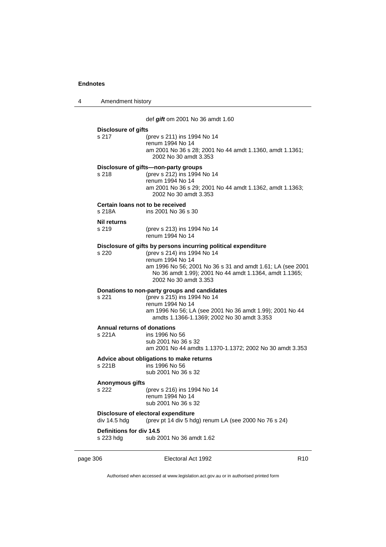| 4 | Amendment history                            |                                                                                                                                                                                                                                                                    |
|---|----------------------------------------------|--------------------------------------------------------------------------------------------------------------------------------------------------------------------------------------------------------------------------------------------------------------------|
|   |                                              | def gift om 2001 No 36 amdt 1.60                                                                                                                                                                                                                                   |
|   | <b>Disclosure of gifts</b><br>s 217          | (prev s 211) ins 1994 No 14<br>renum 1994 No 14<br>am 2001 No 36 s 28; 2001 No 44 amdt 1.1360, amdt 1.1361;<br>2002 No 30 amdt 3.353                                                                                                                               |
|   | s 218                                        | Disclosure of gifts-non-party groups<br>(prev s 212) ins 1994 No 14<br>renum 1994 No 14<br>am 2001 No 36 s 29; 2001 No 44 amdt 1.1362, amdt 1.1363;<br>2002 No 30 amdt 3.353                                                                                       |
|   | Certain loans not to be received<br>s 218A   | ins 2001 No 36 s 30                                                                                                                                                                                                                                                |
|   | <b>Nil returns</b><br>s 219                  | (prev s 213) ins 1994 No 14<br>renum 1994 No 14                                                                                                                                                                                                                    |
|   | s 220                                        | Disclosure of gifts by persons incurring political expenditure<br>(prev s 214) ins 1994 No 14<br>renum 1994 No 14<br>am 1996 No 56; 2001 No 36 s 31 and amdt 1.61; LA (see 2001<br>No 36 amdt 1.99); 2001 No 44 amdt 1.1364, amdt 1.1365;<br>2002 No 30 amdt 3.353 |
|   | s 221                                        | Donations to non-party groups and candidates<br>(prev s 215) ins 1994 No 14<br>renum 1994 No 14<br>am 1996 No 56; LA (see 2001 No 36 amdt 1.99); 2001 No 44<br>amdts 1.1366-1.1369; 2002 No 30 amdt 3.353                                                          |
|   | <b>Annual returns of donations</b><br>s 221A | ins 1996 No 56<br>sub 2001 No 36 s 32<br>am 2001 No 44 amdts 1.1370-1.1372; 2002 No 30 amdt 3.353                                                                                                                                                                  |
|   | s 221B                                       | Advice about obligations to make returns<br>ins 1996 No 56<br>sub 2001 No 36 s 32                                                                                                                                                                                  |
|   | Anonymous gifts<br>s 222                     | (prev s 216) ins 1994 No 14<br>renum 1994 No 14<br>sub 2001 No 36 s 32                                                                                                                                                                                             |
|   | div 14.5 hdg                                 | Disclosure of electoral expenditure<br>(prev pt 14 div 5 hdg) renum LA (see 2000 No 76 s 24)                                                                                                                                                                       |
|   | Definitions for div 14.5<br>s 223 hdg        | sub 2001 No 36 amdt 1.62                                                                                                                                                                                                                                           |

page 306 **Electoral Act 1992** R10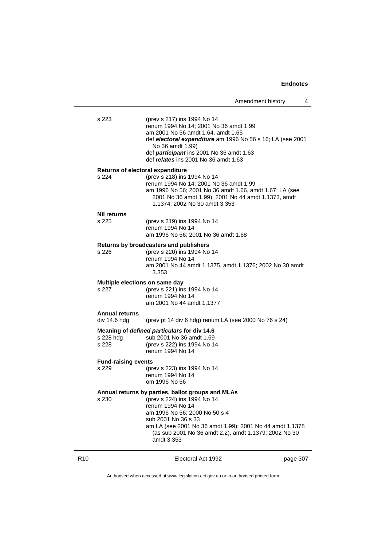| Amendment history |  |
|-------------------|--|
|-------------------|--|

| s 223                          | (prev s 217) ins 1994 No 14<br>renum 1994 No 14; 2001 No 36 amdt 1.99<br>am 2001 No 36 amdt 1.64, amdt 1.65<br>def electoral expenditure am 1996 No 56 s 16; LA (see 2001<br>No 36 amdt 1.99)<br>def participant ins 2001 No 36 amdt 1.63<br>def relates ins 2001 No 36 amdt 1.63 |  |  |
|--------------------------------|-----------------------------------------------------------------------------------------------------------------------------------------------------------------------------------------------------------------------------------------------------------------------------------|--|--|
|                                | <b>Returns of electoral expenditure</b>                                                                                                                                                                                                                                           |  |  |
| s 224                          | (prev s 218) ins 1994 No 14<br>renum 1994 No 14; 2001 No 36 amdt 1.99<br>am 1996 No 56; 2001 No 36 amdt 1.66, amdt 1.67; LA (see<br>2001 No 36 amdt 1.99); 2001 No 44 amdt 1.1373, amdt<br>1.1374; 2002 No 30 amdt 3.353                                                          |  |  |
| <b>Nil returns</b>             |                                                                                                                                                                                                                                                                                   |  |  |
| s 225                          | (prev s 219) ins 1994 No 14<br>renum 1994 No 14<br>am 1996 No 56; 2001 No 36 amdt 1.68                                                                                                                                                                                            |  |  |
|                                |                                                                                                                                                                                                                                                                                   |  |  |
| s 226                          | Returns by broadcasters and publishers<br>(prev s 220) ins 1994 No 14<br>renum 1994 No 14<br>am 2001 No 44 amdt 1.1375, amdt 1.1376; 2002 No 30 amdt<br>3.353                                                                                                                     |  |  |
| Multiple elections on same day |                                                                                                                                                                                                                                                                                   |  |  |
| s 227                          | (prev s 221) ins 1994 No 14<br>renum 1994 No 14<br>am 2001 No 44 amdt 1.1377                                                                                                                                                                                                      |  |  |
| <b>Annual returns</b>          |                                                                                                                                                                                                                                                                                   |  |  |
| div 14.6 hdg                   | (prev pt 14 div 6 hdg) renum LA (see 2000 No 76 s 24)                                                                                                                                                                                                                             |  |  |
| s 228 hdg<br>s 228             | Meaning of defined particulars for div 14.6<br>sub 2001 No 36 amdt 1.69<br>(prev s 222) ins 1994 No 14<br>renum 1994 No 14                                                                                                                                                        |  |  |
| <b>Fund-raising events</b>     |                                                                                                                                                                                                                                                                                   |  |  |
| s 229                          | (prev s 223) ins 1994 No 14<br>renum 1994 No 14<br>om 1996 No 56                                                                                                                                                                                                                  |  |  |
|                                | Annual returns by parties, ballot groups and MLAs                                                                                                                                                                                                                                 |  |  |
| s 230                          | (prev s 224) ins 1994 No 14<br>renum 1994 No 14<br>am 1996 No 56; 2000 No 50 s 4<br>sub 2001 No 36 s 33<br>am LA (see 2001 No 36 amdt 1.99); 2001 No 44 amdt 1.1378<br>(as sub 2001 No 36 amdt 2.2), amdt 1.1379; 2002 No 30<br>amdt 3.353                                        |  |  |

R10 **Electoral Act 1992 page 307**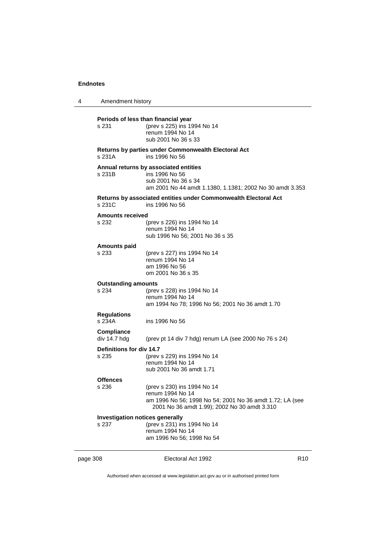| 4                                                                                                                                                                                       | Amendment history                   |                                                                                                                                                             |                 |
|-----------------------------------------------------------------------------------------------------------------------------------------------------------------------------------------|-------------------------------------|-------------------------------------------------------------------------------------------------------------------------------------------------------------|-----------------|
|                                                                                                                                                                                         | s 231                               | Periods of less than financial year<br>(prev s 225) ins 1994 No 14<br>renum 1994 No 14<br>sub 2001 No 36 s 33                                               |                 |
|                                                                                                                                                                                         | s 231A                              | <b>Returns by parties under Commonwealth Electoral Act</b><br>ins 1996 No 56                                                                                |                 |
| Annual returns by associated entities<br>s 231B<br>ins 1996 No 56<br>sub 2001 No 36 s 34<br>Returns by associated entities under Commonwealth Electoral Act<br>s 231C<br>ins 1996 No 56 |                                     | am 2001 No 44 amdt 1.1380, 1.1381; 2002 No 30 amdt 3.353                                                                                                    |                 |
|                                                                                                                                                                                         |                                     |                                                                                                                                                             |                 |
|                                                                                                                                                                                         | <b>Amounts received</b><br>s 232    | (prev s 226) ins 1994 No 14<br>renum 1994 No 14<br>sub 1996 No 56; 2001 No 36 s 35                                                                          |                 |
|                                                                                                                                                                                         | <b>Amounts paid</b><br>s 233        | (prev s 227) ins 1994 No 14<br>renum 1994 No 14<br>am 1996 No 56<br>om 2001 No 36 s 35                                                                      |                 |
|                                                                                                                                                                                         | <b>Outstanding amounts</b><br>s 234 | (prev s 228) ins 1994 No 14<br>renum 1994 No 14<br>am 1994 No 78; 1996 No 56; 2001 No 36 amdt 1.70                                                          |                 |
|                                                                                                                                                                                         | <b>Regulations</b><br>s 234A        | ins 1996 No 56                                                                                                                                              |                 |
|                                                                                                                                                                                         | <b>Compliance</b><br>div 14.7 hdg   | (prev pt 14 div 7 hdg) renum LA (see 2000 No 76 s 24)                                                                                                       |                 |
|                                                                                                                                                                                         | Definitions for div 14.7<br>s 235   | (prev s 229) ins 1994 No 14<br>renum 1994 No 14<br>sub 2001 No 36 amdt 1.71                                                                                 |                 |
|                                                                                                                                                                                         | <b>Offences</b><br>s 236            | (prev s 230) ins 1994 No 14<br>renum 1994 No 14<br>am 1996 No 56; 1998 No 54; 2001 No 36 amdt 1.72; LA (see<br>2001 No 36 amdt 1.99); 2002 No 30 amdt 3.310 |                 |
| <b>Investigation notices generally</b><br>s 237                                                                                                                                         |                                     | (prev s 231) ins 1994 No 14                                                                                                                                 |                 |
|                                                                                                                                                                                         |                                     | renum 1994 No 14<br>am 1996 No 56; 1998 No 54                                                                                                               |                 |
| page 308                                                                                                                                                                                |                                     | Electoral Act 1992                                                                                                                                          | R <sub>10</sub> |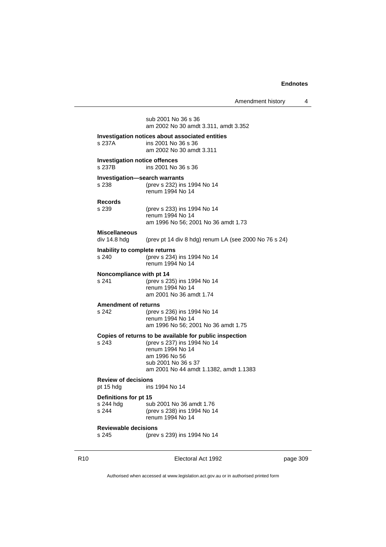Amendment history 4

sub 2001 No 36 s 36 am 2002 No 30 amdt 3.311, amdt 3.352 **Investigation notices about associated entities** s 237A ins 2001 No 36 s 36 am 2002 No 30 amdt 3.311 **Investigation notice offences** s 237B ins 2001 No 36 s 36 **Investigation—search warrants**<br>s 238 (prev s 232) ins (prev s 232) ins 1994 No 14 renum 1994 No 14 **Records** (prev s 233) ins 1994 No 14 renum 1994 No 14 am 1996 No 56; 2001 No 36 amdt 1.73 **Miscellaneous** (prev pt 14 div 8 hdg) renum LA (see 2000 No 76 s 24) **Inability to complete returns** s 240 (prev s 234) ins 1994 No 14 renum 1994 No 14 **Noncompliance with pt 14**<br>s 241 (prev s 23) (prev s 235) ins 1994 No 14 renum 1994 No 14 am 2001 No 36 amdt 1.74 **Amendment of returns** s 242 (prev s 236) ins 1994 No 14 renum 1994 No 14 am 1996 No 56; 2001 No 36 amdt 1.75 **Copies of returns to be available for public inspection** s 243 (prev s 237) ins 1994 No 14 renum 1994 No 14 am 1996 No 56 sub 2001 No 36 s 37 am 2001 No 44 amdt 1.1382, amdt 1.1383 **Review of decisions** ins 1994 No 14 **Definitions for pt 15** s 244 hdg sub 2001 No 36 amdt 1.76<br>s 244 (prev s 238) ins 1994 No 14 (prev s 238) ins 1994 No 14 renum 1994 No 14 **Reviewable decisions** (prev s 239) ins 1994 No 14

R10 Electoral Act 1992 page 309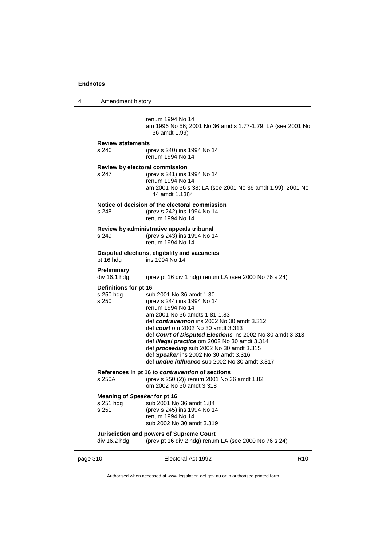4 Amendment history

renum 1994 No 14 am 1996 No 56; 2001 No 36 amdts 1.77-1.79; LA (see 2001 No 36 amdt 1.99) **Review statements** s 246 (prev s 240) ins 1994 No 14 renum 1994 No 14 **Review by electoral commission** s 247 (prev s 241) ins 1994 No 14 renum 1994 No 14 am 2001 No 36 s 38; LA (see 2001 No 36 amdt 1.99); 2001 No 44 amdt 1.1384 **Notice of decision of the electoral commission** s 248 (prev s 242) ins 1994 No 14 renum 1994 No 14 **Review by administrative appeals tribunal** s 249 (prev s 243) ins 1994 No 14 renum 1994 No 14 **Disputed elections, eligibility and vacancies** pt 16 hdg ins 1994 No 14 **Preliminary** div 16.1 hdg (prev pt 16 div 1 hdg) renum LA (see 2000 No 76 s 24) **Definitions for pt 16**<br>s 250 hdg sul s 250 hdg sub 2001 No 36 amdt 1.80<br>s 250 (prev s 244) ins 1994 No 14 (prev s 244) ins 1994 No 14 renum 1994 No 14 am 2001 No 36 amdts 1.81-1.83 def *contravention* ins 2002 No 30 amdt 3.312 def *court* om 2002 No 30 amdt 3.313 def *Court of Disputed Elections* ins 2002 No 30 amdt 3.313 def *illegal practice* om 2002 No 30 amdt 3.314 def *proceeding* sub 2002 No 30 amdt 3.315 def *Speaker* ins 2002 No 30 amdt 3.316 def *undue influence* sub 2002 No 30 amdt 3.317 **References in pt 16 to** *contravention* **of sections** s 250A (prev s 250 (2)) renum 2001 No 36 amdt 1.82 om 2002 No 30 amdt 3.318 **Meaning of** *Speaker* **for pt 16** s 251 hdg sub 2001 No 36 amdt 1.84 s 251 (prev s 245) ins 1994 No 14 renum 1994 No 14 sub 2002 No 30 amdt 3.319 **Jurisdiction and powers of Supreme Court** div 16.2 hdg (prev pt 16 div 2 hdg) renum LA (see 2000 No 76 s 24)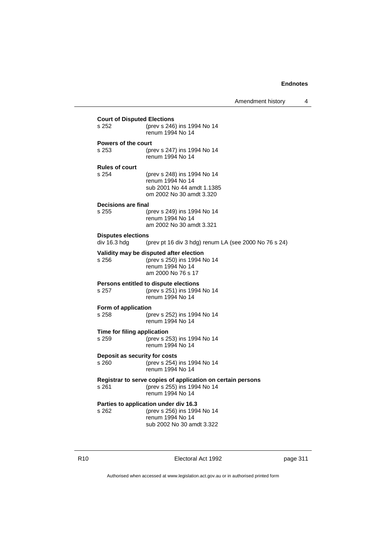Amendment history 4

| <b>Court of Disputed Elections</b>        |                                                             |  |  |
|-------------------------------------------|-------------------------------------------------------------|--|--|
| s 252                                     | (prev s 246) ins 1994 No 14<br>renum 1994 No 14             |  |  |
| Powers of the court                       |                                                             |  |  |
| s 253                                     | (prev s 247) ins 1994 No 14<br>renum 1994 No 14             |  |  |
| <b>Rules of court</b>                     |                                                             |  |  |
| s 254                                     | (prev s 248) ins 1994 No 14                                 |  |  |
|                                           | renum 1994 No 14<br>sub 2001 No 44 amdt 1.1385              |  |  |
|                                           | om 2002 No 30 amdt 3.320                                    |  |  |
| Decisions are final                       |                                                             |  |  |
| s 255                                     | (prev s 249) ins 1994 No 14                                 |  |  |
|                                           | renum 1994 No 14<br>am 2002 No 30 amdt 3.321                |  |  |
|                                           |                                                             |  |  |
| <b>Disputes elections</b><br>div 16.3 hdg | (prev pt 16 div 3 hdg) renum LA (see 2000 No 76 s 24)       |  |  |
|                                           | Validity may be disputed after election                     |  |  |
| s 256                                     | (prev s 250) ins 1994 No 14                                 |  |  |
|                                           | renum 1994 No 14<br>am 2000 No 76 s 17                      |  |  |
|                                           | Persons entitled to dispute elections                       |  |  |
| s 257                                     | (prev s 251) ins 1994 No 14                                 |  |  |
|                                           | renum 1994 No 14                                            |  |  |
| Form of application<br>s 258              | (prev s 252) ins 1994 No 14                                 |  |  |
|                                           | renum 1994 No 14                                            |  |  |
| Time for filing application               |                                                             |  |  |
| s 259                                     | (prev s 253) ins 1994 No 14                                 |  |  |
|                                           | renum 1994 No 14                                            |  |  |
| Deposit as security for costs             |                                                             |  |  |
| s 260                                     | (prev s 254) ins 1994 No 14<br>renum 1994 No 14             |  |  |
|                                           | Registrar to serve copies of application on certain persons |  |  |
| s 261                                     | (prev s 255) ins 1994 No 14                                 |  |  |
|                                           | renum 1994 No 14                                            |  |  |
|                                           | Parties to application under div 16.3                       |  |  |
| s 262                                     | (prev s 256) ins 1994 No 14<br>renum 1994 No 14             |  |  |
|                                           | sub 2002 No 30 amdt 3.322                                   |  |  |

R10 **Electoral Act 1992 page 311**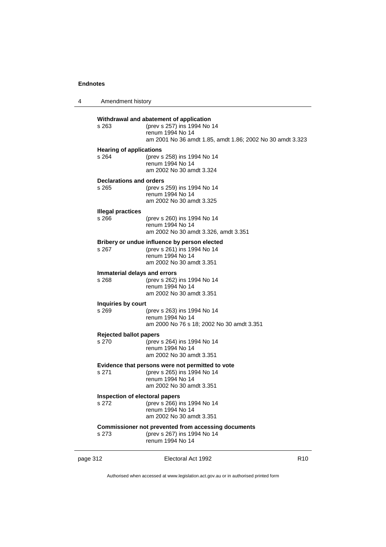| 4 | Amendment history                       |                                                                                                                                                         |
|---|-----------------------------------------|---------------------------------------------------------------------------------------------------------------------------------------------------------|
|   | s 263                                   | Withdrawal and abatement of application<br>(prev s 257) ins 1994 No 14<br>renum 1994 No 14<br>am 2001 No 36 amdt 1.85, amdt 1.86; 2002 No 30 amdt 3.323 |
|   | <b>Hearing of applications</b><br>s 264 | (prev s 258) ins 1994 No 14<br>renum 1994 No 14<br>am 2002 No 30 amdt 3.324                                                                             |
|   | <b>Declarations and orders</b><br>s 265 | (prev s 259) ins 1994 No 14<br>renum 1994 No 14<br>am 2002 No 30 amdt 3.325                                                                             |
|   | <b>Illegal practices</b><br>s 266       | (prev s 260) ins 1994 No 14<br>renum 1994 No 14<br>am 2002 No 30 amdt 3.326, amdt 3.351                                                                 |
|   | s 267                                   | Bribery or undue influence by person elected<br>(prev s 261) ins 1994 No 14<br>renum 1994 No 14<br>am 2002 No 30 amdt 3.351                             |
|   | Immaterial delays and errors<br>s 268   | (prev s 262) ins 1994 No 14<br>renum 1994 No 14<br>am 2002 No 30 amdt 3.351                                                                             |
|   | Inquiries by court<br>s 269             | (prev s 263) ins 1994 No 14<br>renum 1994 No 14<br>am 2000 No 76 s 18; 2002 No 30 amdt 3.351                                                            |
|   | <b>Rejected ballot papers</b><br>s 270  | (prev s 264) ins 1994 No 14<br>renum 1994 No 14<br>am 2002 No 30 amdt 3.351                                                                             |
|   | s 271                                   | Evidence that persons were not permitted to vote<br>(prev s 265) ins 1994 No 14<br>renum 1994 No 14<br>am 2002 No 30 amdt 3.351                         |
|   | Inspection of electoral papers<br>s 272 | (prev s 266) ins 1994 No 14<br>renum 1994 No 14<br>am 2002 No 30 amdt 3.351                                                                             |
|   | s 273                                   | Commissioner not prevented from accessing documents<br>(prev s 267) ins 1994 No 14<br>renum 1994 No 14                                                  |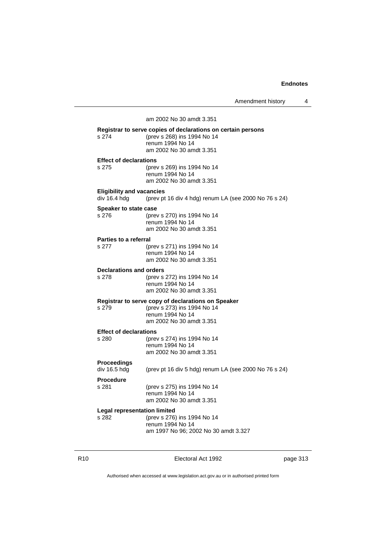Amendment history 4

am 2002 No 30 amdt 3.351 **Registrar to serve copies of declarations on certain persons** s 274 (prev s 268) ins 1994 No 14 renum 1994 No 14 am 2002 No 30 amdt 3.351 **Effect of declarations** s 275 (prev s 269) ins 1994 No 14 renum 1994 No 14 am 2002 No 30 amdt 3.351 **Eligibility and vacancies** div 16.4 hdg (prev pt 16 div 4 hdg) renum LA (see 2000 No 76 s 24) **Speaker to state case** s 276 (prev s 270) ins 1994 No 14 renum 1994 No 14 am 2002 No 30 amdt 3.351 **Parties to a referral** s 277 (prev s 271) ins 1994 No 14 renum 1994 No 14 am 2002 No 30 amdt 3.351 **Declarations and orders** s 278 (prev s 272) ins 1994 No 14 renum 1994 No 14 am 2002 No 30 amdt 3.351 **Registrar to serve copy of declarations on Speaker** s 279 (prev s 273) ins 1994 No 14 renum 1994 No 14 am 2002 No 30 amdt 3.351 **Effect of declarations** s 280 (prev s 274) ins 1994 No 14 renum 1994 No 14 am 2002 No 30 amdt 3.351 **Proceedings** div 16.5 hdg (prev pt 16 div 5 hdg) renum LA (see 2000 No 76 s 24) **Procedure** (prev s 275) ins 1994 No 14 renum 1994 No 14 am 2002 No 30 amdt 3.351 **Legal representation limited** s 282 (prev s 276) ins 1994 No 14 renum 1994 No 14

R10 Electoral Act 1992 page 313

am 1997 No 96; 2002 No 30 amdt 3.327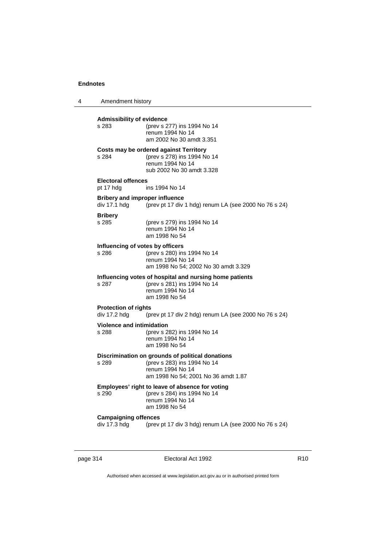4 Amendment history

**Admissibility of evidence** s 283 (prev s 277) ins 1994 No 14 renum 1994 No 14 am 2002 No 30 amdt 3.351 **Costs may be ordered against Territory** s 284 (prev s 278) ins 1994 No 14 renum 1994 No 14 sub 2002 No 30 amdt 3.328 **Electoral offences** pt 17 hdg ins 1994 No 14 **Bribery and improper influence**<br>div 17.1 hdg (prev pt 17 div (prev pt 17 div 1 hdg) renum LA (see 2000 No 76 s 24) **Bribery** s 285 (prev s 279) ins 1994 No 14 renum 1994 No 14 am 1998 No 54 **Influencing of votes by officers** s 286 (prev s 280) ins 1994 No 14 renum 1994 No 14 am 1998 No 54; 2002 No 30 amdt 3.329 **Influencing votes of hospital and nursing home patients** s 287 (prev s 281) ins 1994 No 14 renum 1994 No 14 am 1998 No 54 **Protection of rights** div 17.2 hdg (prev pt 17 div 2 hdg) renum LA (see 2000 No 76 s 24) **Violence and intimidation** s 288 (prev s 282) ins 1994 No 14 renum 1994 No 14 am 1998 No 54 **Discrimination on grounds of political donations** s 289 (prev s 283) ins 1994 No 14 renum 1994 No 14 am 1998 No 54; 2001 No 36 amdt 1.87 **Employees' right to leave of absence for voting** s 290 (prev s 284) ins 1994 No 14 renum 1994 No 14 am 1998 No 54 **Campaigning offences** div 17.3 hdg (prev pt 17 div 3 hdg) renum LA (see 2000 No 76 s 24)

page 314 **Electoral Act 1992** R10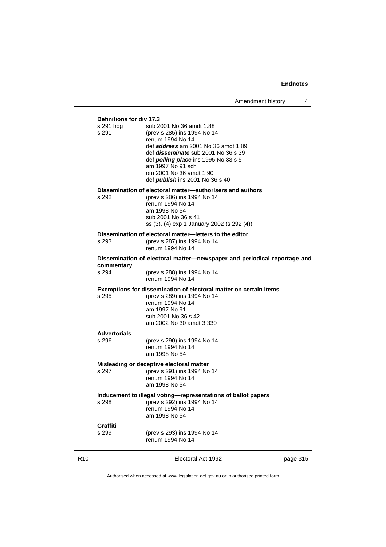#### **Definitions for div 17.3**

| s 291 hdg<br>s 291  | sub 2001 No 36 amdt 1.88<br>(prev s 285) ins 1994 No 14<br>renum 1994 No 14<br>def <b>address</b> am 2001 No 36 amdt 1.89<br>def <i>disseminate</i> sub 2001 No 36 s 39<br>def <b>polling place</b> ins 1995 No 33 s 5<br>am 1997 No 91 sch<br>om 2001 No 36 amdt 1.90<br>def <i>publish</i> ins 2001 No 36 s 40 |
|---------------------|------------------------------------------------------------------------------------------------------------------------------------------------------------------------------------------------------------------------------------------------------------------------------------------------------------------|
| s 292               | Dissemination of electoral matter—authorisers and authors<br>(prev s 286) ins 1994 No 14<br>renum 1994 No 14<br>am 1998 No 54<br>sub 2001 No 36 s 41<br>ss (3), (4) exp 1 January 2002 (s 292 (4))                                                                                                               |
| s 293               | Dissemination of electoral matter-letters to the editor<br>(prev s 287) ins 1994 No 14<br>renum 1994 No 14                                                                                                                                                                                                       |
|                     | Dissemination of electoral matter—newspaper and periodical reportage and                                                                                                                                                                                                                                         |
| commentary<br>s 294 | (prev s 288) ins 1994 No 14<br>renum 1994 No 14                                                                                                                                                                                                                                                                  |
| s 295               | Exemptions for dissemination of electoral matter on certain items<br>(prev s 289) ins 1994 No 14<br>renum 1994 No 14<br>am 1997 No 91<br>sub 2001 No 36 s 42<br>am 2002 No 30 amdt 3.330                                                                                                                         |
| <b>Advertorials</b> |                                                                                                                                                                                                                                                                                                                  |
| s 296               | (prev s 290) ins 1994 No 14<br>renum 1994 No 14<br>am 1998 No 54                                                                                                                                                                                                                                                 |
| s 297               | Misleading or deceptive electoral matter<br>(prev s 291) ins 1994 No 14<br>renum 1994 No 14<br>am 1998 No 54                                                                                                                                                                                                     |
| s 298               | Inducement to illegal voting—representations of ballot papers<br>(prev s 292) ins 1994 No 14<br>renum 1994 No 14<br>am 1998 No 54                                                                                                                                                                                |
| Graffiti<br>s 299   | (prev s 293) ins 1994 No 14<br>renum 1994 No 14                                                                                                                                                                                                                                                                  |

R10 **Electoral Act 1992 page 315**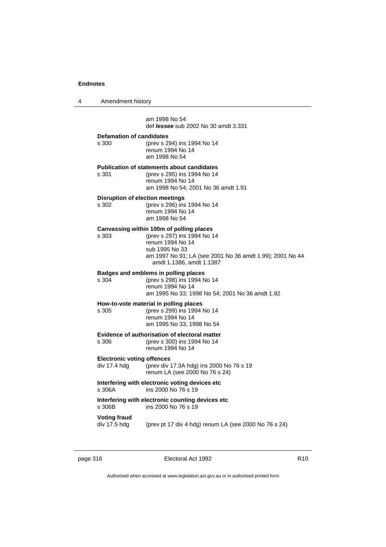| 4 |                                                   | Amendment history                                                                                                                                                                                     |  |  |
|---|---------------------------------------------------|-------------------------------------------------------------------------------------------------------------------------------------------------------------------------------------------------------|--|--|
|   |                                                   | am 1998 No 54<br>def <i>lessee</i> sub 2002 No 30 amdt 3.331                                                                                                                                          |  |  |
|   | <b>Defamation of candidates</b><br>s 300          | (prev s 294) ins 1994 No 14<br>renum 1994 No 14<br>am 1998 No 54                                                                                                                                      |  |  |
|   | s 301                                             | <b>Publication of statements about candidates</b><br>(prev s 295) ins 1994 No 14<br>renum 1994 No 14<br>am 1998 No 54; 2001 No 36 amdt 1.91                                                           |  |  |
|   | s 302                                             | <b>Disruption of election meetings</b><br>(prev s 296) ins 1994 No 14<br>renum 1994 No 14<br>am 1998 No 54                                                                                            |  |  |
|   | s 303                                             | Canvassing within 100m of polling places<br>(prev s 297) ins 1994 No 14<br>renum 1994 No 14<br>sub 1995 No 33<br>am 1997 No 91; LA (see 2001 No 36 amdt 1.99); 2001 No 44<br>amdt 1.1386, amdt 1.1387 |  |  |
|   | s 304                                             | Badges and emblems in polling places<br>(prev s 298) ins 1994 No 14<br>renum 1994 No 14<br>am 1995 No 33; 1998 No 54; 2001 No 36 amdt 1.92                                                            |  |  |
|   | s 305                                             | How-to-vote material in polling places<br>(prev s 299) ins 1994 No 14<br>renum 1994 No 14<br>am 1995 No 33; 1998 No 54                                                                                |  |  |
|   | s 306                                             | Evidence of authorisation of electoral matter<br>(prev s 300) ins 1994 No 14<br>renum 1994 No 14                                                                                                      |  |  |
|   | <b>Electronic voting offences</b><br>div 17.4 hdg | (prev div 17.3A hdg) ins 2000 No 76 s 19<br>renum LA (see 2000 No 76 s 24)                                                                                                                            |  |  |
|   | s 306A                                            | Interfering with electronic voting devices etc<br>ins 2000 No 76 s 19                                                                                                                                 |  |  |
|   | s 306B                                            | Interfering with electronic counting devices etc<br>ins 2000 No 76 s 19                                                                                                                               |  |  |
|   | Voting fraud<br>div 17.5 hdg                      | (prev pt 17 div 4 hdg) renum LA (see 2000 No 76 s 24)                                                                                                                                                 |  |  |
|   |                                                   |                                                                                                                                                                                                       |  |  |

page 316 **Electoral Act 1992** R10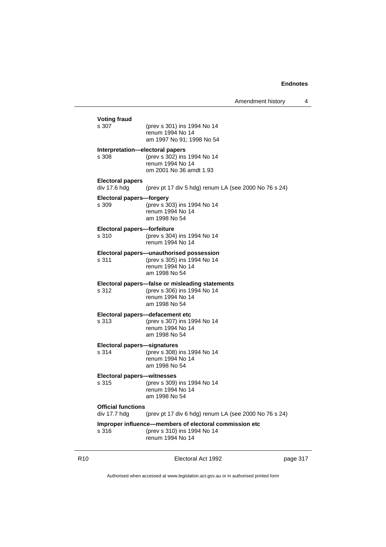Amendment history 4

| <b>Voting fraud</b><br>s 307              | (prev s 301) ins 1994 No 14<br>renum 1994 No 14<br>am 1997 No 91; 1998 No 54                                        |
|-------------------------------------------|---------------------------------------------------------------------------------------------------------------------|
| Interpretation—electoral papers<br>s 308  | (prev s 302) ins 1994 No 14<br>renum 1994 No 14<br>om 2001 No 36 amdt 1.93                                          |
| <b>Electoral papers</b><br>div 17.6 hdg   | (prev pt 17 div 5 hdg) renum LA (see 2000 No 76 s 24)                                                               |
| Electoral papers—forgery<br>s 309         | (prev s 303) ins 1994 No 14<br>renum 1994 No 14<br>am 1998 No 54                                                    |
| Electoral papers-forfeiture<br>s 310      | (prev s 304) ins 1994 No 14<br>renum 1994 No 14                                                                     |
| s 311                                     | Electoral papers—unauthorised possession<br>(prev s 305) ins 1994 No 14<br>renum 1994 No 14<br>am 1998 No 54        |
| s 312                                     | Electoral papers-false or misleading statements<br>(prev s 306) ins 1994 No 14<br>renum 1994 No 14<br>am 1998 No 54 |
| s 313                                     | Electoral papers-defacement etc<br>(prev s 307) ins 1994 No 14<br>renum 1994 No 14<br>am 1998 No 54                 |
| Electoral papers-signatures<br>s 314      | (prev s 308) ins 1994 No 14<br>renum 1994 No 14<br>am 1998 No 54                                                    |
| Electoral papers-witnesses<br>s 315       | (prev s 309) ins 1994 No 14<br>renum 1994 No 14<br>am 1998 No 54                                                    |
| <b>Official functions</b><br>div 17.7 hdg | (prev pt 17 div 6 hdg) renum LA (see 2000 No 76 s 24)                                                               |
| s 316                                     | Improper influence-members of electoral commission etc<br>(prev s 310) ins 1994 No 14<br>renum 1994 No 14           |

R10 **Electoral Act 1992 page 317**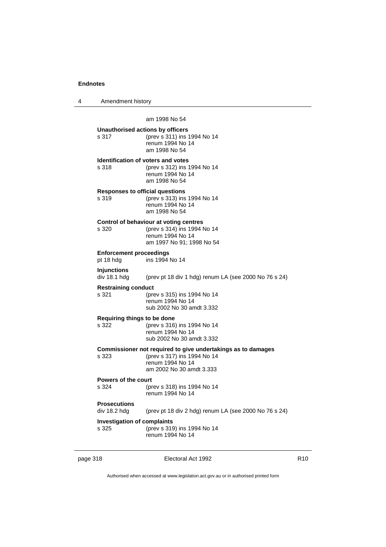4 Amendment history

am 1998 No 54 **Unauthorised actions by officers** s 317 (prev s 311) ins 1994 No 14 renum 1994 No 14 am 1998 No 54 **Identification of voters and votes** s 318 (prev s 312) ins 1994 No 14 renum 1994 No 14 am 1998 No 54 **Responses to official questions** s 319 (prev s 313) ins 1994 No 14 renum 1994 No 14 am 1998 No 54 **Control of behaviour at voting centres** s 320 (prev s 314) ins 1994 No 14 renum 1994 No 14 am 1997 No 91; 1998 No 54 **Enforcement proceedings** pt 18 hdg ins 1994 No 14 **Injunctions** div 18.1 hdg (prev pt 18 div 1 hdg) renum LA (see 2000 No 76 s 24) **Restraining conduct** s 321 (prev s 315) ins 1994 No 14 renum 1994 No 14 sub 2002 No 30 amdt 3.332 **Requiring things to be done** (prev s 316) ins 1994 No 14 renum 1994 No 14 sub 2002 No 30 amdt 3.332 **Commissioner not required to give undertakings as to damages** s 323 (prev s 317) ins 1994 No 14 renum 1994 No 14 am 2002 No 30 amdt 3.333 **Powers of the court**<br>s 324 (proport) s 324 (prev s 318) ins 1994 No 14 renum 1994 No 14 **Prosecutions** div 18.2 hdg (prev pt 18 div 2 hdg) renum LA (see 2000 No 76 s 24) **Investigation of complaints** s 325 (prev s 319) ins 1994 No 14 renum 1994 No 14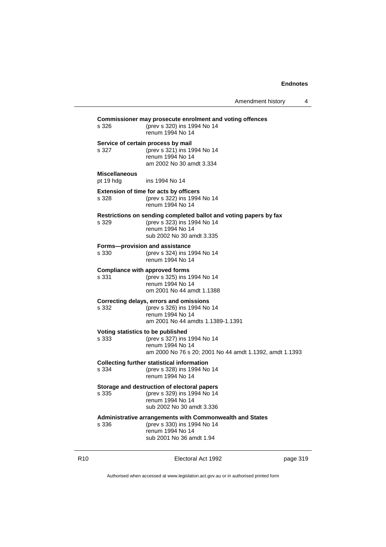Amendment history 4

| Commissioner may prosecute enrolment and voting offences |                                                                            |  |  |
|----------------------------------------------------------|----------------------------------------------------------------------------|--|--|
| s 326                                                    | (prev s 320) ins 1994 No 14<br>renum 1994 No 14                            |  |  |
|                                                          | Service of certain process by mail                                         |  |  |
| s 327                                                    | (prev s 321) ins 1994 No 14                                                |  |  |
|                                                          | renum 1994 No 14<br>am 2002 No 30 amdt 3.334                               |  |  |
|                                                          |                                                                            |  |  |
| <b>Miscellaneous</b><br>pt 19 hdg                        | ins 1994 No 14                                                             |  |  |
|                                                          | Extension of time for acts by officers                                     |  |  |
| s 328                                                    | (prev s 322) ins 1994 No 14<br>renum 1994 No 14                            |  |  |
|                                                          | Restrictions on sending completed ballot and voting papers by fax          |  |  |
| s 329                                                    | (prev s 323) ins 1994 No 14                                                |  |  |
|                                                          | renum 1994 No 14<br>sub 2002 No 30 amdt 3.335                              |  |  |
|                                                          |                                                                            |  |  |
| s 330                                                    | Forms-provision and assistance<br>(prev s 324) ins 1994 No 14              |  |  |
|                                                          | renum 1994 No 14                                                           |  |  |
|                                                          | <b>Compliance with approved forms</b>                                      |  |  |
| s 331                                                    | (prev s 325) ins 1994 No 14                                                |  |  |
|                                                          | renum 1994 No 14                                                           |  |  |
|                                                          | om 2001 No 44 amdt 1.1388                                                  |  |  |
|                                                          | Correcting delays, errors and omissions                                    |  |  |
| s 332                                                    | (prev s 326) ins 1994 No 14<br>renum 1994 No 14                            |  |  |
|                                                          | am 2001 No 44 amdts 1.1389-1.1391                                          |  |  |
| Voting statistics to be published                        |                                                                            |  |  |
| s 333                                                    | (prev s 327) ins 1994 No 14                                                |  |  |
|                                                          | renum 1994 No 14                                                           |  |  |
|                                                          | am 2000 No 76 s 20; 2001 No 44 amdt 1.1392, amdt 1.1393                    |  |  |
|                                                          | <b>Collecting further statistical information</b>                          |  |  |
| s 334                                                    | (prev s 328) ins 1994 No 14<br>renum 1994 No 14                            |  |  |
|                                                          |                                                                            |  |  |
| s 335                                                    | Storage and destruction of electoral papers<br>(prev s 329) ins 1994 No 14 |  |  |
|                                                          | renum 1994 No 14                                                           |  |  |
|                                                          | sub 2002 No 30 amdt 3.336                                                  |  |  |
|                                                          | Administrative arrangements with Commonwealth and States                   |  |  |
| s 336                                                    | (prev s 330) ins 1994 No 14<br>renum 1994 No 14                            |  |  |
|                                                          | sub 2001 No 36 amdt 1.94                                                   |  |  |
|                                                          |                                                                            |  |  |

R10 **Electoral Act 1992 page 319**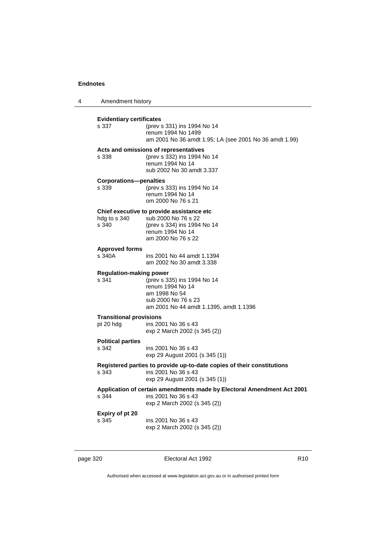| 4 |                                          | Amendment history                                                                                                                          |  |  |
|---|------------------------------------------|--------------------------------------------------------------------------------------------------------------------------------------------|--|--|
|   | <b>Evidentiary certificates</b><br>s 337 | (prev s 331) ins 1994 No 14<br>renum 1994 No 1499<br>am 2001 No 36 amdt 1.95; LA (see 2001 No 36 amdt 1.99)                                |  |  |
|   | s 338                                    | Acts and omissions of representatives<br>(prev s 332) ins 1994 No 14<br>renum 1994 No 14<br>sub 2002 No 30 amdt 3.337                      |  |  |
|   | <b>Corporations-penalties</b><br>s 339   | (prev s 333) ins 1994 No 14<br>renum 1994 No 14<br>om 2000 No 76 s 21                                                                      |  |  |
|   | hdg to s 340<br>s 340                    | Chief executive to provide assistance etc.<br>sub 2000 No 76 s 22<br>(prev s 334) ins 1994 No 14<br>renum 1994 No 14<br>am 2000 No 76 s 22 |  |  |
|   | <b>Approved forms</b><br>s 340A          | ins 2001 No 44 amdt 1.1394<br>am 2002 No 30 amdt 3.338                                                                                     |  |  |
|   | <b>Regulation-making power</b><br>s 341  | (prev s 335) ins 1994 No 14<br>renum 1994 No 14<br>am 1998 No 54<br>sub 2000 No 76 s 23<br>am 2001 No 44 amdt 1.1395, amdt 1.1396          |  |  |
|   |                                          | <b>Transitional provisions</b>                                                                                                             |  |  |
|   | pt 20 hdg                                | ins 2001 No 36 s 43<br>exp 2 March 2002 (s 345 (2))                                                                                        |  |  |
|   | <b>Political parties</b><br>s 342        | ins 2001 No 36 s 43<br>exp 29 August 2001 (s 345 (1))                                                                                      |  |  |
|   | s 343                                    | Registered parties to provide up-to-date copies of their constitutions<br>ins 2001 No 36 s 43<br>exp 29 August 2001 (s 345 (1))            |  |  |
|   | s 344                                    | Application of certain amendments made by Electoral Amendment Act 2001<br>ins 2001 No 36 s 43<br>exp 2 March 2002 (s 345 (2))              |  |  |
|   | Expiry of pt 20<br>s 345                 | ins 2001 No 36 s 43<br>exp 2 March 2002 (s 345 (2))                                                                                        |  |  |
|   |                                          |                                                                                                                                            |  |  |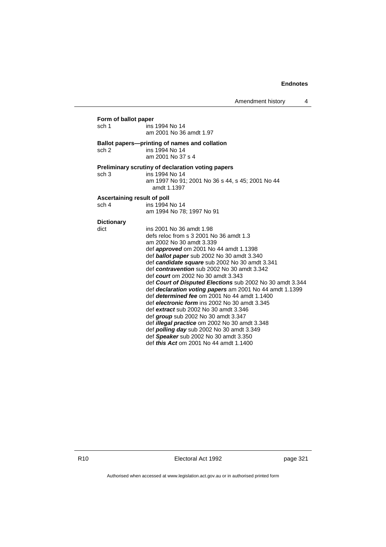| Form of ballot paper        |                                                           |
|-----------------------------|-----------------------------------------------------------|
| sch 1                       | ins 1994 No 14                                            |
|                             | am 2001 No 36 amdt 1.97                                   |
|                             | Ballot papers—printing of names and collation             |
| sch <sub>2</sub>            | ins 1994 No 14                                            |
|                             | am 2001 No 37 s 4                                         |
|                             | Preliminary scrutiny of declaration voting papers         |
| sch <sub>3</sub>            | ins 1994 No 14                                            |
|                             | am 1997 No 91; 2001 No 36 s 44, s 45; 2001 No 44          |
|                             | amdt 1.1397                                               |
| Ascertaining result of poll |                                                           |
| sch 4                       | ins 1994 No 14                                            |
|                             | am 1994 No 78; 1997 No 91                                 |
| <b>Dictionary</b>           |                                                           |
| dict                        | ins 2001 No 36 amdt 1.98                                  |
|                             | defs reloc from s 3 2001 No 36 amdt 1.3                   |
|                             | am 2002 No 30 amdt 3.339                                  |
|                             | def <b>approved</b> om 2001 No 44 amdt 1.1398             |
|                             | def <b>ballot paper</b> sub 2002 No 30 amdt 3.340         |
|                             | def candidate square sub 2002 No 30 amdt 3.341            |
|                             | def contravention sub 2002 No 30 amdt 3.342               |
|                             | def <i>court</i> om 2002 No 30 amdt 3.343                 |
|                             | def Court of Disputed Elections sub 2002 No 30 amdt 3.344 |
|                             | def declaration voting papers am 2001 No 44 amdt 1.1399   |
|                             | def <i>determined fee</i> om 2001 No 44 amdt 1.1400       |
|                             | def electronic form ins 2002 No 30 amdt 3.345             |
|                             | def extract sub 2002 No 30 amdt 3.346                     |
|                             | def group sub 2002 No 30 amdt 3.347                       |
|                             | def illegal practice om 2002 No 30 amdt 3.348             |
|                             | def <i>polling day</i> sub 2002 No 30 amdt 3.349          |
|                             | def Speaker sub 2002 No 30 amdt 3.350                     |
|                             | def <i>this Act</i> om 2001 No 44 amdt 1.1400             |

R10 **Electoral Act 1992 page 321**